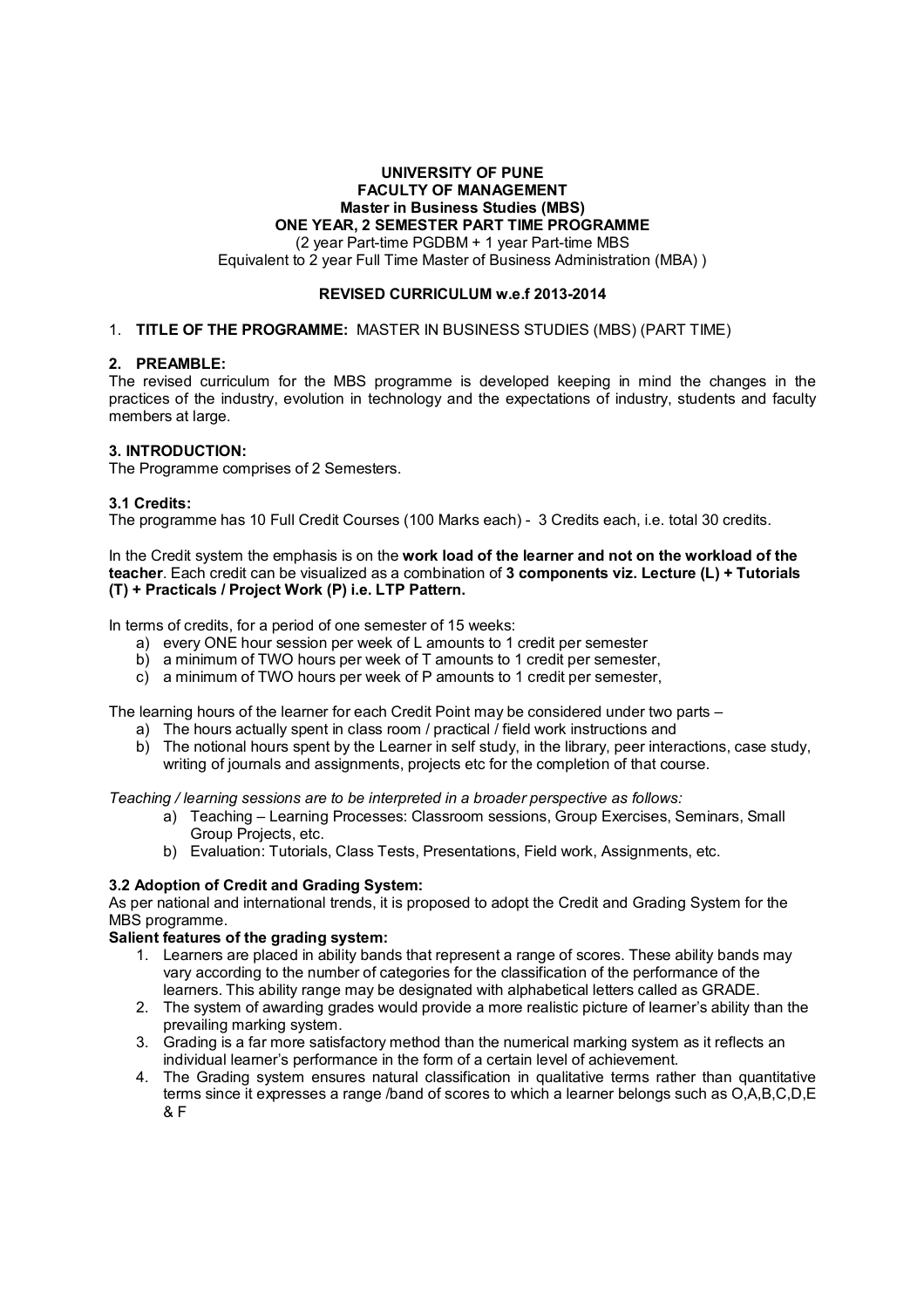# **UNIVERSITY OF PUNE FACULTY OF MANAGEMENT Master in Business Studies (MBS) ONE YEAR, 2 SEMESTER PART TIME PROGRAMME**

(2 year Part-time PGDBM + 1 year Part-time MBS Equivalent to 2 year Full Time Master of Business Administration (MBA) )

## **REVISED CURRICULUM w.e.f 2013-2014**

## 1. **TITLE OF THE PROGRAMME:** MASTER IN BUSINESS STUDIES (MBS) (PART TIME)

## **2. PREAMBLE:**

The revised curriculum for the MBS programme is developed keeping in mind the changes in the practices of the industry, evolution in technology and the expectations of industry, students and faculty members at large.

## **3. INTRODUCTION:**

The Programme comprises of 2 Semesters.

## **3.1 Credits:**

The programme has 10 Full Credit Courses (100 Marks each) - 3 Credits each, i.e. total 30 credits.

In the Credit system the emphasis is on the **work load of the learner and not on the workload of the teacher**. Each credit can be visualized as a combination of **3 components viz. Lecture (L) + Tutorials (T) + Practicals / Project Work (P) i.e. LTP Pattern.** 

In terms of credits, for a period of one semester of 15 weeks:

- a) every ONE hour session per week of L amounts to 1 credit per semester
- b) a minimum of TWO hours per week of T amounts to 1 credit per semester,
- c) a minimum of TWO hours per week of P amounts to 1 credit per semester,

The learning hours of the learner for each Credit Point may be considered under two parts –

- a) The hours actually spent in class room / practical / field work instructions and
- b) The notional hours spent by the Learner in self study, in the library, peer interactions, case study, writing of journals and assignments, projects etc for the completion of that course.

*Teaching / learning sessions are to be interpreted in a broader perspective as follows:* 

- a) Teaching Learning Processes: Classroom sessions, Group Exercises, Seminars, Small Group Projects, etc.
- b) Evaluation: Tutorials, Class Tests, Presentations, Field work, Assignments, etc.

#### **3.2 Adoption of Credit and Grading System:**

As per national and international trends, it is proposed to adopt the Credit and Grading System for the MBS programme.

#### **Salient features of the grading system:**

- 1. Learners are placed in ability bands that represent a range of scores. These ability bands may vary according to the number of categories for the classification of the performance of the learners. This ability range may be designated with alphabetical letters called as GRADE.
- 2. The system of awarding grades would provide a more realistic picture of learner's ability than the prevailing marking system.
- 3. Grading is a far more satisfactory method than the numerical marking system as it reflects an individual learner's performance in the form of a certain level of achievement.
- 4. The Grading system ensures natural classification in qualitative terms rather than quantitative terms since it expresses a range /band of scores to which a learner belongs such as O,A,B,C,D,E & F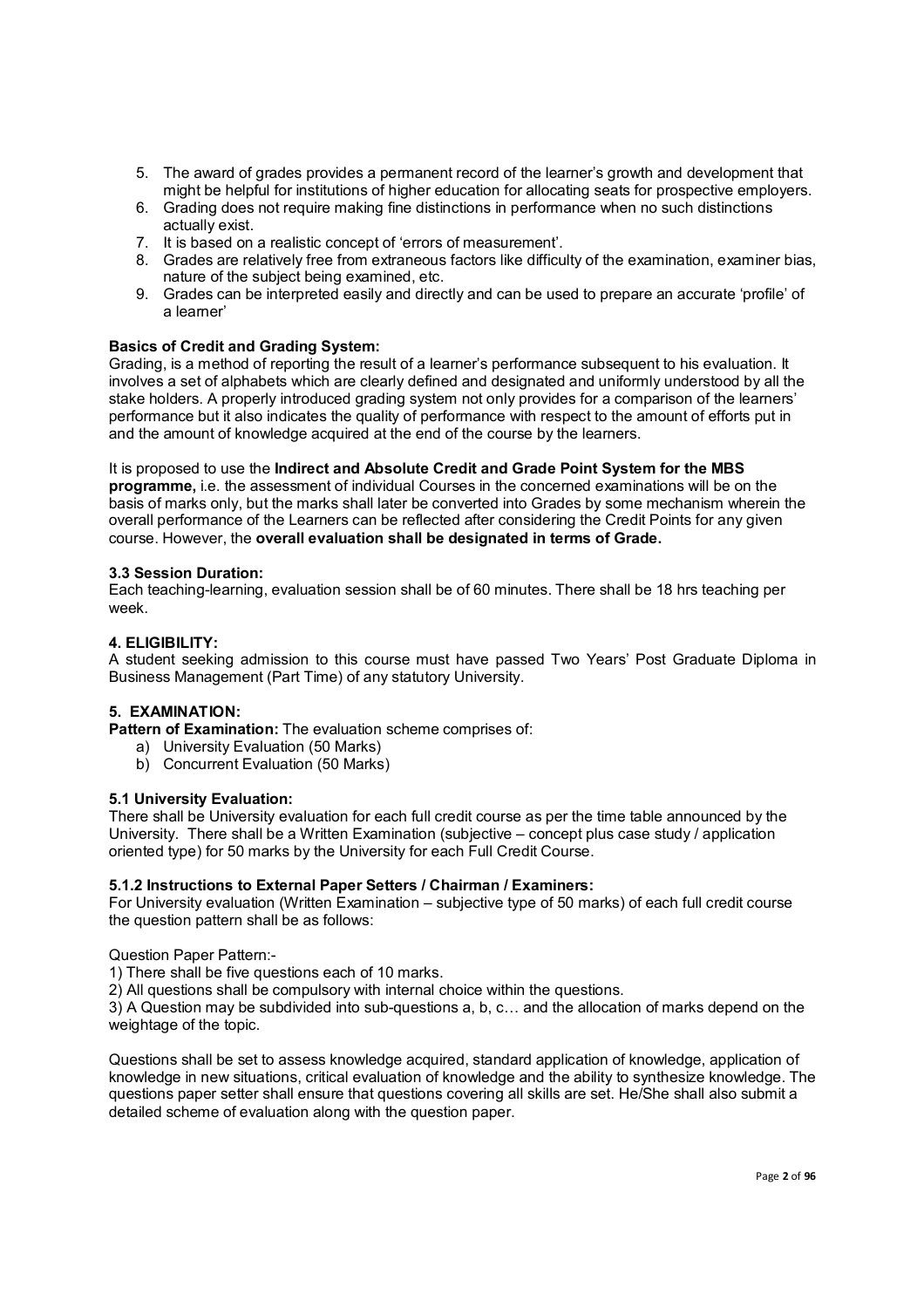- 5. The award of grades provides a permanent record of the learner's growth and development that might be helpful for institutions of higher education for allocating seats for prospective employers.
- 6. Grading does not require making fine distinctions in performance when no such distinctions actually exist.
- 7. It is based on a realistic concept of 'errors of measurement'.
- 8. Grades are relatively free from extraneous factors like difficulty of the examination, examiner bias, nature of the subject being examined, etc.
- 9. Grades can be interpreted easily and directly and can be used to prepare an accurate 'profile' of a learner'

## **Basics of Credit and Grading System:**

Grading, is a method of reporting the result of a learner's performance subsequent to his evaluation. It involves a set of alphabets which are clearly defined and designated and uniformly understood by all the stake holders. A properly introduced grading system not only provides for a comparison of the learners' performance but it also indicates the quality of performance with respect to the amount of efforts put in and the amount of knowledge acquired at the end of the course by the learners.

It is proposed to use the **Indirect and Absolute Credit and Grade Point System for the MBS programme,** i.e. the assessment of individual Courses in the concerned examinations will be on the basis of marks only, but the marks shall later be converted into Grades by some mechanism wherein the overall performance of the Learners can be reflected after considering the Credit Points for any given course. However, the **overall evaluation shall be designated in terms of Grade.**

#### **3.3 Session Duration:**

Each teaching-learning, evaluation session shall be of 60 minutes. There shall be 18 hrs teaching per week.

#### **4. ELIGIBILITY:**

A student seeking admission to this course must have passed Two Years' Post Graduate Diploma in Business Management (Part Time) of any statutory University.

# **5. EXAMINATION:**

**Pattern of Examination:** The evaluation scheme comprises of:

- a) University Evaluation (50 Marks)
- b) Concurrent Evaluation (50 Marks)

#### **5.1 University Evaluation:**

There shall be University evaluation for each full credit course as per the time table announced by the University. There shall be a Written Examination (subjective – concept plus case study / application oriented type) for 50 marks by the University for each Full Credit Course.

#### **5.1.2 Instructions to External Paper Setters / Chairman / Examiners:**

For University evaluation (Written Examination – subjective type of 50 marks) of each full credit course the question pattern shall be as follows:

#### Question Paper Pattern:-

1) There shall be five questions each of 10 marks.

2) All questions shall be compulsory with internal choice within the questions.

3) A Question may be subdivided into sub-questions a, b, c… and the allocation of marks depend on the weightage of the topic.

Questions shall be set to assess knowledge acquired, standard application of knowledge, application of knowledge in new situations, critical evaluation of knowledge and the ability to synthesize knowledge. The questions paper setter shall ensure that questions covering all skills are set. He/She shall also submit a detailed scheme of evaluation along with the question paper.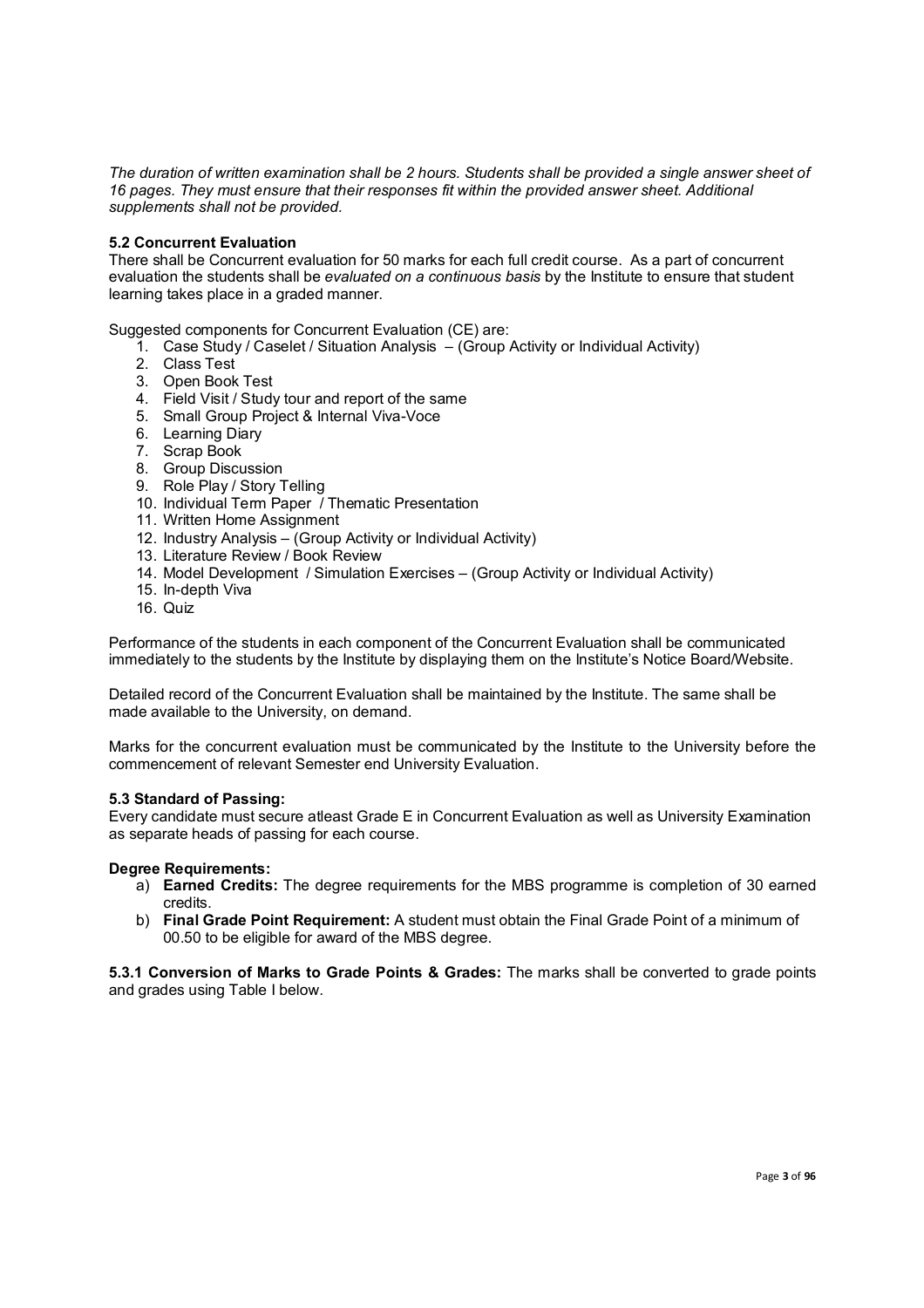*The duration of written examination shall be 2 hours. Students shall be provided a single answer sheet of 16 pages. They must ensure that their responses fit within the provided answer sheet. Additional supplements shall not be provided.*

#### **5.2 Concurrent Evaluation**

There shall be Concurrent evaluation for 50 marks for each full credit course. As a part of concurrent evaluation the students shall be *evaluated on a continuous basis* by the Institute to ensure that student learning takes place in a graded manner.

Suggested components for Concurrent Evaluation (CE) are:

- 1. Case Study / Caselet / Situation Analysis (Group Activity or Individual Activity)
- 2. Class Test
- 3. Open Book Test
- 4. Field Visit / Study tour and report of the same
- 5. Small Group Project & Internal Viva-Voce
- 6. Learning Diary
- 7. Scrap Book
- 8. Group Discussion
- 9. Role Play / Story Telling
- 10. Individual Term Paper / Thematic Presentation
- 11. Written Home Assignment
- 12. Industry Analysis (Group Activity or Individual Activity)
- 13. Literature Review / Book Review
- 14. Model Development / Simulation Exercises (Group Activity or Individual Activity)
- 15. In-depth Viva
- 16. Quiz

Performance of the students in each component of the Concurrent Evaluation shall be communicated immediately to the students by the Institute by displaying them on the Institute's Notice Board/Website.

Detailed record of the Concurrent Evaluation shall be maintained by the Institute. The same shall be made available to the University, on demand.

Marks for the concurrent evaluation must be communicated by the Institute to the University before the commencement of relevant Semester end University Evaluation.

#### **5.3 Standard of Passing:**

Every candidate must secure atleast Grade E in Concurrent Evaluation as well as University Examination as separate heads of passing for each course.

#### **Degree Requirements:**

- a) **Earned Credits:** The degree requirements for the MBS programme is completion of 30 earned credits.
- b) **Final Grade Point Requirement:** A student must obtain the Final Grade Point of a minimum of 00.50 to be eligible for award of the MBS degree.

**5.3.1 Conversion of Marks to Grade Points & Grades:** The marks shall be converted to grade points and grades using Table I below.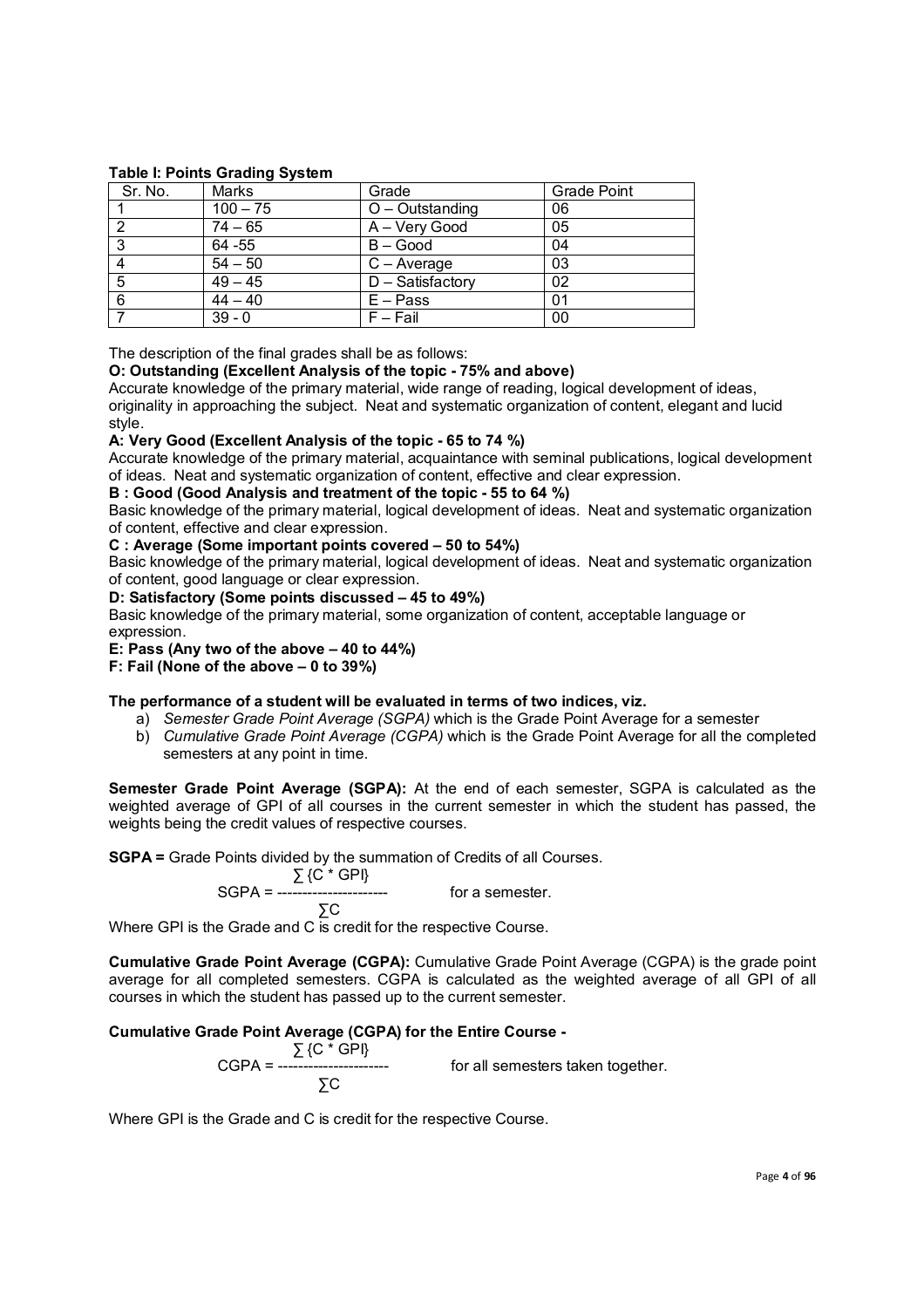### **Table I: Points Grading System**

| Sr. No. | Marks            | Grade               | <b>Grade Point</b> |
|---------|------------------|---------------------|--------------------|
|         | $100 - 75$       | $O -$ Outstanding   | 06                 |
|         | $74 - 65$        | A - Very Good       | 05                 |
| 3       | 64 - 55          | $B - Good$          | 04                 |
|         | $54 - 50$        | $C - Average$       | 03                 |
| 5       | $\sqrt{49} - 45$ | $D - S$ atisfactory | 02                 |
| 6       | $44 - 40$        | $E - Pass$          | 01                 |
|         | $39 - 0$         | $F - Fail$          | 00                 |

The description of the final grades shall be as follows:

#### **O: Outstanding (Excellent Analysis of the topic - 75% and above)**

Accurate knowledge of the primary material, wide range of reading, logical development of ideas, originality in approaching the subject. Neat and systematic organization of content, elegant and lucid style.

#### **A: Very Good (Excellent Analysis of the topic - 65 to 74 %)**

Accurate knowledge of the primary material, acquaintance with seminal publications, logical development of ideas. Neat and systematic organization of content, effective and clear expression.

**B : Good (Good Analysis and treatment of the topic - 55 to 64 %)**

Basic knowledge of the primary material, logical development of ideas. Neat and systematic organization of content, effective and clear expression.

#### **C : Average (Some important points covered – 50 to 54%)**

Basic knowledge of the primary material, logical development of ideas. Neat and systematic organization of content, good language or clear expression.

#### **D: Satisfactory (Some points discussed – 45 to 49%)**

Basic knowledge of the primary material, some organization of content, acceptable language or expression.

#### **E: Pass (Any two of the above – 40 to 44%)**

**F: Fail (None of the above – 0 to 39%)**

#### **The performance of a student will be evaluated in terms of two indices, viz.**

- a) *Semester Grade Point Average (SGPA)* which is the Grade Point Average for a semester
- b) *Cumulative Grade Point Average (CGPA)* which is the Grade Point Average for all the completed semesters at any point in time.

**Semester Grade Point Average (SGPA):** At the end of each semester, SGPA is calculated as the weighted average of GPI of all courses in the current semester in which the student has passed, the weights being the credit values of respective courses.

for a semester.

**SGPA =** Grade Points divided by the summation of Credits of all Courses.

$$
\sum \{C * GPI\}
$$
  
SGPA = 50

 ∑C Where GPI is the Grade and C is credit for the respective Course.

**Cumulative Grade Point Average (CGPA):** Cumulative Grade Point Average (CGPA) is the grade point average for all completed semesters. CGPA is calculated as the weighted average of all GPI of all courses in which the student has passed up to the current semester.

## **Cumulative Grade Point Average (CGPA) for the Entire Course -**

 ∑ {C \* GPI} for all semesters taken together. ∑C

Where GPI is the Grade and C is credit for the respective Course.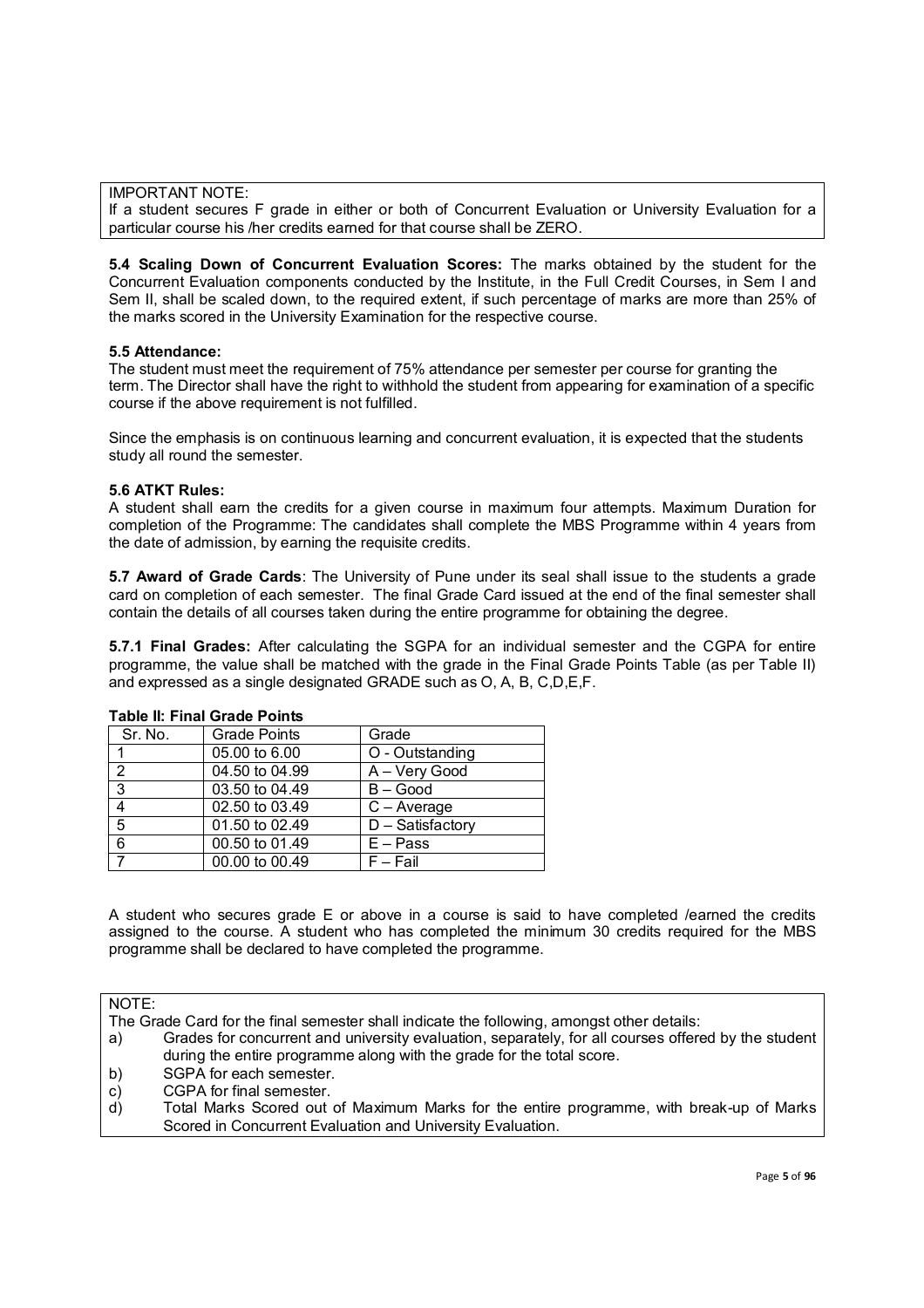IMPORTANT NOTE:

If a student secures F grade in either or both of Concurrent Evaluation or University Evaluation for a particular course his /her credits earned for that course shall be ZERO.

**5.4 Scaling Down of Concurrent Evaluation Scores:** The marks obtained by the student for the Concurrent Evaluation components conducted by the Institute, in the Full Credit Courses, in Sem I and Sem II, shall be scaled down, to the required extent, if such percentage of marks are more than 25% of the marks scored in the University Examination for the respective course.

#### **5.5 Attendance:**

The student must meet the requirement of 75% attendance per semester per course for granting the term. The Director shall have the right to withhold the student from appearing for examination of a specific course if the above requirement is not fulfilled.

Since the emphasis is on continuous learning and concurrent evaluation, it is expected that the students study all round the semester.

#### **5.6 ATKT Rules:**

A student shall earn the credits for a given course in maximum four attempts. Maximum Duration for completion of the Programme: The candidates shall complete the MBS Programme within 4 years from the date of admission, by earning the requisite credits.

**5.7 Award of Grade Cards**: The University of Pune under its seal shall issue to the students a grade card on completion of each semester. The final Grade Card issued at the end of the final semester shall contain the details of all courses taken during the entire programme for obtaining the degree.

**5.7.1 Final Grades:** After calculating the SGPA for an individual semester and the CGPA for entire programme, the value shall be matched with the grade in the Final Grade Points Table (as per Table II) and expressed as a single designated GRADE such as O, A, B, C,D,E,F.

| Sr. No.       | Grade Points   | Grade            |
|---------------|----------------|------------------|
|               | 05.00 to 6.00  | O - Outstanding  |
| $\mathcal{P}$ | 04.50 to 04.99 | A - Very Good    |
| 3             | 03.50 to 04.49 | $B - Good$       |
| 4             | 02.50 to 03.49 | $C - Average$    |
| 5             | 01.50 to 02.49 | D - Satisfactory |
| 6             | 00.50 to 01.49 | $E - Pass$       |
|               | 00.00 to 00.49 | $F - Fail$       |
|               |                |                  |

#### **Table II: Final Grade Points**

A student who secures grade E or above in a course is said to have completed /earned the credits assigned to the course. A student who has completed the minimum 30 credits required for the MBS programme shall be declared to have completed the programme.

NOTE:

The Grade Card for the final semester shall indicate the following, amongst other details:

- a) Grades for concurrent and university evaluation, separately, for all courses offered by the student during the entire programme along with the grade for the total score.
- b) SGPA for each semester.
- c) CGPA for final semester.
- d) Total Marks Scored out of Maximum Marks for the entire programme, with break-up of Marks Scored in Concurrent Evaluation and University Evaluation.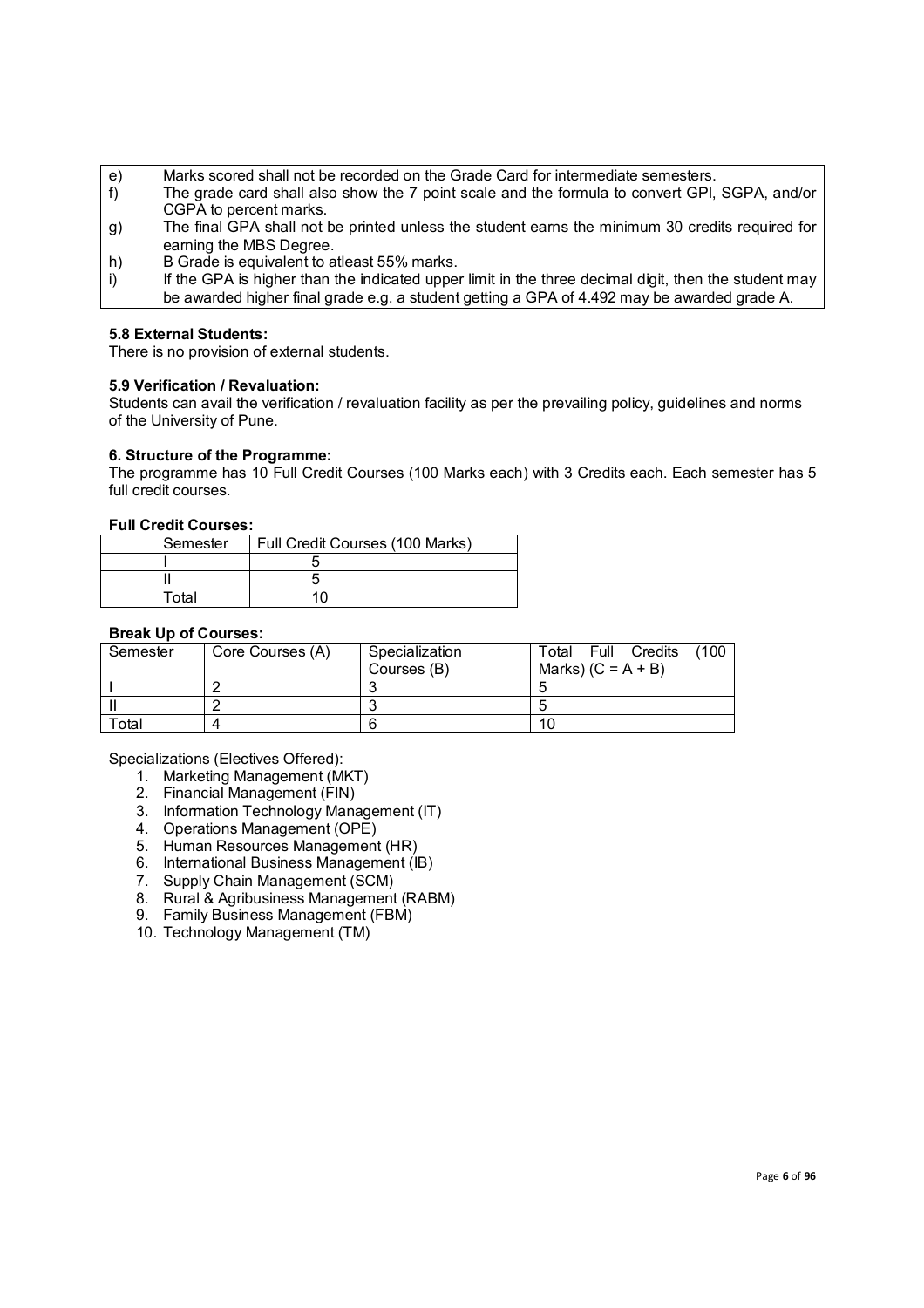- e) Marks scored shall not be recorded on the Grade Card for intermediate semesters.
- f) The grade card shall also show the 7 point scale and the formula to convert GPI, SGPA, and/or CGPA to percent marks.
- g) The final GPA shall not be printed unless the student earns the minimum 30 credits required for earning the MBS Degree.
- h) B Grade is equivalent to atleast 55% marks.
- i) If the GPA is higher than the indicated upper limit in the three decimal digit, then the student may be awarded higher final grade e.g. a student getting a GPA of 4.492 may be awarded grade A.

## **5.8 External Students:**

There is no provision of external students.

## **5.9 Verification / Revaluation:**

Students can avail the verification / revaluation facility as per the prevailing policy, guidelines and norms of the University of Pune.

#### **6. Structure of the Programme:**

The programme has 10 Full Credit Courses (100 Marks each) with 3 Credits each. Each semester has 5 full credit courses.

#### **Full Credit Courses:**

| Semester | Full Credit Courses (100 Marks) |
|----------|---------------------------------|
|          |                                 |
|          |                                 |
| Total    |                                 |

#### **Break Up of Courses:**

| Semester | Core Courses (A) | Specialization<br>Courses (B) | (100<br>Full Credits<br>Total<br>Marks) $(C = A + B)$ |
|----------|------------------|-------------------------------|-------------------------------------------------------|
|          |                  |                               |                                                       |
|          |                  |                               |                                                       |
| Total    |                  |                               | 10                                                    |

Specializations (Electives Offered):

- 1. Marketing Management (MKT)
- 2. Financial Management (FIN)
- 3. Information Technology Management (IT)
- 4. Operations Management (OPE)
- 5. Human Resources Management (HR)
- 6. International Business Management (IB)
- 7. Supply Chain Management (SCM)
- 8. Rural & Agribusiness Management (RABM)
- 9. Family Business Management (FBM)
- 10. Technology Management (TM)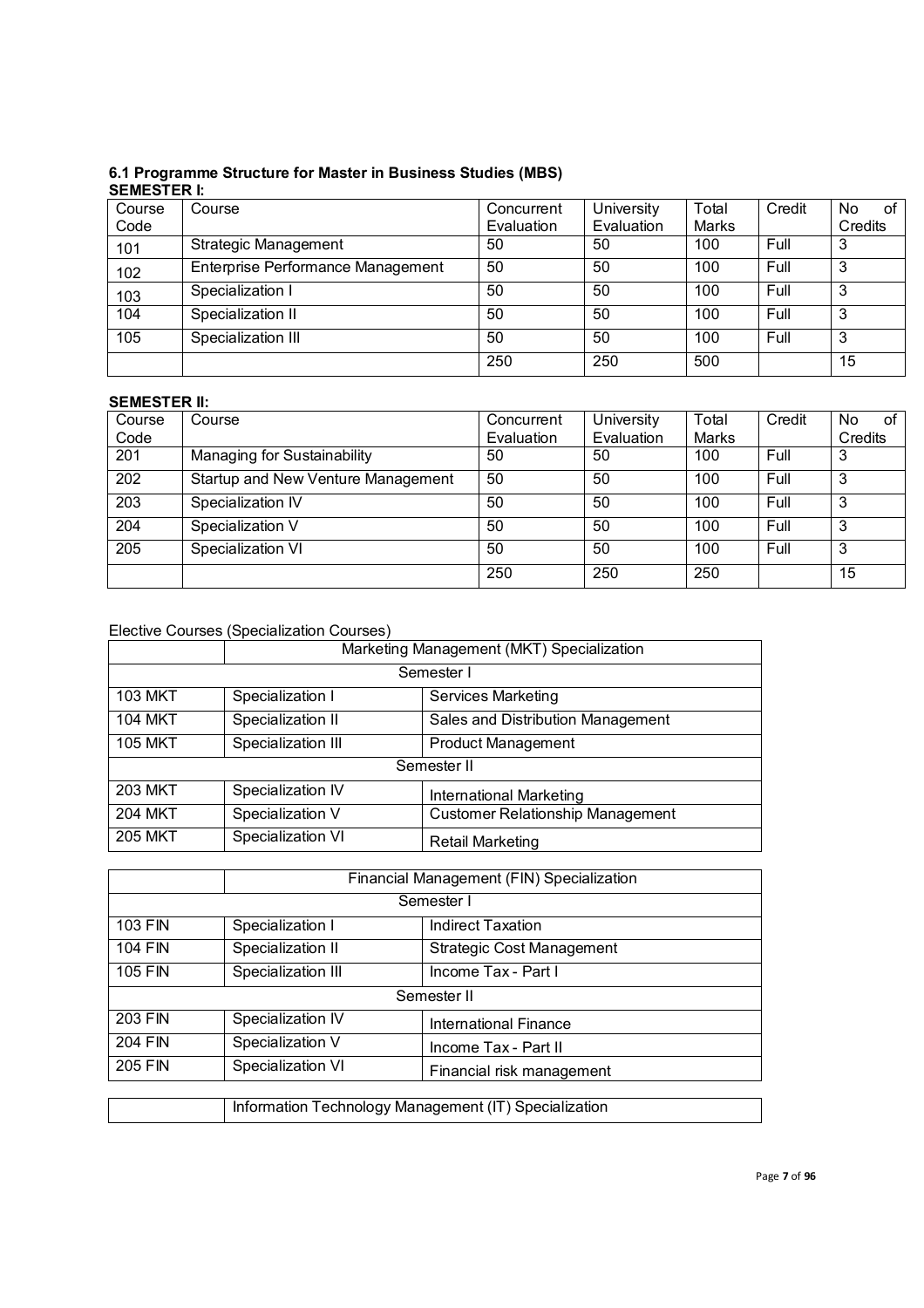# **6.1 Programme Structure for Master in Business Studies (MBS) SEMESTER I:**

| Course | Course                            | Concurrent | University | Total | Credit | No.<br>οf |
|--------|-----------------------------------|------------|------------|-------|--------|-----------|
| Code   |                                   | Evaluation | Evaluation | Marks |        | Credits   |
| 101    | <b>Strategic Management</b>       | 50         | 50         | 100   | Full   | 3         |
| 102    | Enterprise Performance Management | 50         | 50         | 100   | Full   | 3         |
| 103    | Specialization I                  | 50         | 50         | 100   | Full   | 3         |
| 104    | Specialization II                 | 50         | 50         | 100   | Full   | 3         |
| 105    | Specialization III                | 50         | 50         | 100   | Full   | 3         |
|        |                                   | 250        | 250        | 500   |        | 15        |

# **SEMESTER II:**

| Course<br>Code   | Course                             | Concurrent<br>Evaluation | University<br>Evaluation | Total<br>Marks | Credit | No.<br>οf<br>Credits |
|------------------|------------------------------------|--------------------------|--------------------------|----------------|--------|----------------------|
| 201              | Managing for Sustainability        | 50                       | 50                       | 100            | Full   | 3                    |
| $\overline{202}$ | Startup and New Venture Management | 50                       | 50                       | 100            | Full   | 3                    |
| 203              | Specialization IV                  | 50                       | 50                       | 100            | Full   | З                    |
| 204              | Specialization V                   | 50                       | 50                       | 100            | Full   | 3                    |
| 205              | Specialization VI                  | 50                       | 50                       | 100            | Full   | 3                    |
|                  |                                    | 250                      | 250                      | 250            |        | 15                   |

# Elective Courses (Specialization Courses)

|                | Marketing Management (MKT) Specialization |                                         |  |  |
|----------------|-------------------------------------------|-----------------------------------------|--|--|
|                | Semester I                                |                                         |  |  |
| <b>103 MKT</b> | Specialization I                          | <b>Services Marketing</b>               |  |  |
| <b>104 MKT</b> | Specialization II                         | Sales and Distribution Management       |  |  |
| <b>105 MKT</b> | Specialization III                        | <b>Product Management</b>               |  |  |
|                | Semester II                               |                                         |  |  |
| <b>203 MKT</b> | Specialization IV                         | International Marketing                 |  |  |
| <b>204 MKT</b> | Specialization V                          | <b>Customer Relationship Management</b> |  |  |
| <b>205 MKT</b> | Specialization VI                         | <b>Retail Marketing</b>                 |  |  |

|                | Financial Management (FIN) Specialization             |                                  |  |  |
|----------------|-------------------------------------------------------|----------------------------------|--|--|
|                | Semester I                                            |                                  |  |  |
| <b>103 FIN</b> | Specialization I                                      | <b>Indirect Taxation</b>         |  |  |
| <b>104 FIN</b> | Specialization II                                     | <b>Strategic Cost Management</b> |  |  |
| <b>105 FIN</b> | Specialization III                                    | Income Tax - Part I              |  |  |
|                |                                                       | Semester II                      |  |  |
| 203 FIN        | Specialization IV                                     | International Finance            |  |  |
| 204 FIN        | Specialization V                                      | Income Tax - Part II             |  |  |
| 205 FIN        | Specialization VI                                     | Financial risk management        |  |  |
|                |                                                       |                                  |  |  |
|                | Information Technology Management (IT) Specialization |                                  |  |  |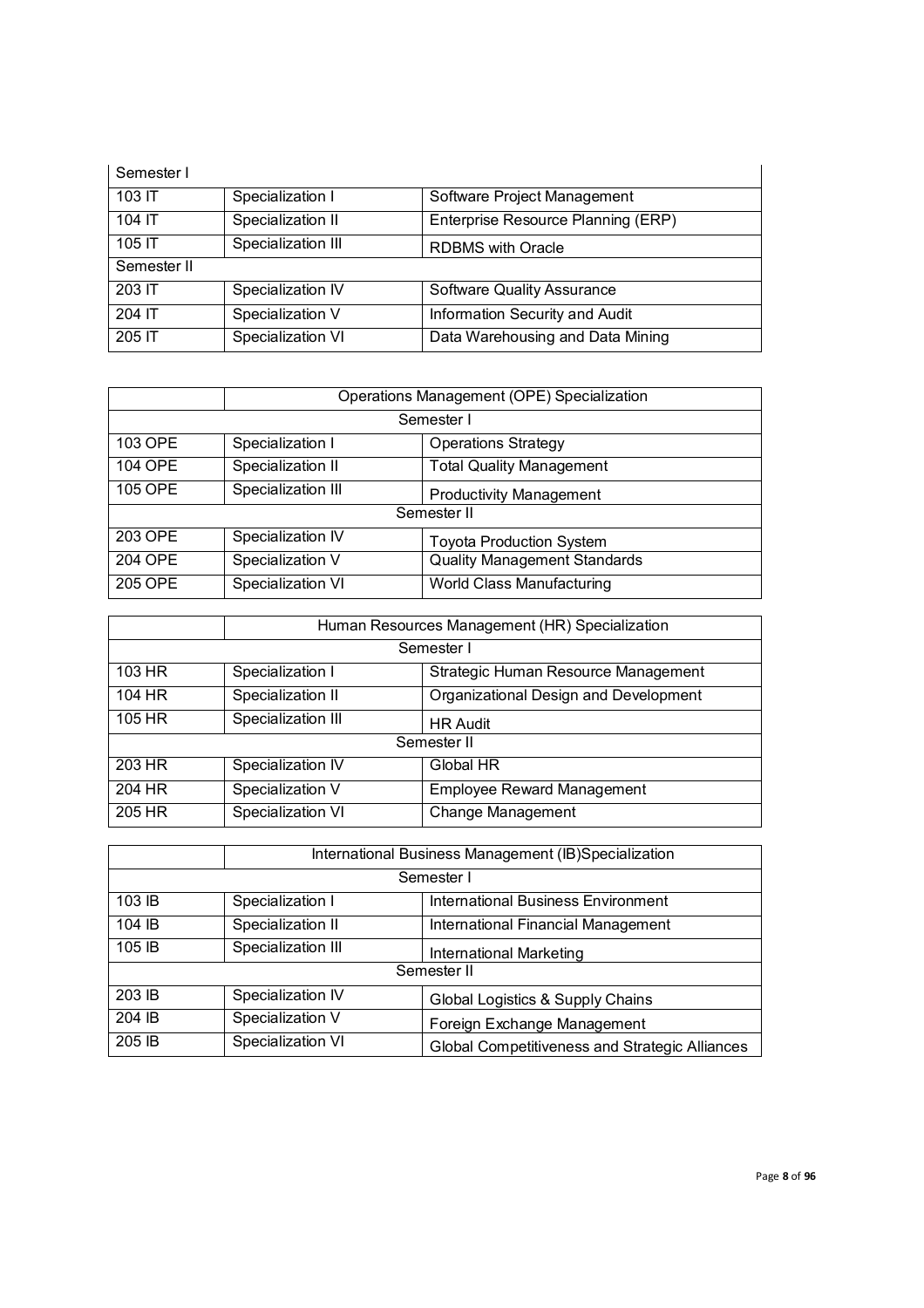| Semester I  |                    |                                    |  |
|-------------|--------------------|------------------------------------|--|
| 103 IT      | Specialization I   | Software Project Management        |  |
| 104 IT      | Specialization II  | Enterprise Resource Planning (ERP) |  |
| 105 IT      | Specialization III | <b>RDBMS</b> with Oracle           |  |
| Semester II |                    |                                    |  |
| 203 IT      | Specialization IV  | <b>Software Quality Assurance</b>  |  |
| 204 IT      | Specialization V   | Information Security and Audit     |  |
| 205 IT      | Specialization VI  | Data Warehousing and Data Mining   |  |

|             | Operations Management (OPE) Specialization |                                     |  |  |
|-------------|--------------------------------------------|-------------------------------------|--|--|
|             | Semester I                                 |                                     |  |  |
| 103 OPE     | Specialization I                           | <b>Operations Strategy</b>          |  |  |
| 104 OPE     | Specialization II                          | <b>Total Quality Management</b>     |  |  |
| 105 OPE     | Specialization III                         | <b>Productivity Management</b>      |  |  |
| Semester II |                                            |                                     |  |  |
| 203 OPE     | Specialization IV                          | <b>Toyota Production System</b>     |  |  |
| 204 OPE     | Specialization V                           | <b>Quality Management Standards</b> |  |  |
| 205 OPE     | Specialization VI                          | World Class Manufacturing           |  |  |

|        | Human Resources Management (HR) Specialization |                                       |  |  |
|--------|------------------------------------------------|---------------------------------------|--|--|
|        | Semester I                                     |                                       |  |  |
| 103 HR | Specialization I                               | Strategic Human Resource Management   |  |  |
| 104 HR | Specialization II                              | Organizational Design and Development |  |  |
| 105 HR | Specialization III                             | <b>HR Audit</b>                       |  |  |
|        | Semester II                                    |                                       |  |  |
| 203 HR | Specialization IV                              | Global HR                             |  |  |
| 204 HR | Specialization V                               | <b>Employee Reward Management</b>     |  |  |
| 205 HR | Specialization VI                              | <b>Change Management</b>              |  |  |

|             | International Business Management (IB)Specialization |                                                |  |  |
|-------------|------------------------------------------------------|------------------------------------------------|--|--|
|             | Semester I                                           |                                                |  |  |
| 103 IB      | Specialization I                                     | <b>International Business Environment</b>      |  |  |
| 104 IB      | Specialization II                                    | International Financial Management             |  |  |
| 105 IB      | Specialization III                                   | International Marketing                        |  |  |
| Semester II |                                                      |                                                |  |  |
| 203 IB      | Specialization IV                                    | Global Logistics & Supply Chains               |  |  |
| 204 IB      | Specialization V                                     | Foreign Exchange Management                    |  |  |
| 205 IB      | Specialization VI                                    | Global Competitiveness and Strategic Alliances |  |  |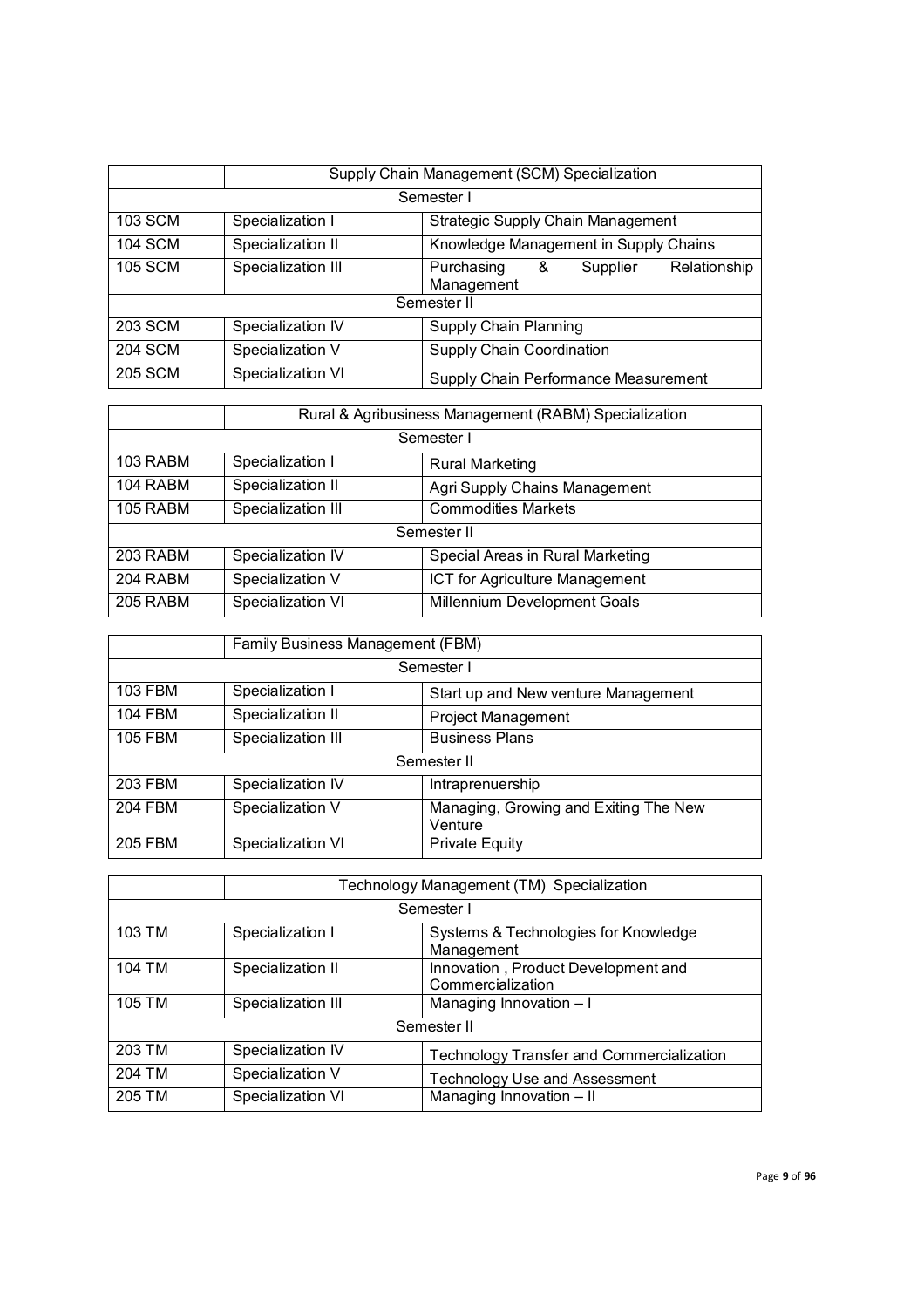|                | Supply Chain Management (SCM) Specialization          |                                                           |  |
|----------------|-------------------------------------------------------|-----------------------------------------------------------|--|
|                |                                                       | Semester I                                                |  |
| 103 SCM        | Strategic Supply Chain Management<br>Specialization I |                                                           |  |
| <b>104 SCM</b> | Specialization II                                     | Knowledge Management in Supply Chains                     |  |
| <b>105 SCM</b> | Specialization III                                    | Purchasing<br>Relationship<br>&<br>Supplier<br>Management |  |
| Semester II    |                                                       |                                                           |  |
| 203 SCM        | Specialization IV                                     | Supply Chain Planning                                     |  |
| <b>204 SCM</b> | Specialization V                                      | Supply Chain Coordination                                 |  |
| <b>205 SCM</b> | Specialization VI                                     | Supply Chain Performance Measurement                      |  |

|                 | Rural & Agribusiness Management (RABM) Specialization |                                  |  |
|-----------------|-------------------------------------------------------|----------------------------------|--|
|                 |                                                       | Semester I                       |  |
| 103 RABM        | Specialization I                                      | <b>Rural Marketing</b>           |  |
| 104 RABM        | Specialization II                                     | Agri Supply Chains Management    |  |
| 105 RABM        | Specialization III<br><b>Commodities Markets</b>      |                                  |  |
| Semester II     |                                                       |                                  |  |
| 203 RABM        | Specialization IV                                     | Special Areas in Rural Marketing |  |
| 204 RABM        | Specialization V                                      | ICT for Agriculture Management   |  |
| <b>205 RABM</b> | Specialization VI                                     | Millennium Development Goals     |  |

|                | Family Business Management (FBM) |                                                  |  |  |
|----------------|----------------------------------|--------------------------------------------------|--|--|
|                | Semester I                       |                                                  |  |  |
| 103 FBM        | Specialization I                 | Start up and New venture Management              |  |  |
| <b>104 FBM</b> | Specialization II                | <b>Project Management</b>                        |  |  |
| <b>105 FBM</b> | Specialization III               | <b>Business Plans</b>                            |  |  |
| Semester II    |                                  |                                                  |  |  |
| <b>203 FBM</b> | Specialization IV                | Intraprenuership                                 |  |  |
| <b>204 FBM</b> | Specialization V                 | Managing, Growing and Exiting The New<br>Venture |  |  |
| <b>205 FBM</b> | Specialization VI                | <b>Private Equity</b>                            |  |  |

|        |                    | Technology Management (TM) Specialization                |  |  |
|--------|--------------------|----------------------------------------------------------|--|--|
|        |                    | Semester I                                               |  |  |
| 103 TM | Specialization I   | Systems & Technologies for Knowledge<br>Management       |  |  |
| 104 TM | Specialization II  | Innovation, Product Development and<br>Commercialization |  |  |
| 105 TM | Specialization III | Managing Innovation - I                                  |  |  |
|        | Semester II        |                                                          |  |  |
| 203 TM | Specialization IV  | Technology Transfer and Commercialization                |  |  |
| 204 TM | Specialization V   | Technology Use and Assessment                            |  |  |
| 205 TM | Specialization VI  | Managing Innovation - II                                 |  |  |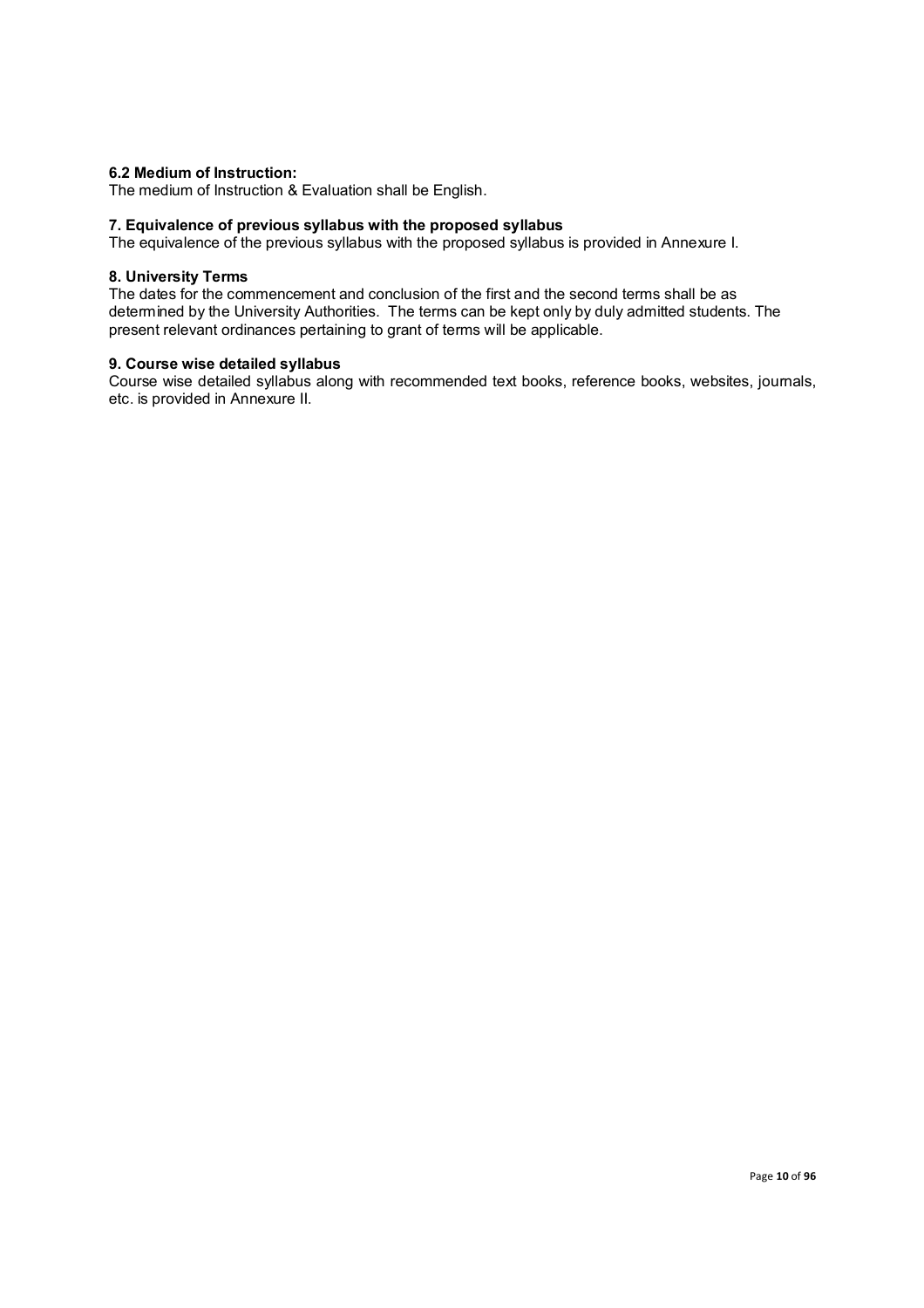## **6.2 Medium of Instruction:**

The medium of Instruction & Evaluation shall be English.

#### **7. Equivalence of previous syllabus with the proposed syllabus**

The equivalence of the previous syllabus with the proposed syllabus is provided in Annexure I.

#### **8. University Terms**

The dates for the commencement and conclusion of the first and the second terms shall be as determined by the University Authorities. The terms can be kept only by duly admitted students. The present relevant ordinances pertaining to grant of terms will be applicable.

#### **9. Course wise detailed syllabus**

Course wise detailed syllabus along with recommended text books, reference books, websites, journals, etc. is provided in Annexure II.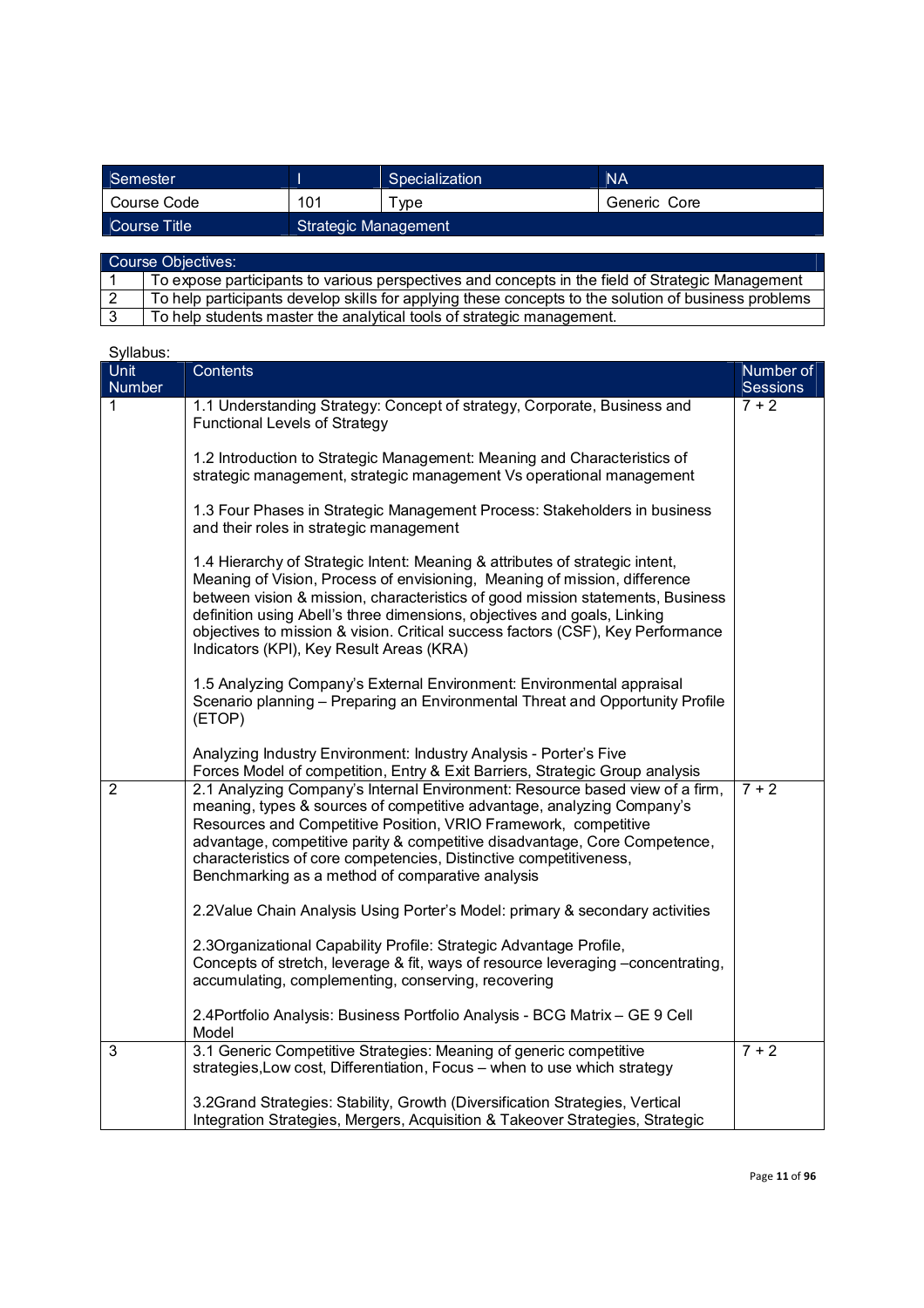| Semester      |                             | Specialization | <b>NA</b>    |
|---------------|-----------------------------|----------------|--------------|
| l Course Code | 101                         | vpe            | Generic Core |
| Course Title  | <b>Strategic Management</b> |                |              |

| Course Objectives: |                                                                                                      |  |
|--------------------|------------------------------------------------------------------------------------------------------|--|
|                    | To expose participants to various perspectives and concepts in the field of Strategic Management     |  |
|                    | To help participants develop skills for applying these concepts to the solution of business problems |  |
|                    | To help students master the analytical tools of strategic management.                                |  |

| Syllabus:      |                                                                                                                                                                                                                                                                                                                                                                                                                                                        |                              |
|----------------|--------------------------------------------------------------------------------------------------------------------------------------------------------------------------------------------------------------------------------------------------------------------------------------------------------------------------------------------------------------------------------------------------------------------------------------------------------|------------------------------|
| Unit<br>Number | Contents                                                                                                                                                                                                                                                                                                                                                                                                                                               | Number of<br><b>Sessions</b> |
| 1              | 1.1 Understanding Strategy: Concept of strategy, Corporate, Business and<br><b>Functional Levels of Strategy</b>                                                                                                                                                                                                                                                                                                                                       | $7 + 2$                      |
|                | 1.2 Introduction to Strategic Management: Meaning and Characteristics of<br>strategic management, strategic management Vs operational management                                                                                                                                                                                                                                                                                                       |                              |
|                | 1.3 Four Phases in Strategic Management Process: Stakeholders in business<br>and their roles in strategic management                                                                                                                                                                                                                                                                                                                                   |                              |
|                | 1.4 Hierarchy of Strategic Intent: Meaning & attributes of strategic intent,<br>Meaning of Vision, Process of envisioning, Meaning of mission, difference<br>between vision & mission, characteristics of good mission statements, Business<br>definition using Abell's three dimensions, objectives and goals, Linking<br>objectives to mission & vision. Critical success factors (CSF), Key Performance<br>Indicators (KPI), Key Result Areas (KRA) |                              |
|                | 1.5 Analyzing Company's External Environment: Environmental appraisal<br>Scenario planning - Preparing an Environmental Threat and Opportunity Profile<br>(ETOP)                                                                                                                                                                                                                                                                                       |                              |
|                | Analyzing Industry Environment: Industry Analysis - Porter's Five<br>Forces Model of competition, Entry & Exit Barriers, Strategic Group analysis                                                                                                                                                                                                                                                                                                      |                              |
| $\overline{2}$ | 2.1 Analyzing Company's Internal Environment: Resource based view of a firm,<br>meaning, types & sources of competitive advantage, analyzing Company's<br>Resources and Competitive Position, VRIO Framework, competitive<br>advantage, competitive parity & competitive disadvantage, Core Competence,<br>characteristics of core competencies, Distinctive competitiveness,<br>Benchmarking as a method of comparative analysis                      | $7 + 2$                      |
|                | 2.2Value Chain Analysis Using Porter's Model: primary & secondary activities                                                                                                                                                                                                                                                                                                                                                                           |                              |
|                | 2.3 Organizational Capability Profile: Strategic Advantage Profile,<br>Concepts of stretch, leverage & fit, ways of resource leveraging -concentrating,<br>accumulating, complementing, conserving, recovering                                                                                                                                                                                                                                         |                              |
|                | 2.4 Portfolio Analysis: Business Portfolio Analysis - BCG Matrix - GE 9 Cell<br>Model                                                                                                                                                                                                                                                                                                                                                                  |                              |
| 3              | 3.1 Generic Competitive Strategies: Meaning of generic competitive<br>strategies, Low cost, Differentiation, Focus - when to use which strategy                                                                                                                                                                                                                                                                                                        | $7 + 2$                      |
|                | 3.2Grand Strategies: Stability, Growth (Diversification Strategies, Vertical<br>Integration Strategies, Mergers, Acquisition & Takeover Strategies, Strategic                                                                                                                                                                                                                                                                                          |                              |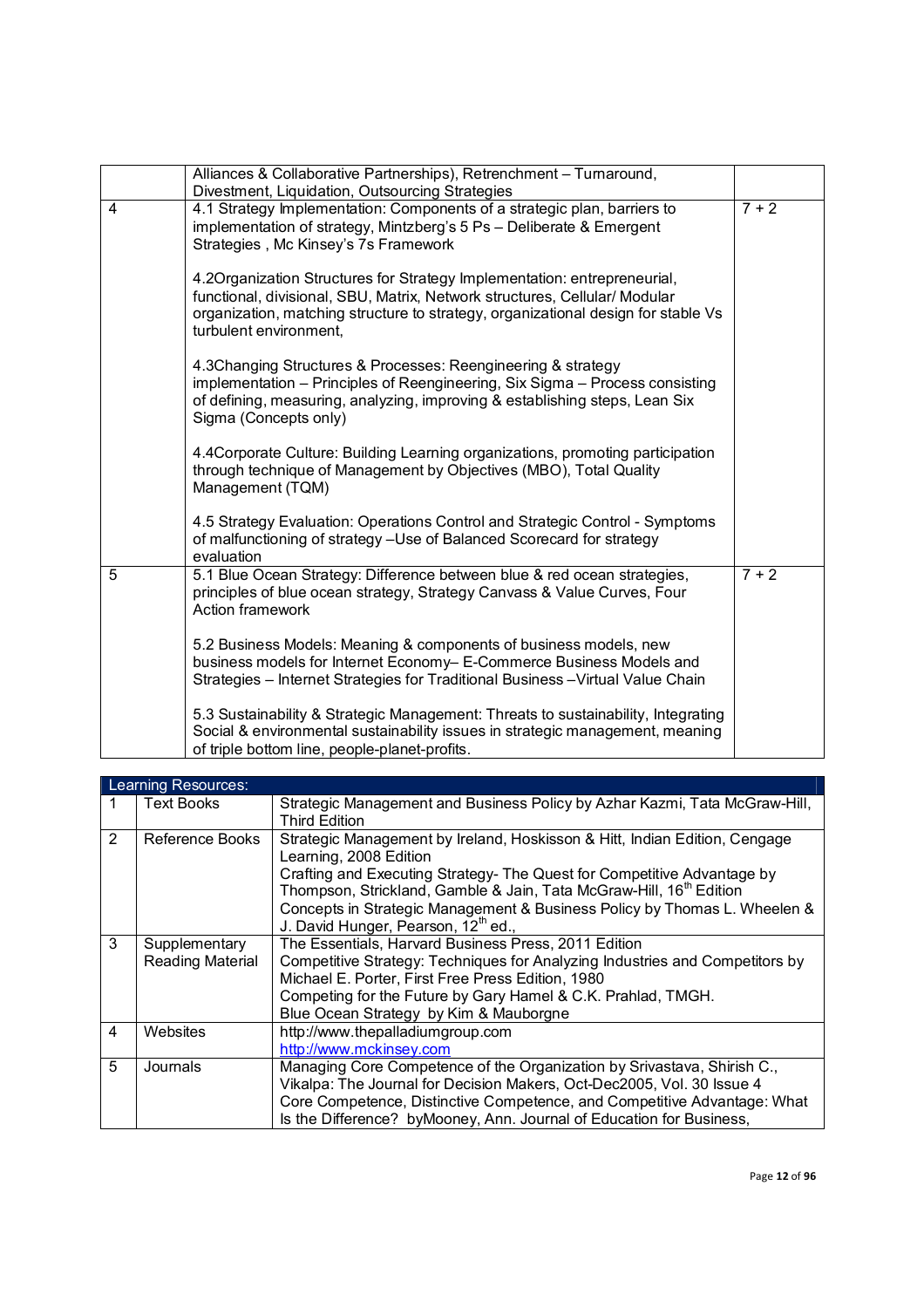|                | Alliances & Collaborative Partnerships), Retrenchment - Turnaround,<br>Divestment, Liquidation, Outsourcing Strategies                                                                                                                                                 |         |
|----------------|------------------------------------------------------------------------------------------------------------------------------------------------------------------------------------------------------------------------------------------------------------------------|---------|
| 4              | 4.1 Strategy Implementation: Components of a strategic plan, barriers to<br>implementation of strategy, Mintzberg's 5 Ps - Deliberate & Emergent<br>Strategies, Mc Kinsey's 7s Framework                                                                               | $7 + 2$ |
|                | 4.2 Organization Structures for Strategy Implementation: entrepreneurial,<br>functional, divisional, SBU, Matrix, Network structures, Cellular/ Modular<br>organization, matching structure to strategy, organizational design for stable Vs<br>turbulent environment, |         |
|                | 4.3Changing Structures & Processes: Reengineering & strategy<br>implementation - Principles of Reengineering, Six Sigma - Process consisting<br>of defining, measuring, analyzing, improving & establishing steps, Lean Six<br>Sigma (Concepts only)                   |         |
|                | 4.4 Corporate Culture: Building Learning organizations, promoting participation<br>through technique of Management by Objectives (MBO), Total Quality<br>Management (TQM)                                                                                              |         |
|                | 4.5 Strategy Evaluation: Operations Control and Strategic Control - Symptoms<br>of malfunctioning of strategy - Use of Balanced Scorecard for strategy<br>evaluation                                                                                                   |         |
| $\overline{5}$ | 5.1 Blue Ocean Strategy: Difference between blue & red ocean strategies,<br>principles of blue ocean strategy, Strategy Canvass & Value Curves, Four<br>Action framework                                                                                               | $7 + 2$ |
|                | 5.2 Business Models: Meaning & components of business models, new<br>business models for Internet Economy- E-Commerce Business Models and<br>Strategies - Internet Strategies for Traditional Business - Virtual Value Chain                                           |         |
|                | 5.3 Sustainability & Strategic Management: Threats to sustainability, Integrating<br>Social & environmental sustainability issues in strategic management, meaning<br>of triple bottom line, people-planet-profits.                                                    |         |

|                | Learning Resources:               |                                                                                                                                                                                                                                                                                                                                                                                                    |
|----------------|-----------------------------------|----------------------------------------------------------------------------------------------------------------------------------------------------------------------------------------------------------------------------------------------------------------------------------------------------------------------------------------------------------------------------------------------------|
|                | <b>Text Books</b>                 | Strategic Management and Business Policy by Azhar Kazmi, Tata McGraw-Hill,<br>Third Edition                                                                                                                                                                                                                                                                                                        |
| $\overline{2}$ | Reference Books                   | Strategic Management by Ireland, Hoskisson & Hitt, Indian Edition, Cengage<br>Learning, 2008 Edition<br>Crafting and Executing Strategy- The Quest for Competitive Advantage by<br>Thompson, Strickland, Gamble & Jain, Tata McGraw-Hill, 16 <sup>th</sup> Edition<br>Concepts in Strategic Management & Business Policy by Thomas L. Wheelen &<br>J. David Hunger, Pearson, 12 <sup>th</sup> ed., |
| 3              | Supplementary<br>Reading Material | The Essentials, Harvard Business Press, 2011 Edition<br>Competitive Strategy: Techniques for Analyzing Industries and Competitors by<br>Michael E. Porter, First Free Press Edition, 1980<br>Competing for the Future by Gary Hamel & C.K. Prahlad, TMGH.<br>Blue Ocean Strategy by Kim & Mauborgne                                                                                                |
| 4              | Websites                          | http://www.thepalladiumgroup.com<br>http://www.mckinsey.com                                                                                                                                                                                                                                                                                                                                        |
| 5              | Journals                          | Managing Core Competence of the Organization by Srivastava, Shirish C.,<br>Vikalpa: The Journal for Decision Makers, Oct-Dec2005, Vol. 30 Issue 4<br>Core Competence, Distinctive Competence, and Competitive Advantage: What<br>Is the Difference? by Mooney, Ann. Journal of Education for Business,                                                                                             |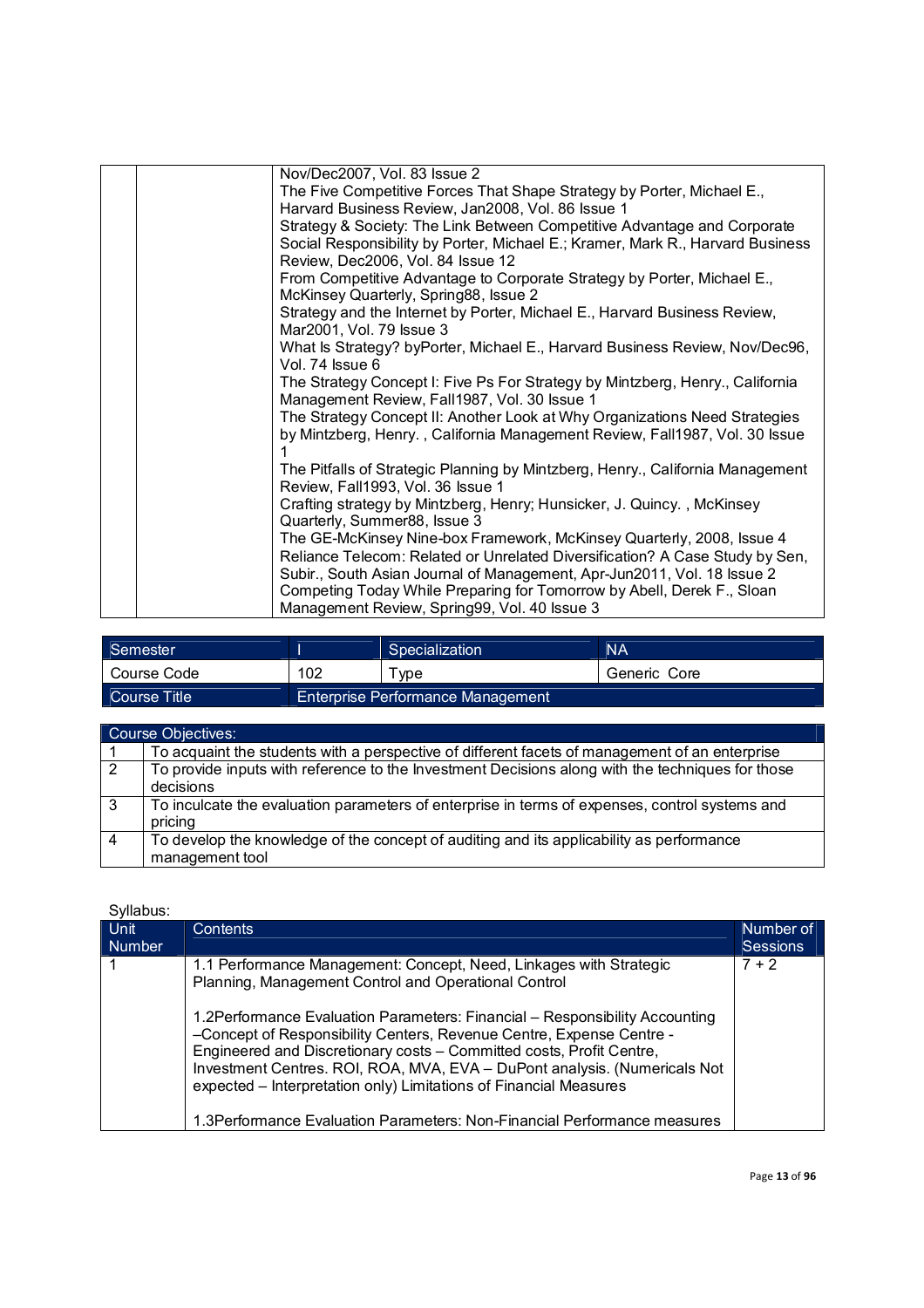| Nov/Dec2007, Vol. 83 Issue 2<br>The Five Competitive Forces That Shape Strategy by Porter, Michael E.,<br>Harvard Business Review, Jan2008, Vol. 86 Issue 1<br>Strategy & Society: The Link Between Competitive Advantage and Corporate<br>Social Responsibility by Porter, Michael E.; Kramer, Mark R., Harvard Business<br>Review, Dec2006, Vol. 84 Issue 12<br>From Competitive Advantage to Corporate Strategy by Porter, Michael E.,<br>McKinsey Quarterly, Spring88, Issue 2<br>Strategy and the Internet by Porter, Michael E., Harvard Business Review,<br>Mar2001, Vol. 79 Issue 3<br>What Is Strategy? byPorter, Michael E., Harvard Business Review, Nov/Dec96,<br>Vol. 74 Issue 6<br>The Strategy Concept I: Five Ps For Strategy by Mintzberg, Henry., California<br>Management Review, Fall1987, Vol. 30 Issue 1<br>The Strategy Concept II: Another Look at Why Organizations Need Strategies<br>by Mintzberg, Henry., California Management Review, Fall1987, Vol. 30 Issue<br>The Pitfalls of Strategic Planning by Mintzberg, Henry., California Management<br>Review, Fall1993, Vol. 36 Issue 1<br>Crafting strategy by Mintzberg, Henry; Hunsicker, J. Quincy., McKinsey<br>Quarterly, Summer88, Issue 3<br>The GE-McKinsey Nine-box Framework, McKinsey Quarterly, 2008, Issue 4<br>Reliance Telecom: Related or Unrelated Diversification? A Case Study by Sen,<br>Subir., South Asian Journal of Management, Apr-Jun2011, Vol. 18 Issue 2<br>Competing Today While Preparing for Tomorrow by Abell, Derek F., Sloan<br>Management Review, Spring99, Vol. 40 Issue 3 |  |  |
|--------------------------------------------------------------------------------------------------------------------------------------------------------------------------------------------------------------------------------------------------------------------------------------------------------------------------------------------------------------------------------------------------------------------------------------------------------------------------------------------------------------------------------------------------------------------------------------------------------------------------------------------------------------------------------------------------------------------------------------------------------------------------------------------------------------------------------------------------------------------------------------------------------------------------------------------------------------------------------------------------------------------------------------------------------------------------------------------------------------------------------------------------------------------------------------------------------------------------------------------------------------------------------------------------------------------------------------------------------------------------------------------------------------------------------------------------------------------------------------------------------------------------------------------------------------------------------------------|--|--|
|                                                                                                                                                                                                                                                                                                                                                                                                                                                                                                                                                                                                                                                                                                                                                                                                                                                                                                                                                                                                                                                                                                                                                                                                                                                                                                                                                                                                                                                                                                                                                                                            |  |  |
|                                                                                                                                                                                                                                                                                                                                                                                                                                                                                                                                                                                                                                                                                                                                                                                                                                                                                                                                                                                                                                                                                                                                                                                                                                                                                                                                                                                                                                                                                                                                                                                            |  |  |
|                                                                                                                                                                                                                                                                                                                                                                                                                                                                                                                                                                                                                                                                                                                                                                                                                                                                                                                                                                                                                                                                                                                                                                                                                                                                                                                                                                                                                                                                                                                                                                                            |  |  |
|                                                                                                                                                                                                                                                                                                                                                                                                                                                                                                                                                                                                                                                                                                                                                                                                                                                                                                                                                                                                                                                                                                                                                                                                                                                                                                                                                                                                                                                                                                                                                                                            |  |  |
|                                                                                                                                                                                                                                                                                                                                                                                                                                                                                                                                                                                                                                                                                                                                                                                                                                                                                                                                                                                                                                                                                                                                                                                                                                                                                                                                                                                                                                                                                                                                                                                            |  |  |
|                                                                                                                                                                                                                                                                                                                                                                                                                                                                                                                                                                                                                                                                                                                                                                                                                                                                                                                                                                                                                                                                                                                                                                                                                                                                                                                                                                                                                                                                                                                                                                                            |  |  |
|                                                                                                                                                                                                                                                                                                                                                                                                                                                                                                                                                                                                                                                                                                                                                                                                                                                                                                                                                                                                                                                                                                                                                                                                                                                                                                                                                                                                                                                                                                                                                                                            |  |  |
|                                                                                                                                                                                                                                                                                                                                                                                                                                                                                                                                                                                                                                                                                                                                                                                                                                                                                                                                                                                                                                                                                                                                                                                                                                                                                                                                                                                                                                                                                                                                                                                            |  |  |
|                                                                                                                                                                                                                                                                                                                                                                                                                                                                                                                                                                                                                                                                                                                                                                                                                                                                                                                                                                                                                                                                                                                                                                                                                                                                                                                                                                                                                                                                                                                                                                                            |  |  |
|                                                                                                                                                                                                                                                                                                                                                                                                                                                                                                                                                                                                                                                                                                                                                                                                                                                                                                                                                                                                                                                                                                                                                                                                                                                                                                                                                                                                                                                                                                                                                                                            |  |  |
|                                                                                                                                                                                                                                                                                                                                                                                                                                                                                                                                                                                                                                                                                                                                                                                                                                                                                                                                                                                                                                                                                                                                                                                                                                                                                                                                                                                                                                                                                                                                                                                            |  |  |
|                                                                                                                                                                                                                                                                                                                                                                                                                                                                                                                                                                                                                                                                                                                                                                                                                                                                                                                                                                                                                                                                                                                                                                                                                                                                                                                                                                                                                                                                                                                                                                                            |  |  |
|                                                                                                                                                                                                                                                                                                                                                                                                                                                                                                                                                                                                                                                                                                                                                                                                                                                                                                                                                                                                                                                                                                                                                                                                                                                                                                                                                                                                                                                                                                                                                                                            |  |  |
|                                                                                                                                                                                                                                                                                                                                                                                                                                                                                                                                                                                                                                                                                                                                                                                                                                                                                                                                                                                                                                                                                                                                                                                                                                                                                                                                                                                                                                                                                                                                                                                            |  |  |
|                                                                                                                                                                                                                                                                                                                                                                                                                                                                                                                                                                                                                                                                                                                                                                                                                                                                                                                                                                                                                                                                                                                                                                                                                                                                                                                                                                                                                                                                                                                                                                                            |  |  |
|                                                                                                                                                                                                                                                                                                                                                                                                                                                                                                                                                                                                                                                                                                                                                                                                                                                                                                                                                                                                                                                                                                                                                                                                                                                                                                                                                                                                                                                                                                                                                                                            |  |  |
|                                                                                                                                                                                                                                                                                                                                                                                                                                                                                                                                                                                                                                                                                                                                                                                                                                                                                                                                                                                                                                                                                                                                                                                                                                                                                                                                                                                                                                                                                                                                                                                            |  |  |
|                                                                                                                                                                                                                                                                                                                                                                                                                                                                                                                                                                                                                                                                                                                                                                                                                                                                                                                                                                                                                                                                                                                                                                                                                                                                                                                                                                                                                                                                                                                                                                                            |  |  |
|                                                                                                                                                                                                                                                                                                                                                                                                                                                                                                                                                                                                                                                                                                                                                                                                                                                                                                                                                                                                                                                                                                                                                                                                                                                                                                                                                                                                                                                                                                                                                                                            |  |  |
|                                                                                                                                                                                                                                                                                                                                                                                                                                                                                                                                                                                                                                                                                                                                                                                                                                                                                                                                                                                                                                                                                                                                                                                                                                                                                                                                                                                                                                                                                                                                                                                            |  |  |
|                                                                                                                                                                                                                                                                                                                                                                                                                                                                                                                                                                                                                                                                                                                                                                                                                                                                                                                                                                                                                                                                                                                                                                                                                                                                                                                                                                                                                                                                                                                                                                                            |  |  |
|                                                                                                                                                                                                                                                                                                                                                                                                                                                                                                                                                                                                                                                                                                                                                                                                                                                                                                                                                                                                                                                                                                                                                                                                                                                                                                                                                                                                                                                                                                                                                                                            |  |  |
|                                                                                                                                                                                                                                                                                                                                                                                                                                                                                                                                                                                                                                                                                                                                                                                                                                                                                                                                                                                                                                                                                                                                                                                                                                                                                                                                                                                                                                                                                                                                                                                            |  |  |
|                                                                                                                                                                                                                                                                                                                                                                                                                                                                                                                                                                                                                                                                                                                                                                                                                                                                                                                                                                                                                                                                                                                                                                                                                                                                                                                                                                                                                                                                                                                                                                                            |  |  |
|                                                                                                                                                                                                                                                                                                                                                                                                                                                                                                                                                                                                                                                                                                                                                                                                                                                                                                                                                                                                                                                                                                                                                                                                                                                                                                                                                                                                                                                                                                                                                                                            |  |  |
|                                                                                                                                                                                                                                                                                                                                                                                                                                                                                                                                                                                                                                                                                                                                                                                                                                                                                                                                                                                                                                                                                                                                                                                                                                                                                                                                                                                                                                                                                                                                                                                            |  |  |

| Semester     |     | Specialization                    | <b>NA</b>    |
|--------------|-----|-----------------------------------|--------------|
| Course Code  | 102 | vpe                               | Generic Core |
| Course Title |     | Enterprise Performance Management |              |

|   | Course Objectives:                                                                               |
|---|--------------------------------------------------------------------------------------------------|
|   | To acquaint the students with a perspective of different facets of management of an enterprise   |
| 2 | To provide inputs with reference to the Investment Decisions along with the techniques for those |
|   | decisions                                                                                        |
| 3 | To inculcate the evaluation parameters of enterprise in terms of expenses, control systems and   |
|   | pricing                                                                                          |
|   | To develop the knowledge of the concept of auditing and its applicability as performance         |
|   | management tool                                                                                  |

| Syllabus:             |                                                                                                                                                                                                                                                                                                                                                                                                                                                                                                                                                                                          |                              |
|-----------------------|------------------------------------------------------------------------------------------------------------------------------------------------------------------------------------------------------------------------------------------------------------------------------------------------------------------------------------------------------------------------------------------------------------------------------------------------------------------------------------------------------------------------------------------------------------------------------------------|------------------------------|
| Unit<br><b>Number</b> | <b>Contents</b>                                                                                                                                                                                                                                                                                                                                                                                                                                                                                                                                                                          | Number of<br><b>Sessions</b> |
|                       | 1.1 Performance Management: Concept, Need, Linkages with Strategic<br>Planning, Management Control and Operational Control<br>1.2Performance Evaluation Parameters: Financial - Responsibility Accounting<br>-Concept of Responsibility Centers, Revenue Centre, Expense Centre -<br>Engineered and Discretionary costs - Committed costs, Profit Centre,<br>Investment Centres. ROI, ROA, MVA, EVA - DuPont analysis. (Numericals Not<br>expected – Interpretation only) Limitations of Financial Measures<br>1.3 Performance Evaluation Parameters: Non-Financial Performance measures | $7 + 2$                      |
|                       |                                                                                                                                                                                                                                                                                                                                                                                                                                                                                                                                                                                          |                              |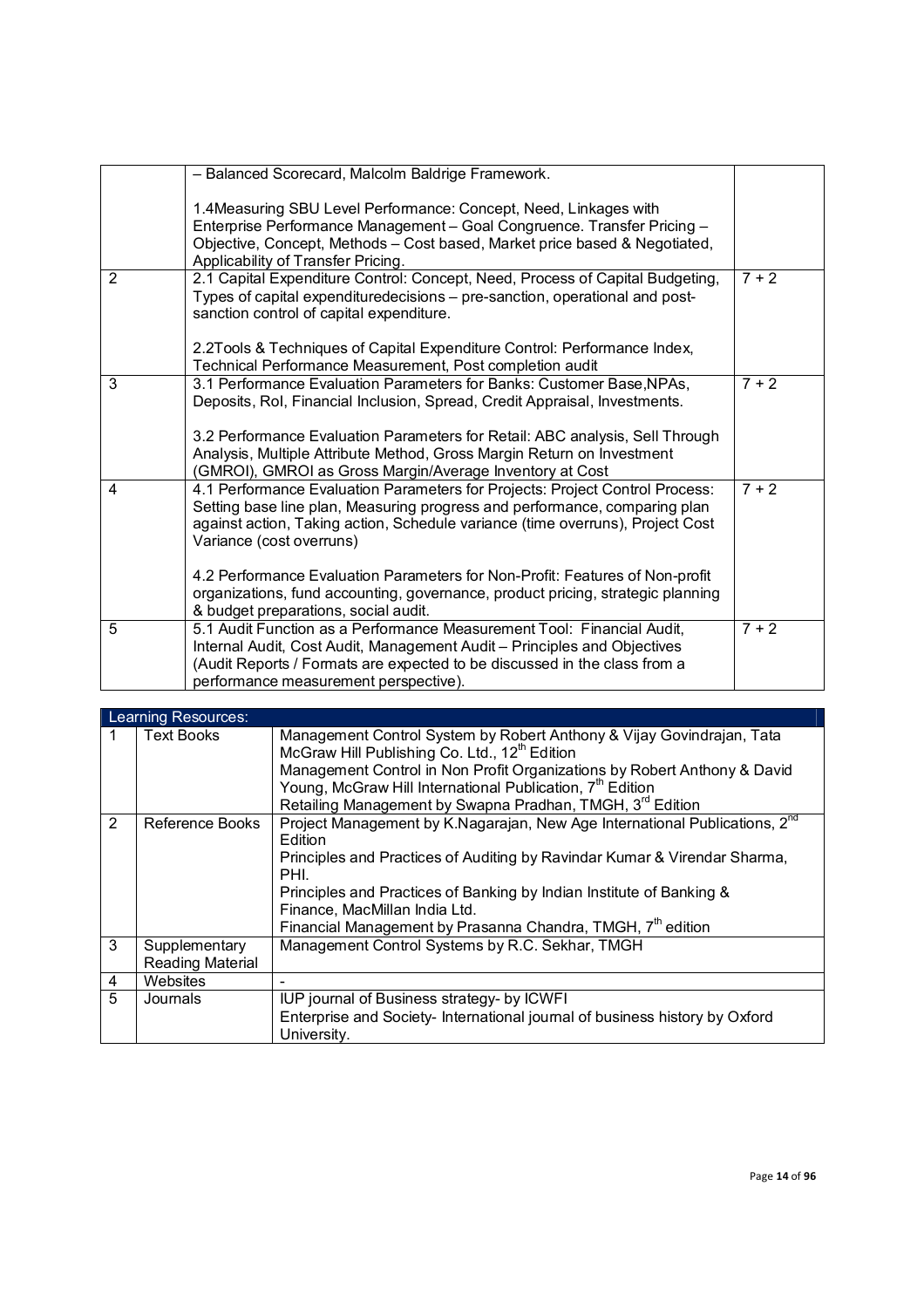|                | - Balanced Scorecard, Malcolm Baldrige Framework.                                                                                                               |         |
|----------------|-----------------------------------------------------------------------------------------------------------------------------------------------------------------|---------|
|                |                                                                                                                                                                 |         |
|                | 1.4Measuring SBU Level Performance: Concept, Need, Linkages with                                                                                                |         |
|                | Enterprise Performance Management - Goal Congruence. Transfer Pricing -                                                                                         |         |
|                | Objective, Concept, Methods - Cost based, Market price based & Negotiated,                                                                                      |         |
|                | Applicability of Transfer Pricing.                                                                                                                              |         |
| 2              | 2.1 Capital Expenditure Control: Concept, Need, Process of Capital Budgeting,                                                                                   | $7 + 2$ |
|                | Types of capital expendituredecisions - pre-sanction, operational and post-                                                                                     |         |
|                | sanction control of capital expenditure.                                                                                                                        |         |
|                |                                                                                                                                                                 |         |
|                | 2.2Tools & Techniques of Capital Expenditure Control: Performance Index,                                                                                        |         |
|                | Technical Performance Measurement, Post completion audit                                                                                                        |         |
| 3              | 3.1 Performance Evaluation Parameters for Banks: Customer Base, NPAs,                                                                                           | $7 + 2$ |
|                | Deposits, Rol, Financial Inclusion, Spread, Credit Appraisal, Investments.                                                                                      |         |
|                |                                                                                                                                                                 |         |
|                | 3.2 Performance Evaluation Parameters for Retail: ABC analysis, Sell Through                                                                                    |         |
|                | Analysis, Multiple Attribute Method, Gross Margin Return on Investment                                                                                          |         |
|                | (GMROI), GMROI as Gross Margin/Average Inventory at Cost                                                                                                        |         |
| 4              | 4.1 Performance Evaluation Parameters for Projects: Project Control Process:                                                                                    | $7 + 2$ |
|                | Setting base line plan, Measuring progress and performance, comparing plan                                                                                      |         |
|                | against action, Taking action, Schedule variance (time overruns), Project Cost                                                                                  |         |
|                | Variance (cost overruns)                                                                                                                                        |         |
|                |                                                                                                                                                                 |         |
|                | 4.2 Performance Evaluation Parameters for Non-Profit: Features of Non-profit<br>organizations, fund accounting, governance, product pricing, strategic planning |         |
|                | & budget preparations, social audit.                                                                                                                            |         |
| $\overline{5}$ | 5.1 Audit Function as a Performance Measurement Tool: Financial Audit,                                                                                          | $7 + 2$ |
|                | Internal Audit, Cost Audit, Management Audit - Principles and Objectives                                                                                        |         |
|                | (Audit Reports / Formats are expected to be discussed in the class from a                                                                                       |         |
|                | performance measurement perspective).                                                                                                                           |         |
|                |                                                                                                                                                                 |         |

|   | Learning Resources:                      |                                                                                                                                                                                                                                                                                                                                                                            |
|---|------------------------------------------|----------------------------------------------------------------------------------------------------------------------------------------------------------------------------------------------------------------------------------------------------------------------------------------------------------------------------------------------------------------------------|
|   | <b>Text Books</b>                        | Management Control System by Robert Anthony & Vijay Govindrajan, Tata<br>McGraw Hill Publishing Co. Ltd., 12 <sup>th</sup> Edition<br>Management Control in Non Profit Organizations by Robert Anthony & David<br>Young, McGraw Hill International Publication, 7 <sup>th</sup> Edition<br>Retailing Management by Swapna Pradhan, TMGH, 3rd Edition                       |
| 2 | Reference Books                          | Project Management by K.Nagarajan, New Age International Publications, 2 <sup>nd</sup><br>Edition<br>Principles and Practices of Auditing by Ravindar Kumar & Virendar Sharma,<br>PHI.<br>Principles and Practices of Banking by Indian Institute of Banking &<br>Finance, MacMillan India Ltd.<br>Financial Management by Prasanna Chandra, TMGH, 7 <sup>th</sup> edition |
| 3 | Supplementary<br><b>Reading Material</b> | Management Control Systems by R.C. Sekhar, TMGH                                                                                                                                                                                                                                                                                                                            |
| 4 | Websites                                 |                                                                                                                                                                                                                                                                                                                                                                            |
| 5 | Journals                                 | IUP journal of Business strategy- by ICWFI<br>Enterprise and Society- International journal of business history by Oxford<br>University.                                                                                                                                                                                                                                   |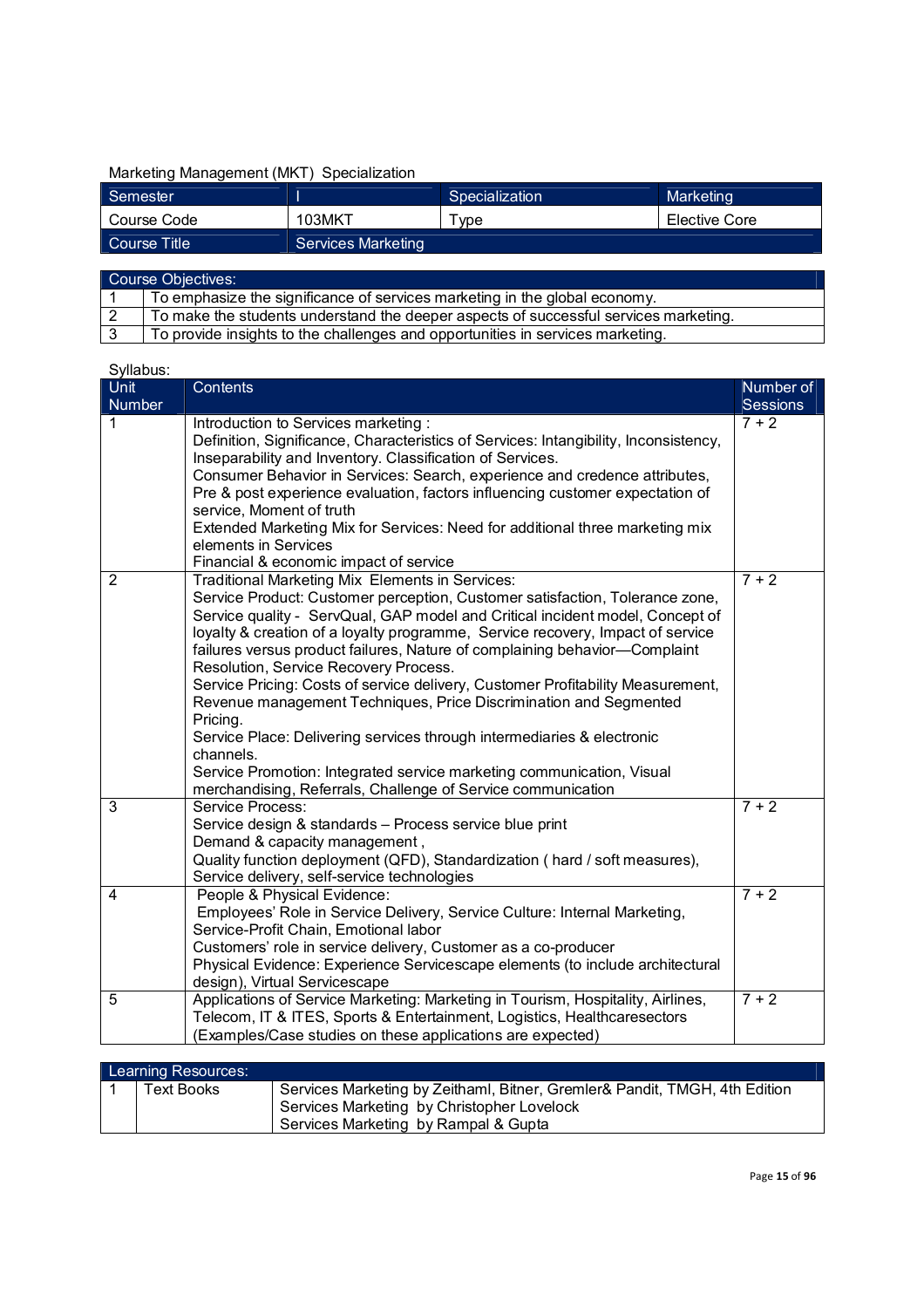# Marketing Management (MKT) Specialization

| Semester     |                           | Specialization | Marketing     |
|--------------|---------------------------|----------------|---------------|
| Course Code  | 103MKT                    | vpe            | Elective Core |
| Course Title | <b>Services Marketing</b> |                |               |
|              |                           |                |               |

| Course Objectives: |                                                                                      |  |
|--------------------|--------------------------------------------------------------------------------------|--|
|                    | To emphasize the significance of services marketing in the global economy.           |  |
|                    | To make the students understand the deeper aspects of successful services marketing. |  |
|                    | To provide insights to the challenges and opportunities in services marketing.       |  |

| Unit           | Contents                                                                                                                                                                                                                                                                                                                                                                                                                                                                                                                                                                                                                                                                                                                                                                                                                      | Number of       |
|----------------|-------------------------------------------------------------------------------------------------------------------------------------------------------------------------------------------------------------------------------------------------------------------------------------------------------------------------------------------------------------------------------------------------------------------------------------------------------------------------------------------------------------------------------------------------------------------------------------------------------------------------------------------------------------------------------------------------------------------------------------------------------------------------------------------------------------------------------|-----------------|
| Number         |                                                                                                                                                                                                                                                                                                                                                                                                                                                                                                                                                                                                                                                                                                                                                                                                                               | <b>Sessions</b> |
| 1              | Introduction to Services marketing:<br>Definition, Significance, Characteristics of Services: Intangibility, Inconsistency,<br>Inseparability and Inventory. Classification of Services.<br>Consumer Behavior in Services: Search, experience and credence attributes,<br>Pre & post experience evaluation, factors influencing customer expectation of<br>service, Moment of truth<br>Extended Marketing Mix for Services: Need for additional three marketing mix<br>elements in Services<br>Financial & economic impact of service                                                                                                                                                                                                                                                                                         | $7 + 2$         |
| 2              | Traditional Marketing Mix Elements in Services:<br>Service Product: Customer perception, Customer satisfaction, Tolerance zone,<br>Service quality - ServQual, GAP model and Critical incident model, Concept of<br>loyalty & creation of a loyalty programme, Service recovery, Impact of service<br>failures versus product failures, Nature of complaining behavior-Complaint<br>Resolution, Service Recovery Process.<br>Service Pricing: Costs of service delivery, Customer Profitability Measurement,<br>Revenue management Techniques, Price Discrimination and Segmented<br>Pricing.<br>Service Place: Delivering services through intermediaries & electronic<br>channels.<br>Service Promotion: Integrated service marketing communication, Visual<br>merchandising, Referrals, Challenge of Service communication | $7 + 2$         |
| 3              | Service Process:<br>Service design & standards - Process service blue print<br>Demand & capacity management,<br>Quality function deployment (QFD), Standardization ( hard / soft measures),<br>Service delivery, self-service technologies                                                                                                                                                                                                                                                                                                                                                                                                                                                                                                                                                                                    | $7 + 2$         |
| $\overline{4}$ | People & Physical Evidence:<br>Employees' Role in Service Delivery, Service Culture: Internal Marketing,<br>Service-Profit Chain, Emotional labor<br>Customers' role in service delivery, Customer as a co-producer<br>Physical Evidence: Experience Servicescape elements (to include architectural<br>design), Virtual Servicescape                                                                                                                                                                                                                                                                                                                                                                                                                                                                                         | $7 + 2$         |
| 5              | Applications of Service Marketing: Marketing in Tourism, Hospitality, Airlines,<br>Telecom, IT & ITES, Sports & Entertainment, Logistics, Healthcaresectors<br>(Examples/Case studies on these applications are expected)                                                                                                                                                                                                                                                                                                                                                                                                                                                                                                                                                                                                     | $7 + 2$         |

| Learning Resources: |            |                                                                                                                                                                  |
|---------------------|------------|------------------------------------------------------------------------------------------------------------------------------------------------------------------|
|                     | Text Books | Services Marketing by Zeithaml, Bitner, Gremler& Pandit, TMGH, 4th Edition<br>Services Marketing by Christopher Lovelock<br>Services Marketing by Rampal & Gupta |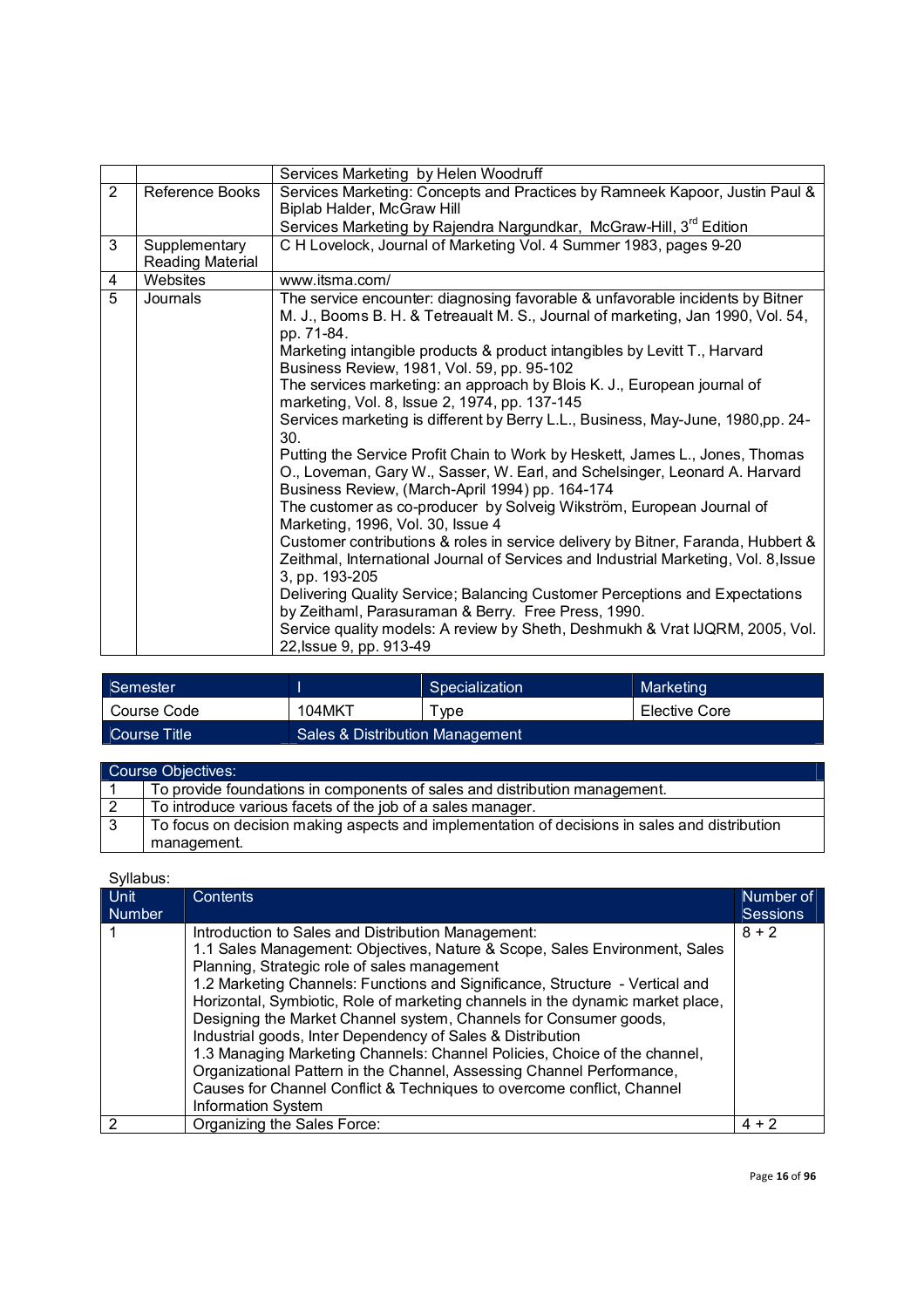|                |                                   | Services Marketing by Helen Woodruff                                                                                                                                                                                                                                                                                                                                                                                                                                                                                                                                                                                                                                                                                                                                                                                                                                                                                                                                                                                                                                                                                                                                                                                                                                                                                    |
|----------------|-----------------------------------|-------------------------------------------------------------------------------------------------------------------------------------------------------------------------------------------------------------------------------------------------------------------------------------------------------------------------------------------------------------------------------------------------------------------------------------------------------------------------------------------------------------------------------------------------------------------------------------------------------------------------------------------------------------------------------------------------------------------------------------------------------------------------------------------------------------------------------------------------------------------------------------------------------------------------------------------------------------------------------------------------------------------------------------------------------------------------------------------------------------------------------------------------------------------------------------------------------------------------------------------------------------------------------------------------------------------------|
| 2              | Reference Books                   | Services Marketing: Concepts and Practices by Ramneek Kapoor, Justin Paul &<br>Biplab Halder, McGraw Hill<br>Services Marketing by Rajendra Nargundkar, McGraw-Hill, 3 <sup>rd</sup> Edition                                                                                                                                                                                                                                                                                                                                                                                                                                                                                                                                                                                                                                                                                                                                                                                                                                                                                                                                                                                                                                                                                                                            |
|                |                                   |                                                                                                                                                                                                                                                                                                                                                                                                                                                                                                                                                                                                                                                                                                                                                                                                                                                                                                                                                                                                                                                                                                                                                                                                                                                                                                                         |
| 3              | Supplementary<br>Reading Material | C H Lovelock, Journal of Marketing Vol. 4 Summer 1983, pages 9-20                                                                                                                                                                                                                                                                                                                                                                                                                                                                                                                                                                                                                                                                                                                                                                                                                                                                                                                                                                                                                                                                                                                                                                                                                                                       |
| 4              | Websites                          | www.itsma.com/                                                                                                                                                                                                                                                                                                                                                                                                                                                                                                                                                                                                                                                                                                                                                                                                                                                                                                                                                                                                                                                                                                                                                                                                                                                                                                          |
| $\overline{5}$ | Journals                          | The service encounter: diagnosing favorable & unfavorable incidents by Bitner<br>M. J., Booms B. H. & Tetreaualt M. S., Journal of marketing, Jan 1990, Vol. 54,<br>pp. 71-84.<br>Marketing intangible products & product intangibles by Levitt T., Harvard<br>Business Review, 1981, Vol. 59, pp. 95-102<br>The services marketing: an approach by Blois K. J., European journal of<br>marketing, Vol. 8, Issue 2, 1974, pp. 137-145<br>Services marketing is different by Berry L.L., Business, May-June, 1980,pp. 24-<br>30 <sub>1</sub><br>Putting the Service Profit Chain to Work by Heskett, James L., Jones, Thomas<br>O., Loveman, Gary W., Sasser, W. Earl, and Schelsinger, Leonard A. Harvard<br>Business Review, (March-April 1994) pp. 164-174<br>The customer as co-producer by Solveig Wikström, European Journal of<br>Marketing, 1996, Vol. 30, Issue 4<br>Customer contributions & roles in service delivery by Bitner, Faranda, Hubbert &<br>Zeithmal, International Journal of Services and Industrial Marketing, Vol. 8, Issue<br>3, pp. 193-205<br>Delivering Quality Service; Balancing Customer Perceptions and Expectations<br>by Zeithaml, Parasuraman & Berry. Free Press, 1990.<br>Service quality models: A review by Sheth, Deshmukh & Vrat IJQRM, 2005, Vol.<br>22, Issue 9, pp. 913-49 |

| Semester         |                                 | Specialization | Marketing     |
|------------------|---------------------------------|----------------|---------------|
| Course Code      | 104MKT                          | ™vpe           | Elective Core |
| L Course Title ! | Sales & Distribution Management |                |               |

| Course Objectives: |                                                                                               |  |
|--------------------|-----------------------------------------------------------------------------------------------|--|
|                    | To provide foundations in components of sales and distribution management.                    |  |
|                    | To introduce various facets of the job of a sales manager.                                    |  |
|                    | To focus on decision making aspects and implementation of decisions in sales and distribution |  |
|                    | management.                                                                                   |  |

| Unit<br><b>Number</b> | Contents                                                                                                                                                                                                                                                                                                                                                                                                                                                                                                                                                                                                                                                                                                                                           | Number of<br><b>Sessions</b> |
|-----------------------|----------------------------------------------------------------------------------------------------------------------------------------------------------------------------------------------------------------------------------------------------------------------------------------------------------------------------------------------------------------------------------------------------------------------------------------------------------------------------------------------------------------------------------------------------------------------------------------------------------------------------------------------------------------------------------------------------------------------------------------------------|------------------------------|
|                       | Introduction to Sales and Distribution Management:<br>1.1 Sales Management: Objectives, Nature & Scope, Sales Environment, Sales<br>Planning, Strategic role of sales management<br>1.2 Marketing Channels: Functions and Significance, Structure - Vertical and<br>Horizontal, Symbiotic, Role of marketing channels in the dynamic market place,<br>Designing the Market Channel system, Channels for Consumer goods,<br>Industrial goods, Inter Dependency of Sales & Distribution<br>1.3 Managing Marketing Channels: Channel Policies, Choice of the channel,<br>Organizational Pattern in the Channel, Assessing Channel Performance,<br>Causes for Channel Conflict & Techniques to overcome conflict, Channel<br><b>Information System</b> | $8 + 2$                      |
|                       | Organizing the Sales Force:                                                                                                                                                                                                                                                                                                                                                                                                                                                                                                                                                                                                                                                                                                                        | $4 + 2$                      |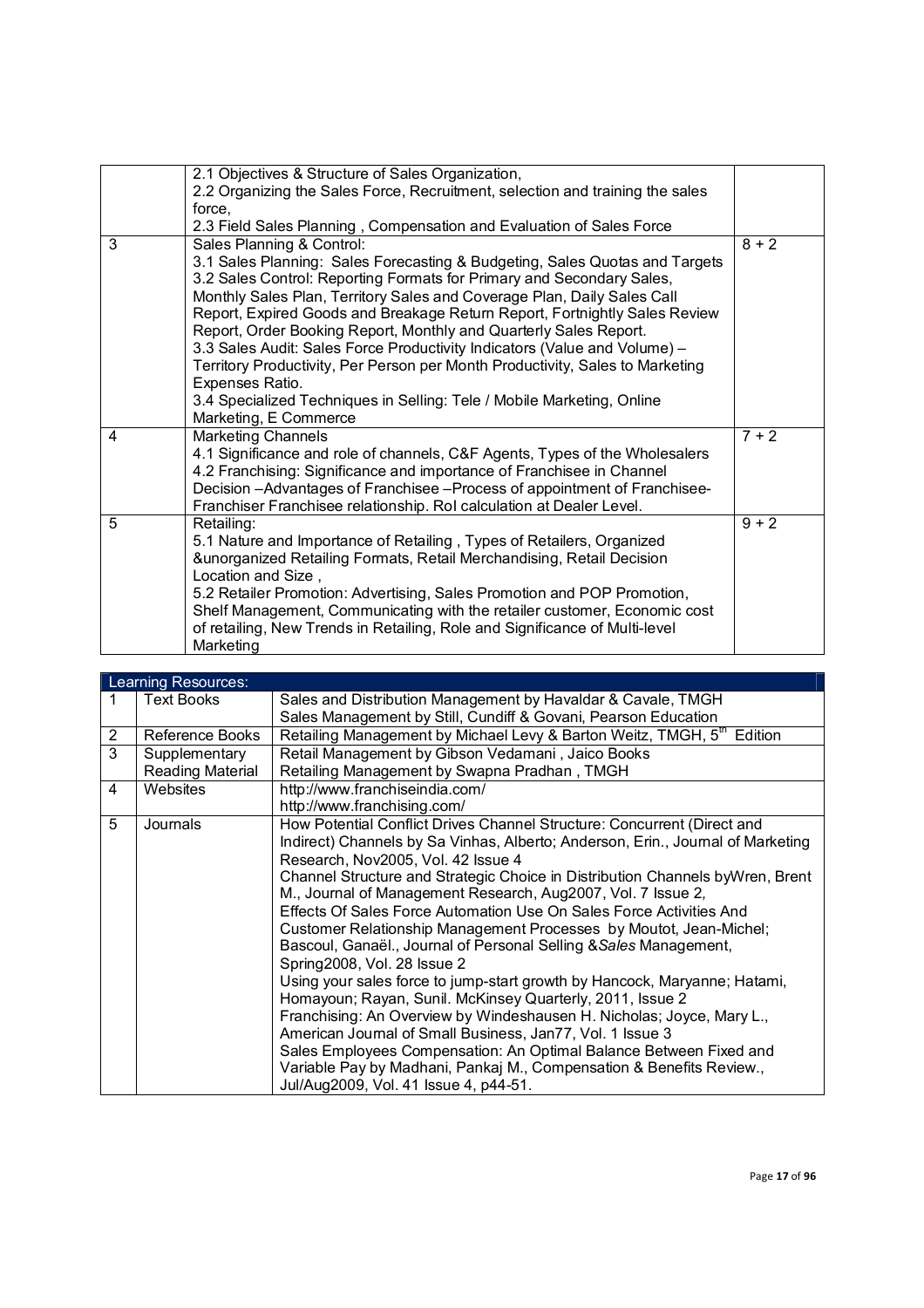|   | 2.1 Objectives & Structure of Sales Organization,                             |         |
|---|-------------------------------------------------------------------------------|---------|
|   | 2.2 Organizing the Sales Force, Recruitment, selection and training the sales |         |
|   | force,                                                                        |         |
|   | 2.3 Field Sales Planning, Compensation and Evaluation of Sales Force          |         |
| 3 | Sales Planning & Control:                                                     | $8 + 2$ |
|   | 3.1 Sales Planning: Sales Forecasting & Budgeting, Sales Quotas and Targets   |         |
|   | 3.2 Sales Control: Reporting Formats for Primary and Secondary Sales,         |         |
|   | Monthly Sales Plan, Territory Sales and Coverage Plan, Daily Sales Call       |         |
|   | Report, Expired Goods and Breakage Return Report, Fortnightly Sales Review    |         |
|   | Report, Order Booking Report, Monthly and Quarterly Sales Report.             |         |
|   | 3.3 Sales Audit: Sales Force Productivity Indicators (Value and Volume) -     |         |
|   | Territory Productivity, Per Person per Month Productivity, Sales to Marketing |         |
|   | Expenses Ratio.                                                               |         |
|   | 3.4 Specialized Techniques in Selling: Tele / Mobile Marketing, Online        |         |
|   | Marketing, E Commerce                                                         |         |
| 4 | <b>Marketing Channels</b>                                                     | $7 + 2$ |
|   | 4.1 Significance and role of channels, C&F Agents, Types of the Wholesalers   |         |
|   | 4.2 Franchising: Significance and importance of Franchisee in Channel         |         |
|   | Decision - Advantages of Franchisee - Process of appointment of Franchisee-   |         |
|   | Franchiser Franchisee relationship. Rol calculation at Dealer Level.          |         |
| 5 | Retailing:                                                                    | $9 + 2$ |
|   | 5.1 Nature and Importance of Retailing, Types of Retailers, Organized         |         |
|   | &unorganized Retailing Formats, Retail Merchandising, Retail Decision         |         |
|   | Location and Size,                                                            |         |
|   | 5.2 Retailer Promotion: Advertising, Sales Promotion and POP Promotion,       |         |
|   | Shelf Management, Communicating with the retailer customer, Economic cost     |         |
|   | of retailing, New Trends in Retailing, Role and Significance of Multi-level   |         |
|   | Marketing                                                                     |         |

|   | Learning Resources: |                                                                                    |  |  |
|---|---------------------|------------------------------------------------------------------------------------|--|--|
| 1 | <b>Text Books</b>   | Sales and Distribution Management by Havaldar & Cavale, TMGH                       |  |  |
|   |                     | Sales Management by Still, Cundiff & Govani, Pearson Education                     |  |  |
| 2 | Reference Books     | Retailing Management by Michael Levy & Barton Weitz, TMGH, 5 <sup>th</sup> Edition |  |  |
| 3 | Supplementary       | Retail Management by Gibson Vedamani, Jaico Books                                  |  |  |
|   | Reading Material    | Retailing Management by Swapna Pradhan, TMGH                                       |  |  |
| 4 | Websites            | http://www.franchiseindia.com/                                                     |  |  |
|   |                     | http://www.franchising.com/                                                        |  |  |
| 5 | Journals            | How Potential Conflict Drives Channel Structure: Concurrent (Direct and            |  |  |
|   |                     | Indirect) Channels by Sa Vinhas, Alberto; Anderson, Erin., Journal of Marketing    |  |  |
|   |                     | Research, Nov2005, Vol. 42 Issue 4                                                 |  |  |
|   |                     | Channel Structure and Strategic Choice in Distribution Channels byWren, Brent      |  |  |
|   |                     | M., Journal of Management Research, Aug2007, Vol. 7 Issue 2,                       |  |  |
|   |                     | Effects Of Sales Force Automation Use On Sales Force Activities And                |  |  |
|   |                     | Customer Relationship Management Processes by Moutot, Jean-Michel;                 |  |  |
|   |                     | Bascoul, Ganaël., Journal of Personal Selling & Sales Management,                  |  |  |
|   |                     | Spring2008, Vol. 28 Issue 2                                                        |  |  |
|   |                     | Using your sales force to jump-start growth by Hancock, Maryanne; Hatami,          |  |  |
|   |                     | Homayoun; Rayan, Sunil. McKinsey Quarterly, 2011, Issue 2                          |  |  |
|   |                     | Franchising: An Overview by Windeshausen H. Nicholas; Joyce, Mary L.,              |  |  |
|   |                     | American Journal of Small Business, Jan77, Vol. 1 Issue 3                          |  |  |
|   |                     | Sales Employees Compensation: An Optimal Balance Between Fixed and                 |  |  |
|   |                     | Variable Pay by Madhani, Pankaj M., Compensation & Benefits Review.,               |  |  |
|   |                     | Jul/Aug2009, Vol. 41 Issue 4, p44-51.                                              |  |  |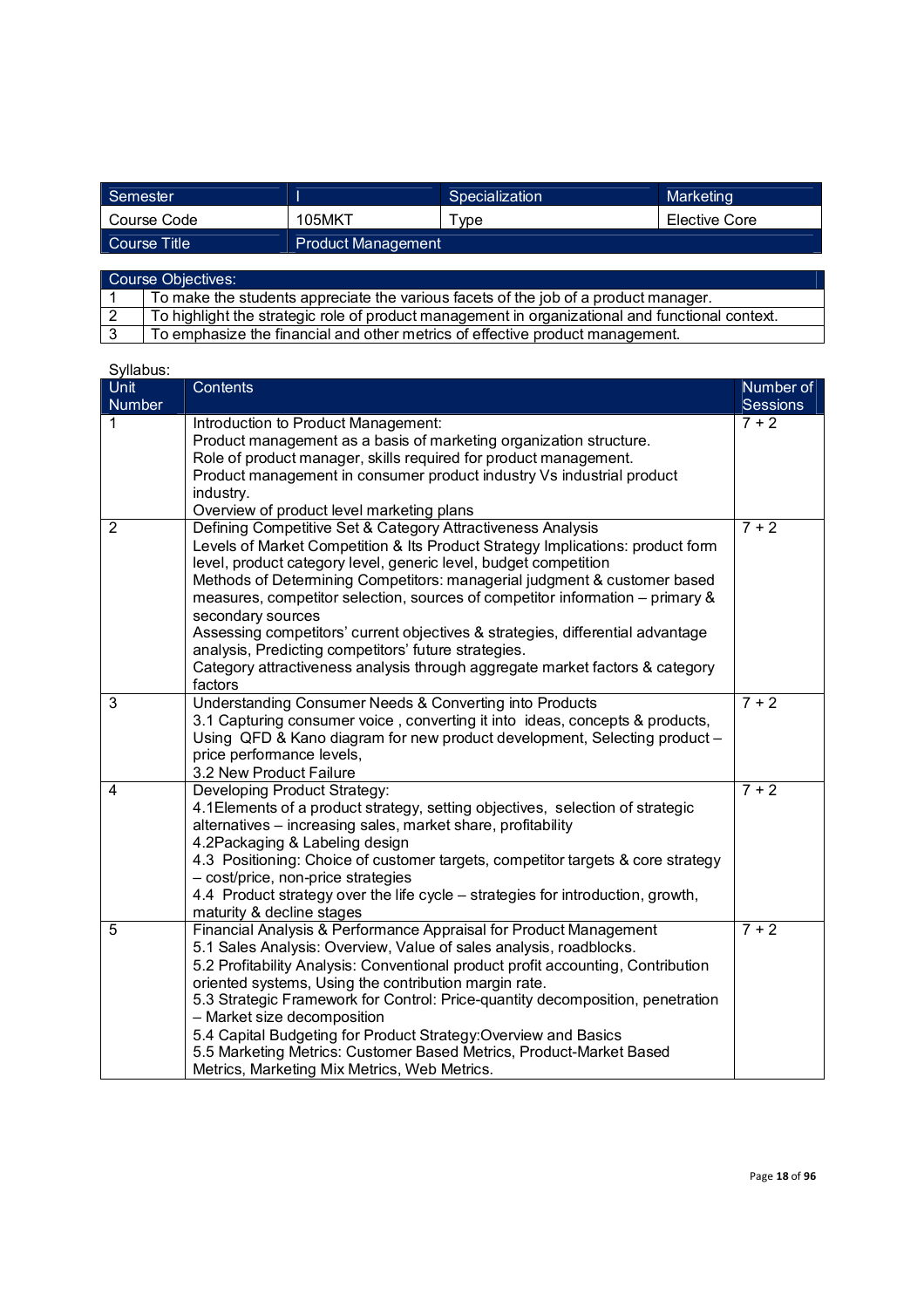| Semester     |                           | Specialization | Marketing     |  |
|--------------|---------------------------|----------------|---------------|--|
| Course Code  | 105MKT                    | vpe            | Elective Core |  |
| Course Title | <b>Product Management</b> |                |               |  |
|              |                           |                |               |  |

| Course Objectives: |                                                                                                 |  |  |
|--------------------|-------------------------------------------------------------------------------------------------|--|--|
|                    | To make the students appreciate the various facets of the job of a product manager.             |  |  |
|                    | To highlight the strategic role of product management in organizational and functional context. |  |  |
|                    | To emphasize the financial and other metrics of effective product management.                   |  |  |

| Unit<br>Number | Contents                                                                                                              | Number of<br><b>Sessions</b> |
|----------------|-----------------------------------------------------------------------------------------------------------------------|------------------------------|
| 1              | Introduction to Product Management:                                                                                   | $7 + 2$                      |
|                | Product management as a basis of marketing organization structure.                                                    |                              |
|                | Role of product manager, skills required for product management.                                                      |                              |
|                | Product management in consumer product industry Vs industrial product                                                 |                              |
|                | industry.                                                                                                             |                              |
|                | Overview of product level marketing plans                                                                             |                              |
| $\overline{2}$ | Defining Competitive Set & Category Attractiveness Analysis                                                           | $7 + 2$                      |
|                | Levels of Market Competition & Its Product Strategy Implications: product form                                        |                              |
|                | level, product category level, generic level, budget competition                                                      |                              |
|                | Methods of Determining Competitors: managerial judgment & customer based                                              |                              |
|                | measures, competitor selection, sources of competitor information – primary &<br>secondary sources                    |                              |
|                | Assessing competitors' current objectives & strategies, differential advantage                                        |                              |
|                | analysis, Predicting competitors' future strategies.                                                                  |                              |
|                | Category attractiveness analysis through aggregate market factors & category                                          |                              |
|                | factors                                                                                                               |                              |
| $\overline{3}$ | Understanding Consumer Needs & Converting into Products                                                               | $7 + 2$                      |
|                | 3.1 Capturing consumer voice, converting it into ideas, concepts & products,                                          |                              |
|                | Using QFD & Kano diagram for new product development, Selecting product -                                             |                              |
|                | price performance levels,                                                                                             |                              |
|                | 3.2 New Product Failure                                                                                               |                              |
| 4              | Developing Product Strategy:                                                                                          | $7 + 2$                      |
|                | 4.1 Elements of a product strategy, setting objectives, selection of strategic                                        |                              |
|                | alternatives - increasing sales, market share, profitability                                                          |                              |
|                | 4.2Packaging & Labeling design                                                                                        |                              |
|                | 4.3 Positioning: Choice of customer targets, competitor targets & core strategy                                       |                              |
|                | - cost/price, non-price strategies<br>4.4 Product strategy over the life cycle - strategies for introduction, growth, |                              |
|                | maturity & decline stages                                                                                             |                              |
| 5              | Financial Analysis & Performance Appraisal for Product Management                                                     | $7 + 2$                      |
|                | 5.1 Sales Analysis: Overview, Value of sales analysis, roadblocks.                                                    |                              |
|                | 5.2 Profitability Analysis: Conventional product profit accounting, Contribution                                      |                              |
|                | oriented systems, Using the contribution margin rate.                                                                 |                              |
|                | 5.3 Strategic Framework for Control: Price-quantity decomposition, penetration                                        |                              |
|                | - Market size decomposition                                                                                           |                              |
|                | 5.4 Capital Budgeting for Product Strategy: Overview and Basics                                                       |                              |
|                | 5.5 Marketing Metrics: Customer Based Metrics, Product-Market Based                                                   |                              |
|                | Metrics, Marketing Mix Metrics, Web Metrics.                                                                          |                              |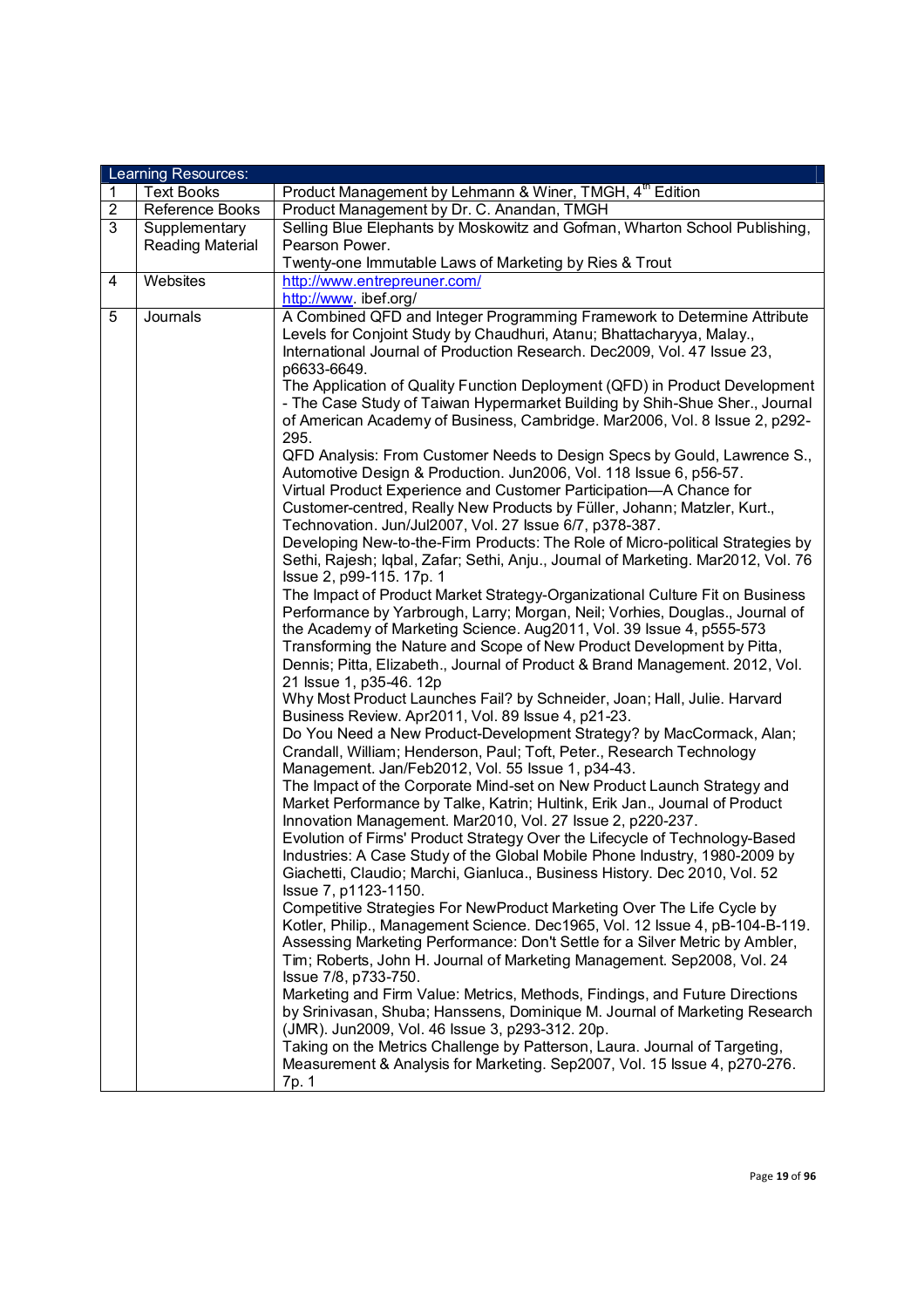|                | Learning Resources:     |                                                                                                               |  |  |
|----------------|-------------------------|---------------------------------------------------------------------------------------------------------------|--|--|
| 1              | <b>Text Books</b>       | Product Management by Lehmann & Winer, TMGH, 4 <sup>th</sup> Edition                                          |  |  |
| $\overline{2}$ | Reference Books         | Product Management by Dr. C. Anandan, TMGH                                                                    |  |  |
| 3              | Supplementary           | Selling Blue Elephants by Moskowitz and Gofman, Wharton School Publishing,                                    |  |  |
|                | <b>Reading Material</b> | Pearson Power.                                                                                                |  |  |
|                |                         | Twenty-one Immutable Laws of Marketing by Ries & Trout                                                        |  |  |
| 4              | Websites                | http://www.entrepreuner.com/                                                                                  |  |  |
|                |                         | http://www.ibef.org/                                                                                          |  |  |
| 5              | Journals                | A Combined QFD and Integer Programming Framework to Determine Attribute                                       |  |  |
|                |                         | Levels for Conjoint Study by Chaudhuri, Atanu; Bhattacharyya, Malay.,                                         |  |  |
|                |                         | International Journal of Production Research. Dec2009, Vol. 47 Issue 23,                                      |  |  |
|                |                         | p6633-6649.                                                                                                   |  |  |
|                |                         | The Application of Quality Function Deployment (QFD) in Product Development                                   |  |  |
|                |                         | - The Case Study of Taiwan Hypermarket Building by Shih-Shue Sher., Journal                                   |  |  |
|                |                         | of American Academy of Business, Cambridge. Mar2006, Vol. 8 Issue 2, p292-                                    |  |  |
|                |                         | 295.                                                                                                          |  |  |
|                |                         | QFD Analysis: From Customer Needs to Design Specs by Gould, Lawrence S.,                                      |  |  |
|                |                         | Automotive Design & Production. Jun2006, Vol. 118 Issue 6, p56-57.                                            |  |  |
|                |                         | Virtual Product Experience and Customer Participation-A Chance for                                            |  |  |
|                |                         | Customer-centred, Really New Products by Füller, Johann; Matzler, Kurt.,                                      |  |  |
|                |                         | Technovation. Jun/Jul2007, Vol. 27 Issue 6/7, p378-387.                                                       |  |  |
|                |                         | Developing New-to-the-Firm Products: The Role of Micro-political Strategies by                                |  |  |
|                |                         | Sethi, Rajesh; Iqbal, Zafar; Sethi, Anju., Journal of Marketing. Mar2012, Vol. 76<br>Issue 2, p99-115. 17p. 1 |  |  |
|                |                         | The Impact of Product Market Strategy-Organizational Culture Fit on Business                                  |  |  |
|                |                         | Performance by Yarbrough, Larry; Morgan, Neil; Vorhies, Douglas., Journal of                                  |  |  |
|                |                         | the Academy of Marketing Science. Aug2011, Vol. 39 Issue 4, p555-573                                          |  |  |
|                |                         | Transforming the Nature and Scope of New Product Development by Pitta,                                        |  |  |
|                |                         | Dennis; Pitta, Elizabeth., Journal of Product & Brand Management. 2012, Vol.                                  |  |  |
|                |                         | 21 Issue 1, p35-46. 12p                                                                                       |  |  |
|                |                         | Why Most Product Launches Fail? by Schneider, Joan; Hall, Julie. Harvard                                      |  |  |
|                |                         | Business Review. Apr2011, Vol. 89 Issue 4, p21-23.                                                            |  |  |
|                |                         | Do You Need a New Product-Development Strategy? by MacCormack, Alan;                                          |  |  |
|                |                         | Crandall, William; Henderson, Paul; Toft, Peter., Research Technology                                         |  |  |
|                |                         | Management. Jan/Feb2012, Vol. 55 Issue 1, p34-43.                                                             |  |  |
|                |                         | The Impact of the Corporate Mind-set on New Product Launch Strategy and                                       |  |  |
|                |                         | Market Performance by Talke, Katrin; Hultink, Erik Jan., Journal of Product                                   |  |  |
|                |                         | Innovation Management. Mar2010, Vol. 27 Issue 2, p220-237.                                                    |  |  |
|                |                         | Evolution of Firms' Product Strategy Over the Lifecycle of Technology-Based                                   |  |  |
|                |                         | Industries: A Case Study of the Global Mobile Phone Industry, 1980-2009 by                                    |  |  |
|                |                         | Giachetti, Claudio; Marchi, Gianluca., Business History. Dec 2010, Vol. 52                                    |  |  |
|                |                         | Issue 7, p1123-1150.                                                                                          |  |  |
|                |                         | Competitive Strategies For NewProduct Marketing Over The Life Cycle by                                        |  |  |
|                |                         | Kotler, Philip., Management Science. Dec1965, Vol. 12 Issue 4, pB-104-B-119.                                  |  |  |
|                |                         | Assessing Marketing Performance: Don't Settle for a Silver Metric by Ambler,                                  |  |  |
|                |                         | Tim; Roberts, John H. Journal of Marketing Management. Sep2008, Vol. 24                                       |  |  |
|                |                         | Issue 7/8, p733-750.                                                                                          |  |  |
|                |                         | Marketing and Firm Value: Metrics, Methods, Findings, and Future Directions                                   |  |  |
|                |                         | by Srinivasan, Shuba; Hanssens, Dominique M. Journal of Marketing Research                                    |  |  |
|                |                         | (JMR). Jun2009, Vol. 46 Issue 3, p293-312. 20p.                                                               |  |  |
|                |                         | Taking on the Metrics Challenge by Patterson, Laura. Journal of Targeting,                                    |  |  |
|                |                         | Measurement & Analysis for Marketing. Sep2007, Vol. 15 Issue 4, p270-276.                                     |  |  |
|                |                         | 7p. 1                                                                                                         |  |  |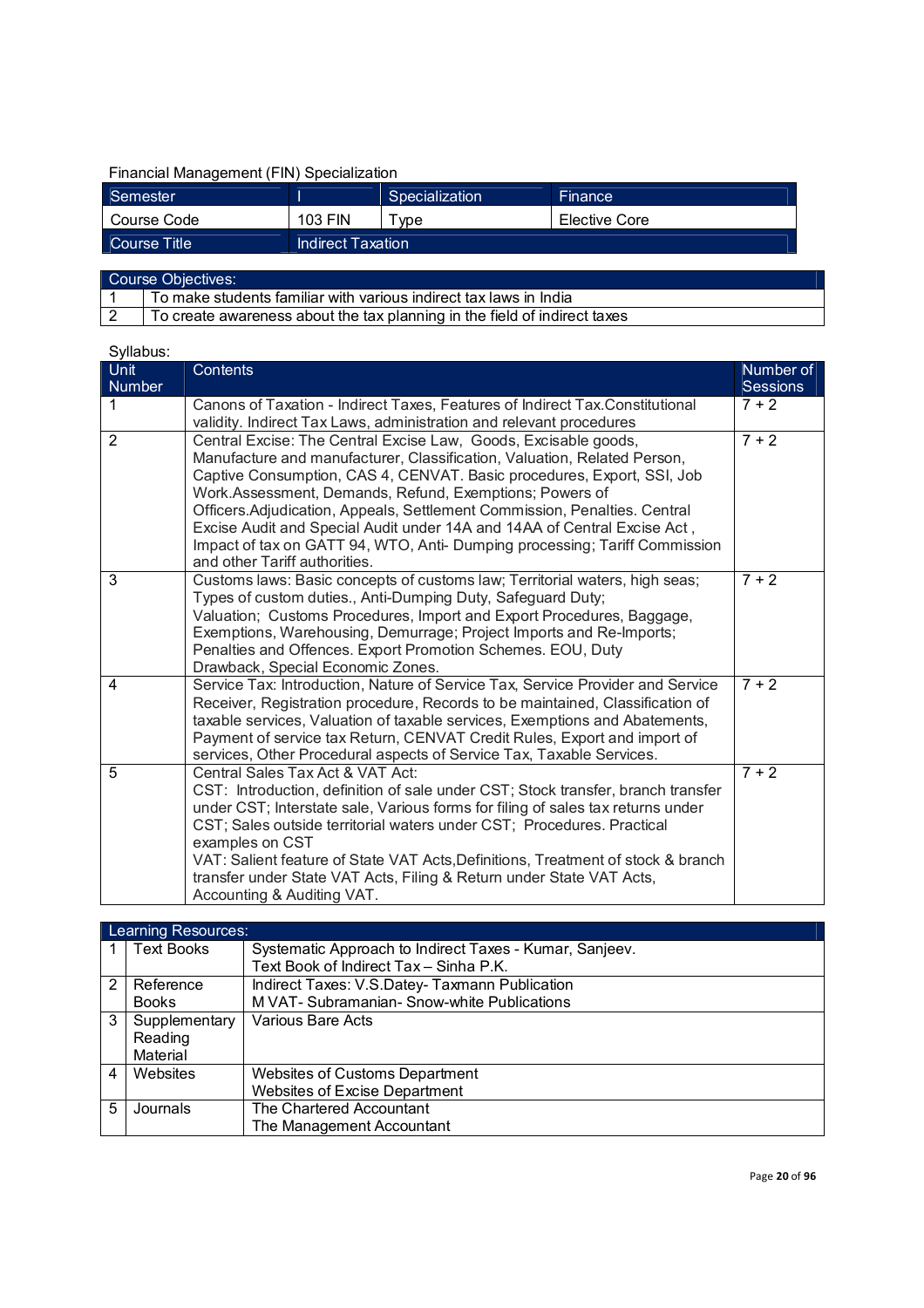# Financial Management (FIN) Specialization

| Semester     |                   | Specialization | Finance       |
|--------------|-------------------|----------------|---------------|
| Course Code  | 103 FIN           | vpe            | Elective Core |
| Course Title | Indirect Taxation |                |               |

| Course Objectives: |                                                                           |  |
|--------------------|---------------------------------------------------------------------------|--|
|                    | To make students familiar with various indirect tax laws in India         |  |
|                    | To create awareness about the tax planning in the field of indirect taxes |  |

| o y naoao.<br>Unit<br><b>Number</b> | Contents                                                                                                                                                                                                                                                                                                                                                                                                                                                                                                                                                 | Number of<br><b>Sessions</b> |
|-------------------------------------|----------------------------------------------------------------------------------------------------------------------------------------------------------------------------------------------------------------------------------------------------------------------------------------------------------------------------------------------------------------------------------------------------------------------------------------------------------------------------------------------------------------------------------------------------------|------------------------------|
| 1                                   | Canons of Taxation - Indirect Taxes, Features of Indirect Tax.Constitutional<br>validity. Indirect Tax Laws, administration and relevant procedures                                                                                                                                                                                                                                                                                                                                                                                                      | $7 + 2$                      |
| $\overline{2}$                      | Central Excise: The Central Excise Law, Goods, Excisable goods,<br>Manufacture and manufacturer, Classification, Valuation, Related Person,<br>Captive Consumption, CAS 4, CENVAT. Basic procedures, Export, SSI, Job<br>Work.Assessment, Demands, Refund, Exemptions; Powers of<br>Officers.Adjudication, Appeals, Settlement Commission, Penalties. Central<br>Excise Audit and Special Audit under 14A and 14AA of Central Excise Act,<br>Impact of tax on GATT 94, WTO, Anti- Dumping processing; Tariff Commission<br>and other Tariff authorities. | $7 + 2$                      |
| 3                                   | Customs laws: Basic concepts of customs law; Territorial waters, high seas;<br>Types of custom duties., Anti-Dumping Duty, Safeguard Duty;<br>Valuation; Customs Procedures, Import and Export Procedures, Baggage,<br>Exemptions, Warehousing, Demurrage; Project Imports and Re-Imports;<br>Penalties and Offences. Export Promotion Schemes. EOU, Duty<br>Drawback, Special Economic Zones.                                                                                                                                                           | $7 + 2$                      |
| $\overline{4}$                      | Service Tax: Introduction, Nature of Service Tax, Service Provider and Service<br>Receiver, Registration procedure, Records to be maintained, Classification of<br>taxable services, Valuation of taxable services, Exemptions and Abatements,<br>Payment of service tax Return, CENVAT Credit Rules, Export and import of<br>services, Other Procedural aspects of Service Tax, Taxable Services.                                                                                                                                                       | $7 + 2$                      |
| 5                                   | Central Sales Tax Act & VAT Act:<br>CST: Introduction, definition of sale under CST; Stock transfer, branch transfer<br>under CST; Interstate sale, Various forms for filing of sales tax returns under<br>CST; Sales outside territorial waters under CST; Procedures. Practical<br>examples on CST<br>VAT: Salient feature of State VAT Acts, Definitions, Treatment of stock & branch<br>transfer under State VAT Acts, Filing & Return under State VAT Acts,<br>Accounting & Auditing VAT.                                                           | $7 + 2$                      |

|   | Learning Resources: |                                                         |  |  |
|---|---------------------|---------------------------------------------------------|--|--|
|   | <b>Text Books</b>   | Systematic Approach to Indirect Taxes - Kumar, Sanjeev. |  |  |
|   |                     | Text Book of Indirect Tax - Sinha P.K.                  |  |  |
| 2 | Reference           | Indirect Taxes: V.S.Datey-Taxmann Publication           |  |  |
|   | <b>Books</b>        | M VAT- Subramanian- Snow-white Publications             |  |  |
| 3 | Supplementary       | Various Bare Acts                                       |  |  |
|   | Reading             |                                                         |  |  |
|   | Material            |                                                         |  |  |
| 4 | Websites            | <b>Websites of Customs Department</b>                   |  |  |
|   |                     | Websites of Excise Department                           |  |  |
| 5 | Journals            | The Chartered Accountant                                |  |  |
|   |                     | The Management Accountant                               |  |  |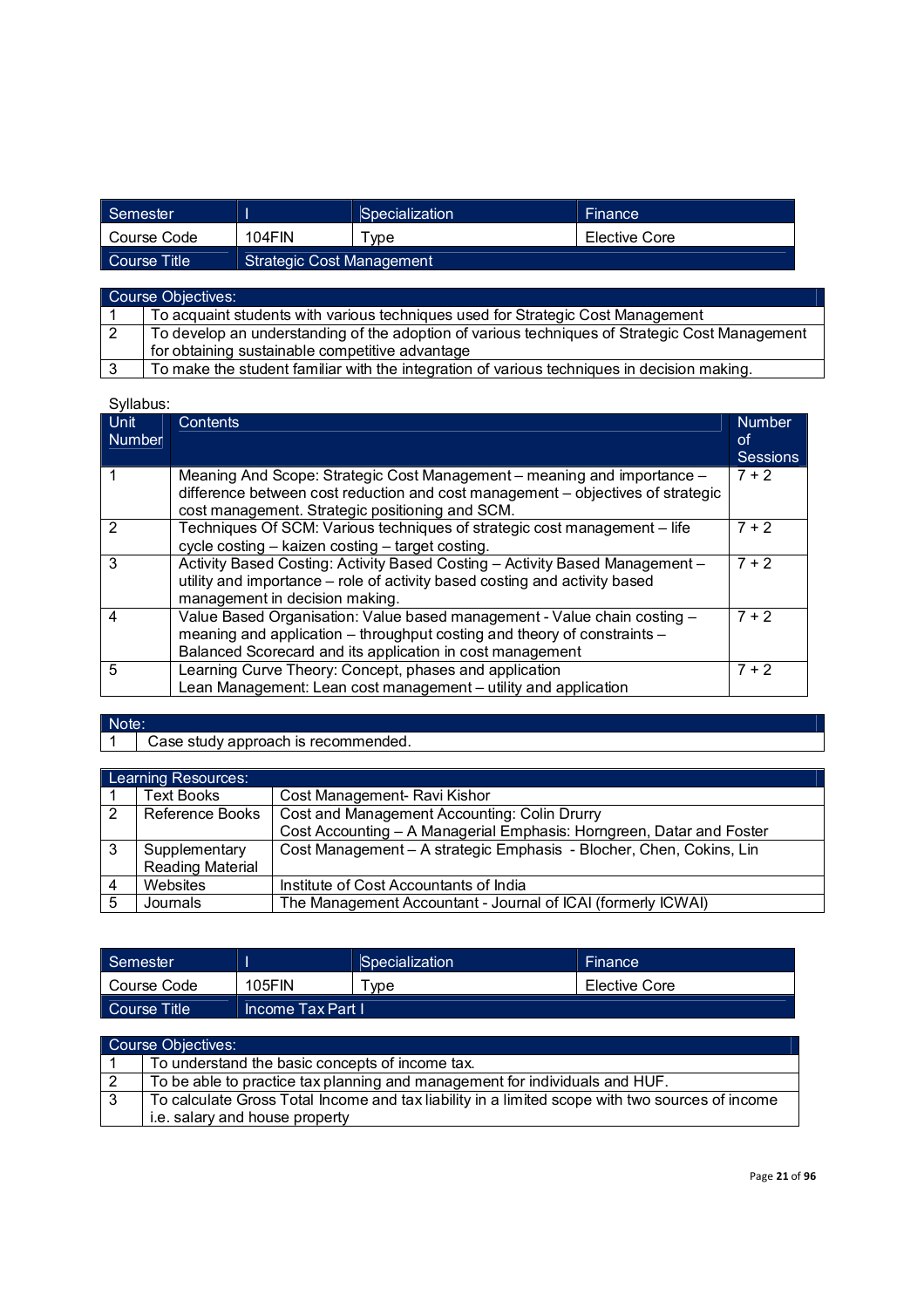| Semester     |                           | Specialization | <b>Finance</b> |  |
|--------------|---------------------------|----------------|----------------|--|
| Course Code  | 104FIN                    | vpe            | Elective Core  |  |
| Course Title | Strategic Cost Management |                |                |  |

| Course Objectives:                                                                             |  |  |  |
|------------------------------------------------------------------------------------------------|--|--|--|
| To acquaint students with various techniques used for Strategic Cost Management                |  |  |  |
| To develop an understanding of the adoption of various techniques of Strategic Cost Management |  |  |  |
| for obtaining sustainable competitive advantage                                                |  |  |  |
| To make the student familiar with the integration of various techniques in decision making.    |  |  |  |

Syllabus:

| <b>Unit</b><br><b>Number</b> | Contents                                                                                                                                                                                                          | <b>Number</b><br>lof<br>Sessions |
|------------------------------|-------------------------------------------------------------------------------------------------------------------------------------------------------------------------------------------------------------------|----------------------------------|
|                              | Meaning And Scope: Strategic Cost Management – meaning and importance –<br>difference between cost reduction and cost management – objectives of strategic<br>cost management. Strategic positioning and SCM.     | $7 + 2$                          |
| 2                            | Techniques Of SCM: Various techniques of strategic cost management - life<br>cycle costing – kaizen costing – target costing.                                                                                     | $7 + 2$                          |
| 3                            | Activity Based Costing: Activity Based Costing - Activity Based Management -<br>utility and importance – role of activity based costing and activity based<br>management in decision making.                      | $7 + 2$                          |
| 4                            | Value Based Organisation: Value based management - Value chain costing -<br>meaning and application – throughput costing and theory of constraints –<br>Balanced Scorecard and its application in cost management | $7 + 2$                          |
| 5                            | Learning Curve Theory: Concept, phases and application<br>Lean Management: Lean cost management - utility and application                                                                                         | $7 + 2$                          |

Note:<br>1

Case study approach is recommended.

|   | <b>Learning Resources:</b> |                                                                      |  |
|---|----------------------------|----------------------------------------------------------------------|--|
|   | Text Books                 | Cost Management- Ravi Kishor                                         |  |
| 2 | Reference Books            | Cost and Management Accounting: Colin Drurry                         |  |
|   |                            | Cost Accounting - A Managerial Emphasis: Horngreen, Datar and Foster |  |
| 3 | Supplementary              | Cost Management - A strategic Emphasis - Blocher, Chen, Cokins, Lin  |  |
|   | <b>Reading Material</b>    |                                                                      |  |
|   | Websites                   | Institute of Cost Accountants of India                               |  |
| 5 | Journals                   | The Management Accountant - Journal of ICAI (formerly ICWAI)         |  |

| Semester     |                     | Specialization      | <b>Finance</b> |
|--------------|---------------------|---------------------|----------------|
| Course Code  | <b>105FIN</b>       | $^{\mathsf{T}}$ vpe | Elective Core  |
| Course Title | LIncome Tax Part I' |                     |                |

| Course Objectives: |                                                                                                 |  |
|--------------------|-------------------------------------------------------------------------------------------------|--|
|                    | To understand the basic concepts of income tax.                                                 |  |
|                    | To be able to practice tax planning and management for individuals and HUF.                     |  |
|                    | To calculate Gross Total Income and tax liability in a limited scope with two sources of income |  |
|                    | i.e. salary and house property                                                                  |  |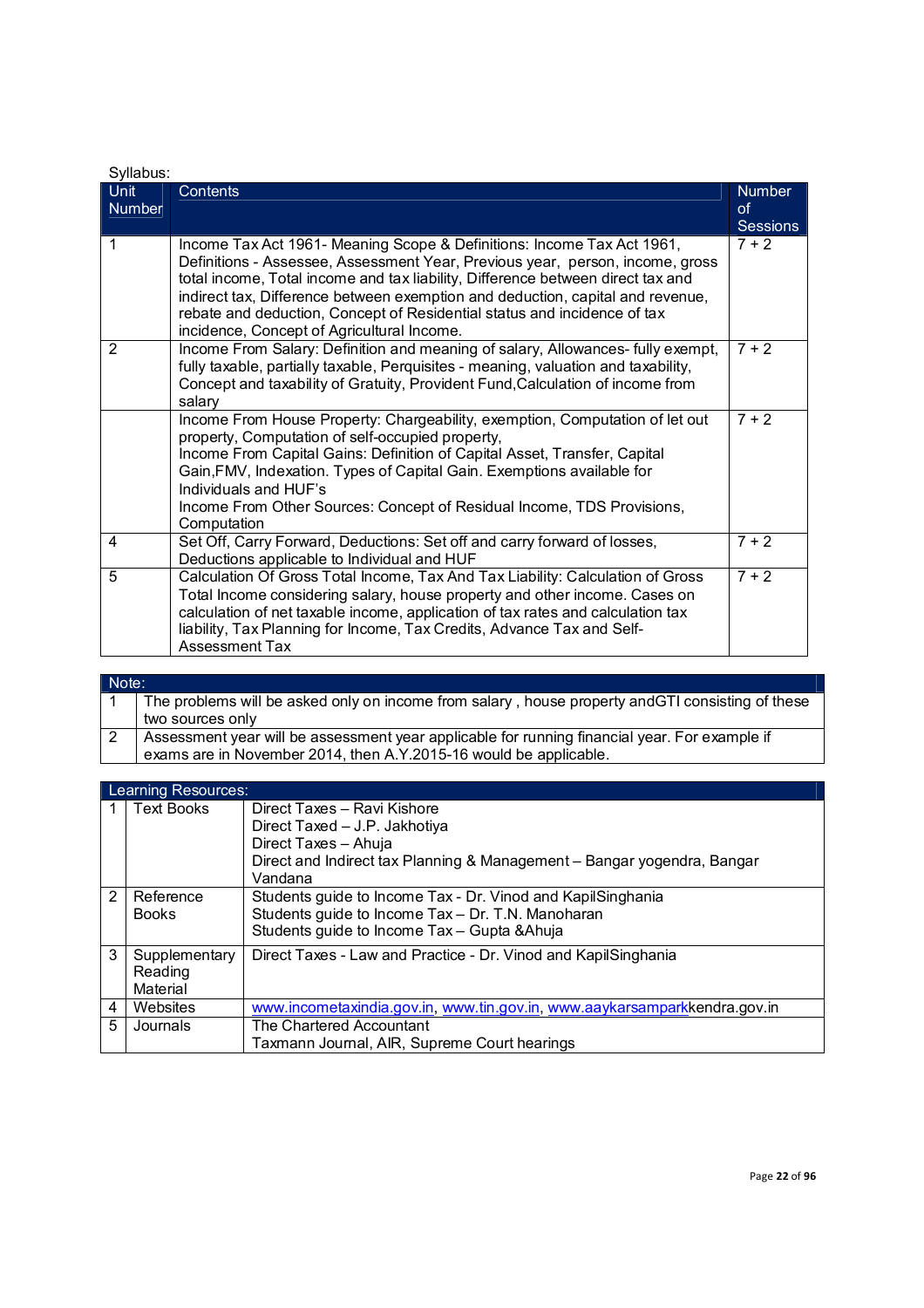| Syllabus:      |                                                                                                                                                                                                                                                                                                                                                                                                                                                        |                                               |  |
|----------------|--------------------------------------------------------------------------------------------------------------------------------------------------------------------------------------------------------------------------------------------------------------------------------------------------------------------------------------------------------------------------------------------------------------------------------------------------------|-----------------------------------------------|--|
| Unit<br>Number | <b>Contents</b>                                                                                                                                                                                                                                                                                                                                                                                                                                        | <b>Number</b><br><b>of</b><br><b>Sessions</b> |  |
| 1              | Income Tax Act 1961- Meaning Scope & Definitions: Income Tax Act 1961,<br>Definitions - Assessee, Assessment Year, Previous year, person, income, gross<br>total income, Total income and tax liability, Difference between direct tax and<br>indirect tax, Difference between exemption and deduction, capital and revenue,<br>rebate and deduction, Concept of Residential status and incidence of tax<br>incidence, Concept of Agricultural Income. | $7 + 2$                                       |  |
| 2              | Income From Salary: Definition and meaning of salary, Allowances- fully exempt,<br>fully taxable, partially taxable, Perquisites - meaning, valuation and taxability,<br>Concept and taxability of Gratuity, Provident Fund, Calculation of income from<br>salary                                                                                                                                                                                      | $7 + 2$                                       |  |
|                | Income From House Property: Chargeability, exemption, Computation of let out<br>property, Computation of self-occupied property,<br>Income From Capital Gains: Definition of Capital Asset, Transfer, Capital<br>Gain, FMV, Indexation. Types of Capital Gain. Exemptions available for<br>Individuals and HUF's<br>Income From Other Sources: Concept of Residual Income, TDS Provisions,<br>Computation                                              | $7 + 2$                                       |  |
| 4              | Set Off, Carry Forward, Deductions: Set off and carry forward of losses,<br>Deductions applicable to Individual and HUF                                                                                                                                                                                                                                                                                                                                | $7 + 2$                                       |  |
| 5              | Calculation Of Gross Total Income, Tax And Tax Liability: Calculation of Gross<br>Total Income considering salary, house property and other income. Cases on<br>calculation of net taxable income, application of tax rates and calculation tax<br>liability, Tax Planning for Income, Tax Credits, Advance Tax and Self-<br><b>Assessment Tax</b>                                                                                                     | $7 + 2$                                       |  |

| Note: |             |
|-------|-------------|
|       | The problen |

1 The problems will be asked only on income from salary , house property andGTI consisting of these two sources only

2 Assessment year will be assessment year applicable for running financial year. For example if exams are in November 2014, then A.Y.2015-16 would be applicable.

|                | <b>Learning Resources:</b>           |                                                                                                                                                                            |  |
|----------------|--------------------------------------|----------------------------------------------------------------------------------------------------------------------------------------------------------------------------|--|
|                | <b>Text Books</b>                    | Direct Taxes - Ravi Kishore<br>Direct Taxed - J.P. Jakhotiya<br>Direct Taxes - Ahuja<br>Direct and Indirect tax Planning & Management - Bangar yogendra, Bangar<br>Vandana |  |
| $\mathcal{P}$  | Reference<br><b>Books</b>            | Students guide to Income Tax - Dr. Vinod and KapilSinghania<br>Students guide to Income Tax - Dr. T.N. Manoharan<br>Students guide to Income Tax - Gupta & Ahuja           |  |
| 3              | Supplementary<br>Reading<br>Material | Direct Taxes - Law and Practice - Dr. Vinod and KapilSinghania                                                                                                             |  |
| $\overline{4}$ | Websites                             | www.incometaxindia.gov.in, www.tin.gov.in, www.aaykarsamparkkendra.gov.in                                                                                                  |  |
| 5              | Journals                             | The Chartered Accountant<br>Taxmann Journal, AIR, Supreme Court hearings                                                                                                   |  |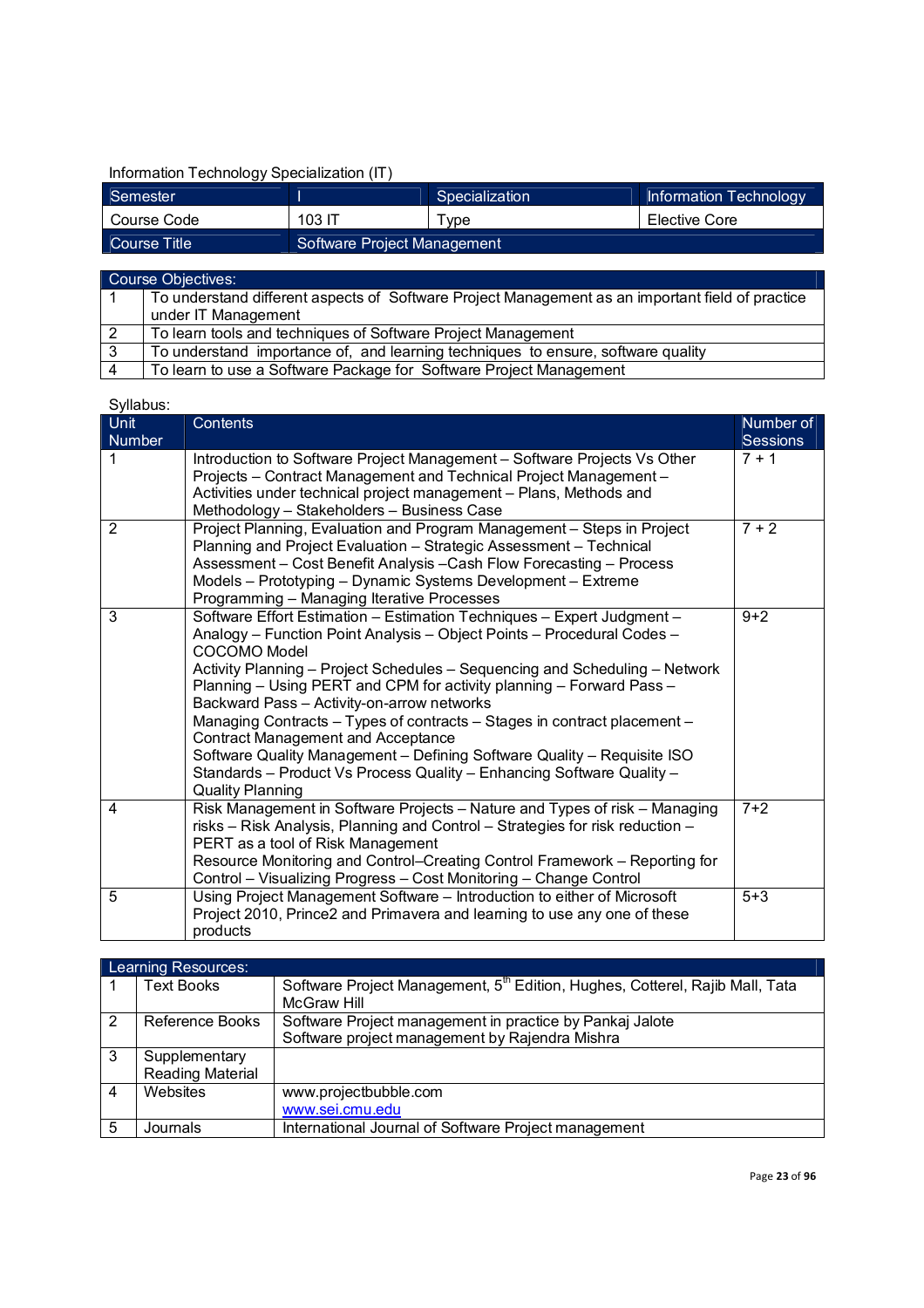# Information Technology Specialization (IT)

| Semester     |                             | Specialization | Information Technology |
|--------------|-----------------------------|----------------|------------------------|
| Course Code  | 103 IT                      | TwoE           | Elective Core          |
| Course Title | Software Project Management |                |                        |

|                | Course Objectives:                                                                                                      |  |  |
|----------------|-------------------------------------------------------------------------------------------------------------------------|--|--|
|                | To understand different aspects of Software Project Management as an important field of practice<br>under IT Management |  |  |
| $\overline{2}$ | To learn tools and techniques of Software Project Management                                                            |  |  |
| 3              | To understand importance of, and learning techniques to ensure, software quality                                        |  |  |
| $\overline{4}$ | To learn to use a Software Package for Software Project Management                                                      |  |  |

| -,<br>Unit<br>Number | Contents                                                                                                                                                                                                                                                                                                                                                                                                                                                                                                                                                                                                                                                                             | Number of<br><b>Sessions</b> |
|----------------------|--------------------------------------------------------------------------------------------------------------------------------------------------------------------------------------------------------------------------------------------------------------------------------------------------------------------------------------------------------------------------------------------------------------------------------------------------------------------------------------------------------------------------------------------------------------------------------------------------------------------------------------------------------------------------------------|------------------------------|
| 1                    | Introduction to Software Project Management - Software Projects Vs Other<br>Projects - Contract Management and Technical Project Management -<br>Activities under technical project management - Plans, Methods and<br>Methodology - Stakeholders - Business Case                                                                                                                                                                                                                                                                                                                                                                                                                    | $7 + 1$                      |
| 2                    | Project Planning, Evaluation and Program Management - Steps in Project<br>Planning and Project Evaluation - Strategic Assessment - Technical<br>Assessment - Cost Benefit Analysis - Cash Flow Forecasting - Process<br>Models - Prototyping - Dynamic Systems Development - Extreme<br>Programming - Managing Iterative Processes                                                                                                                                                                                                                                                                                                                                                   | $7 + 2$                      |
| 3                    | Software Effort Estimation - Estimation Techniques - Expert Judgment -<br>Analogy - Function Point Analysis - Object Points - Procedural Codes -<br><b>COCOMO Model</b><br>Activity Planning - Project Schedules - Sequencing and Scheduling - Network<br>Planning - Using PERT and CPM for activity planning - Forward Pass -<br>Backward Pass - Activity-on-arrow networks<br>Managing Contracts - Types of contracts - Stages in contract placement -<br><b>Contract Management and Acceptance</b><br>Software Quality Management - Defining Software Quality - Requisite ISO<br>Standards - Product Vs Process Quality - Enhancing Software Quality -<br><b>Quality Planning</b> | $9 + 2$                      |
| 4                    | Risk Management in Software Projects - Nature and Types of risk - Managing<br>risks - Risk Analysis, Planning and Control - Strategies for risk reduction -<br>PERT as a tool of Risk Management<br>Resource Monitoring and Control-Creating Control Framework - Reporting for<br>Control - Visualizing Progress - Cost Monitoring - Change Control                                                                                                                                                                                                                                                                                                                                  | $7 + 2$                      |
| 5                    | Using Project Management Software - Introduction to either of Microsoft<br>Project 2010, Prince2 and Primavera and learning to use any one of these<br>products                                                                                                                                                                                                                                                                                                                                                                                                                                                                                                                      | $5 + 3$                      |

|   | Learning Resources:     |                                                                                          |  |  |
|---|-------------------------|------------------------------------------------------------------------------------------|--|--|
|   | <b>Text Books</b>       | Software Project Management, 5 <sup>th</sup> Edition, Hughes, Cotterel, Rajib Mall, Tata |  |  |
|   |                         | <b>McGraw Hill</b>                                                                       |  |  |
| 2 | Reference Books         | Software Project management in practice by Pankaj Jalote                                 |  |  |
|   |                         | Software project management by Rajendra Mishra                                           |  |  |
| 3 | Supplementary           |                                                                                          |  |  |
|   | <b>Reading Material</b> |                                                                                          |  |  |
| 4 | Websites                | www.projectbubble.com                                                                    |  |  |
|   |                         | www.sei.cmu.edu                                                                          |  |  |
| 5 | Journals                | International Journal of Software Project management                                     |  |  |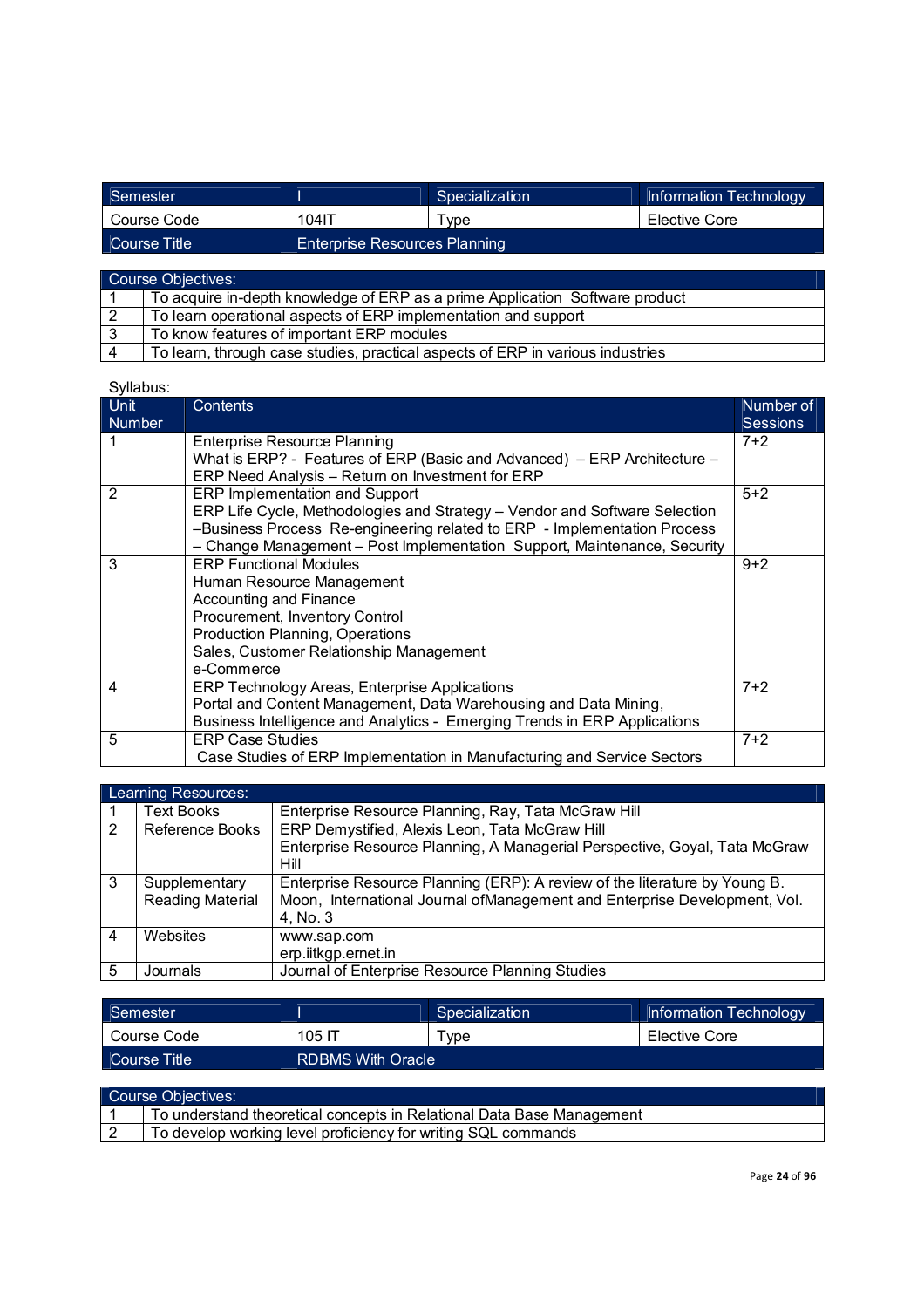| Semester     |                                      | Specialization | Information Technology |
|--------------|--------------------------------------|----------------|------------------------|
| Course Code  | 104IT                                | Tvpe           | Elective Core          |
| Course Title | <b>Enterprise Resources Planning</b> |                |                        |

| Course Objectives: |                                                                                |  |
|--------------------|--------------------------------------------------------------------------------|--|
|                    | To acquire in-depth knowledge of ERP as a prime Application Software product   |  |
|                    | To learn operational aspects of ERP implementation and support                 |  |
|                    | To know features of important ERP modules                                      |  |
|                    | To learn, through case studies, practical aspects of ERP in various industries |  |

| <u>Unit</u><br><b>Number</b> | Contents                                                                   | Number of<br><b>Sessions</b> |
|------------------------------|----------------------------------------------------------------------------|------------------------------|
|                              | Enterprise Resource Planning                                               | $7+2$                        |
|                              | What is ERP? - Features of ERP (Basic and Advanced) – ERP Architecture –   |                              |
|                              | ERP Need Analysis - Return on Investment for ERP                           |                              |
| 2                            | ERP Implementation and Support                                             | $5+2$                        |
|                              | ERP Life Cycle, Methodologies and Strategy - Vendor and Software Selection |                              |
|                              | -Business Process Re-engineering related to ERP - Implementation Process   |                              |
|                              | - Change Management - Post Implementation Support, Maintenance, Security   |                              |
| 3                            | <b>ERP Functional Modules</b>                                              | $9 + 2$                      |
|                              | Human Resource Management                                                  |                              |
|                              | <b>Accounting and Finance</b>                                              |                              |
|                              | Procurement, Inventory Control                                             |                              |
|                              | Production Planning, Operations                                            |                              |
|                              | Sales, Customer Relationship Management                                    |                              |
|                              | e-Commerce                                                                 |                              |
| 4                            | ERP Technology Areas, Enterprise Applications                              | $7+2$                        |
|                              | Portal and Content Management, Data Warehousing and Data Mining,           |                              |
|                              | Business Intelligence and Analytics - Emerging Trends in ERP Applications  |                              |
| 5                            | <b>ERP Case Studies</b>                                                    | $7+2$                        |
|                              | Case Studies of ERP Implementation in Manufacturing and Service Sectors    |                              |

|   | Learning Resources:     |                                                                            |  |  |  |
|---|-------------------------|----------------------------------------------------------------------------|--|--|--|
|   | <b>Text Books</b>       | Enterprise Resource Planning, Ray, Tata McGraw Hill                        |  |  |  |
| 2 | Reference Books         | ERP Demystified, Alexis Leon, Tata McGraw Hill                             |  |  |  |
|   |                         | Enterprise Resource Planning, A Managerial Perspective, Goyal, Tata McGraw |  |  |  |
|   |                         | Hill                                                                       |  |  |  |
| 3 | Supplementary           | Enterprise Resource Planning (ERP): A review of the literature by Young B. |  |  |  |
|   | <b>Reading Material</b> | Moon, International Journal of Management and Enterprise Development, Vol. |  |  |  |
|   |                         | 4, No. 3                                                                   |  |  |  |
| 4 | Websites                | www.sap.com                                                                |  |  |  |
|   |                         | erp.iitkgp.ernet.in                                                        |  |  |  |
| 5 | Journals                | Journal of Enterprise Resource Planning Studies                            |  |  |  |

| Semester     |                          | Specialization | Information Technology |
|--------------|--------------------------|----------------|------------------------|
| Course Code  | 105 דו                   | Tvpe           | Elective Core          |
| Course Title | <b>RDBMS With Oracle</b> |                |                        |

| Course Objectives: |                                                                       |  |
|--------------------|-----------------------------------------------------------------------|--|
|                    | To understand theoretical concepts in Relational Data Base Management |  |
|                    | To develop working level proficiency for writing SQL commands         |  |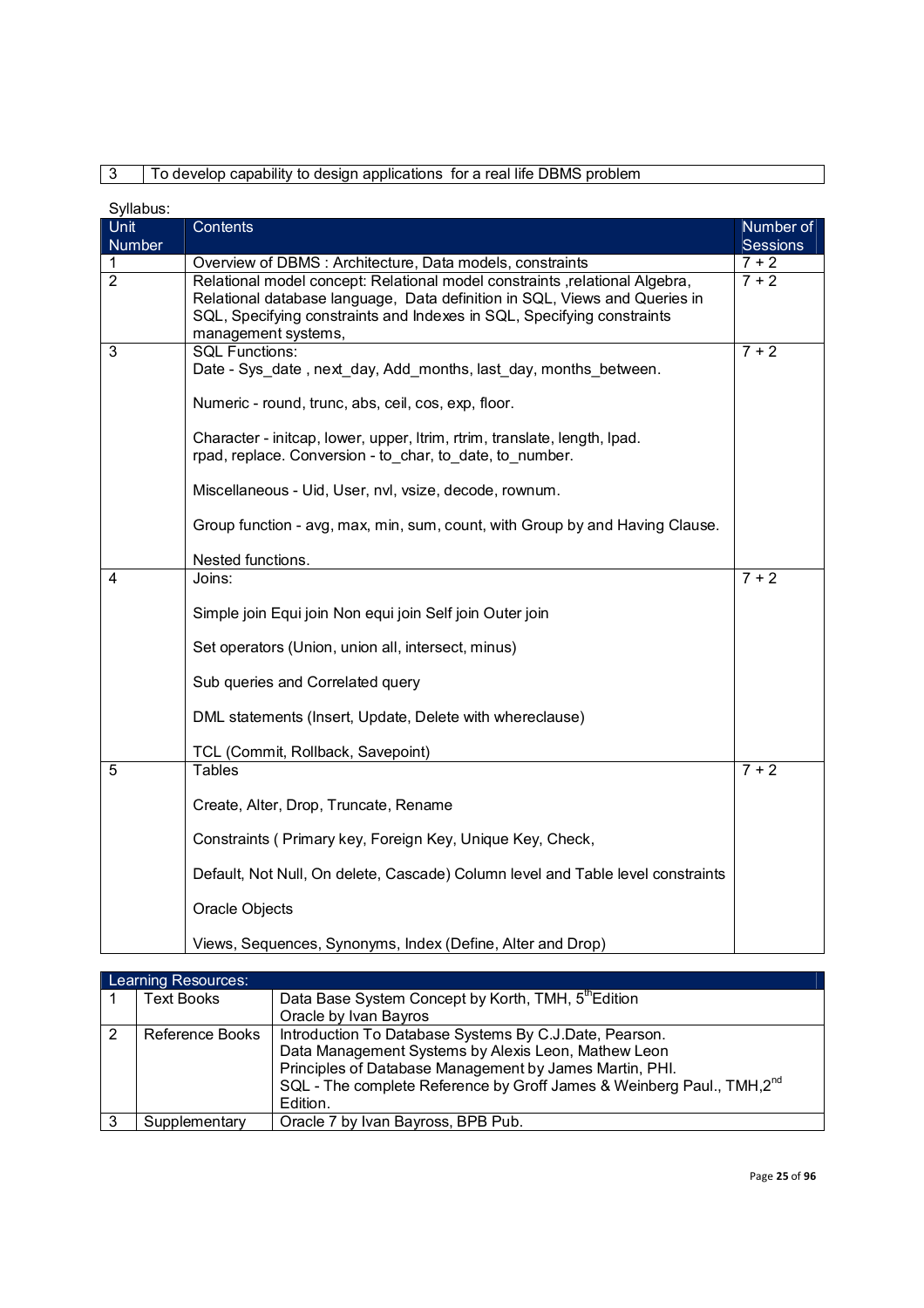# 3 To develop capability to design applications for a real life DBMS problem

| Syllabus:      |                                                                                                                                                                                                                                                             |                       |
|----------------|-------------------------------------------------------------------------------------------------------------------------------------------------------------------------------------------------------------------------------------------------------------|-----------------------|
| Unit<br>Number | Contents                                                                                                                                                                                                                                                    | Number of<br>Sessions |
| 1              | Overview of DBMS: Architecture, Data models, constraints                                                                                                                                                                                                    | $7 + 2$               |
| $\overline{2}$ | Relational model concept: Relational model constraints , relational Algebra,<br>Relational database language, Data definition in SQL, Views and Queries in<br>SQL, Specifying constraints and Indexes in SQL, Specifying constraints<br>management systems, | $7 + 2$               |
| 3              | <b>SQL Functions:</b><br>Date - Sys_date, next_day, Add_months, last_day, months_between.                                                                                                                                                                   | $7 + 2$               |
|                | Numeric - round, trunc, abs, ceil, cos, exp, floor.                                                                                                                                                                                                         |                       |
|                | Character - initcap, lower, upper, Itrim, rtrim, translate, length, Ipad.<br>rpad, replace. Conversion - to char, to date, to number.                                                                                                                       |                       |
|                | Miscellaneous - Uid, User, nvl, vsize, decode, rownum.                                                                                                                                                                                                      |                       |
|                | Group function - avg, max, min, sum, count, with Group by and Having Clause.                                                                                                                                                                                |                       |
|                | Nested functions.                                                                                                                                                                                                                                           |                       |
| 4              | Joins:                                                                                                                                                                                                                                                      | $7 + 2$               |
|                | Simple join Equi join Non equi join Self join Outer join                                                                                                                                                                                                    |                       |
|                | Set operators (Union, union all, intersect, minus)                                                                                                                                                                                                          |                       |
|                | Sub queries and Correlated query                                                                                                                                                                                                                            |                       |
|                | DML statements (Insert, Update, Delete with whereclause)                                                                                                                                                                                                    |                       |
|                | TCL (Commit, Rollback, Savepoint)                                                                                                                                                                                                                           |                       |
| 5              | <b>Tables</b>                                                                                                                                                                                                                                               | $7 + 2$               |
|                | Create, Alter, Drop, Truncate, Rename                                                                                                                                                                                                                       |                       |
|                | Constraints (Primary key, Foreign Key, Unique Key, Check,                                                                                                                                                                                                   |                       |
|                | Default, Not Null, On delete, Cascade) Column level and Table level constraints                                                                                                                                                                             |                       |
|                | Oracle Objects                                                                                                                                                                                                                                              |                       |
|                | Views, Sequences, Synonyms, Index (Define, Alter and Drop)                                                                                                                                                                                                  |                       |

|   | Learning Resources: |                                                                                   |  |  |  |
|---|---------------------|-----------------------------------------------------------------------------------|--|--|--|
|   | <b>Text Books</b>   | Data Base System Concept by Korth, TMH, 5 <sup>th</sup> Edition                   |  |  |  |
|   |                     | Oracle by Ivan Bayros                                                             |  |  |  |
| 2 | Reference Books     | Introduction To Database Systems By C.J.Date, Pearson.                            |  |  |  |
|   |                     | Data Management Systems by Alexis Leon, Mathew Leon                               |  |  |  |
|   |                     | Principles of Database Management by James Martin, PHI.                           |  |  |  |
|   |                     | SQL - The complete Reference by Groff James & Weinberg Paul., TMH,2 <sup>nd</sup> |  |  |  |
|   |                     | Edition.                                                                          |  |  |  |
| 3 | Supplementary       | Oracle 7 by Ivan Bayross, BPB Pub.                                                |  |  |  |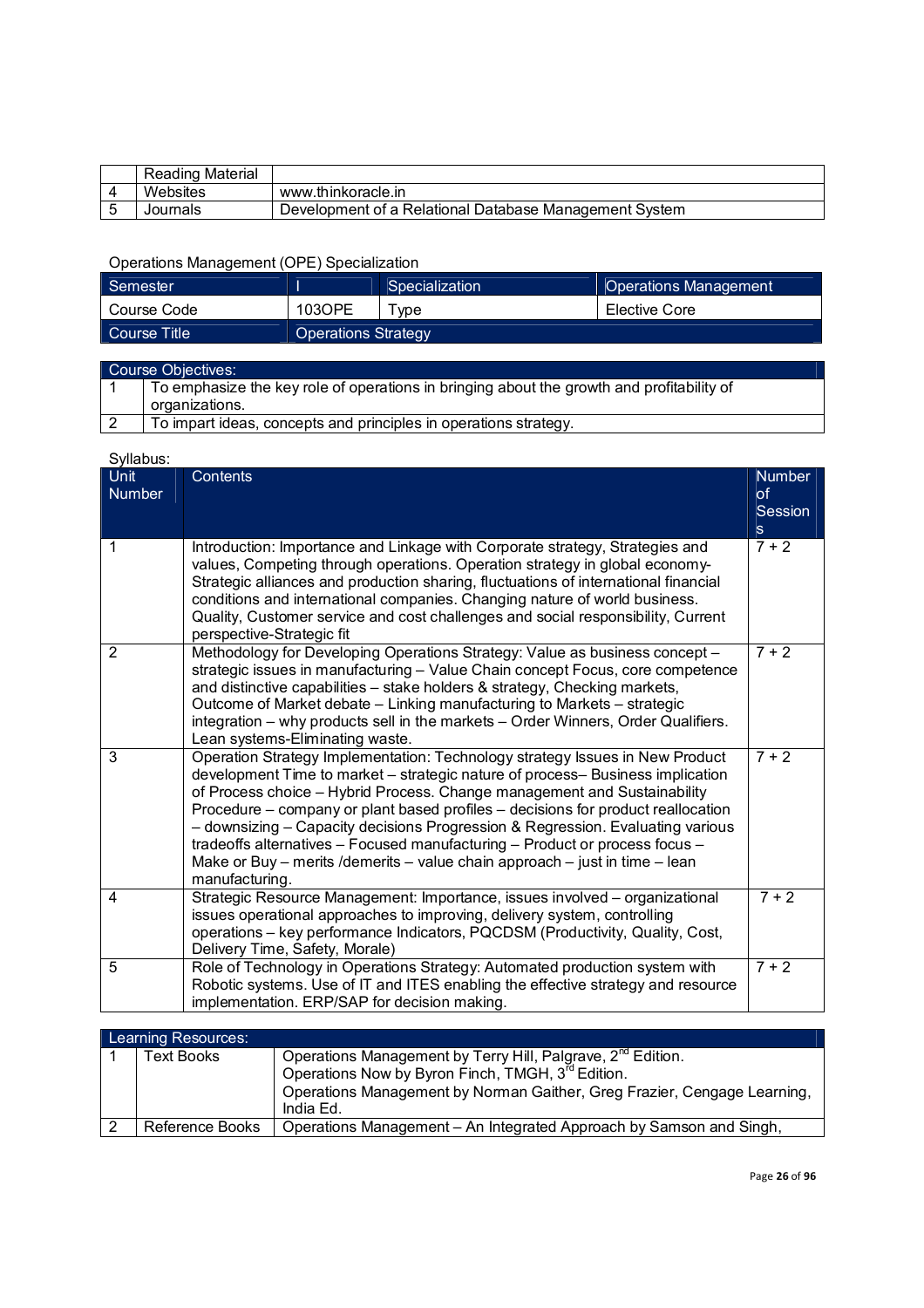| Reading Material |                                                        |
|------------------|--------------------------------------------------------|
| Websites         | www.thinkoracle.in                                     |
| Journals         | Development of a Relational Database Management System |

# Operations Management (OPE) Specialization

| Semester      |                     | Specialization | <b>Operations Management</b> |
|---------------|---------------------|----------------|------------------------------|
| l Course Code | 103OPE              | vpe            | Elective Core                |
| Course Title  | Operations Strategy |                |                              |

| Course Objectives: |                                                                                           |  |
|--------------------|-------------------------------------------------------------------------------------------|--|
|                    | To emphasize the key role of operations in bringing about the growth and profitability of |  |
|                    | organizations.                                                                            |  |
|                    | To impart ideas, concepts and principles in operations strategy.                          |  |

| o y navao.<br>Unit<br><b>Number</b> | Contents                                                                                                                                                                                                                                                                                                                                                                                                                                                                                                                                                                                          | <b>Number</b><br><sub>of</sub><br>Session<br>s. |
|-------------------------------------|---------------------------------------------------------------------------------------------------------------------------------------------------------------------------------------------------------------------------------------------------------------------------------------------------------------------------------------------------------------------------------------------------------------------------------------------------------------------------------------------------------------------------------------------------------------------------------------------------|-------------------------------------------------|
| 1                                   | Introduction: Importance and Linkage with Corporate strategy, Strategies and<br>values, Competing through operations. Operation strategy in global economy-<br>Strategic alliances and production sharing, fluctuations of international financial<br>conditions and international companies. Changing nature of world business.<br>Quality, Customer service and cost challenges and social responsibility, Current<br>perspective-Strategic fit                                                                                                                                                 | $7 + 2$                                         |
| $\overline{2}$                      | Methodology for Developing Operations Strategy: Value as business concept -<br>strategic issues in manufacturing - Value Chain concept Focus, core competence<br>and distinctive capabilities - stake holders & strategy, Checking markets,<br>Outcome of Market debate - Linking manufacturing to Markets - strategic<br>integration - why products sell in the markets - Order Winners, Order Qualifiers.<br>Lean systems-Eliminating waste.                                                                                                                                                    | $7 + 2$                                         |
| 3                                   | Operation Strategy Implementation: Technology strategy Issues in New Product<br>development Time to market – strategic nature of process– Business implication<br>of Process choice - Hybrid Process. Change management and Sustainability<br>Procedure – company or plant based profiles – decisions for product reallocation<br>- downsizing - Capacity decisions Progression & Regression. Evaluating various<br>tradeoffs alternatives - Focused manufacturing - Product or process focus -<br>Make or Buy - merits / demerits - value chain approach - just in time - lean<br>manufacturing. | $7 + 2$                                         |
| 4                                   | Strategic Resource Management: Importance, issues involved - organizational<br>issues operational approaches to improving, delivery system, controlling<br>operations - key performance Indicators, PQCDSM (Productivity, Quality, Cost,<br>Delivery Time, Safety, Morale)                                                                                                                                                                                                                                                                                                                        | $7 + 2$                                         |
| 5                                   | Role of Technology in Operations Strategy: Automated production system with<br>Robotic systems. Use of IT and ITES enabling the effective strategy and resource<br>implementation. ERP/SAP for decision making.                                                                                                                                                                                                                                                                                                                                                                                   | $7 + 2$                                         |

| Learning Resources: |                                                                                       |  |
|---------------------|---------------------------------------------------------------------------------------|--|
| Гехt Books          | Operations Management by Terry Hill, Palgrave, 2 <sup>nd</sup> Edition.               |  |
|                     | Operations Now by Byron Finch, TMGH, 3 <sup>rd</sup> Edition.                         |  |
|                     | Operations Management by Norman Gaither, Greg Frazier, Cengage Learning,<br>India Ed. |  |
|                     |                                                                                       |  |
| Reference Books     | Operations Management - An Integrated Approach by Samson and Singh,                   |  |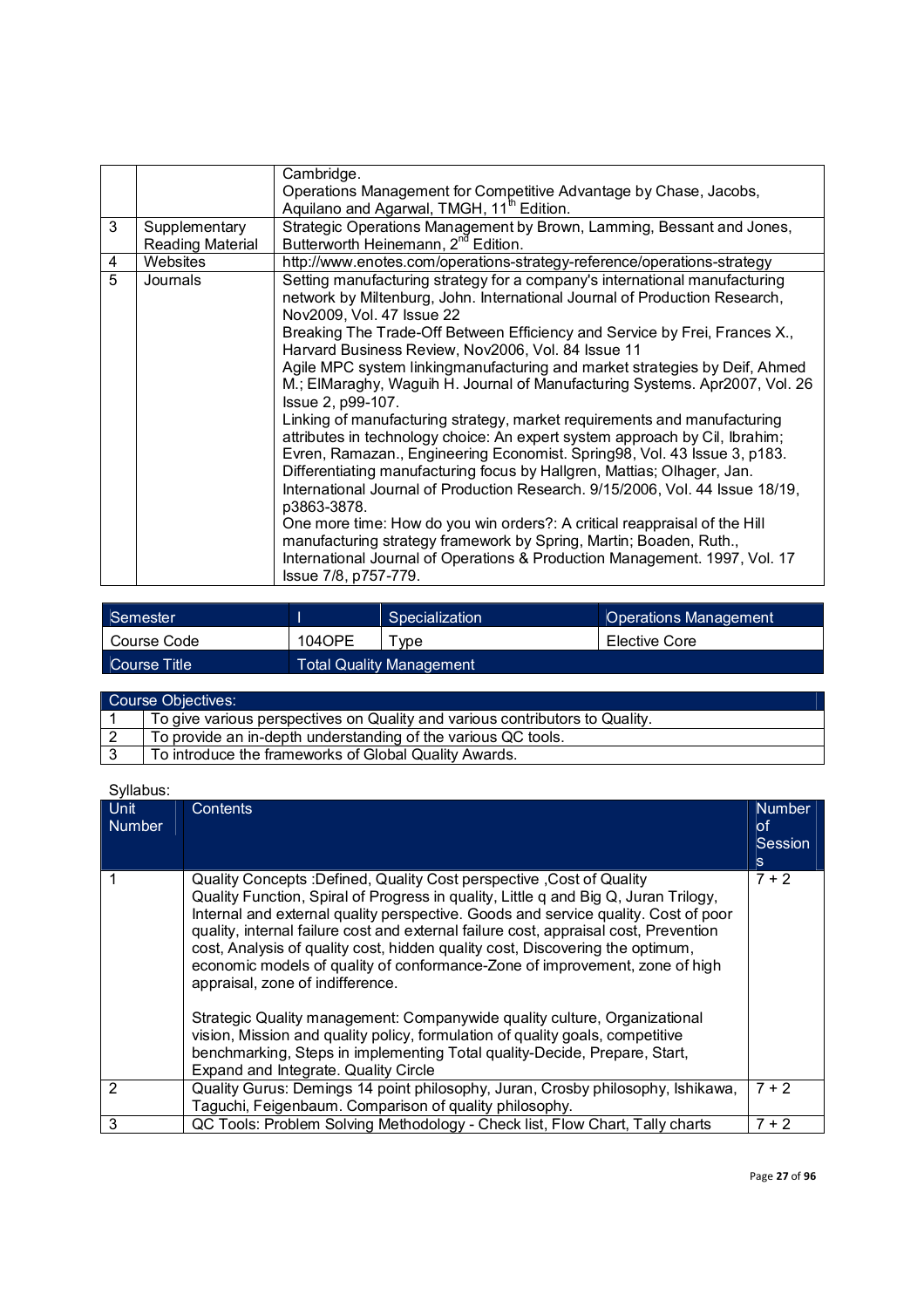| 3              | Supplementary    | Cambridge.<br>Operations Management for Competitive Advantage by Chase, Jacobs,<br>Aquilano and Agarwal, TMGH, 11 <sup>th</sup> Edition.<br>Strategic Operations Management by Brown, Lamming, Bessant and Jones,                                                                                                                                                                                                                                                                                                                                                                                                                                                                                                                                                                                                                                                                                                                                                                                                                                                                                                                                                                      |
|----------------|------------------|----------------------------------------------------------------------------------------------------------------------------------------------------------------------------------------------------------------------------------------------------------------------------------------------------------------------------------------------------------------------------------------------------------------------------------------------------------------------------------------------------------------------------------------------------------------------------------------------------------------------------------------------------------------------------------------------------------------------------------------------------------------------------------------------------------------------------------------------------------------------------------------------------------------------------------------------------------------------------------------------------------------------------------------------------------------------------------------------------------------------------------------------------------------------------------------|
|                | Reading Material | Butterworth Heinemann, 2 <sup>nd</sup> Edition.                                                                                                                                                                                                                                                                                                                                                                                                                                                                                                                                                                                                                                                                                                                                                                                                                                                                                                                                                                                                                                                                                                                                        |
| 4              | Websites         | http://www.enotes.com/operations-strategy-reference/operations-strategy                                                                                                                                                                                                                                                                                                                                                                                                                                                                                                                                                                                                                                                                                                                                                                                                                                                                                                                                                                                                                                                                                                                |
| $\overline{5}$ | Journals         | Setting manufacturing strategy for a company's international manufacturing<br>network by Miltenburg, John. International Journal of Production Research,<br>Nov2009, Vol. 47 Issue 22<br>Breaking The Trade-Off Between Efficiency and Service by Frei, Frances X.,<br>Harvard Business Review, Nov2006, Vol. 84 Issue 11<br>Agile MPC system linkingmanufacturing and market strategies by Deif, Ahmed<br>M.; ElMaraghy, Waguih H. Journal of Manufacturing Systems. Apr2007, Vol. 26<br>Issue 2, p99-107.<br>Linking of manufacturing strategy, market requirements and manufacturing<br>attributes in technology choice: An expert system approach by Cil, Ibrahim;<br>Evren, Ramazan., Engineering Economist. Spring98, Vol. 43 Issue 3, p183.<br>Differentiating manufacturing focus by Hallgren, Mattias; Olhager, Jan.<br>International Journal of Production Research. 9/15/2006, Vol. 44 Issue 18/19,<br>p3863-3878.<br>One more time: How do you win orders?: A critical reappraisal of the Hill<br>manufacturing strategy framework by Spring, Martin; Boaden, Ruth.,<br>International Journal of Operations & Production Management. 1997, Vol. 17<br>Issue 7/8, p757-779. |

| Semester     |        | Specialization                  | <b>Operations Management</b> |
|--------------|--------|---------------------------------|------------------------------|
| Course Code  | 104OPE | vpe                             | Elective Core                |
| Course Title |        | <b>Total Quality Management</b> |                              |

| Course Objectives: |                                                                              |  |  |
|--------------------|------------------------------------------------------------------------------|--|--|
|                    | To give various perspectives on Quality and various contributors to Quality. |  |  |
| $\sqrt{2}$         | To provide an in-depth understanding of the various QC tools.                |  |  |
|                    | To introduce the frameworks of Global Quality Awards.                        |  |  |

| Syllabus:                    |                                                                                                                                                                                                                                                                                                                                                                                                                                                                                                                                                                                                                                                                                                                                                                                                                                   |                                             |
|------------------------------|-----------------------------------------------------------------------------------------------------------------------------------------------------------------------------------------------------------------------------------------------------------------------------------------------------------------------------------------------------------------------------------------------------------------------------------------------------------------------------------------------------------------------------------------------------------------------------------------------------------------------------------------------------------------------------------------------------------------------------------------------------------------------------------------------------------------------------------|---------------------------------------------|
| <b>Unit</b><br><b>Number</b> | <b>Contents</b>                                                                                                                                                                                                                                                                                                                                                                                                                                                                                                                                                                                                                                                                                                                                                                                                                   | <b>Number</b><br>οf<br><b>Session</b><br>s. |
|                              | Quality Concepts : Defined, Quality Cost perspective, Cost of Quality<br>Quality Function, Spiral of Progress in quality, Little q and Big Q, Juran Trilogy,<br>Internal and external quality perspective. Goods and service quality. Cost of poor<br>quality, internal failure cost and external failure cost, appraisal cost, Prevention<br>cost, Analysis of quality cost, hidden quality cost, Discovering the optimum,<br>economic models of quality of conformance-Zone of improvement, zone of high<br>appraisal, zone of indifference.<br>Strategic Quality management: Companywide quality culture, Organizational<br>vision, Mission and quality policy, formulation of quality goals, competitive<br>benchmarking, Steps in implementing Total quality-Decide, Prepare, Start,<br>Expand and Integrate. Quality Circle | $7 + 2$                                     |
| 2                            | Quality Gurus: Demings 14 point philosophy, Juran, Crosby philosophy, Ishikawa,<br>Taguchi, Feigenbaum. Comparison of quality philosophy.                                                                                                                                                                                                                                                                                                                                                                                                                                                                                                                                                                                                                                                                                         | $7 + 2$                                     |
| 3                            | QC Tools: Problem Solving Methodology - Check list, Flow Chart, Tally charts                                                                                                                                                                                                                                                                                                                                                                                                                                                                                                                                                                                                                                                                                                                                                      | $7 + 2$                                     |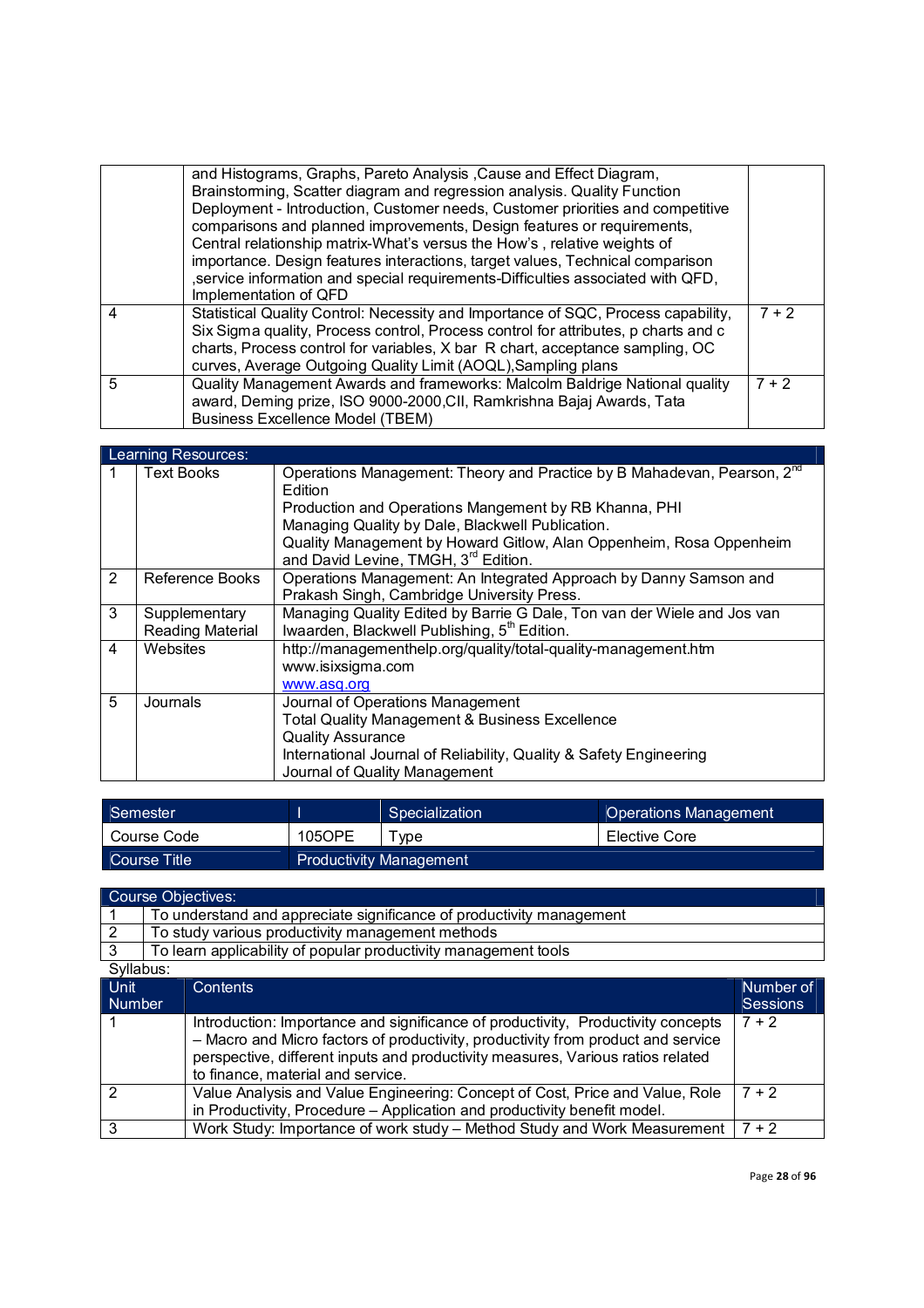|                | and Histograms, Graphs, Pareto Analysis, Cause and Effect Diagram,<br>Brainstorming, Scatter diagram and regression analysis. Quality Function<br>Deployment - Introduction, Customer needs, Customer priorities and competitive<br>comparisons and planned improvements, Design features or requirements,<br>Central relationship matrix-What's versus the How's, relative weights of<br>importance. Design features interactions, target values, Technical comparison<br>, service information and special requirements-Difficulties associated with QFD,<br>Implementation of QFD |         |
|----------------|--------------------------------------------------------------------------------------------------------------------------------------------------------------------------------------------------------------------------------------------------------------------------------------------------------------------------------------------------------------------------------------------------------------------------------------------------------------------------------------------------------------------------------------------------------------------------------------|---------|
| $\overline{4}$ | Statistical Quality Control: Necessity and Importance of SQC, Process capability,<br>Six Sigma quality, Process control, Process control for attributes, p charts and c<br>charts, Process control for variables, X bar R chart, acceptance sampling, OC<br>curves, Average Outgoing Quality Limit (AOQL), Sampling plans                                                                                                                                                                                                                                                            | $7 + 2$ |
| 5              | Quality Management Awards and frameworks: Malcolm Baldrige National quality<br>award, Deming prize, ISO 9000-2000, CII, Ramkrishna Bajaj Awards, Tata<br><b>Business Excellence Model (TBEM)</b>                                                                                                                                                                                                                                                                                                                                                                                     | $7 + 2$ |

|   | Learning Resources:               |                                                                                                                                                                                                                                                                                                                                        |  |  |
|---|-----------------------------------|----------------------------------------------------------------------------------------------------------------------------------------------------------------------------------------------------------------------------------------------------------------------------------------------------------------------------------------|--|--|
| 1 | <b>Text Books</b>                 | Operations Management: Theory and Practice by B Mahadevan, Pearson, 2 <sup>nd</sup><br>Edition<br>Production and Operations Mangement by RB Khanna, PHI<br>Managing Quality by Dale, Blackwell Publication.<br>Quality Management by Howard Gitlow, Alan Oppenheim, Rosa Oppenheim<br>and David Levine, TMGH, 3 <sup>rd</sup> Edition. |  |  |
| 2 | Reference Books                   | Operations Management: An Integrated Approach by Danny Samson and<br>Prakash Singh, Cambridge University Press.                                                                                                                                                                                                                        |  |  |
| 3 | Supplementary<br>Reading Material | Managing Quality Edited by Barrie G Dale, Ton van der Wiele and Jos van<br>Iwaarden, Blackwell Publishing, 5 <sup>th</sup> Edition.                                                                                                                                                                                                    |  |  |
| 4 | Websites                          | http://managementhelp.org/quality/total-quality-management.htm<br>www.isixsigma.com<br>www.asg.org                                                                                                                                                                                                                                     |  |  |
| 5 | Journals                          | Journal of Operations Management<br><b>Total Quality Management &amp; Business Excellence</b><br><b>Quality Assurance</b><br>International Journal of Reliability, Quality & Safety Engineering<br>Journal of Quality Management                                                                                                       |  |  |

| Semester<br>Specialization |        |                                | <b>Operations Management</b> |
|----------------------------|--------|--------------------------------|------------------------------|
| Course Code                | 105OPE | ™vpe                           | Elective Core                |
| Course Title               |        | <b>Productivity Management</b> |                              |

# Course Objectives:

|               | To understand and appreciate significance of productivity management |                                                                                                                                                                                                                                                                                              |                 |  |  |
|---------------|----------------------------------------------------------------------|----------------------------------------------------------------------------------------------------------------------------------------------------------------------------------------------------------------------------------------------------------------------------------------------|-----------------|--|--|
| $\mathcal{P}$ |                                                                      | To study various productivity management methods                                                                                                                                                                                                                                             |                 |  |  |
| 3             |                                                                      | To learn applicability of popular productivity management tools                                                                                                                                                                                                                              |                 |  |  |
| Syllabus:     |                                                                      |                                                                                                                                                                                                                                                                                              |                 |  |  |
| <b>Unit</b>   |                                                                      | Contents                                                                                                                                                                                                                                                                                     | Number of       |  |  |
| <b>Number</b> |                                                                      |                                                                                                                                                                                                                                                                                              | <b>Sessions</b> |  |  |
|               |                                                                      | Introduction: Importance and significance of productivity, Productivity concepts<br>- Macro and Micro factors of productivity, productivity from product and service<br>perspective, different inputs and productivity measures, Various ratios related<br>to finance, material and service. | $7 + 2$         |  |  |
|               |                                                                      | Value Analysis and Value Engineering: Concept of Cost, Price and Value, Role<br>in Productivity, Procedure – Application and productivity benefit model.                                                                                                                                     | $7 + 2$         |  |  |
| 3             |                                                                      | Work Study: Importance of work study – Method Study and Work Measurement                                                                                                                                                                                                                     | $7 + 2$         |  |  |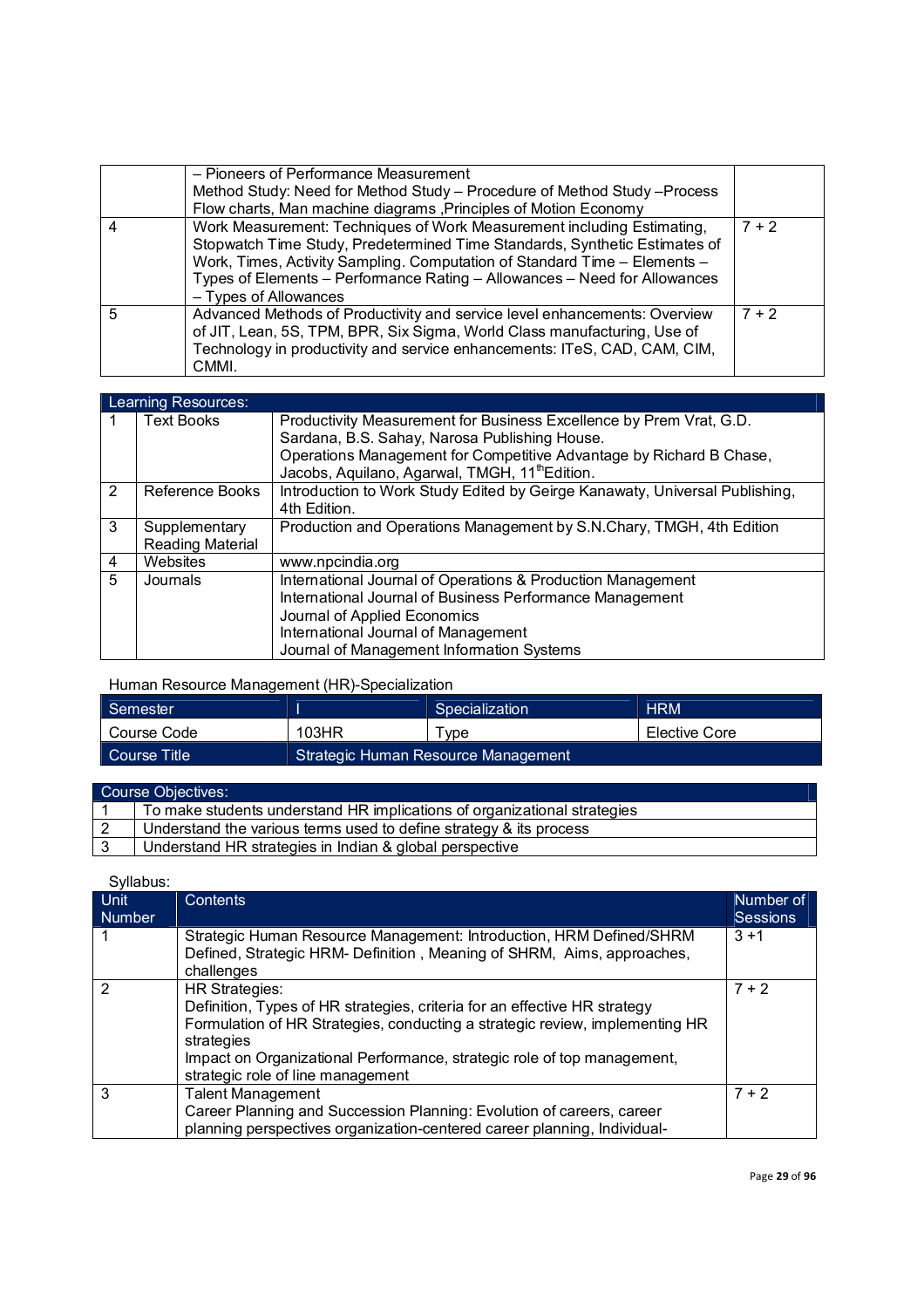|   | - Pioneers of Performance Measurement<br>Method Study: Need for Method Study - Procedure of Method Study - Process<br>Flow charts, Man machine diagrams, Principles of Motion Economy                                                                                                                                                   |         |
|---|-----------------------------------------------------------------------------------------------------------------------------------------------------------------------------------------------------------------------------------------------------------------------------------------------------------------------------------------|---------|
| 4 | Work Measurement: Techniques of Work Measurement including Estimating,<br>Stopwatch Time Study, Predetermined Time Standards, Synthetic Estimates of<br>Work, Times, Activity Sampling. Computation of Standard Time - Elements -<br>Types of Elements - Performance Rating - Allowances - Need for Allowances<br>- Types of Allowances | $7 + 2$ |
| 5 | Advanced Methods of Productivity and service level enhancements: Overview<br>of JIT, Lean, 5S, TPM, BPR, Six Sigma, World Class manufacturing, Use of<br>Technology in productivity and service enhancements: ITeS, CAD, CAM, CIM,<br>CMMI.                                                                                             | $7 + 2$ |

|                | Learning Resources:                      |                                                                                                                                                                                                                                                           |  |  |
|----------------|------------------------------------------|-----------------------------------------------------------------------------------------------------------------------------------------------------------------------------------------------------------------------------------------------------------|--|--|
|                | <b>Text Books</b>                        | Productivity Measurement for Business Excellence by Prem Vrat, G.D.<br>Sardana, B.S. Sahay, Narosa Publishing House.<br>Operations Management for Competitive Advantage by Richard B Chase,<br>Jacobs, Aquilano, Agarwal, TMGH, 11 <sup>th</sup> Edition. |  |  |
| $\mathcal{P}$  | Reference Books                          | Introduction to Work Study Edited by Geirge Kanawaty, Universal Publishing,<br>4th Edition.                                                                                                                                                               |  |  |
| 3              | Supplementary<br><b>Reading Material</b> | Production and Operations Management by S.N.Chary, TMGH, 4th Edition                                                                                                                                                                                      |  |  |
| $\overline{4}$ | Websites                                 | www.npcindia.org                                                                                                                                                                                                                                          |  |  |
| $\overline{5}$ | Journals                                 | International Journal of Operations & Production Management<br>International Journal of Business Performance Management<br>Journal of Applied Economics<br>International Journal of Management<br>Journal of Management Information Systems               |  |  |

Human Resource Management (HR)-Specialization

| Semester                                            |       | Specialization | <b>HRM</b>    |
|-----------------------------------------------------|-------|----------------|---------------|
| Course Code                                         | 103HR | $\tau$ vpe     | Elective Core |
| Strategic Human Resource Management<br>Course Title |       |                |               |

| Course Objectives: |                                                                          |  |  |
|--------------------|--------------------------------------------------------------------------|--|--|
|                    | To make students understand HR implications of organizational strategies |  |  |
|                    | Understand the various terms used to define strategy & its process       |  |  |
|                    | Understand HR strategies in Indian & global perspective                  |  |  |

| <b>Unit</b><br><b>Number</b> | Contents                                                                                                                                                                                                                                                                                                         | Number of<br><b>Sessions</b> |
|------------------------------|------------------------------------------------------------------------------------------------------------------------------------------------------------------------------------------------------------------------------------------------------------------------------------------------------------------|------------------------------|
|                              | Strategic Human Resource Management: Introduction, HRM Defined/SHRM<br>Defined, Strategic HRM- Definition, Meaning of SHRM, Aims, approaches,<br>challenges                                                                                                                                                      | $3 + 1$                      |
|                              | <b>HR Strategies:</b><br>Definition, Types of HR strategies, criteria for an effective HR strategy<br>Formulation of HR Strategies, conducting a strategic review, implementing HR<br>strategies<br>Impact on Organizational Performance, strategic role of top management,<br>strategic role of line management | $7 + 2$                      |
| 3                            | <b>Talent Management</b><br>Career Planning and Succession Planning: Evolution of careers, career<br>planning perspectives organization-centered career planning, Individual-                                                                                                                                    | $7 + 2$                      |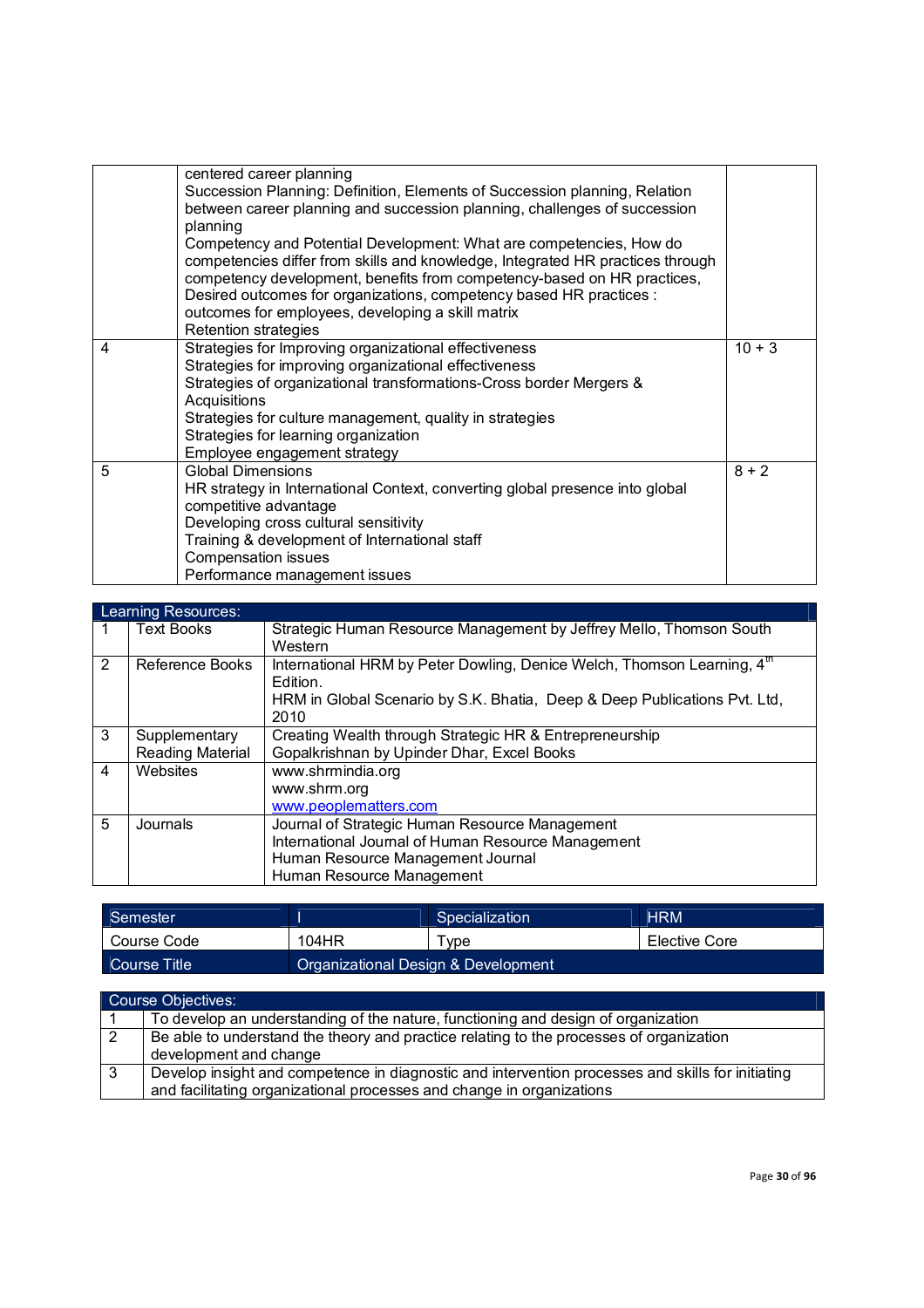|   | centered career planning<br>Succession Planning: Definition, Elements of Succession planning, Relation<br>between career planning and succession planning, challenges of succession<br>planning<br>Competency and Potential Development: What are competencies, How do<br>competencies differ from skills and knowledge, Integrated HR practices through<br>competency development, benefits from competency-based on HR practices,<br>Desired outcomes for organizations, competency based HR practices :<br>outcomes for employees, developing a skill matrix<br><b>Retention strategies</b> |          |
|---|------------------------------------------------------------------------------------------------------------------------------------------------------------------------------------------------------------------------------------------------------------------------------------------------------------------------------------------------------------------------------------------------------------------------------------------------------------------------------------------------------------------------------------------------------------------------------------------------|----------|
| 4 | Strategies for Improving organizational effectiveness<br>Strategies for improving organizational effectiveness<br>Strategies of organizational transformations-Cross border Mergers &<br>Acquisitions<br>Strategies for culture management, quality in strategies<br>Strategies for learning organization<br>Employee engagement strategy                                                                                                                                                                                                                                                      | $10 + 3$ |
| 5 | <b>Global Dimensions</b><br>HR strategy in International Context, converting global presence into global<br>competitive advantage<br>Developing cross cultural sensitivity<br>Training & development of International staff<br><b>Compensation issues</b><br>Performance management issues                                                                                                                                                                                                                                                                                                     | $8 + 2$  |

|   | Learning Resources:                      |                                                                                                                                                                                      |  |  |
|---|------------------------------------------|--------------------------------------------------------------------------------------------------------------------------------------------------------------------------------------|--|--|
|   | <b>Text Books</b>                        | Strategic Human Resource Management by Jeffrey Mello, Thomson South<br>Western                                                                                                       |  |  |
| 2 | Reference Books                          | International HRM by Peter Dowling, Denice Welch, Thomson Learning, 4 <sup>th</sup><br>Edition.<br>HRM in Global Scenario by S.K. Bhatia, Deep & Deep Publications Pvt. Ltd,<br>2010 |  |  |
| 3 | Supplementary<br><b>Reading Material</b> | Creating Wealth through Strategic HR & Entrepreneurship<br>Gopalkrishnan by Upinder Dhar, Excel Books                                                                                |  |  |
| 4 | Websites                                 | www.shrmindia.org<br>www.shrm.org<br>www.peoplematters.com                                                                                                                           |  |  |
| 5 | Journals                                 | Journal of Strategic Human Resource Management<br>International Journal of Human Resource Management<br>Human Resource Management Journal<br>Human Resource Management               |  |  |

| Semester     |                                     | Specialization | <b>HRM</b>    |
|--------------|-------------------------------------|----------------|---------------|
| Course Code  | 104HR                               | $\tau$ vpe     | Elective Core |
| Course Title | Organizational Design & Development |                |               |

|   | Course Objectives:                                                                                                |
|---|-------------------------------------------------------------------------------------------------------------------|
|   | To develop an understanding of the nature, functioning and design of organization                                 |
|   | Be able to understand the theory and practice relating to the processes of organization<br>development and change |
| 3 | Develop insight and competence in diagnostic and intervention processes and skills for initiating                 |
|   | and facilitating organizational processes and change in organizations                                             |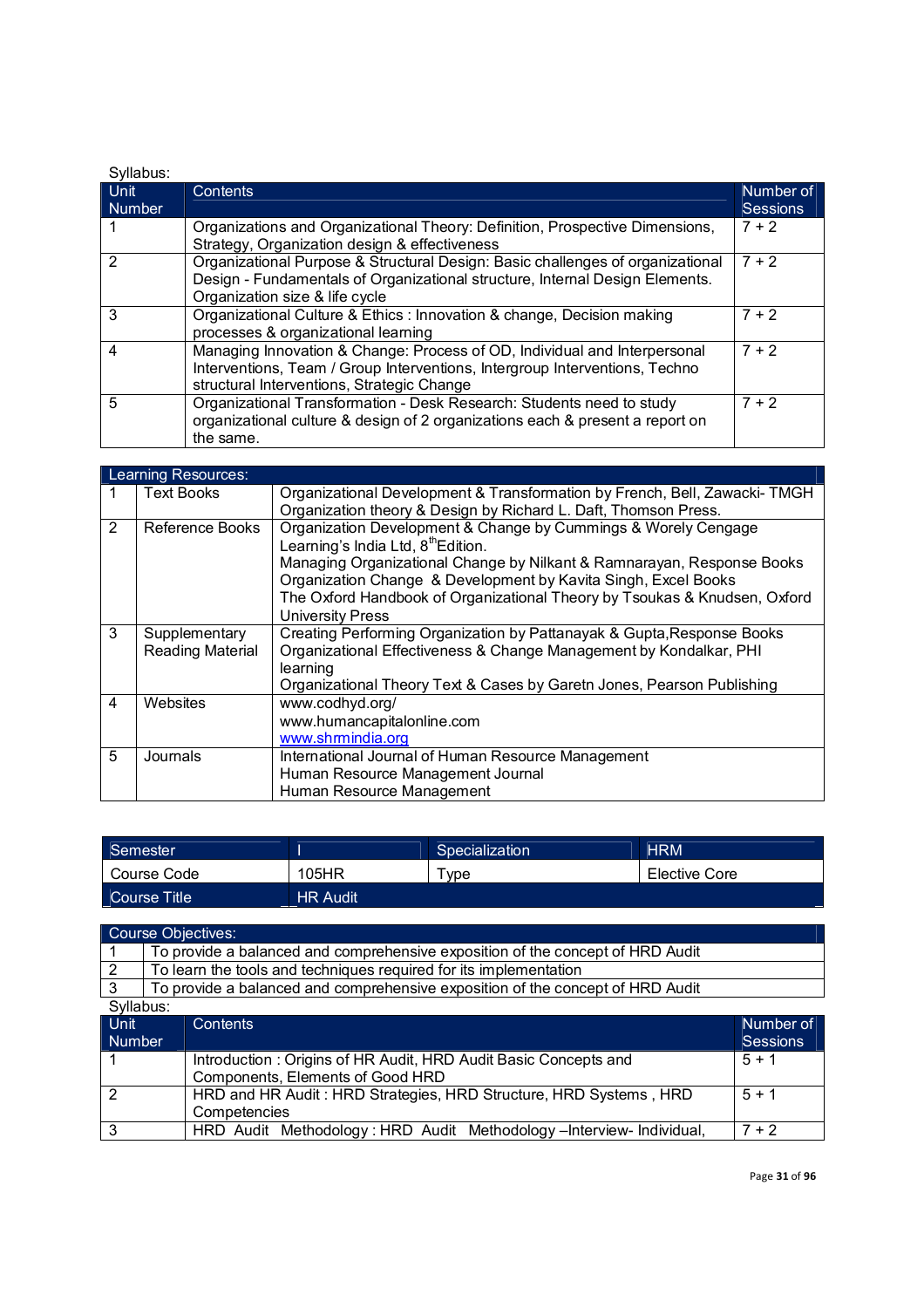| Syllabus:             |                                                                                                                                                                                                        |                              |  |
|-----------------------|--------------------------------------------------------------------------------------------------------------------------------------------------------------------------------------------------------|------------------------------|--|
| Unit<br><b>Number</b> | Contents                                                                                                                                                                                               | Number of<br><b>Sessions</b> |  |
|                       | Organizations and Organizational Theory: Definition, Prospective Dimensions,<br>Strategy, Organization design & effectiveness                                                                          | $7 + 2$                      |  |
|                       | Organizational Purpose & Structural Design: Basic challenges of organizational<br>Design - Fundamentals of Organizational structure, Internal Design Elements.<br>Organization size & life cycle       | $7 + 2$                      |  |
| 3                     | Organizational Culture & Ethics : Innovation & change, Decision making<br>processes & organizational learning                                                                                          | $7 + 2$                      |  |
| 4                     | Managing Innovation & Change: Process of OD, Individual and Interpersonal<br>Interventions, Team / Group Interventions, Intergroup Interventions, Techno<br>structural Interventions, Strategic Change | $7 + 2$                      |  |
| 5                     | Organizational Transformation - Desk Research: Students need to study<br>organizational culture & design of 2 organizations each & present a report on<br>the same.                                    | $7 + 2$                      |  |

|                | Learning Resources:                      |                                                                                                                                                                                                                                                                                                                                                                      |
|----------------|------------------------------------------|----------------------------------------------------------------------------------------------------------------------------------------------------------------------------------------------------------------------------------------------------------------------------------------------------------------------------------------------------------------------|
| 1              | <b>Text Books</b>                        | Organizational Development & Transformation by French, Bell, Zawacki-TMGH<br>Organization theory & Design by Richard L. Daft, Thomson Press.                                                                                                                                                                                                                         |
| 2              | Reference Books                          | Organization Development & Change by Cummings & Worely Cengage<br>Learning's India Ltd, 8 <sup>th</sup> Edition.<br>Managing Organizational Change by Nilkant & Ramnarayan, Response Books<br>Organization Change & Development by Kavita Singh, Excel Books<br>The Oxford Handbook of Organizational Theory by Tsoukas & Knudsen, Oxford<br><b>University Press</b> |
| 3              | Supplementary<br><b>Reading Material</b> | Creating Performing Organization by Pattanayak & Gupta, Response Books<br>Organizational Effectiveness & Change Management by Kondalkar, PHI<br>learning<br>Organizational Theory Text & Cases by Garetn Jones, Pearson Publishing                                                                                                                                   |
| $\overline{4}$ | Websites                                 | www.codhyd.org/<br>www.humancapitalonline.com<br>www.shrmindia.org                                                                                                                                                                                                                                                                                                   |
| 5              | Journals                                 | International Journal of Human Resource Management<br>Human Resource Management Journal<br>Human Resource Management                                                                                                                                                                                                                                                 |

| Semester     |                 | <b>Specialization</b> | <b>HRM</b>    |
|--------------|-----------------|-----------------------|---------------|
| Course Code  | 105HR           | ™vpe                  | Elective Core |
| Course Title | <b>HR Audit</b> |                       |               |

| Course Objectives:    |                                                                                |  |  |
|-----------------------|--------------------------------------------------------------------------------|--|--|
|                       | To provide a balanced and comprehensive exposition of the concept of HRD Audit |  |  |
|                       | To learn the tools and techniques required for its implementation              |  |  |
|                       | To provide a balanced and comprehensive exposition of the concept of HRD Audit |  |  |
| Syllahue <sup>.</sup> |                                                                                |  |  |

| Syllabus:      |                                                                    |                 |
|----------------|--------------------------------------------------------------------|-----------------|
| <b>Unit</b>    | <b>Contents</b>                                                    | Number of       |
| Number         |                                                                    | <b>Sessions</b> |
|                | Introduction: Origins of HR Audit, HRD Audit Basic Concepts and    | $5 + 1$         |
|                | Components, Elements of Good HRD                                   |                 |
| $\overline{2}$ | HRD and HR Audit: HRD Strategies, HRD Structure, HRD Systems, HRD  | $5 + 1$         |
|                | Competencies                                                       |                 |
| - 3            | HRD Audit Methodology: HRD Audit Methodology-Interview-Individual, | 7 + 2           |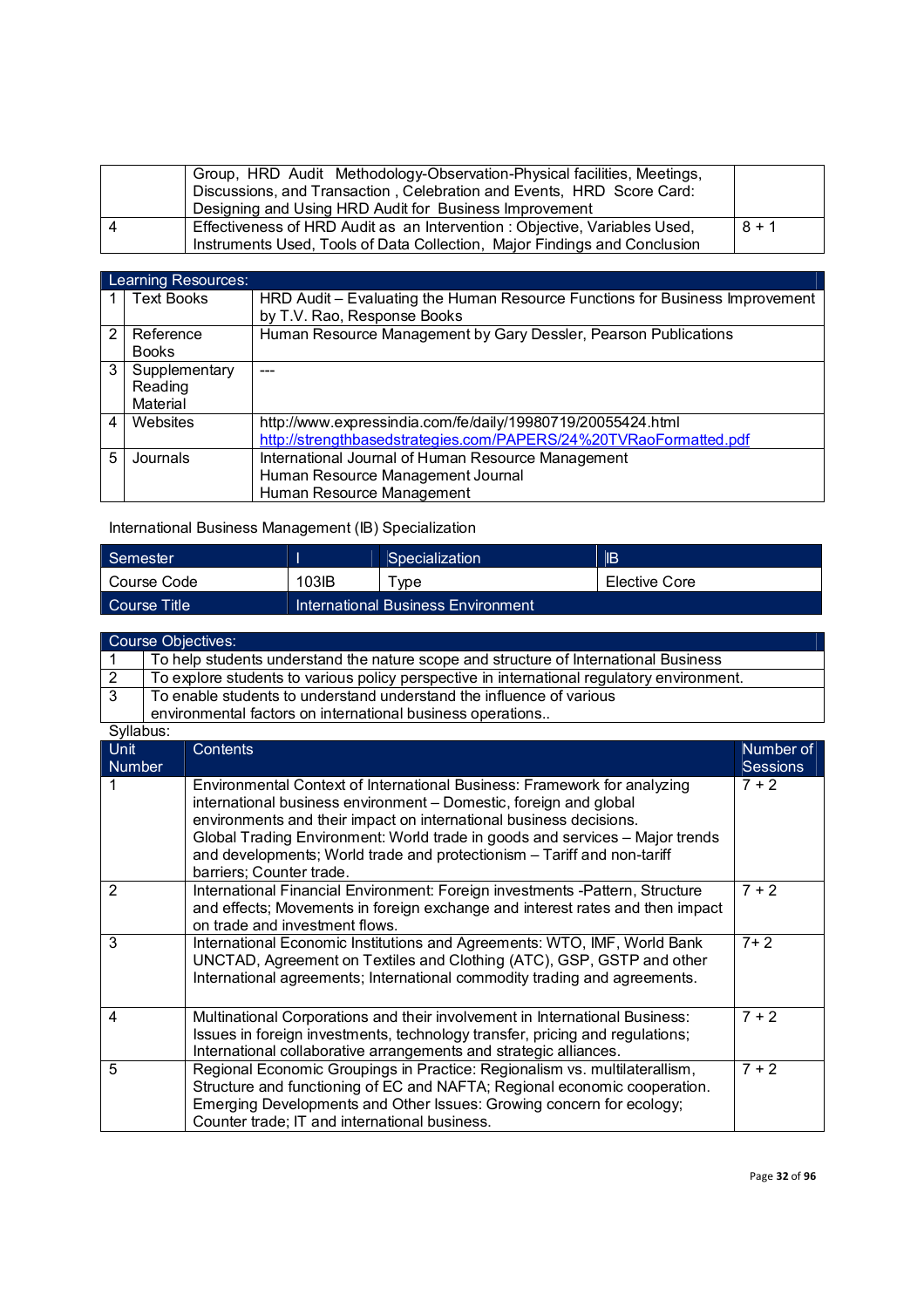| Group, HRD Audit Methodology-Observation-Physical facilities, Meetings,<br>Discussions, and Transaction, Celebration and Events, HRD Score Card:<br>Designing and Using HRD Audit for Business Improvement |         |
|------------------------------------------------------------------------------------------------------------------------------------------------------------------------------------------------------------|---------|
| Effectiveness of HRD Audit as an Intervention : Objective, Variables Used,                                                                                                                                 | $8 + 1$ |
| Instruments Used, Tools of Data Collection, Major Findings and Conclusion                                                                                                                                  |         |

|               | <b>Learning Resources:</b> |                                                                              |
|---------------|----------------------------|------------------------------------------------------------------------------|
|               | <b>Text Books</b>          | HRD Audit – Evaluating the Human Resource Functions for Business Improvement |
|               |                            | by T.V. Rao, Response Books                                                  |
| $\mathcal{P}$ | Reference                  | Human Resource Management by Gary Dessler, Pearson Publications              |
|               | <b>Books</b>               |                                                                              |
| 3             | Supplementary              |                                                                              |
|               | Reading                    |                                                                              |
|               | Material                   |                                                                              |
| 4             | Websites                   | http://www.expressindia.com/fe/daily/19980719/20055424.html                  |
|               |                            | http://strengthbasedstrategies.com/PAPERS/24%20TVRaoFormatted.pdf            |
| 5             | Journals                   | International Journal of Human Resource Management                           |
|               |                            | Human Resource Management Journal                                            |
|               |                            | Human Resource Management                                                    |

International Business Management (IB) Specialization

| Semester      |                                    | Specialization | <b>IB</b>     |
|---------------|------------------------------------|----------------|---------------|
| l Course Code | 103IB                              | vpe            | Elective Core |
| Course Title  | International Business Environment |                |               |

| Course Objectives:                                                                         |  |  |
|--------------------------------------------------------------------------------------------|--|--|
| To help students understand the nature scope and structure of International Business       |  |  |
| To explore students to various policy perspective in international regulatory environment. |  |  |
| To enable students to understand understand the influence of various                       |  |  |
| environmental factors on international business operations                                 |  |  |

|        | vı |
|--------|----|
| בו<br> |    |

| <b>Unit</b><br><b>Number</b> | <b>Contents</b>                                                                                                                                                                                                                                                                                                                                                                                            | Number of<br><b>Sessions</b> |
|------------------------------|------------------------------------------------------------------------------------------------------------------------------------------------------------------------------------------------------------------------------------------------------------------------------------------------------------------------------------------------------------------------------------------------------------|------------------------------|
|                              | Environmental Context of International Business: Framework for analyzing<br>international business environment - Domestic, foreign and global<br>environments and their impact on international business decisions.<br>Global Trading Environment: World trade in goods and services - Major trends<br>and developments; World trade and protectionism - Tariff and non-tariff<br>barriers; Counter trade. | $7 + 2$                      |
| 2                            | International Financial Environment: Foreign investments -Pattern, Structure<br>and effects; Movements in foreign exchange and interest rates and then impact<br>on trade and investment flows.                                                                                                                                                                                                            | $7 + 2$                      |
| 3                            | International Economic Institutions and Agreements: WTO, IMF, World Bank<br>UNCTAD, Agreement on Textiles and Clothing (ATC), GSP, GSTP and other<br>International agreements; International commodity trading and agreements.                                                                                                                                                                             | $7 + 2$                      |
| 4                            | Multinational Corporations and their involvement in International Business:<br>Issues in foreign investments, technology transfer, pricing and regulations;<br>International collaborative arrangements and strategic alliances.                                                                                                                                                                           | $7 + 2$                      |
| 5                            | Regional Economic Groupings in Practice: Regionalism vs. multilaterallism,<br>Structure and functioning of EC and NAFTA; Regional economic cooperation.<br>Emerging Developments and Other Issues: Growing concern for ecology;<br>Counter trade; IT and international business.                                                                                                                           | $7 + 2$                      |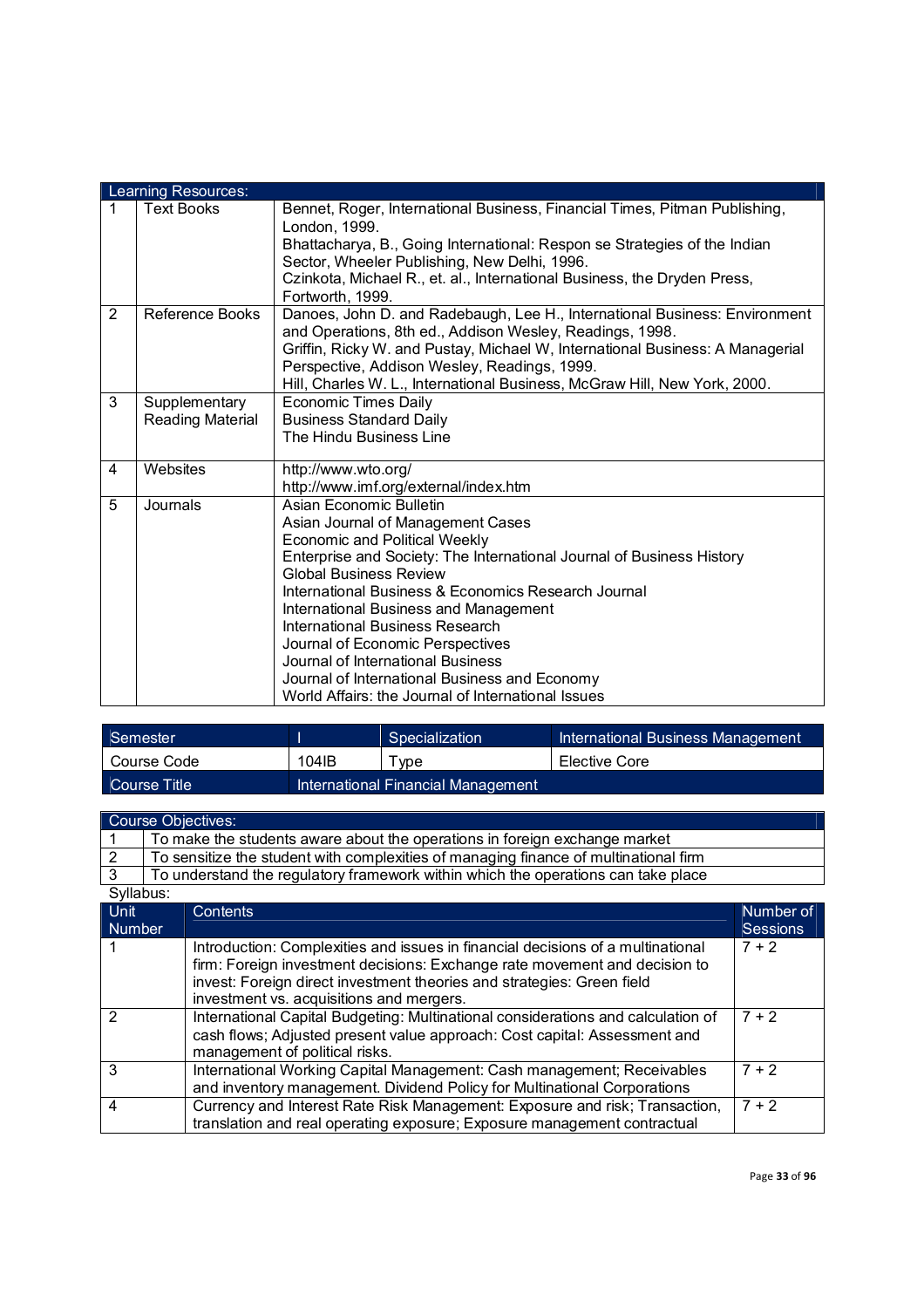|   | Learning Resources:    |                                                                                                                                        |  |  |  |  |
|---|------------------------|----------------------------------------------------------------------------------------------------------------------------------------|--|--|--|--|
| 1 | <b>Text Books</b>      | Bennet, Roger, International Business, Financial Times, Pitman Publishing,<br>London, 1999.                                            |  |  |  |  |
|   |                        | Bhattacharya, B., Going International: Respon se Strategies of the Indian<br>Sector, Wheeler Publishing, New Delhi, 1996.              |  |  |  |  |
|   |                        | Czinkota, Michael R., et. al., International Business, the Dryden Press,<br>Fortworth, 1999.                                           |  |  |  |  |
| 2 | <b>Reference Books</b> | Danoes, John D. and Radebaugh, Lee H., International Business: Environment<br>and Operations, 8th ed., Addison Wesley, Readings, 1998. |  |  |  |  |
|   |                        | Griffin, Ricky W. and Pustay, Michael W, International Business: A Managerial<br>Perspective, Addison Wesley, Readings, 1999.          |  |  |  |  |
|   |                        | Hill, Charles W. L., International Business, McGraw Hill, New York, 2000.                                                              |  |  |  |  |
| 3 | Supplementary          | Economic Times Daily                                                                                                                   |  |  |  |  |
|   | Reading Material       | <b>Business Standard Daily</b>                                                                                                         |  |  |  |  |
|   |                        | The Hindu Business Line                                                                                                                |  |  |  |  |
| 4 | Websites               | http://www.wto.org/                                                                                                                    |  |  |  |  |
|   |                        | http://www.imf.org/external/index.htm                                                                                                  |  |  |  |  |
| 5 | Journals               | Asian Economic Bulletin                                                                                                                |  |  |  |  |
|   |                        | Asian Journal of Management Cases                                                                                                      |  |  |  |  |
|   |                        | Economic and Political Weekly                                                                                                          |  |  |  |  |
|   |                        | Enterprise and Society: The International Journal of Business History<br><b>Global Business Review</b>                                 |  |  |  |  |
|   |                        | International Business & Economics Research Journal                                                                                    |  |  |  |  |
|   |                        | International Business and Management                                                                                                  |  |  |  |  |
|   |                        | International Business Research                                                                                                        |  |  |  |  |
|   |                        | Journal of Economic Perspectives                                                                                                       |  |  |  |  |
|   |                        | Journal of International Business                                                                                                      |  |  |  |  |
|   |                        | Journal of International Business and Economy                                                                                          |  |  |  |  |
|   |                        | World Affairs: the Journal of International Issues                                                                                     |  |  |  |  |

| Semester        |       | Specialization                     | International Business Management |
|-----------------|-------|------------------------------------|-----------------------------------|
| Course Code     | 104IB | Type                               | Elective Core                     |
| ∟Course Title ' |       | International Financial Management |                                   |

|               | <b>Course Objectives:</b>                                                                                                                                                                                                                                                           |                 |
|---------------|-------------------------------------------------------------------------------------------------------------------------------------------------------------------------------------------------------------------------------------------------------------------------------------|-----------------|
|               | To make the students aware about the operations in foreign exchange market                                                                                                                                                                                                          |                 |
| 2             | To sensitize the student with complexities of managing finance of multinational firm                                                                                                                                                                                                |                 |
| $\mathbf{3}$  | To understand the regulatory framework within which the operations can take place                                                                                                                                                                                                   |                 |
| Syllabus:     |                                                                                                                                                                                                                                                                                     |                 |
| Unit          | Contents                                                                                                                                                                                                                                                                            | Number of       |
| <b>Number</b> |                                                                                                                                                                                                                                                                                     | <b>Sessions</b> |
|               | Introduction: Complexities and issues in financial decisions of a multinational<br>firm: Foreign investment decisions: Exchange rate movement and decision to<br>invest: Foreign direct investment theories and strategies: Green field<br>investment vs. acquisitions and mergers. | $7 + 2$         |
| 2             | International Capital Budgeting: Multinational considerations and calculation of<br>cash flows; Adjusted present value approach: Cost capital: Assessment and<br>management of political risks.                                                                                     | $7 + 2$         |
| 3             | International Working Capital Management: Cash management; Receivables<br>and inventory management. Dividend Policy for Multinational Corporations                                                                                                                                  | $7 + 2$         |
| 4             | Currency and Interest Rate Risk Management: Exposure and risk; Transaction,<br>translation and real operating exposure; Exposure management contractual                                                                                                                             | $7 + 2$         |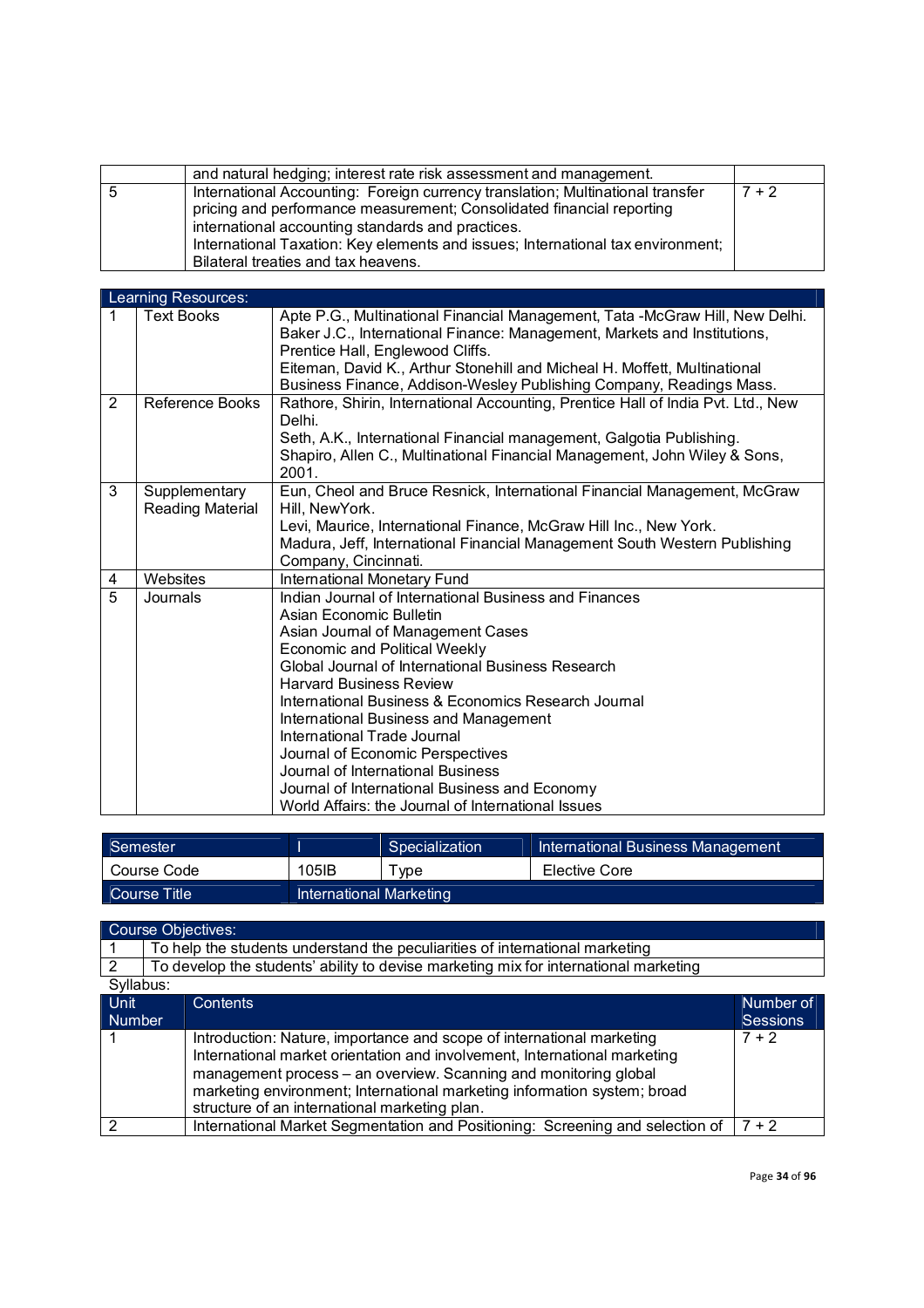| and natural hedging; interest rate risk assessment and management.                                                                                                                                                                                                                                                                     |         |
|----------------------------------------------------------------------------------------------------------------------------------------------------------------------------------------------------------------------------------------------------------------------------------------------------------------------------------------|---------|
| International Accounting: Foreign currency translation; Multinational transfer<br>pricing and performance measurement; Consolidated financial reporting<br>international accounting standards and practices.<br>International Taxation: Key elements and issues; International tax environment;<br>Bilateral treaties and tax heavens. | $7 + 2$ |

|                | Learning Resources:               |                                                                                                                                                                                                                                                                                                                                                                                                                                                                                                                                                                     |
|----------------|-----------------------------------|---------------------------------------------------------------------------------------------------------------------------------------------------------------------------------------------------------------------------------------------------------------------------------------------------------------------------------------------------------------------------------------------------------------------------------------------------------------------------------------------------------------------------------------------------------------------|
| 1              | Text Books                        | Apte P.G., Multinational Financial Management, Tata -McGraw Hill, New Delhi.<br>Baker J.C., International Finance: Management, Markets and Institutions,<br>Prentice Hall, Englewood Cliffs.<br>Eiteman, David K., Arthur Stonehill and Micheal H. Moffett, Multinational<br>Business Finance, Addison-Wesley Publishing Company, Readings Mass.                                                                                                                                                                                                                    |
| 2              | Reference Books                   | Rathore, Shirin, International Accounting, Prentice Hall of India Pvt. Ltd., New<br>Delhi.<br>Seth, A.K., International Financial management, Galgotia Publishing.<br>Shapiro, Allen C., Multinational Financial Management, John Wiley & Sons,<br>2001.                                                                                                                                                                                                                                                                                                            |
| 3              | Supplementary<br>Reading Material | Eun, Cheol and Bruce Resnick, International Financial Management, McGraw<br>Hill, NewYork.<br>Levi, Maurice, International Finance, McGraw Hill Inc., New York.<br>Madura, Jeff, International Financial Management South Western Publishing<br>Company, Cincinnati.                                                                                                                                                                                                                                                                                                |
| 4              | Websites                          | International Monetary Fund                                                                                                                                                                                                                                                                                                                                                                                                                                                                                                                                         |
| $\overline{5}$ | Journals                          | Indian Journal of International Business and Finances<br>Asian Economic Bulletin<br>Asian Journal of Management Cases<br><b>Economic and Political Weekly</b><br>Global Journal of International Business Research<br><b>Harvard Business Review</b><br>International Business & Economics Research Journal<br>International Business and Management<br>International Trade Journal<br>Journal of Economic Perspectives<br>Journal of International Business<br>Journal of International Business and Economy<br>World Affairs: the Journal of International Issues |

| Semester        |                         | Specialization | International Business Management |  |
|-----------------|-------------------------|----------------|-----------------------------------|--|
| Course Code     | 105IB                   | vpe            | Elective Core                     |  |
| LCourse Title ! | International Marketing |                |                                   |  |

# Course Objectives:

|             | To help the students understand the peculiarities of international marketing |                                                                                      |                 |
|-------------|------------------------------------------------------------------------------|--------------------------------------------------------------------------------------|-----------------|
|             |                                                                              | To develop the students' ability to devise marketing mix for international marketing |                 |
| Syllabus:   |                                                                              |                                                                                      |                 |
| <b>Unit</b> |                                                                              | <b>Contents</b>                                                                      | Number of       |
| Number      |                                                                              |                                                                                      | <b>Sessions</b> |
|             |                                                                              | Introduction: Nature, importance and scope of international marketing                | $7 + 2$         |
|             |                                                                              | International market orientation and involvement, International marketing            |                 |
|             |                                                                              | management process - an overview. Scanning and monitoring global                     |                 |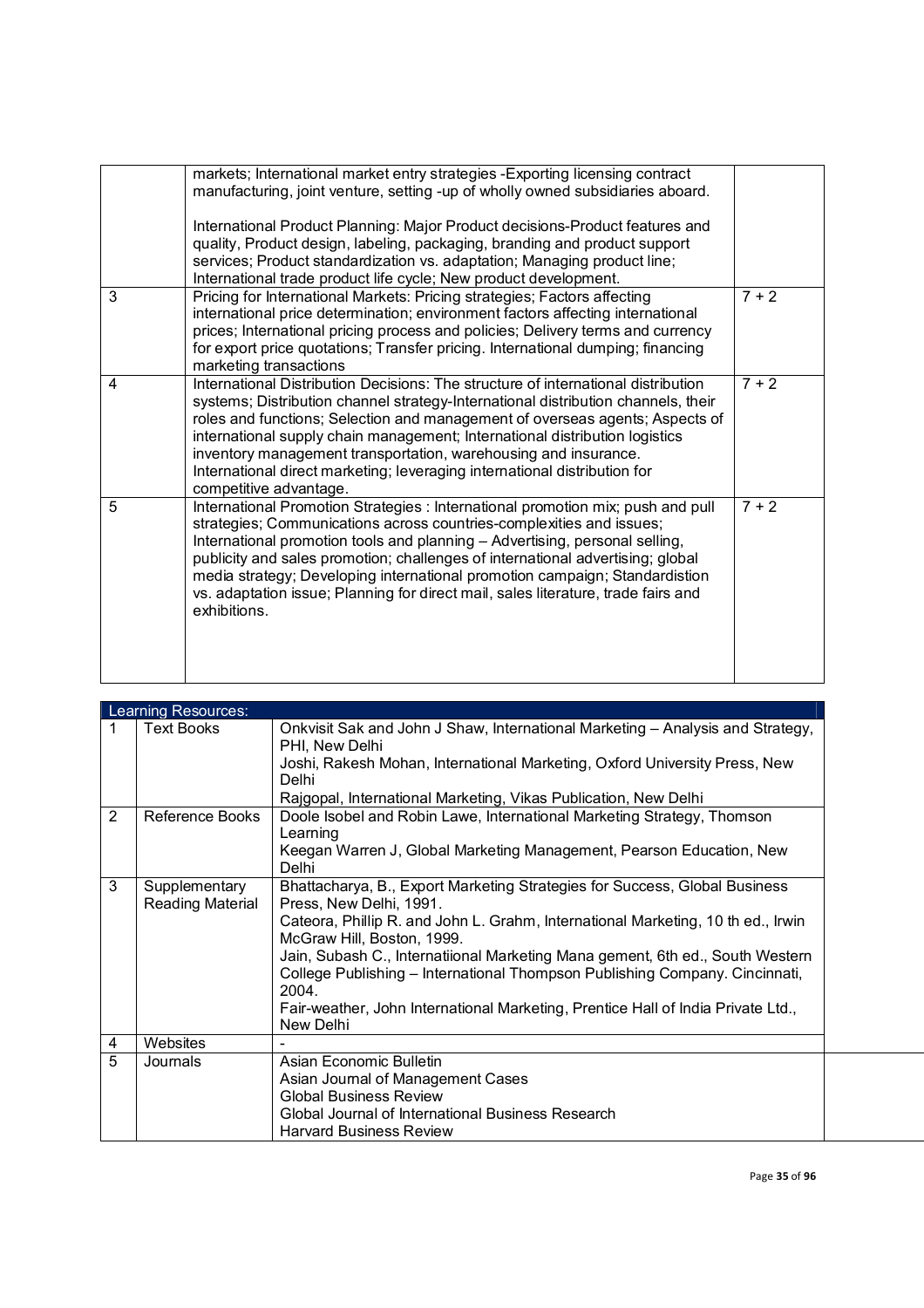| markets; International market entry strategies - Exporting licensing contract<br>manufacturing, joint venture, setting -up of wholly owned subsidiaries aboard.                                                                                                                                                                                                                                                                                                                                                 |         |
|-----------------------------------------------------------------------------------------------------------------------------------------------------------------------------------------------------------------------------------------------------------------------------------------------------------------------------------------------------------------------------------------------------------------------------------------------------------------------------------------------------------------|---------|
| International Product Planning: Major Product decisions-Product features and<br>quality, Product design, labeling, packaging, branding and product support<br>services; Product standardization vs. adaptation; Managing product line;<br>International trade product life cycle; New product development.                                                                                                                                                                                                      |         |
| Pricing for International Markets: Pricing strategies; Factors affecting<br>international price determination; environment factors affecting international<br>prices; International pricing process and policies; Delivery terms and currency<br>for export price quotations; Transfer pricing. International dumping; financing<br>marketing transactions                                                                                                                                                      | $7 + 2$ |
| International Distribution Decisions: The structure of international distribution<br>systems; Distribution channel strategy-International distribution channels, their<br>roles and functions; Selection and management of overseas agents; Aspects of<br>international supply chain management; International distribution logistics<br>inventory management transportation, warehousing and insurance.<br>International direct marketing; leveraging international distribution for<br>competitive advantage. | $7 + 2$ |
| International Promotion Strategies : International promotion mix; push and pull<br>strategies; Communications across countries-complexities and issues;<br>International promotion tools and planning - Advertising, personal selling,<br>publicity and sales promotion; challenges of international advertising; global<br>media strategy; Developing international promotion campaign; Standardistion<br>vs. adaptation issue; Planning for direct mail, sales literature, trade fairs and<br>exhibitions.    | $7 + 2$ |
|                                                                                                                                                                                                                                                                                                                                                                                                                                                                                                                 |         |

| Learning Resources: |                                   |                                                                                                                                                                                                                                                                                                                                                                                                                                                                                                   |  |  |
|---------------------|-----------------------------------|---------------------------------------------------------------------------------------------------------------------------------------------------------------------------------------------------------------------------------------------------------------------------------------------------------------------------------------------------------------------------------------------------------------------------------------------------------------------------------------------------|--|--|
|                     | <b>Text Books</b>                 | Onkvisit Sak and John J Shaw, International Marketing - Analysis and Strategy,<br>PHI, New Delhi<br>Joshi, Rakesh Mohan, International Marketing, Oxford University Press, New<br>Delhi<br>Rajgopal, International Marketing, Vikas Publication, New Delhi                                                                                                                                                                                                                                        |  |  |
| 2                   | Reference Books                   | Doole Isobel and Robin Lawe, International Marketing Strategy, Thomson<br>Learning<br>Keegan Warren J, Global Marketing Management, Pearson Education, New<br>Delhi                                                                                                                                                                                                                                                                                                                               |  |  |
| 3                   | Supplementary<br>Reading Material | Bhattacharya, B., Export Marketing Strategies for Success, Global Business<br>Press, New Delhi, 1991.<br>Cateora, Phillip R. and John L. Grahm, International Marketing, 10 th ed., Irwin<br>McGraw Hill, Boston, 1999.<br>Jain, Subash C., Internatiional Marketing Mana gement, 6th ed., South Western<br>College Publishing - International Thompson Publishing Company. Cincinnati,<br>2004.<br>Fair-weather, John International Marketing, Prentice Hall of India Private Ltd.,<br>New Delhi |  |  |
| 4                   | Websites                          |                                                                                                                                                                                                                                                                                                                                                                                                                                                                                                   |  |  |
| 5                   | Journals                          | Asian Economic Bulletin<br>Asian Journal of Management Cases<br><b>Global Business Review</b><br>Global Journal of International Business Research<br><b>Harvard Business Review</b>                                                                                                                                                                                                                                                                                                              |  |  |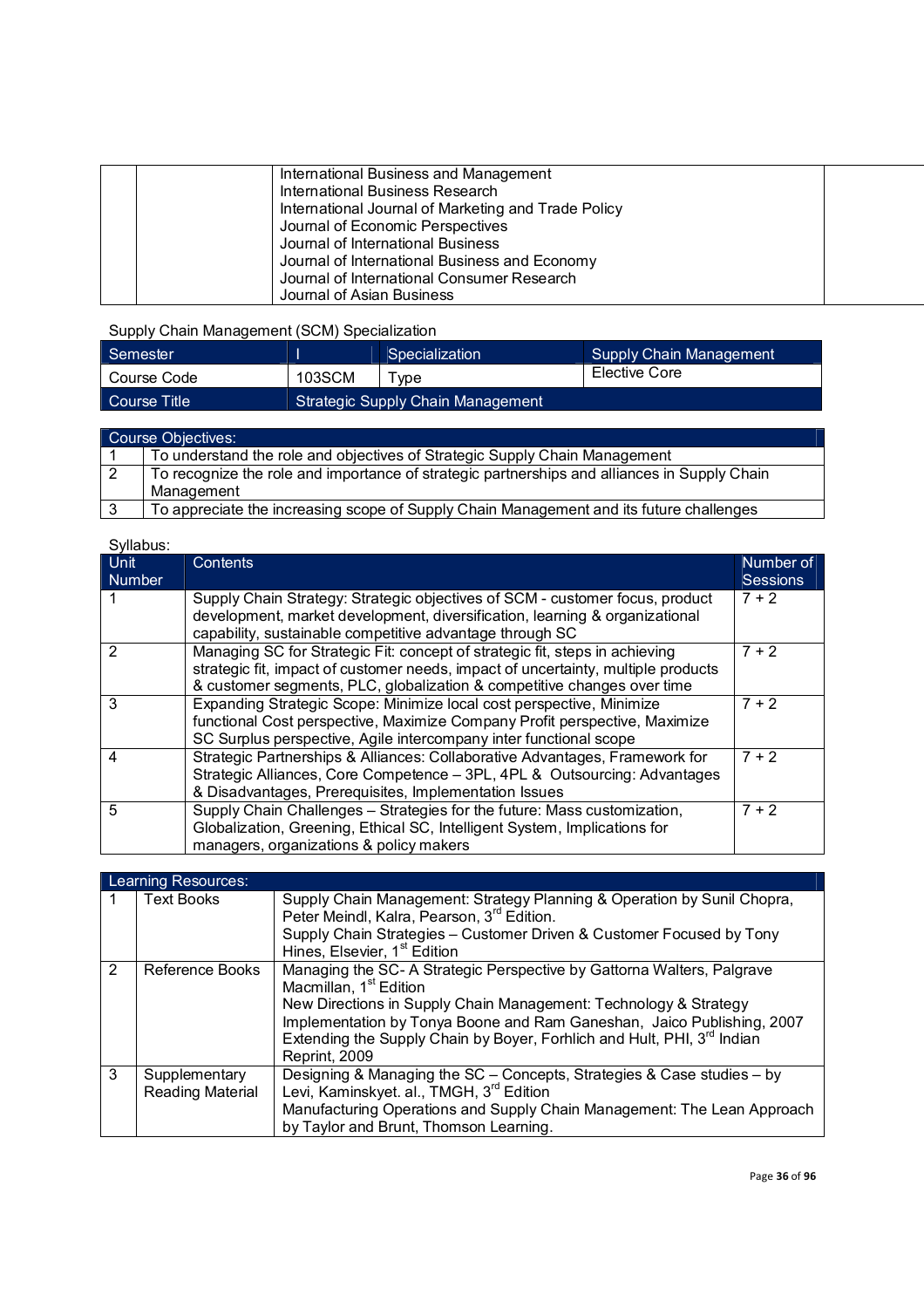| International Business and Management               |  |
|-----------------------------------------------------|--|
| International Business Research                     |  |
| International Journal of Marketing and Trade Policy |  |
| Journal of Economic Perspectives                    |  |
| Journal of International Business                   |  |
| Journal of International Business and Economy       |  |
| Journal of International Consumer Research          |  |
| Journal of Asian Business                           |  |

Supply Chain Management (SCM) Specialization

| Semester     |                                   | Specialization | Supply Chain Management |
|--------------|-----------------------------------|----------------|-------------------------|
| Course Code  | 103SCM                            | vpe            | Elective Core           |
| Course Title | Strategic Supply Chain Management |                |                         |

| Course Objectives: |                                                                                              |  |  |
|--------------------|----------------------------------------------------------------------------------------------|--|--|
|                    | To understand the role and objectives of Strategic Supply Chain Management                   |  |  |
| l 2                | To recognize the role and importance of strategic partnerships and alliances in Supply Chain |  |  |
|                    | Management                                                                                   |  |  |
| 3                  | To appreciate the increasing scope of Supply Chain Management and its future challenges      |  |  |

| Syllabus:             |                                                                                                                                                                                                                                             |                              |  |  |  |
|-----------------------|---------------------------------------------------------------------------------------------------------------------------------------------------------------------------------------------------------------------------------------------|------------------------------|--|--|--|
| Unit<br><b>Number</b> | <b>Contents</b>                                                                                                                                                                                                                             | Number of<br><b>Sessions</b> |  |  |  |
|                       | Supply Chain Strategy: Strategic objectives of SCM - customer focus, product<br>development, market development, diversification, learning & organizational<br>capability, sustainable competitive advantage through SC                     | $7 + 2$                      |  |  |  |
| 2                     | Managing SC for Strategic Fit: concept of strategic fit, steps in achieving<br>strategic fit, impact of customer needs, impact of uncertainty, multiple products<br>& customer segments, PLC, globalization & competitive changes over time | $7 + 2$                      |  |  |  |
| 3                     | Expanding Strategic Scope: Minimize local cost perspective, Minimize<br>functional Cost perspective, Maximize Company Profit perspective, Maximize<br>SC Surplus perspective, Agile intercompany inter functional scope                     | $7 + 2$                      |  |  |  |
| 4                     | Strategic Partnerships & Alliances: Collaborative Advantages, Framework for<br>Strategic Alliances, Core Competence - 3PL, 4PL & Outsourcing: Advantages<br>& Disadvantages, Prerequisites, Implementation Issues                           | $7 + 2$                      |  |  |  |
| 5                     | Supply Chain Challenges - Strategies for the future: Mass customization,<br>Globalization, Greening, Ethical SC, Intelligent System, Implications for<br>managers, organizations & policy makers                                            | $7 + 2$                      |  |  |  |

| Learning Resources: |                                          |                                                                                                                                                                                                                                                                                                                                                                   |  |  |  |  |
|---------------------|------------------------------------------|-------------------------------------------------------------------------------------------------------------------------------------------------------------------------------------------------------------------------------------------------------------------------------------------------------------------------------------------------------------------|--|--|--|--|
|                     | <b>Text Books</b>                        | Supply Chain Management: Strategy Planning & Operation by Sunil Chopra,<br>Peter Meindl, Kalra, Pearson, 3rd Edition.<br>Supply Chain Strategies - Customer Driven & Customer Focused by Tony<br>Hines, Elsevier, 1 <sup>st</sup> Edition                                                                                                                         |  |  |  |  |
| 2                   | <b>Reference Books</b>                   | Managing the SC-A Strategic Perspective by Gattorna Walters, Palgrave<br>Macmillan, 1 <sup>st</sup> Edition<br>New Directions in Supply Chain Management: Technology & Strategy<br>Implementation by Tonya Boone and Ram Ganeshan, Jaico Publishing, 2007<br>Extending the Supply Chain by Boyer, Forhlich and Hult, PHI, 3 <sup>rd</sup> Indian<br>Reprint, 2009 |  |  |  |  |
| 3                   | Supplementary<br><b>Reading Material</b> | Designing & Managing the SC – Concepts, Strategies & Case studies – by<br>Levi, Kaminskyet. al., TMGH, 3 <sup>rd</sup> Edition<br>Manufacturing Operations and Supply Chain Management: The Lean Approach<br>by Taylor and Brunt, Thomson Learning.                                                                                                               |  |  |  |  |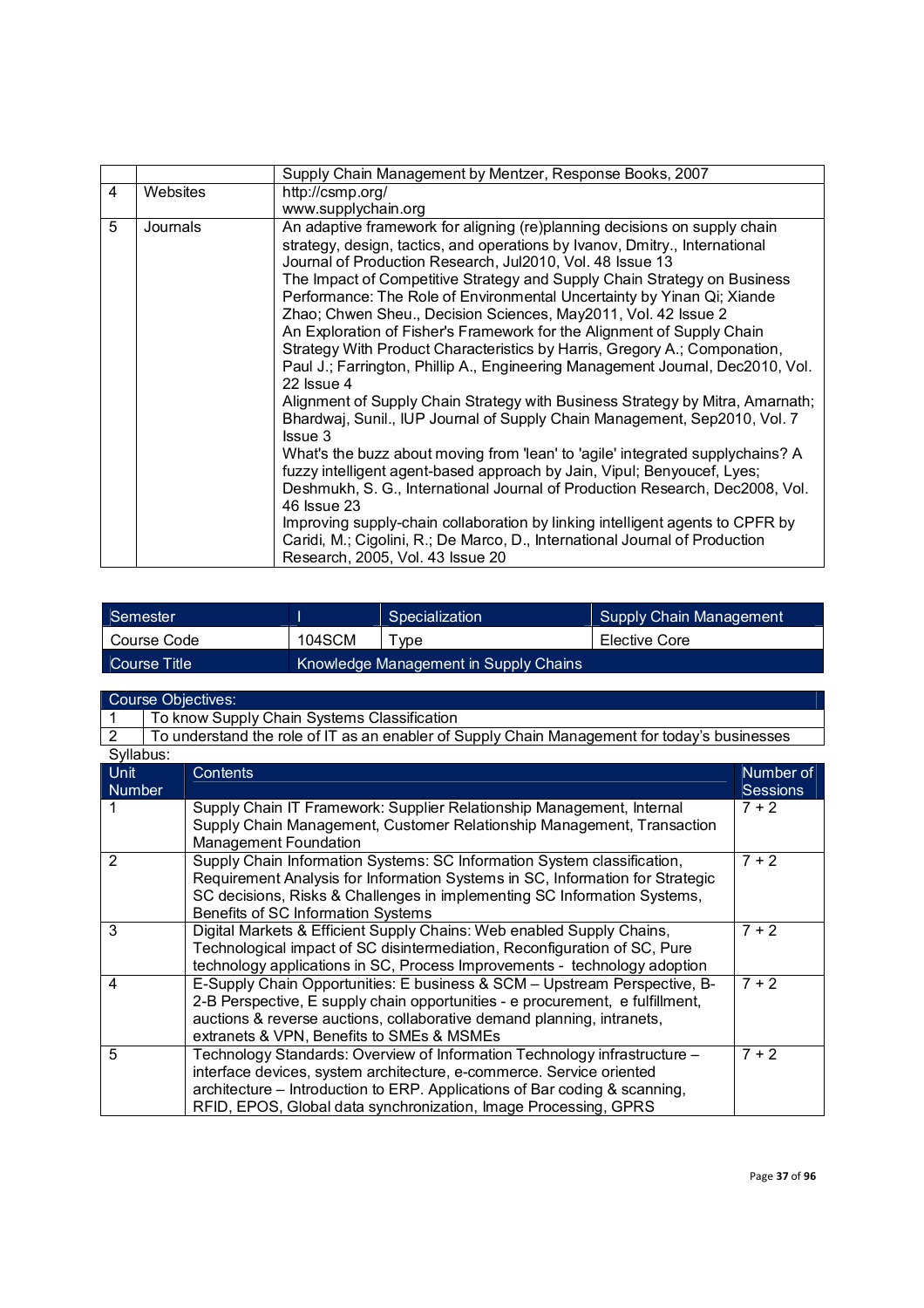|   |          | Supply Chain Management by Mentzer, Response Books, 2007                                                                                                                                                                                                                                                                                                                                                                                                                                                                                                                                                                                                                                                                                                                                                                                                                                                                                                                                                                                                                                                                                                                                                                                                                                                                                             |
|---|----------|------------------------------------------------------------------------------------------------------------------------------------------------------------------------------------------------------------------------------------------------------------------------------------------------------------------------------------------------------------------------------------------------------------------------------------------------------------------------------------------------------------------------------------------------------------------------------------------------------------------------------------------------------------------------------------------------------------------------------------------------------------------------------------------------------------------------------------------------------------------------------------------------------------------------------------------------------------------------------------------------------------------------------------------------------------------------------------------------------------------------------------------------------------------------------------------------------------------------------------------------------------------------------------------------------------------------------------------------------|
| 4 | Websites | http://csmp.org/                                                                                                                                                                                                                                                                                                                                                                                                                                                                                                                                                                                                                                                                                                                                                                                                                                                                                                                                                                                                                                                                                                                                                                                                                                                                                                                                     |
|   |          | www.supplychain.org                                                                                                                                                                                                                                                                                                                                                                                                                                                                                                                                                                                                                                                                                                                                                                                                                                                                                                                                                                                                                                                                                                                                                                                                                                                                                                                                  |
| 5 | Journals | An adaptive framework for aligning (re)planning decisions on supply chain<br>strategy, design, tactics, and operations by Ivanov, Dmitry., International<br>Journal of Production Research, Jul2010, Vol. 48 Issue 13<br>The Impact of Competitive Strategy and Supply Chain Strategy on Business<br>Performance: The Role of Environmental Uncertainty by Yinan Qi; Xiande<br>Zhao; Chwen Sheu., Decision Sciences, May2011, Vol. 42 Issue 2<br>An Exploration of Fisher's Framework for the Alignment of Supply Chain<br>Strategy With Product Characteristics by Harris, Gregory A.; Componation,<br>Paul J.; Farrington, Phillip A., Engineering Management Journal, Dec2010, Vol.<br>22 Issue 4<br>Alignment of Supply Chain Strategy with Business Strategy by Mitra, Amarnath;<br>Bhardwaj, Sunil., IUP Journal of Supply Chain Management, Sep2010, Vol. 7<br><b>Issue 3</b><br>What's the buzz about moving from 'lean' to 'agile' integrated supplychains? A<br>fuzzy intelligent agent-based approach by Jain, Vipul; Benyoucef, Lyes;<br>Deshmukh, S. G., International Journal of Production Research, Dec2008, Vol.<br>46 Issue 23<br>Improving supply-chain collaboration by linking intelligent agents to CPFR by<br>Caridi, M.; Cigolini, R.; De Marco, D., International Journal of Production<br>Research, 2005, Vol. 43 Issue 20 |

| Semester      |        | Specialization                        | Supply Chain Management |
|---------------|--------|---------------------------------------|-------------------------|
| l Course Code | 104SCM | ' vpe                                 | Elective Core           |
| Course Title  |        | Knowledge Management in Supply Chains |                         |

|                | <b>Course Objectives:</b>                                                                    |                 |  |  |  |
|----------------|----------------------------------------------------------------------------------------------|-----------------|--|--|--|
|                | To know Supply Chain Systems Classification                                                  |                 |  |  |  |
| 2              | To understand the role of IT as an enabler of Supply Chain Management for today's businesses |                 |  |  |  |
| Syllabus:      |                                                                                              |                 |  |  |  |
| Unit           | Contents                                                                                     | Number of       |  |  |  |
| <b>Number</b>  |                                                                                              | <b>Sessions</b> |  |  |  |
|                | Supply Chain IT Framework: Supplier Relationship Management, Internal                        | $7 + 2$         |  |  |  |
|                | Supply Chain Management, Customer Relationship Management, Transaction                       |                 |  |  |  |
|                | Management Foundation                                                                        |                 |  |  |  |
| $\overline{2}$ | Supply Chain Information Systems: SC Information System classification,                      | $7 + 2$         |  |  |  |
|                | Requirement Analysis for Information Systems in SC, Information for Strategic                |                 |  |  |  |
|                | SC decisions, Risks & Challenges in implementing SC Information Systems,                     |                 |  |  |  |
|                | Benefits of SC Information Systems                                                           |                 |  |  |  |
| 3              | Digital Markets & Efficient Supply Chains: Web enabled Supply Chains,                        | $7 + 2$         |  |  |  |
|                | Technological impact of SC disintermediation, Reconfiguration of SC, Pure                    |                 |  |  |  |
|                | technology applications in SC, Process Improvements - technology adoption                    |                 |  |  |  |
| 4              | E-Supply Chain Opportunities: E business & SCM - Upstream Perspective, B-                    | $7 + 2$         |  |  |  |
|                | 2-B Perspective, E supply chain opportunities - e procurement, e fulfillment,                |                 |  |  |  |
|                | auctions & reverse auctions, collaborative demand planning, intranets,                       |                 |  |  |  |
|                | extranets & VPN, Benefits to SMEs & MSMEs                                                    |                 |  |  |  |
| 5              | Technology Standards: Overview of Information Technology infrastructure -                    | $7 + 2$         |  |  |  |
|                | interface devices, system architecture, e-commerce. Service oriented                         |                 |  |  |  |
|                | architecture – Introduction to ERP. Applications of Bar coding & scanning,                   |                 |  |  |  |
|                | RFID, EPOS, Global data synchronization, Image Processing, GPRS                              |                 |  |  |  |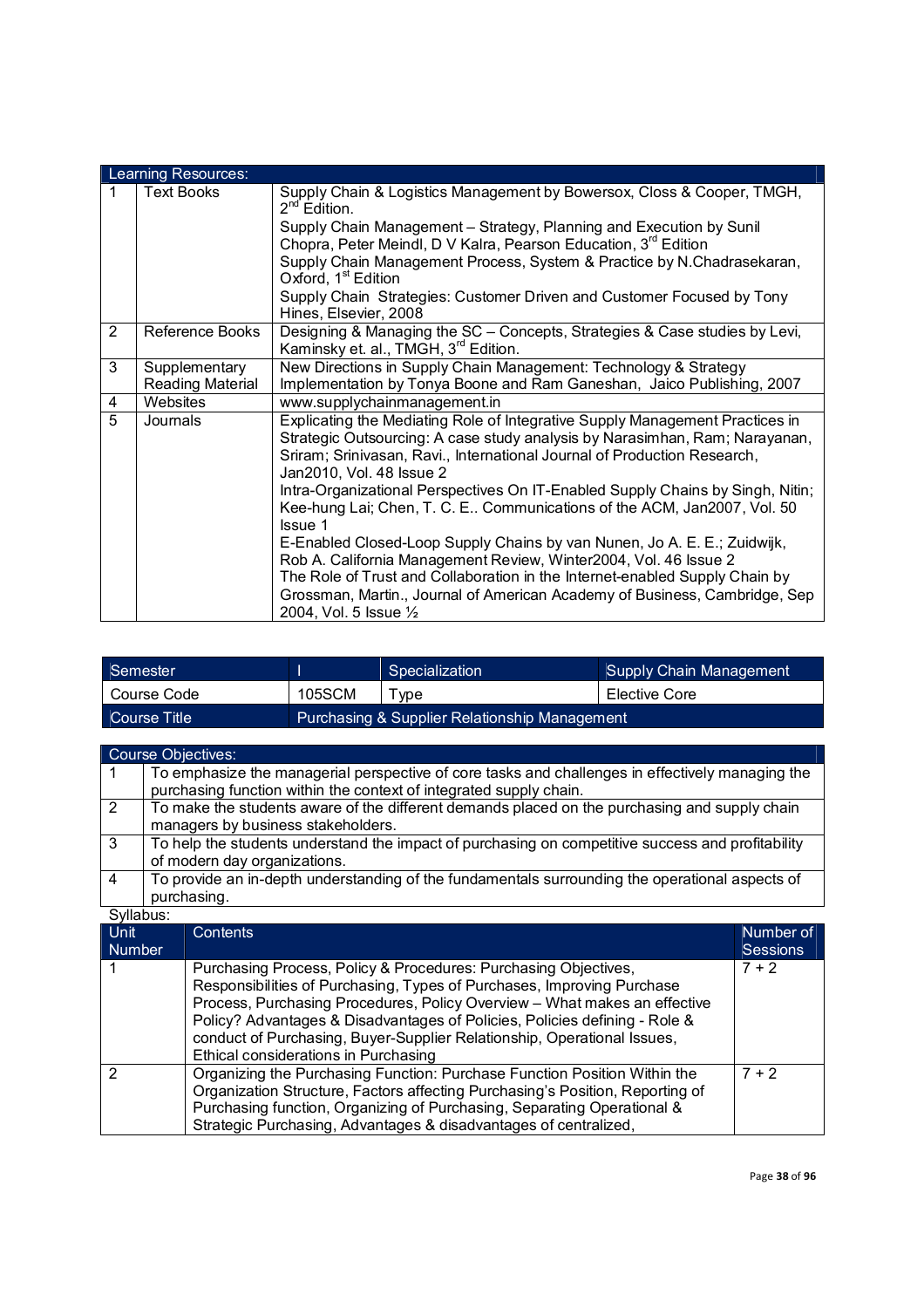|                | Learning Resources:               |                                                                                                                                                                                                                                                                                                                                     |  |  |
|----------------|-----------------------------------|-------------------------------------------------------------------------------------------------------------------------------------------------------------------------------------------------------------------------------------------------------------------------------------------------------------------------------------|--|--|
| 1              | <b>Text Books</b>                 | Supply Chain & Logistics Management by Bowersox, Closs & Cooper, TMGH,<br>$2^{nd}$ Edition.<br>Supply Chain Management - Strategy, Planning and Execution by Sunil<br>Chopra, Peter Meindl, D V Kalra, Pearson Education, 3 <sup>rd</sup> Edition<br>Supply Chain Management Process, System & Practice by N.Chadrasekaran,         |  |  |
|                |                                   | Oxford, 1 <sup>st</sup> Edition<br>Supply Chain Strategies: Customer Driven and Customer Focused by Tony<br>Hines, Elsevier, 2008                                                                                                                                                                                                   |  |  |
| $\overline{2}$ | Reference Books                   | Designing & Managing the SC - Concepts, Strategies & Case studies by Levi,<br>Kaminsky et. al., TMGH, 3 <sup>rd</sup> Edition.                                                                                                                                                                                                      |  |  |
| 3              | Supplementary<br>Reading Material | New Directions in Supply Chain Management: Technology & Strategy<br>Implementation by Tonya Boone and Ram Ganeshan, Jaico Publishing, 2007                                                                                                                                                                                          |  |  |
| 4              | Websites                          | www.supplychainmanagement.in                                                                                                                                                                                                                                                                                                        |  |  |
| 5              | Journals                          | Explicating the Mediating Role of Integrative Supply Management Practices in<br>Strategic Outsourcing: A case study analysis by Narasimhan, Ram; Narayanan,<br>Sriram; Srinivasan, Ravi., International Journal of Production Research,<br>Jan2010, Vol. 48 Issue 2                                                                 |  |  |
|                |                                   | Intra-Organizational Perspectives On IT-Enabled Supply Chains by Singh, Nitin;<br>Kee-hung Lai; Chen, T. C. E Communications of the ACM, Jan2007, Vol. 50<br>Issue 1                                                                                                                                                                |  |  |
|                |                                   | E-Enabled Closed-Loop Supply Chains by van Nunen, Jo A. E. E.; Zuidwijk,<br>Rob A. California Management Review, Winter2004, Vol. 46 Issue 2<br>The Role of Trust and Collaboration in the Internet-enabled Supply Chain by<br>Grossman, Martin., Journal of American Academy of Business, Cambridge, Sep<br>2004, Vol. 5 Issue 1/2 |  |  |

| <sup><i>Semester</i></sup> |        | Specialization                                | Supply Chain Management |
|----------------------------|--------|-----------------------------------------------|-------------------------|
| Course Code                | 105SCM | vne                                           | Elective Core           |
| Course Title               |        | Purchasing & Supplier Relationship Management |                         |

|    | <b>Course Objectives:</b>                                                                                                                                              |
|----|------------------------------------------------------------------------------------------------------------------------------------------------------------------------|
|    | To emphasize the managerial perspective of core tasks and challenges in effectively managing the<br>purchasing function within the context of integrated supply chain. |
| 2  | To make the students aware of the different demands placed on the purchasing and supply chain                                                                          |
|    | managers by business stakeholders.                                                                                                                                     |
| -3 | To help the students understand the impact of purchasing on competitive success and profitability<br>of modern day organizations.                                      |
| -4 | To provide an in-depth understanding of the fundamentals surrounding the operational aspects of                                                                        |
|    | purchasing.                                                                                                                                                            |

| <b>Unit</b><br><b>Number</b> | Contents                                                                                                                                                                                                                                                                                                                                                                                                                | Number of<br><b>Sessions</b> |
|------------------------------|-------------------------------------------------------------------------------------------------------------------------------------------------------------------------------------------------------------------------------------------------------------------------------------------------------------------------------------------------------------------------------------------------------------------------|------------------------------|
|                              | Purchasing Process, Policy & Procedures: Purchasing Objectives,<br>Responsibilities of Purchasing, Types of Purchases, Improving Purchase<br>Process, Purchasing Procedures, Policy Overview - What makes an effective<br>Policy? Advantages & Disadvantages of Policies, Policies defining - Role &<br>conduct of Purchasing, Buyer-Supplier Relationship, Operational Issues,<br>Ethical considerations in Purchasing | $7 + 2$                      |
|                              | Organizing the Purchasing Function: Purchase Function Position Within the<br>Organization Structure, Factors affecting Purchasing's Position, Reporting of<br>Purchasing function, Organizing of Purchasing, Separating Operational &<br>Strategic Purchasing, Advantages & disadvantages of centralized,                                                                                                               | $7 + 2$                      |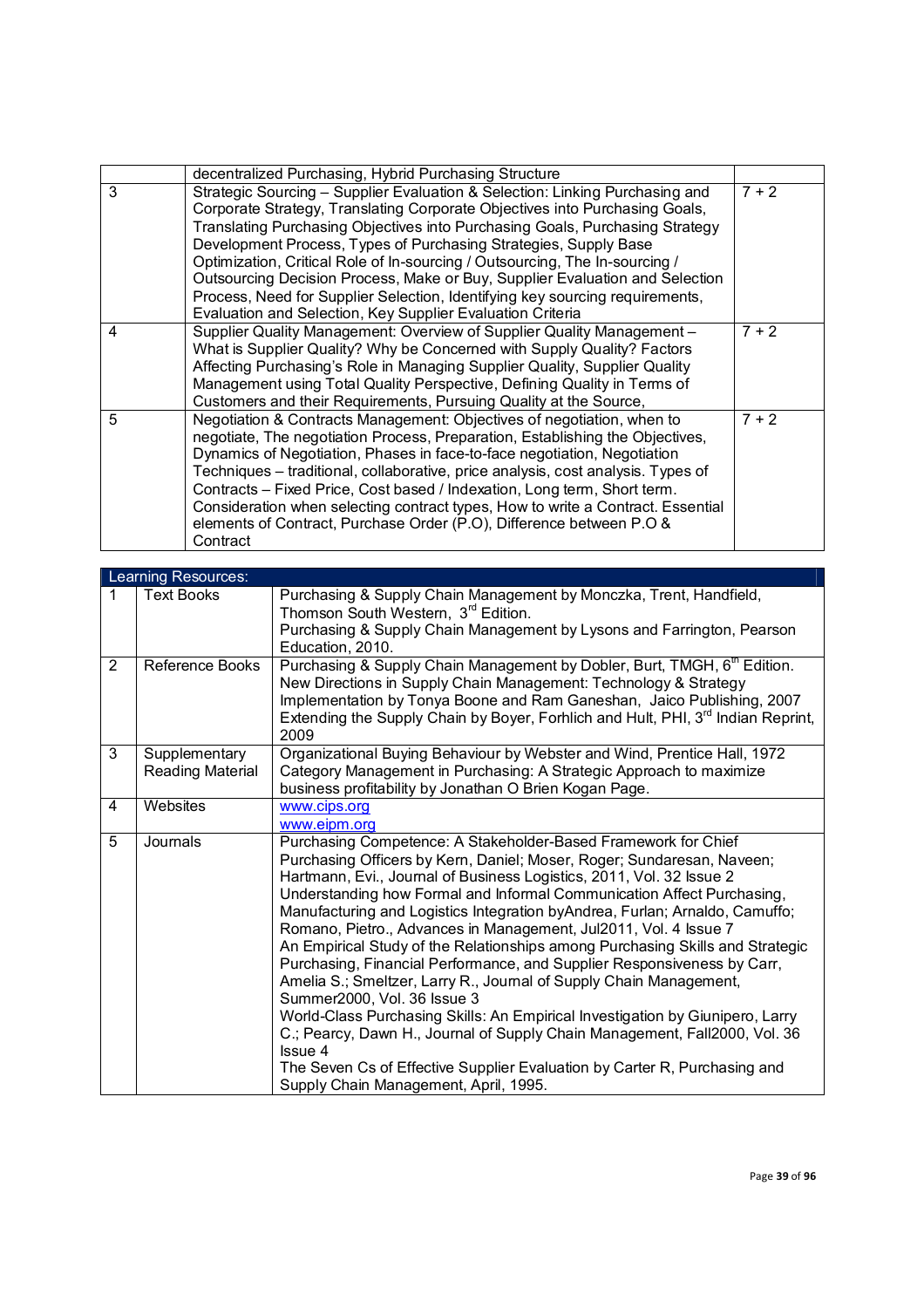|   | decentralized Purchasing, Hybrid Purchasing Structure                                                                                                                                                                                                                                                                                                                                                                                                                                                                                                                                                                        |         |
|---|------------------------------------------------------------------------------------------------------------------------------------------------------------------------------------------------------------------------------------------------------------------------------------------------------------------------------------------------------------------------------------------------------------------------------------------------------------------------------------------------------------------------------------------------------------------------------------------------------------------------------|---------|
| 3 | Strategic Sourcing - Supplier Evaluation & Selection: Linking Purchasing and<br>Corporate Strategy, Translating Corporate Objectives into Purchasing Goals,<br>Translating Purchasing Objectives into Purchasing Goals, Purchasing Strategy<br>Development Process, Types of Purchasing Strategies, Supply Base<br>Optimization, Critical Role of In-sourcing / Outsourcing, The In-sourcing /<br>Outsourcing Decision Process, Make or Buy, Supplier Evaluation and Selection<br>Process, Need for Supplier Selection, Identifying key sourcing requirements,<br>Evaluation and Selection, Key Supplier Evaluation Criteria | $7 + 2$ |
| 4 | Supplier Quality Management: Overview of Supplier Quality Management -<br>What is Supplier Quality? Why be Concerned with Supply Quality? Factors<br>Affecting Purchasing's Role in Managing Supplier Quality, Supplier Quality<br>Management using Total Quality Perspective, Defining Quality in Terms of<br>Customers and their Requirements, Pursuing Quality at the Source,                                                                                                                                                                                                                                             | $7 + 2$ |
| 5 | Negotiation & Contracts Management: Objectives of negotiation, when to<br>negotiate, The negotiation Process, Preparation, Establishing the Objectives,<br>Dynamics of Negotiation, Phases in face-to-face negotiation, Negotiation<br>Techniques - traditional, collaborative, price analysis, cost analysis. Types of<br>Contracts - Fixed Price, Cost based / Indexation, Long term, Short term.<br>Consideration when selecting contract types, How to write a Contract. Essential<br>elements of Contract, Purchase Order (P.O), Difference between P.O &<br>Contract                                                   | $7 + 2$ |

|                | Learning Resources:               |                                                                                                                                                                                                                                                                                                                                                                                                                                                                                                                                                                                                                                                                                                                                                                                                                                                                                                                                                                                                                 |  |  |
|----------------|-----------------------------------|-----------------------------------------------------------------------------------------------------------------------------------------------------------------------------------------------------------------------------------------------------------------------------------------------------------------------------------------------------------------------------------------------------------------------------------------------------------------------------------------------------------------------------------------------------------------------------------------------------------------------------------------------------------------------------------------------------------------------------------------------------------------------------------------------------------------------------------------------------------------------------------------------------------------------------------------------------------------------------------------------------------------|--|--|
| 1              | <b>Text Books</b>                 | Purchasing & Supply Chain Management by Monczka, Trent, Handfield,<br>Thomson South Western, 3rd Edition.<br>Purchasing & Supply Chain Management by Lysons and Farrington, Pearson<br>Education, 2010.                                                                                                                                                                                                                                                                                                                                                                                                                                                                                                                                                                                                                                                                                                                                                                                                         |  |  |
| $\overline{2}$ | Reference Books                   | Purchasing & Supply Chain Management by Dobler, Burt, TMGH, 6 <sup>th</sup> Edition.<br>New Directions in Supply Chain Management: Technology & Strategy<br>Implementation by Tonya Boone and Ram Ganeshan, Jaico Publishing, 2007<br>Extending the Supply Chain by Boyer, Forhlich and Hult, PHI, 3 <sup>rd</sup> Indian Reprint,<br>2009                                                                                                                                                                                                                                                                                                                                                                                                                                                                                                                                                                                                                                                                      |  |  |
| 3              | Supplementary<br>Reading Material | Organizational Buying Behaviour by Webster and Wind, Prentice Hall, 1972<br>Category Management in Purchasing: A Strategic Approach to maximize<br>business profitability by Jonathan O Brien Kogan Page.                                                                                                                                                                                                                                                                                                                                                                                                                                                                                                                                                                                                                                                                                                                                                                                                       |  |  |
| 4              | Websites                          | www.cips.org<br>www.eipm.org                                                                                                                                                                                                                                                                                                                                                                                                                                                                                                                                                                                                                                                                                                                                                                                                                                                                                                                                                                                    |  |  |
| $\overline{5}$ | Journals                          | Purchasing Competence: A Stakeholder-Based Framework for Chief<br>Purchasing Officers by Kern, Daniel; Moser, Roger; Sundaresan, Naveen;<br>Hartmann, Evi., Journal of Business Logistics, 2011, Vol. 32 Issue 2<br>Understanding how Formal and Informal Communication Affect Purchasing,<br>Manufacturing and Logistics Integration by Andrea, Furlan; Arnaldo, Camuffo;<br>Romano, Pietro., Advances in Management, Jul2011, Vol. 4 Issue 7<br>An Empirical Study of the Relationships among Purchasing Skills and Strategic<br>Purchasing, Financial Performance, and Supplier Responsiveness by Carr,<br>Amelia S.; Smeltzer, Larry R., Journal of Supply Chain Management,<br>Summer2000, Vol. 36 Issue 3<br>World-Class Purchasing Skills: An Empirical Investigation by Giunipero, Larry<br>C.; Pearcy, Dawn H., Journal of Supply Chain Management, Fall2000, Vol. 36<br>Issue 4<br>The Seven Cs of Effective Supplier Evaluation by Carter R, Purchasing and<br>Supply Chain Management, April, 1995. |  |  |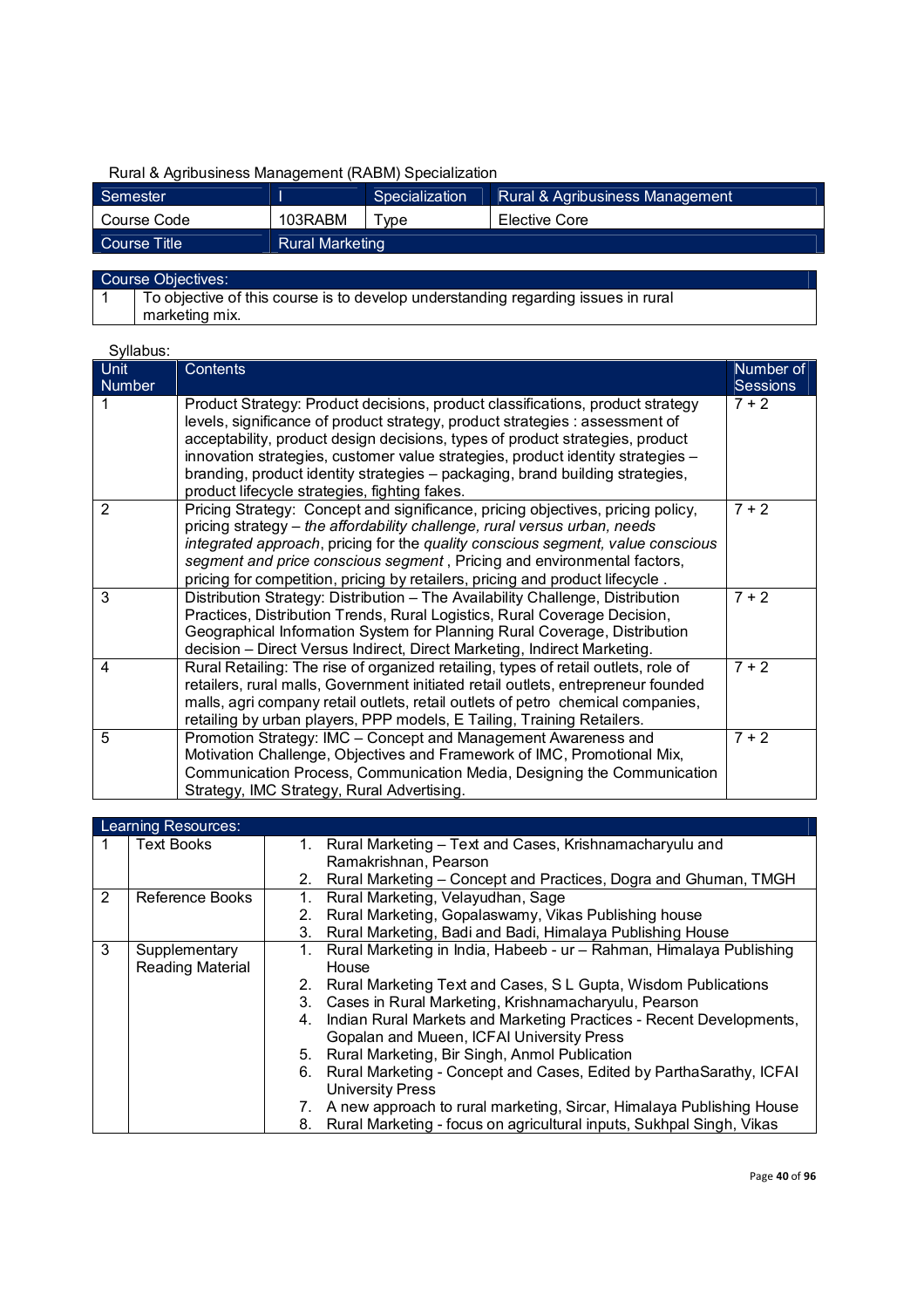### Rural & Agribusiness Management (RABM) Specialization

| Semester     |                        | Specialization | Rural & Agribusiness Management |
|--------------|------------------------|----------------|---------------------------------|
| Course Code  | 103RABM                | Type           | Elective Core                   |
| Course Title | <b>Rural Marketing</b> |                |                                 |

#### Course Objectives:

1 To objective of this course is to develop understanding regarding issues in rural marketing mix.

| Syllabus:      |                                                                                                                                                               |                 |
|----------------|---------------------------------------------------------------------------------------------------------------------------------------------------------------|-----------------|
| Unit           | Contents                                                                                                                                                      | Number of       |
| <b>Number</b>  |                                                                                                                                                               | <b>Sessions</b> |
|                | Product Strategy: Product decisions, product classifications, product strategy                                                                                | $7 + 2$         |
|                | levels, significance of product strategy, product strategies : assessment of<br>acceptability, product design decisions, types of product strategies, product |                 |
|                | innovation strategies, customer value strategies, product identity strategies -                                                                               |                 |
|                | branding, product identity strategies - packaging, brand building strategies,                                                                                 |                 |
|                | product lifecycle strategies, fighting fakes.                                                                                                                 |                 |
| $\overline{2}$ | Pricing Strategy: Concept and significance, pricing objectives, pricing policy,                                                                               | $7 + 2$         |
|                | pricing strategy – the affordability challenge, rural versus urban, needs                                                                                     |                 |
|                | integrated approach, pricing for the quality conscious segment, value conscious                                                                               |                 |
|                | segment and price conscious segment, Pricing and environmental factors,<br>pricing for competition, pricing by retailers, pricing and product lifecycle.      |                 |
| 3              | Distribution Strategy: Distribution - The Availability Challenge, Distribution                                                                                | $7 + 2$         |
|                | Practices, Distribution Trends, Rural Logistics, Rural Coverage Decision,                                                                                     |                 |
|                | Geographical Information System for Planning Rural Coverage, Distribution                                                                                     |                 |
|                | decision - Direct Versus Indirect, Direct Marketing, Indirect Marketing.                                                                                      |                 |
| 4              | Rural Retailing: The rise of organized retailing, types of retail outlets, role of                                                                            | $7 + 2$         |
|                | retailers, rural malls, Government initiated retail outlets, entrepreneur founded                                                                             |                 |
|                | malls, agri company retail outlets, retail outlets of petro chemical companies,                                                                               |                 |
|                | retailing by urban players, PPP models, E Tailing, Training Retailers.                                                                                        |                 |
| 5              | Promotion Strategy: IMC - Concept and Management Awareness and                                                                                                | $7 + 2$         |
|                | Motivation Challenge, Objectives and Framework of IMC, Promotional Mix,                                                                                       |                 |
|                | Communication Process, Communication Media, Designing the Communication                                                                                       |                 |
|                | Strategy, IMC Strategy, Rural Advertising.                                                                                                                    |                 |

|   | Learning Resources:                      |                                                                                                                                                                                                                                                                                                                                                                                                                                                                                                                                                                                                                                                                               |  |  |  |
|---|------------------------------------------|-------------------------------------------------------------------------------------------------------------------------------------------------------------------------------------------------------------------------------------------------------------------------------------------------------------------------------------------------------------------------------------------------------------------------------------------------------------------------------------------------------------------------------------------------------------------------------------------------------------------------------------------------------------------------------|--|--|--|
|   | <b>Text Books</b>                        | Rural Marketing - Text and Cases, Krishnamacharyulu and<br>1.<br>Ramakrishnan, Pearson<br>Rural Marketing - Concept and Practices, Dogra and Ghuman, TMGH<br>2.                                                                                                                                                                                                                                                                                                                                                                                                                                                                                                               |  |  |  |
| 2 | <b>Reference Books</b>                   | Rural Marketing, Velayudhan, Sage<br>1.<br>Rural Marketing, Gopalaswamy, Vikas Publishing house<br>2.<br>Rural Marketing, Badi and Badi, Himalaya Publishing House<br>З.                                                                                                                                                                                                                                                                                                                                                                                                                                                                                                      |  |  |  |
| 3 | Supplementary<br><b>Reading Material</b> | Rural Marketing in India, Habeeb - ur - Rahman, Himalaya Publishing<br>1.<br>House<br>Rural Marketing Text and Cases, S L Gupta, Wisdom Publications<br>2.<br>Cases in Rural Marketing, Krishnamacharyulu, Pearson<br>3.<br>Indian Rural Markets and Marketing Practices - Recent Developments,<br>4.<br>Gopalan and Mueen, ICFAI University Press<br>Rural Marketing, Bir Singh, Anmol Publication<br>5.<br>Rural Marketing - Concept and Cases, Edited by ParthaSarathy, ICFAI<br>6.<br><b>University Press</b><br>A new approach to rural marketing, Sircar, Himalaya Publishing House<br>7.<br>Rural Marketing - focus on agricultural inputs, Sukhpal Singh, Vikas<br>8. |  |  |  |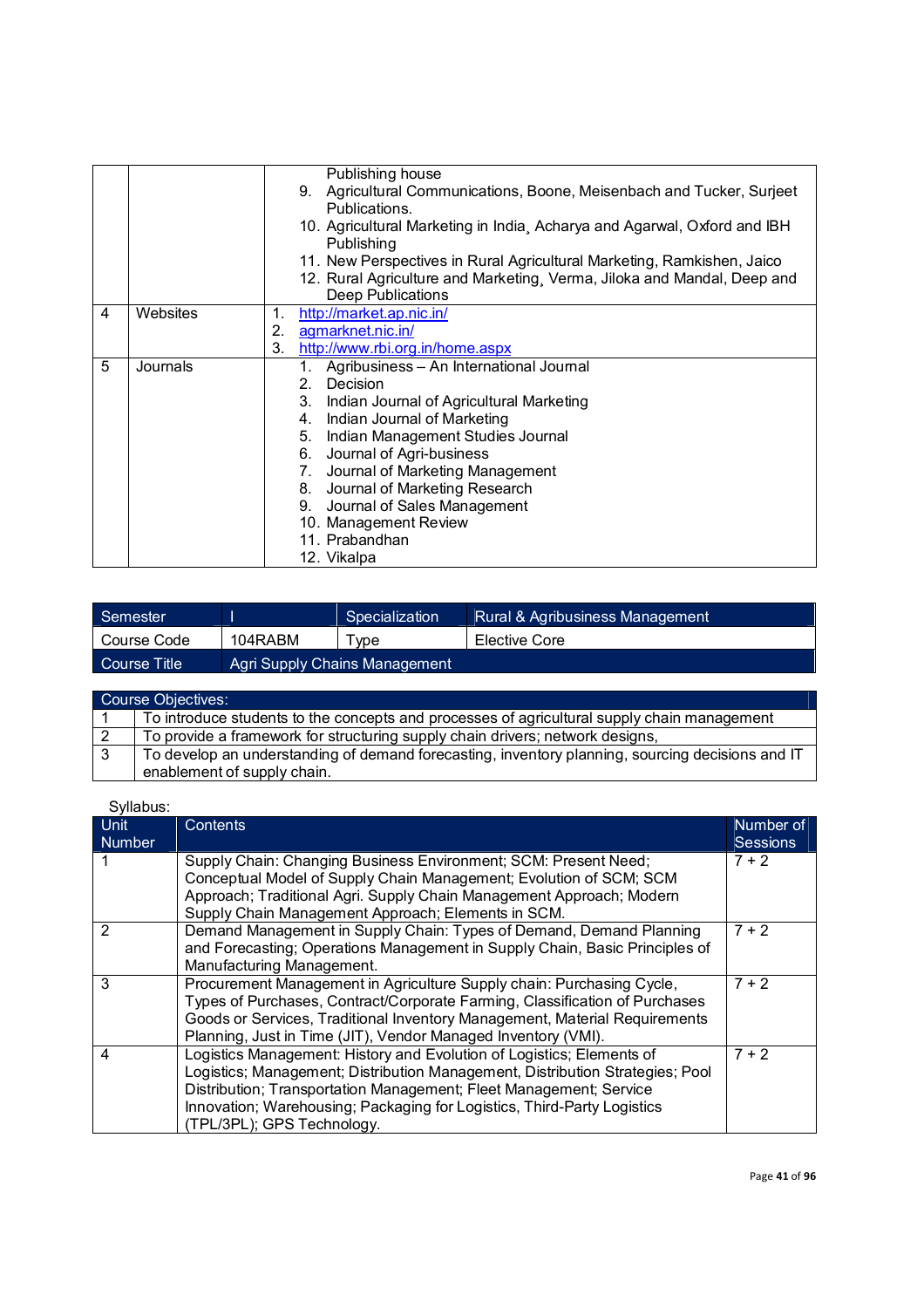|   |          | Publishing house<br>9. Agricultural Communications, Boone, Meisenbach and Tucker, Surjeet<br>Publications.<br>10. Agricultural Marketing in India, Acharya and Agarwal, Oxford and IBH<br>Publishing<br>11. New Perspectives in Rural Agricultural Marketing, Ramkishen, Jaico<br>12. Rural Agriculture and Marketing, Verma, Jiloka and Mandal, Deep and                                              |
|---|----------|--------------------------------------------------------------------------------------------------------------------------------------------------------------------------------------------------------------------------------------------------------------------------------------------------------------------------------------------------------------------------------------------------------|
|   |          | <b>Deep Publications</b>                                                                                                                                                                                                                                                                                                                                                                               |
| 4 | Websites | http://market.ap.nic.in/<br>1.<br>2.<br>agmarknet.nic.in/<br>3.<br>http://www.rbi.org.in/home.aspx                                                                                                                                                                                                                                                                                                     |
| 5 | Journals | Agribusiness - An International Journal<br>1.<br>Decision<br>2.<br>Indian Journal of Agricultural Marketing<br>3.<br>4. Indian Journal of Marketing<br>Indian Management Studies Journal<br>5.<br>Journal of Agri-business<br>6.<br>7. Journal of Marketing Management<br>8. Journal of Marketing Research<br>9. Journal of Sales Management<br>10. Management Review<br>11. Prabandhan<br>12. Vikalpa |

| Semester     |         | Specialization                | Rural & Agribusiness Management |
|--------------|---------|-------------------------------|---------------------------------|
| Course Code  | 104RABM | $\tau$ vpe                    | Elective Core                   |
| Course Title |         | Agri Supply Chains Management |                                 |

|   | Course Objectives:                                                                               |
|---|--------------------------------------------------------------------------------------------------|
|   | To introduce students to the concepts and processes of agricultural supply chain management      |
|   | To provide a framework for structuring supply chain drivers; network designs,                    |
| 3 | To develop an understanding of demand forecasting, inventory planning, sourcing decisions and IT |
|   | enablement of supply chain.                                                                      |

| Syllabus:             |                                                                                                                                                                                                                                                                                                                                       |                              |
|-----------------------|---------------------------------------------------------------------------------------------------------------------------------------------------------------------------------------------------------------------------------------------------------------------------------------------------------------------------------------|------------------------------|
| Unit<br><b>Number</b> | Contents                                                                                                                                                                                                                                                                                                                              | Number of<br><b>Sessions</b> |
|                       | Supply Chain: Changing Business Environment; SCM: Present Need;<br>Conceptual Model of Supply Chain Management; Evolution of SCM; SCM<br>Approach; Traditional Agri. Supply Chain Management Approach; Modern<br>Supply Chain Management Approach; Elements in SCM.                                                                   | $7 + 2$                      |
| 2                     | Demand Management in Supply Chain: Types of Demand, Demand Planning<br>and Forecasting; Operations Management in Supply Chain, Basic Principles of<br>Manufacturing Management.                                                                                                                                                       | $7 + 2$                      |
| 3                     | Procurement Management in Agriculture Supply chain: Purchasing Cycle,<br>Types of Purchases, Contract/Corporate Farming, Classification of Purchases<br>Goods or Services, Traditional Inventory Management, Material Requirements<br>Planning, Just in Time (JIT), Vendor Managed Inventory (VMI).                                   | $7 + 2$                      |
| 4                     | Logistics Management: History and Evolution of Logistics; Elements of<br>Logistics; Management; Distribution Management, Distribution Strategies; Pool<br>Distribution; Transportation Management; Fleet Management; Service<br>Innovation; Warehousing; Packaging for Logistics, Third-Party Logistics<br>(TPL/3PL); GPS Technology. | $7 + 2$                      |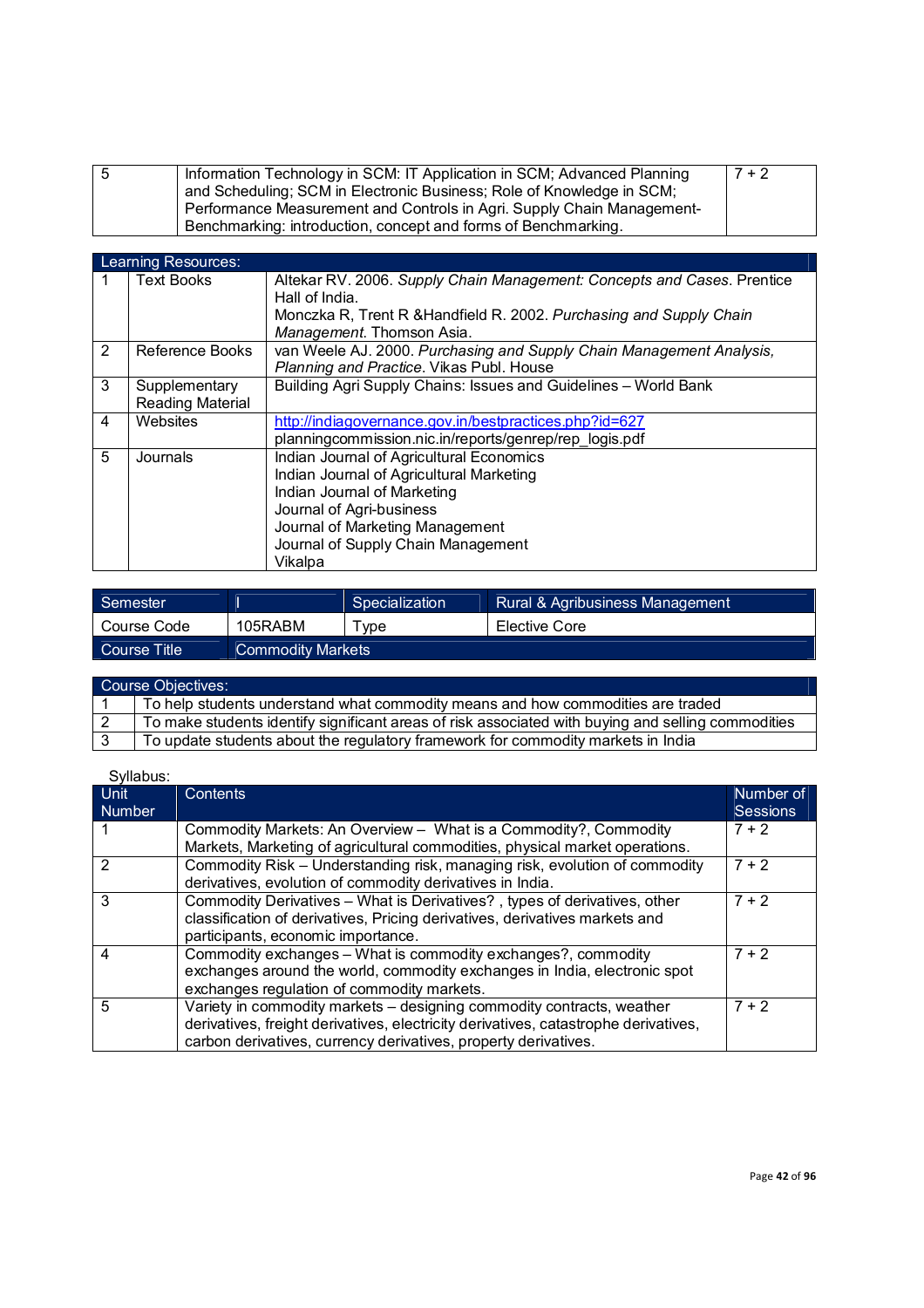| -5 | Information Technology in SCM: IT Application in SCM; Advanced Planning | $7 + 2$ |
|----|-------------------------------------------------------------------------|---------|
|    | and Scheduling; SCM in Electronic Business; Role of Knowledge in SCM;   |         |
|    | Performance Measurement and Controls in Agri. Supply Chain Management-  |         |
|    | Benchmarking: introduction, concept and forms of Benchmarking.          |         |

|   | Learning Resources:                      |                                                                                                                                                                                                                                     |
|---|------------------------------------------|-------------------------------------------------------------------------------------------------------------------------------------------------------------------------------------------------------------------------------------|
|   | <b>Text Books</b>                        | Altekar RV. 2006. Supply Chain Management: Concepts and Cases. Prentice<br>Hall of India.<br>Monczka R, Trent R & Handfield R. 2002. Purchasing and Supply Chain<br>Management. Thomson Asia.                                       |
| 2 | Reference Books                          | van Weele AJ. 2000. Purchasing and Supply Chain Management Analysis,<br>Planning and Practice. Vikas Publ. House                                                                                                                    |
| 3 | Supplementary<br><b>Reading Material</b> | Building Agri Supply Chains: Issues and Guidelines - World Bank                                                                                                                                                                     |
| 4 | Websites                                 | http://indiagovernance.gov.in/bestpractices.php?id=627<br>planningcommission.nic.in/reports/genrep/rep logis.pdf                                                                                                                    |
| 5 | Journals                                 | Indian Journal of Agricultural Economics<br>Indian Journal of Agricultural Marketing<br>Indian Journal of Marketing<br>Journal of Agri-business<br>Journal of Marketing Management<br>Journal of Supply Chain Management<br>Vikalpa |

| Semester       |                          | Specialization | Rural & Agribusiness Management |
|----------------|--------------------------|----------------|---------------------------------|
| Course Code    | 105RABM                  | Tvpe -         | Elective Core                   |
| Course Title 1 | <b>Commodity Markets</b> |                |                                 |

| <b>Course Objectives:</b>                                                                          |  |  |
|----------------------------------------------------------------------------------------------------|--|--|
| To help students understand what commodity means and how commodities are traded                    |  |  |
| To make students identify significant areas of risk associated with buying and selling commodities |  |  |
| To update students about the regulatory framework for commodity markets in India                   |  |  |

| <b>Unit</b>   | Contents                                                                            | Number of       |
|---------------|-------------------------------------------------------------------------------------|-----------------|
| <b>Number</b> |                                                                                     | <b>Sessions</b> |
|               | Commodity Markets: An Overview - What is a Commodity?, Commodity                    | $7 + 2$         |
|               | Markets, Marketing of agricultural commodities, physical market operations.         |                 |
| 2             | Commodity Risk - Understanding risk, managing risk, evolution of commodity          | $7 + 2$         |
|               | derivatives, evolution of commodity derivatives in India.                           |                 |
| 3             | Commodity Derivatives - What is Derivatives?, types of derivatives, other           | $7 + 2$         |
|               | classification of derivatives, Pricing derivatives, derivatives markets and         |                 |
|               | participants, economic importance.                                                  |                 |
| 4             | Commodity exchanges – What is commodity exchanges?, commodity                       | $7 + 2$         |
|               | exchanges around the world, commodity exchanges in India, electronic spot           |                 |
|               | exchanges regulation of commodity markets.                                          |                 |
| 5             | Variety in commodity markets - designing commodity contracts, weather               | $7 + 2$         |
|               | derivatives, freight derivatives, electricity derivatives, catastrophe derivatives, |                 |
|               | carbon derivatives, currency derivatives, property derivatives.                     |                 |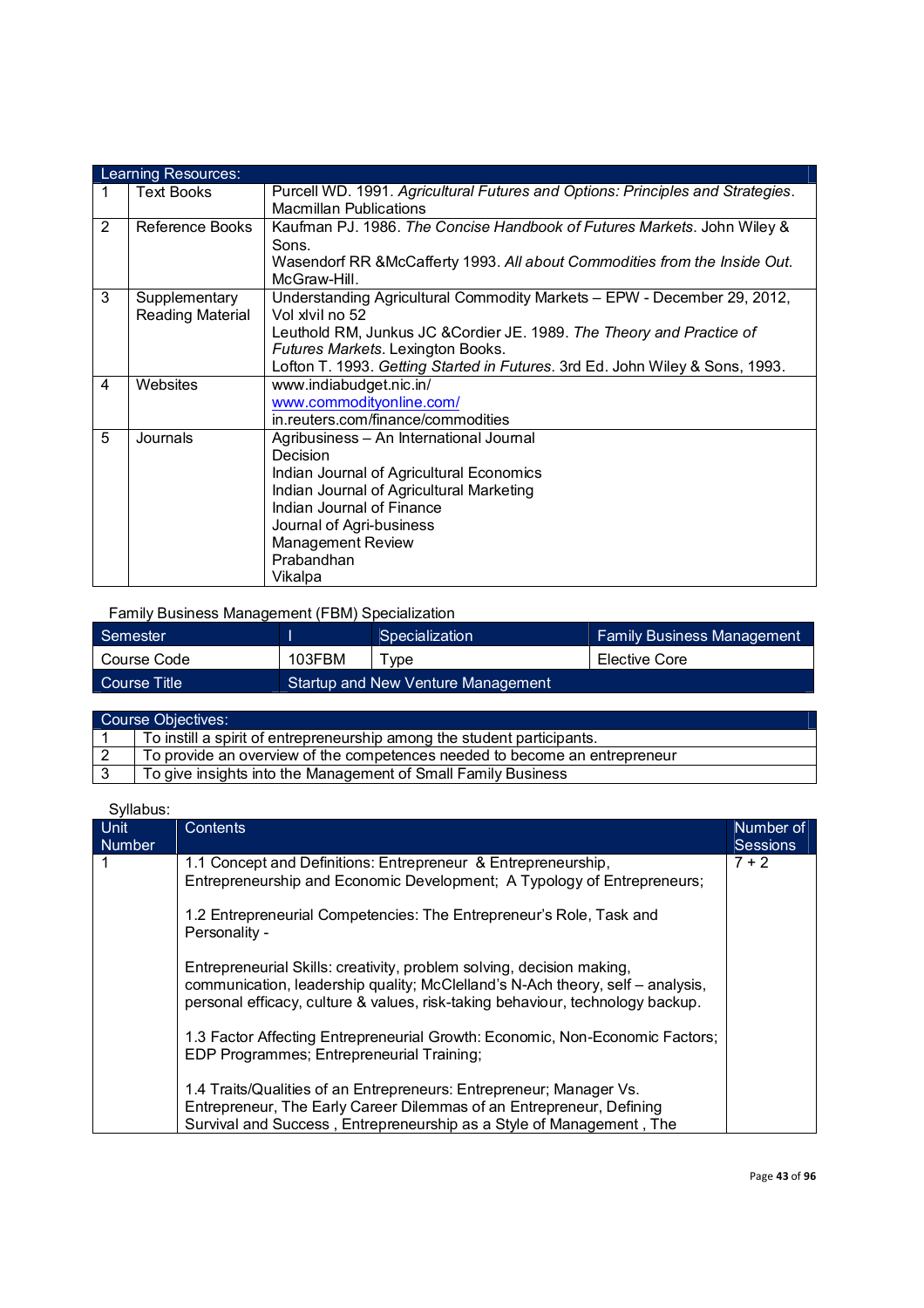|   | Learning Resources:               |                                                                                                                                                                                                                                                                                          |
|---|-----------------------------------|------------------------------------------------------------------------------------------------------------------------------------------------------------------------------------------------------------------------------------------------------------------------------------------|
| 1 | <b>Text Books</b>                 | Purcell WD. 1991. Agricultural Futures and Options: Principles and Strategies.<br><b>Macmillan Publications</b>                                                                                                                                                                          |
| 2 | Reference Books                   | Kaufman PJ. 1986. The Concise Handbook of Futures Markets. John Wiley &<br>Sons.<br>Wasendorf RR & McCafferty 1993. All about Commodities from the Inside Out.<br>McGraw-Hill                                                                                                            |
| 3 | Supplementary<br>Reading Material | Understanding Agricultural Commodity Markets - EPW - December 29, 2012,<br>Vol xivil no 52<br>Leuthold RM, Junkus JC & Cordier JE. 1989. The Theory and Practice of<br>Futures Markets. Lexington Books.<br>Lofton T. 1993. Getting Started in Futures. 3rd Ed. John Wiley & Sons, 1993. |
| 4 | Websites                          | www.indiabudget.nic.in/<br>www.commodityonline.com/<br>in.reuters.com/finance/commodities                                                                                                                                                                                                |
| 5 | Journals                          | Agribusiness - An International Journal<br>Decision<br>Indian Journal of Agricultural Economics<br>Indian Journal of Agricultural Marketing<br>Indian Journal of Finance<br>Journal of Agri-business<br><b>Management Review</b><br>Prabandhan<br>Vikalpa                                |

Family Business Management (FBM) Specialization

| Semester      |        | Specialization                     | <b>Family Business Management</b> |
|---------------|--------|------------------------------------|-----------------------------------|
| l Course Code | 103FBM | vpe                                | Elective Core                     |
| Course Title  |        | Startup and New Venture Management |                                   |

| Course Objectives: |                                                                            |  |
|--------------------|----------------------------------------------------------------------------|--|
|                    | To instill a spirit of entrepreneurship among the student participants.    |  |
|                    | To provide an overview of the competences needed to become an entrepreneur |  |
|                    | To give insights into the Management of Small Family Business              |  |

| <b>Unit</b><br>Number | <b>Contents</b>                                                                                                                                                                                                                           | Number of<br><b>Sessions</b> |
|-----------------------|-------------------------------------------------------------------------------------------------------------------------------------------------------------------------------------------------------------------------------------------|------------------------------|
|                       | 1.1 Concept and Definitions: Entrepreneur & Entrepreneurship,<br>Entrepreneurship and Economic Development; A Typology of Entrepreneurs;                                                                                                  | 7 + 2                        |
|                       | 1.2 Entrepreneurial Competencies: The Entrepreneur's Role, Task and<br>Personality -                                                                                                                                                      |                              |
|                       | Entrepreneurial Skills: creativity, problem solving, decision making,<br>communication, leadership quality; McClelland's N-Ach theory, self – analysis,<br>personal efficacy, culture & values, risk-taking behaviour, technology backup. |                              |
|                       | 1.3 Factor Affecting Entrepreneurial Growth: Economic, Non-Economic Factors;<br>EDP Programmes; Entrepreneurial Training;                                                                                                                 |                              |
|                       | 1.4 Traits/Qualities of an Entrepreneurs: Entrepreneur; Manager Vs.<br>Entrepreneur, The Early Career Dilemmas of an Entrepreneur, Defining<br>Survival and Success, Entrepreneurship as a Style of Management, The                       |                              |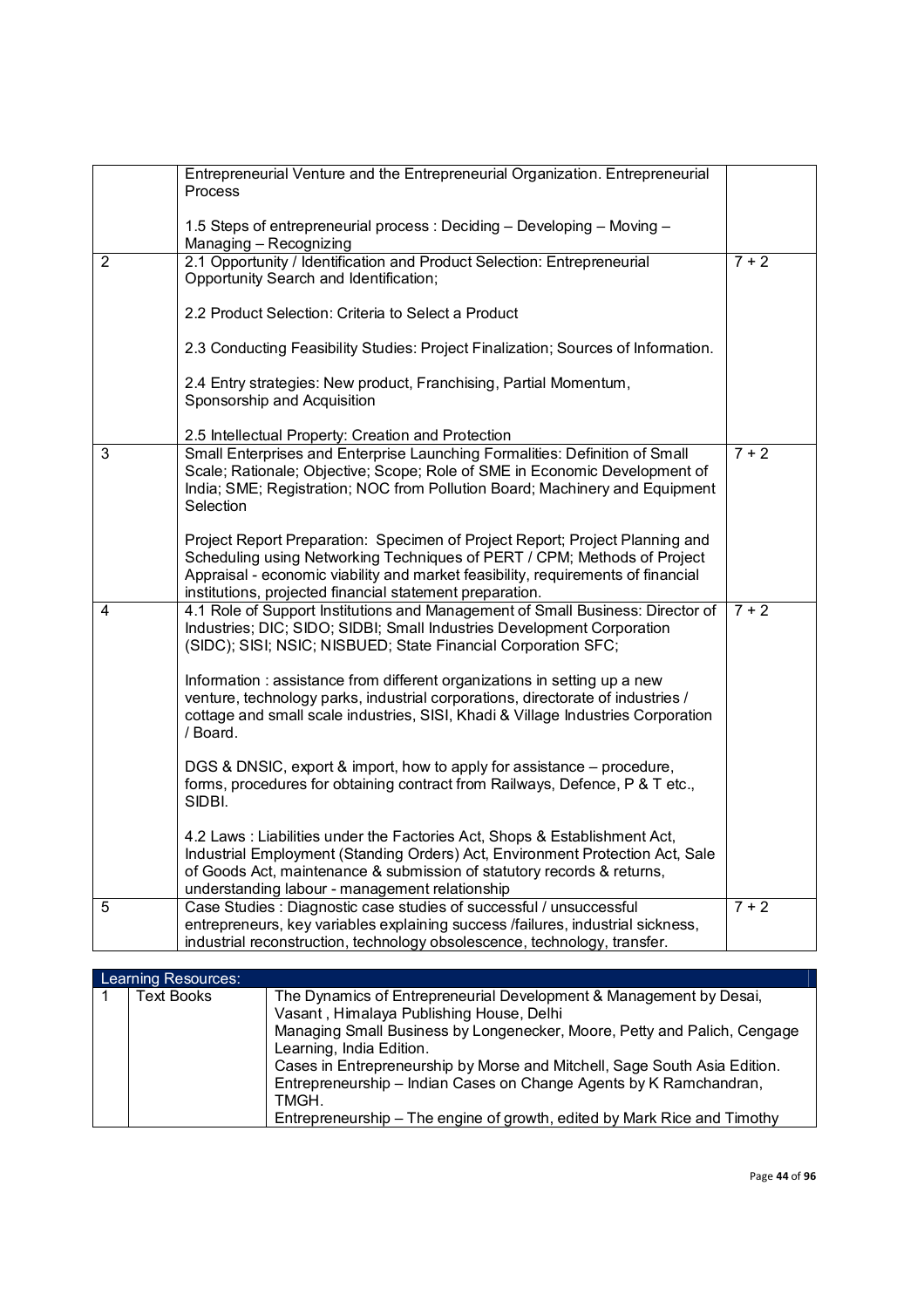|   | Entrepreneurial Venture and the Entrepreneurial Organization. Entrepreneurial<br>Process                                                                                                                                                                                                                 |         |
|---|----------------------------------------------------------------------------------------------------------------------------------------------------------------------------------------------------------------------------------------------------------------------------------------------------------|---------|
|   | 1.5 Steps of entrepreneurial process: Deciding - Developing - Moving -<br>Managing - Recognizing                                                                                                                                                                                                         |         |
| 2 | 2.1 Opportunity / Identification and Product Selection: Entrepreneurial<br>Opportunity Search and Identification;                                                                                                                                                                                        | $7 + 2$ |
|   | 2.2 Product Selection: Criteria to Select a Product                                                                                                                                                                                                                                                      |         |
|   | 2.3 Conducting Feasibility Studies: Project Finalization; Sources of Information.                                                                                                                                                                                                                        |         |
|   | 2.4 Entry strategies: New product, Franchising, Partial Momentum,<br>Sponsorship and Acquisition                                                                                                                                                                                                         |         |
|   | 2.5 Intellectual Property: Creation and Protection                                                                                                                                                                                                                                                       |         |
| 3 | Small Enterprises and Enterprise Launching Formalities: Definition of Small<br>Scale; Rationale; Objective; Scope; Role of SME in Economic Development of<br>India; SME; Registration; NOC from Pollution Board; Machinery and Equipment<br>Selection                                                    | $7 + 2$ |
|   | Project Report Preparation: Specimen of Project Report; Project Planning and<br>Scheduling using Networking Techniques of PERT / CPM; Methods of Project<br>Appraisal - economic viability and market feasibility, requirements of financial<br>institutions, projected financial statement preparation. |         |
| 4 | 4.1 Role of Support Institutions and Management of Small Business: Director of<br>Industries; DIC; SIDO; SIDBI; Small Industries Development Corporation<br>(SIDC); SISI; NSIC; NISBUED; State Financial Corporation SFC;                                                                                | $7 + 2$ |
|   | Information: assistance from different organizations in setting up a new<br>venture, technology parks, industrial corporations, directorate of industries /<br>cottage and small scale industries, SISI, Khadi & Village Industries Corporation<br>/ Board.                                              |         |
|   | DGS & DNSIC, export & import, how to apply for assistance – procedure,<br>forms, procedures for obtaining contract from Railways, Defence, P & T etc.,<br>SIDBI.                                                                                                                                         |         |
|   | 4.2 Laws: Liabilities under the Factories Act, Shops & Establishment Act,<br>Industrial Employment (Standing Orders) Act, Environment Protection Act, Sale<br>of Goods Act, maintenance & submission of statutory records & returns,<br>understanding labour - management relationship                   |         |
| 5 | Case Studies : Diagnostic case studies of successful / unsuccessful<br>entrepreneurs, key variables explaining success /failures, industrial sickness,<br>industrial reconstruction, technology obsolescence, technology, transfer.                                                                      | $7 + 2$ |

| Learning Resources: |                                                                                                                                                                                                                                                                                                                                                                                                                                                                |
|---------------------|----------------------------------------------------------------------------------------------------------------------------------------------------------------------------------------------------------------------------------------------------------------------------------------------------------------------------------------------------------------------------------------------------------------------------------------------------------------|
| <b>Text Books</b>   | The Dynamics of Entrepreneurial Development & Management by Desai,<br>Vasant, Himalaya Publishing House, Delhi<br>Managing Small Business by Longenecker, Moore, Petty and Palich, Cengage<br>Learning, India Edition.<br>Cases in Entrepreneurship by Morse and Mitchell, Sage South Asia Edition.<br>Entrepreneurship – Indian Cases on Change Agents by K Ramchandran,<br>TMGH.<br>Entrepreneurship – The engine of growth, edited by Mark Rice and Timothy |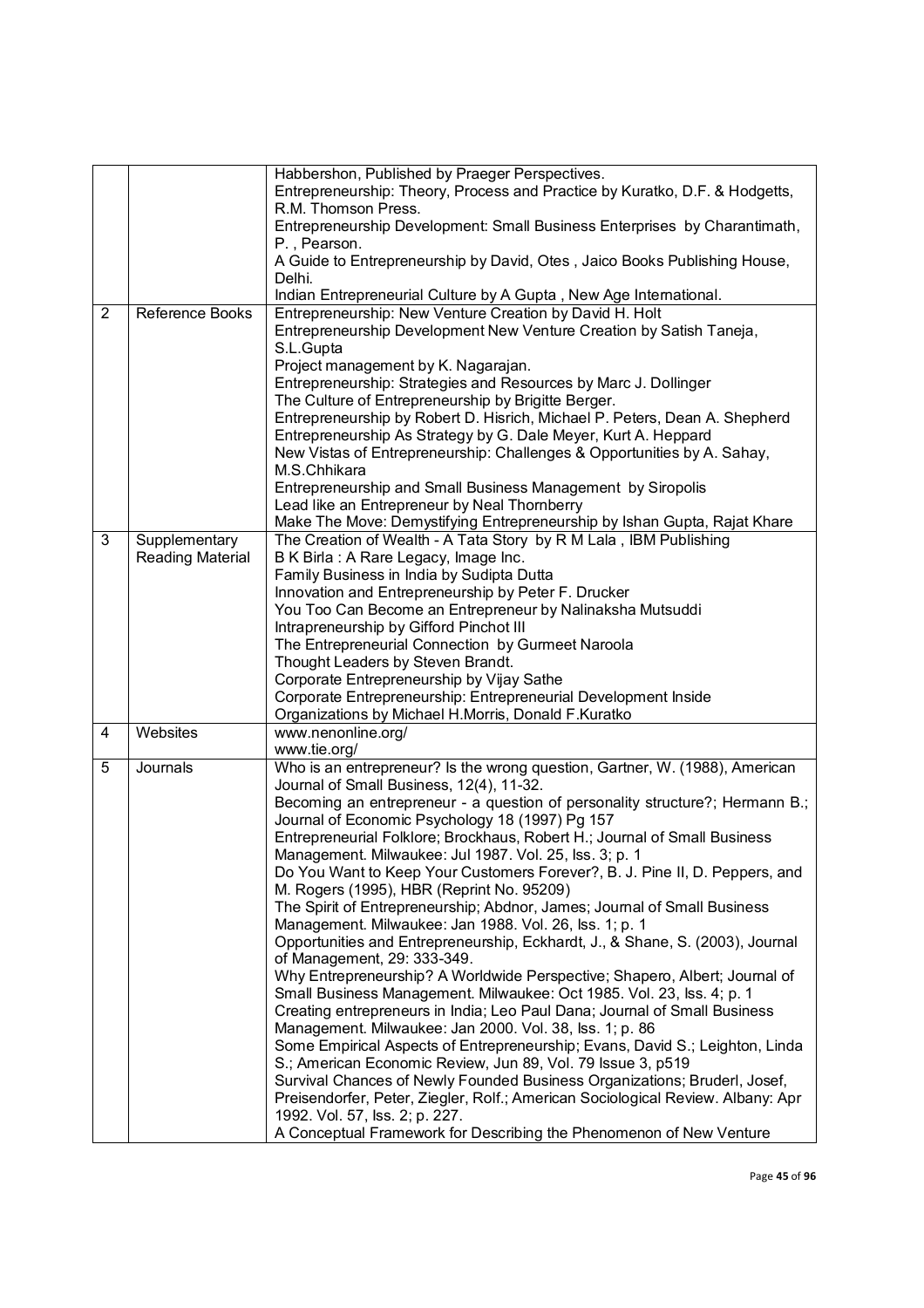|   |                  | Habbershon, Published by Praeger Perspectives.                                                                                                      |
|---|------------------|-----------------------------------------------------------------------------------------------------------------------------------------------------|
|   |                  | Entrepreneurship: Theory, Process and Practice by Kuratko, D.F. & Hodgetts,                                                                         |
|   |                  | R.M. Thomson Press.                                                                                                                                 |
|   |                  | Entrepreneurship Development: Small Business Enterprises by Charantimath,                                                                           |
|   |                  | P., Pearson.                                                                                                                                        |
|   |                  | A Guide to Entrepreneurship by David, Otes, Jaico Books Publishing House,<br>Delhi.                                                                 |
|   |                  | Indian Entrepreneurial Culture by A Gupta, New Age International.                                                                                   |
| 2 | Reference Books  | Entrepreneurship: New Venture Creation by David H. Holt                                                                                             |
|   |                  | Entrepreneurship Development New Venture Creation by Satish Taneja,                                                                                 |
|   |                  | S.L.Gupta                                                                                                                                           |
|   |                  | Project management by K. Nagarajan.                                                                                                                 |
|   |                  | Entrepreneurship: Strategies and Resources by Marc J. Dollinger<br>The Culture of Entrepreneurship by Brigitte Berger.                              |
|   |                  | Entrepreneurship by Robert D. Hisrich, Michael P. Peters, Dean A. Shepherd                                                                          |
|   |                  | Entrepreneurship As Strategy by G. Dale Meyer, Kurt A. Heppard                                                                                      |
|   |                  | New Vistas of Entrepreneurship: Challenges & Opportunities by A. Sahay,                                                                             |
|   |                  | M.S.Chhikara                                                                                                                                        |
|   |                  | Entrepreneurship and Small Business Management by Siropolis                                                                                         |
|   |                  | Lead like an Entrepreneur by Neal Thornberry<br>Make The Move: Demystifying Entrepreneurship by Ishan Gupta, Rajat Khare                            |
| 3 | Supplementary    | The Creation of Wealth - A Tata Story by R M Lala, IBM Publishing                                                                                   |
|   | Reading Material | B K Birla : A Rare Legacy, Image Inc.                                                                                                               |
|   |                  | Family Business in India by Sudipta Dutta                                                                                                           |
|   |                  | Innovation and Entrepreneurship by Peter F. Drucker                                                                                                 |
|   |                  | You Too Can Become an Entrepreneur by Nalinaksha Mutsuddi                                                                                           |
|   |                  | Intrapreneurship by Gifford Pinchot III                                                                                                             |
|   |                  | The Entrepreneurial Connection by Gurmeet Naroola<br>Thought Leaders by Steven Brandt.                                                              |
|   |                  | Corporate Entrepreneurship by Vijay Sathe                                                                                                           |
|   |                  | Corporate Entrepreneurship: Entrepreneurial Development Inside                                                                                      |
|   |                  | Organizations by Michael H.Morris, Donald F.Kuratko                                                                                                 |
| 4 | Websites         | www.nenonline.org/                                                                                                                                  |
|   |                  | www.tie.org/                                                                                                                                        |
| 5 | Journals         | Who is an entrepreneur? Is the wrong question, Gartner, W. (1988), American<br>Journal of Small Business, 12(4), 11-32.                             |
|   |                  | Becoming an entrepreneur - a question of personality structure?; Hermann B.;                                                                        |
|   |                  | Journal of Economic Psychology 18 (1997) Pg 157                                                                                                     |
|   |                  | Entrepreneurial Folklore; Brockhaus, Robert H.; Journal of Small Business                                                                           |
|   |                  | Management. Milwaukee: Jul 1987. Vol. 25, lss. 3; p. 1<br>Do You Want to Keep Your Customers Forever?, B. J. Pine II, D. Peppers, and               |
|   |                  | M. Rogers (1995), HBR (Reprint No. 95209)                                                                                                           |
|   |                  | The Spirit of Entrepreneurship; Abdnor, James; Journal of Small Business                                                                            |
|   |                  | Management. Milwaukee: Jan 1988. Vol. 26, lss. 1; p. 1                                                                                              |
|   |                  | Opportunities and Entrepreneurship, Eckhardt, J., & Shane, S. (2003), Journal                                                                       |
|   |                  | of Management, 29: 333-349.                                                                                                                         |
|   |                  | Why Entrepreneurship? A Worldwide Perspective; Shapero, Albert; Journal of<br>Small Business Management. Milwaukee: Oct 1985. Vol. 23, Iss. 4; p. 1 |
|   |                  | Creating entrepreneurs in India; Leo Paul Dana; Journal of Small Business                                                                           |
|   |                  | Management. Milwaukee: Jan 2000. Vol. 38, lss. 1; p. 86                                                                                             |
|   |                  | Some Empirical Aspects of Entrepreneurship; Evans, David S.; Leighton, Linda                                                                        |
|   |                  | S.; American Economic Review, Jun 89, Vol. 79 Issue 3, p519                                                                                         |
|   |                  | Survival Chances of Newly Founded Business Organizations; Bruderl, Josef,                                                                           |
|   |                  | Preisendorfer, Peter, Ziegler, Rolf.; American Sociological Review. Albany: Apr                                                                     |
|   |                  | 1992. Vol. 57, lss. 2; p. 227.<br>A Conceptual Framework for Describing the Phenomenon of New Venture                                               |
|   |                  |                                                                                                                                                     |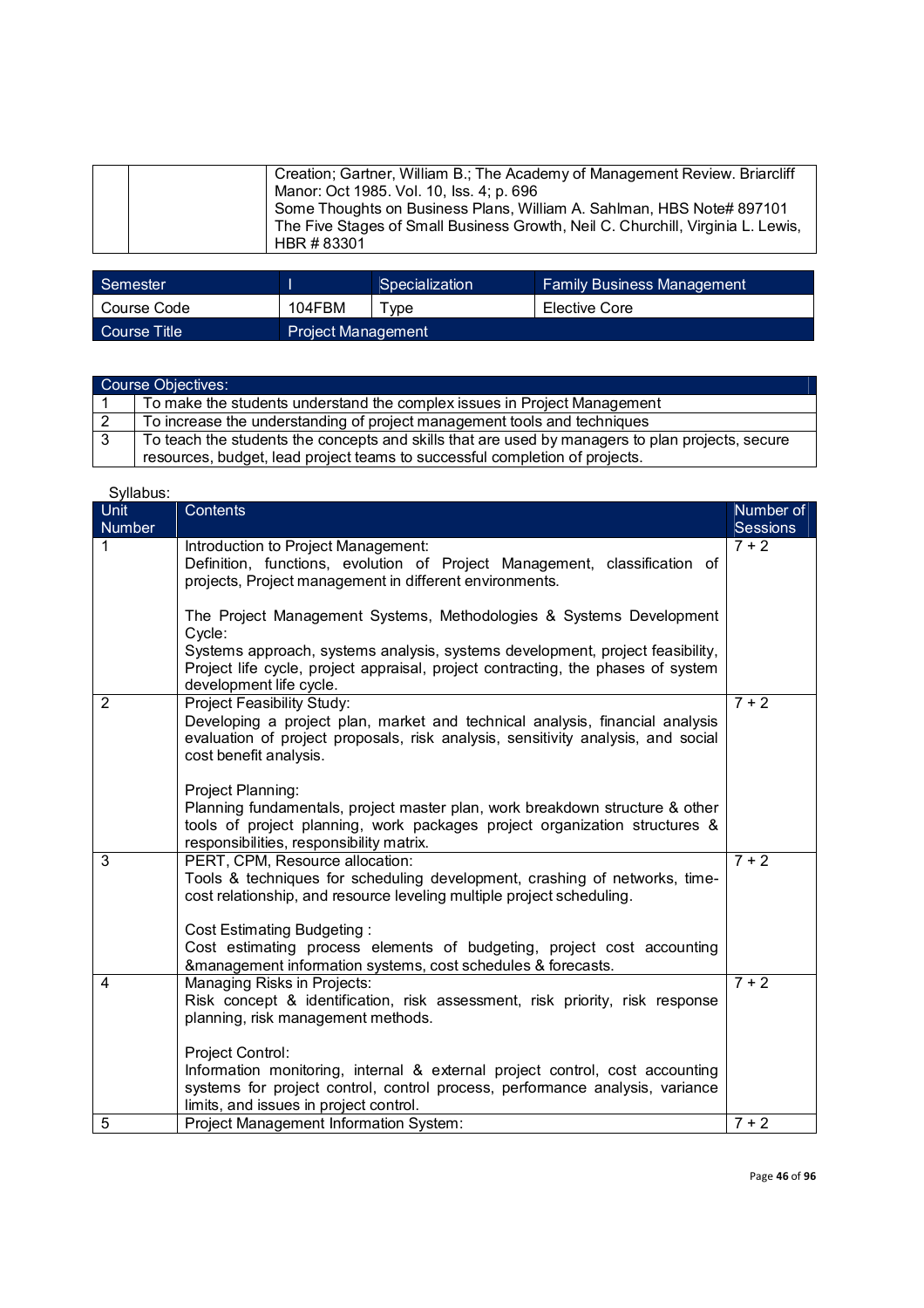|  | Creation; Gartner, William B.; The Academy of Management Review. Briarcliff     |
|--|---------------------------------------------------------------------------------|
|  | Manor: Oct 1985. Vol. 10, lss. 4; p. 696                                        |
|  | Some Thoughts on Business Plans, William A. Sahlman, HBS Note# 897101           |
|  | The Five Stages of Small Business Growth, Neil C. Churchill, Virginia L. Lewis, |
|  | HBR #83301                                                                      |

| <sup>'</sup> Semester |                           | Specialization | <b>Family Business Management</b> |
|-----------------------|---------------------------|----------------|-----------------------------------|
| Course Code           | 104FBM                    | vpe            | Elective Core                     |
| Course Title          | <b>Project Management</b> |                |                                   |

|   | <b>Course Objectives:</b>                                                                        |
|---|--------------------------------------------------------------------------------------------------|
|   | To make the students understand the complex issues in Project Management                         |
|   | To increase the understanding of project management tools and techniques                         |
| 3 | To teach the students the concepts and skills that are used by managers to plan projects, secure |
|   | resources, budget, lead project teams to successful completion of projects.                      |

| Syllabus:             |                                                                                                                                                                                                                                                                                                                                                                                 |                       |
|-----------------------|---------------------------------------------------------------------------------------------------------------------------------------------------------------------------------------------------------------------------------------------------------------------------------------------------------------------------------------------------------------------------------|-----------------------|
| <b>Unit</b><br>Number | Contents                                                                                                                                                                                                                                                                                                                                                                        | Number of<br>Sessions |
| 1                     | Introduction to Project Management:<br>Definition, functions, evolution of Project Management, classification of<br>projects, Project management in different environments.                                                                                                                                                                                                     | $7 + 2$               |
|                       | The Project Management Systems, Methodologies & Systems Development<br>Cycle:<br>Systems approach, systems analysis, systems development, project feasibility,                                                                                                                                                                                                                  |                       |
|                       | Project life cycle, project appraisal, project contracting, the phases of system<br>development life cycle.                                                                                                                                                                                                                                                                     |                       |
| $\overline{2}$        | Project Feasibility Study:<br>Developing a project plan, market and technical analysis, financial analysis<br>evaluation of project proposals, risk analysis, sensitivity analysis, and social<br>cost benefit analysis.                                                                                                                                                        | $7 + 2$               |
|                       | Project Planning:<br>Planning fundamentals, project master plan, work breakdown structure & other<br>tools of project planning, work packages project organization structures &<br>responsibilities, responsibility matrix.                                                                                                                                                     |                       |
| 3                     | PERT, CPM, Resource allocation:<br>Tools & techniques for scheduling development, crashing of networks, time-<br>cost relationship, and resource leveling multiple project scheduling.<br><b>Cost Estimating Budgeting:</b><br>Cost estimating process elements of budgeting, project cost accounting<br>&management information systems, cost schedules & forecasts.           | $7 + 2$               |
| 4                     | Managing Risks in Projects:<br>Risk concept & identification, risk assessment, risk priority, risk response<br>planning, risk management methods.<br>Project Control:<br>Information monitoring, internal & external project control, cost accounting<br>systems for project control, control process, performance analysis, variance<br>limits, and issues in project control. | $7 + 2$               |
| 5                     | Project Management Information System:                                                                                                                                                                                                                                                                                                                                          | $7 + 2$               |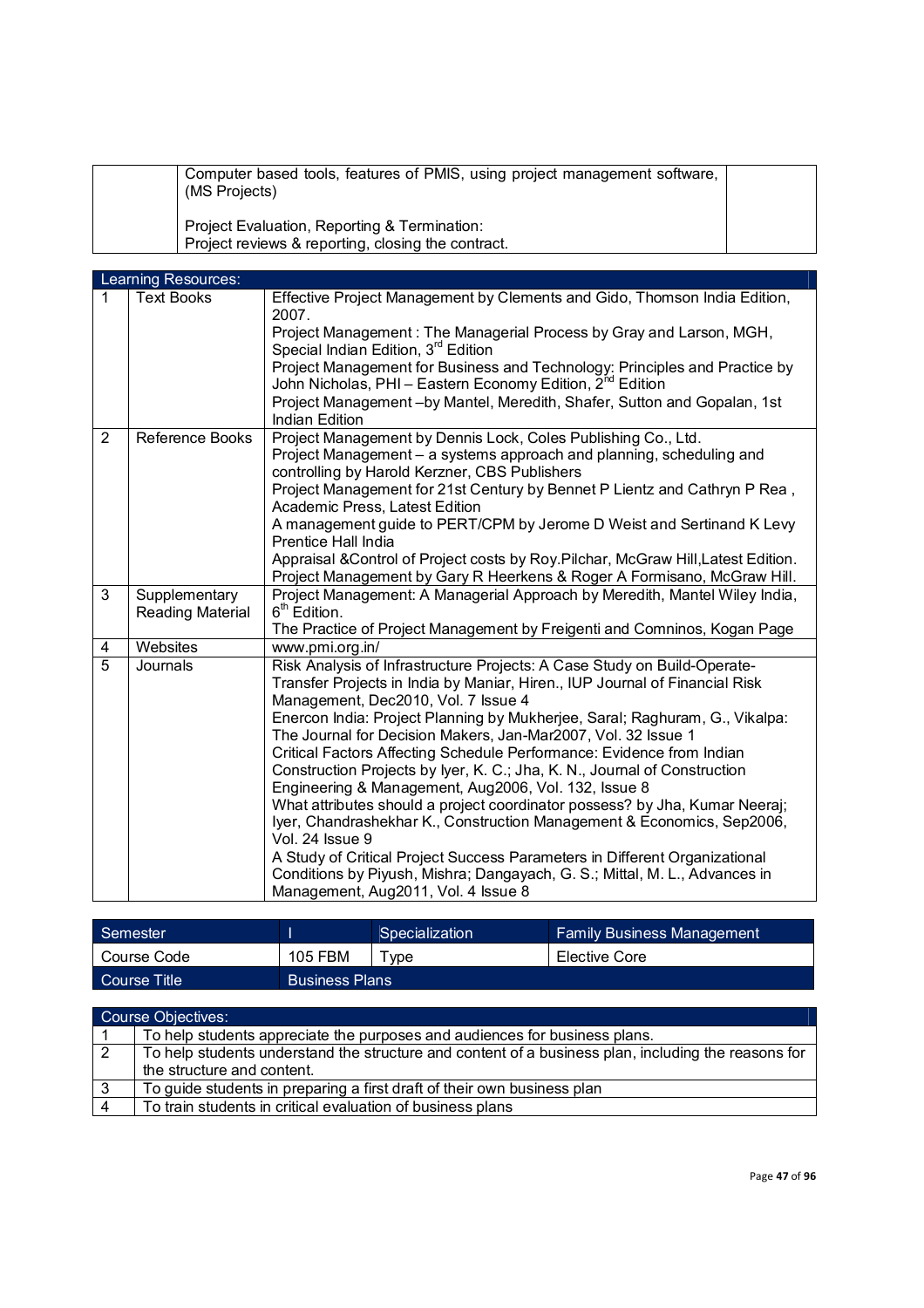| Computer based tools, features of PMIS, using project management software,<br>(MS Projects)        |  |
|----------------------------------------------------------------------------------------------------|--|
| Project Evaluation, Reporting & Termination:<br>Project reviews & reporting, closing the contract. |  |

|                | Learning Resources:               |                                                                                                                                                                                                |
|----------------|-----------------------------------|------------------------------------------------------------------------------------------------------------------------------------------------------------------------------------------------|
| $\mathbf 1$    | <b>Text Books</b>                 | Effective Project Management by Clements and Gido, Thomson India Edition,<br>2007.                                                                                                             |
|                |                                   | Project Management: The Managerial Process by Gray and Larson, MGH,<br>Special Indian Edition, 3rd Edition                                                                                     |
|                |                                   | Project Management for Business and Technology: Principles and Practice by<br>John Nicholas, PHI - Eastern Economy Edition, 2 <sup>nd</sup> Edition                                            |
|                |                                   | Project Management-by Mantel, Meredith, Shafer, Sutton and Gopalan, 1st<br><b>Indian Edition</b>                                                                                               |
| 2              | Reference Books                   | Project Management by Dennis Lock, Coles Publishing Co., Ltd.<br>Project Management - a systems approach and planning, scheduling and<br>controlling by Harold Kerzner, CBS Publishers         |
|                |                                   | Project Management for 21st Century by Bennet P Lientz and Cathryn P Rea,<br>Academic Press, Latest Edition                                                                                    |
|                |                                   | A management guide to PERT/CPM by Jerome D Weist and Sertinand K Levy<br>Prentice Hall India                                                                                                   |
|                |                                   | Appraisal & Control of Project costs by Roy. Pilchar, McGraw Hill, Latest Edition.<br>Project Management by Gary R Heerkens & Roger A Formisano, McGraw Hill.                                  |
| 3              | Supplementary<br>Reading Material | Project Management: A Managerial Approach by Meredith, Mantel Wiley India,<br>6 <sup>th</sup> Edition.                                                                                         |
|                |                                   | The Practice of Project Management by Freigenti and Comninos, Kogan Page                                                                                                                       |
| 4              | Websites                          | www.pmi.org.in/                                                                                                                                                                                |
| $\overline{5}$ | Journals                          | Risk Analysis of Infrastructure Projects: A Case Study on Build-Operate-<br>Transfer Projects in India by Maniar, Hiren., IUP Journal of Financial Risk<br>Management, Dec2010, Vol. 7 Issue 4 |
|                |                                   | Enercon India: Project Planning by Mukherjee, Saral; Raghuram, G., Vikalpa:<br>The Journal for Decision Makers, Jan-Mar2007, Vol. 32 Issue 1                                                   |
|                |                                   | Critical Factors Affecting Schedule Performance: Evidence from Indian                                                                                                                          |
|                |                                   | Construction Projects by Iyer, K. C.; Jha, K. N., Journal of Construction<br>Engineering & Management, Aug2006, Vol. 132, Issue 8                                                              |
|                |                                   | What attributes should a project coordinator possess? by Jha, Kumar Neeraj;                                                                                                                    |
|                |                                   | Iyer, Chandrashekhar K., Construction Management & Economics, Sep2006,<br>Vol. 24 Issue 9                                                                                                      |
|                |                                   | A Study of Critical Project Success Parameters in Different Organizational                                                                                                                     |
|                |                                   | Conditions by Piyush, Mishra; Dangayach, G. S.; Mittal, M. L., Advances in<br>Management, Aug2011, Vol. 4 Issue 8                                                                              |

| Semester         |                       | Specialization | <b>Family Business Management</b> |
|------------------|-----------------------|----------------|-----------------------------------|
| Course Code      | <b>105 FBM</b>        | <b>Tvpe</b>    | Elective Core                     |
| L Course Title ! | <b>Business Plans</b> |                |                                   |

|    | <b>Course Objectives:</b>                                                                           |
|----|-----------------------------------------------------------------------------------------------------|
|    | To help students appreciate the purposes and audiences for business plans.                          |
| 2  | To help students understand the structure and content of a business plan, including the reasons for |
|    | the structure and content.                                                                          |
| -3 | To guide students in preparing a first draft of their own business plan                             |
|    | To train students in critical evaluation of business plans                                          |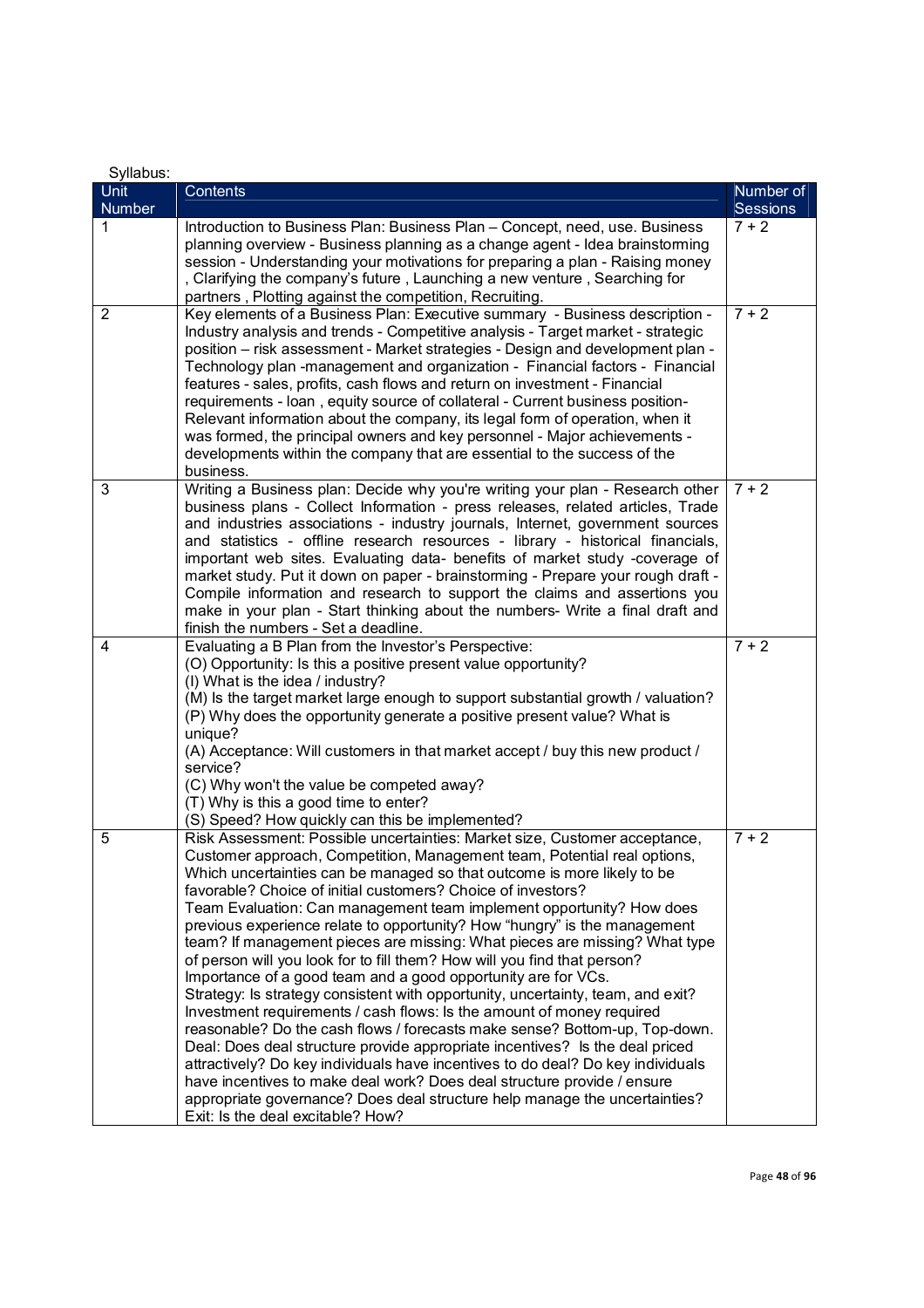| Syllabus:      |                                                                                                                                                                |           |
|----------------|----------------------------------------------------------------------------------------------------------------------------------------------------------------|-----------|
| <b>Unit</b>    | Contents                                                                                                                                                       | Number of |
| Number         |                                                                                                                                                                | Sessions  |
| 1              | Introduction to Business Plan: Business Plan - Concept, need, use. Business<br>planning overview - Business planning as a change agent - Idea brainstoming     | $7 + 2$   |
|                | session - Understanding your motivations for preparing a plan - Raising money                                                                                  |           |
|                | , Clarifying the company's future, Launching a new venture, Searching for                                                                                      |           |
|                | partners, Plotting against the competition, Recruiting.                                                                                                        |           |
| $\overline{2}$ | Key elements of a Business Plan: Executive summary - Business description -                                                                                    | $7 + 2$   |
|                | Industry analysis and trends - Competitive analysis - Target market - strategic                                                                                |           |
|                | position - risk assessment - Market strategies - Design and development plan -                                                                                 |           |
|                | Technology plan -management and organization - Financial factors - Financial                                                                                   |           |
|                | features - sales, profits, cash flows and return on investment - Financial<br>requirements - Ioan, equity source of collateral - Current business position-    |           |
|                | Relevant information about the company, its legal form of operation, when it                                                                                   |           |
|                | was formed, the principal owners and key personnel - Major achievements -                                                                                      |           |
|                | developments within the company that are essential to the success of the                                                                                       |           |
|                | business.                                                                                                                                                      |           |
| 3              | Writing a Business plan: Decide why you're writing your plan - Research other                                                                                  | $7 + 2$   |
|                | business plans - Collect Information - press releases, related articles, Trade                                                                                 |           |
|                | and industries associations - industry journals, Internet, government sources                                                                                  |           |
|                | and statistics - offline research resources - library - historical financials,                                                                                 |           |
|                | important web sites. Evaluating data- benefits of market study -coverage of<br>market study. Put it down on paper - brainstorming - Prepare your rough draft - |           |
|                | Compile information and research to support the claims and assertions you                                                                                      |           |
|                | make in your plan - Start thinking about the numbers- Write a final draft and                                                                                  |           |
|                | finish the numbers - Set a deadline.                                                                                                                           |           |
| 4              | Evaluating a B Plan from the Investor's Perspective:                                                                                                           | $7 + 2$   |
|                | (O) Opportunity: Is this a positive present value opportunity?                                                                                                 |           |
|                | (I) What is the idea / industry?                                                                                                                               |           |
|                | (M) Is the target market large enough to support substantial growth / valuation?<br>(P) Why does the opportunity generate a positive present value? What is    |           |
|                | unique?                                                                                                                                                        |           |
|                | (A) Acceptance: Will customers in that market accept / buy this new product /                                                                                  |           |
|                | service?                                                                                                                                                       |           |
|                | (C) Why won't the value be competed away?                                                                                                                      |           |
|                | (T) Why is this a good time to enter?<br>(S) Speed? How quickly can this be implemented?                                                                       |           |
| 5              | Risk Assessment: Possible uncertainties: Market size, Customer acceptance,                                                                                     | $7 + 2$   |
|                | Customer approach, Competition, Management team, Potential real options,                                                                                       |           |
|                | Which uncertainties can be managed so that outcome is more likely to be                                                                                        |           |
|                | favorable? Choice of initial customers? Choice of investors?                                                                                                   |           |
|                | Team Evaluation: Can management team implement opportunity? How does                                                                                           |           |
|                | previous experience relate to opportunity? How "hungry" is the management                                                                                      |           |
|                | team? If management pieces are missing: What pieces are missing? What type                                                                                     |           |
|                | of person will you look for to fill them? How will you find that person?<br>Importance of a good team and a good opportunity are for VCs.                      |           |
|                | Strategy: Is strategy consistent with opportunity, uncertainty, team, and exit?                                                                                |           |
|                | Investment requirements / cash flows: Is the amount of money required                                                                                          |           |
|                | reasonable? Do the cash flows / forecasts make sense? Bottom-up, Top-down.                                                                                     |           |
|                | Deal: Does deal structure provide appropriate incentives? Is the deal priced                                                                                   |           |
|                | attractively? Do key individuals have incentives to do deal? Do key individuals                                                                                |           |
|                | have incentives to make deal work? Does deal structure provide / ensure                                                                                        |           |
|                | appropriate governance? Does deal structure help manage the uncertainties?                                                                                     |           |
|                | Exit: Is the deal excitable? How?                                                                                                                              |           |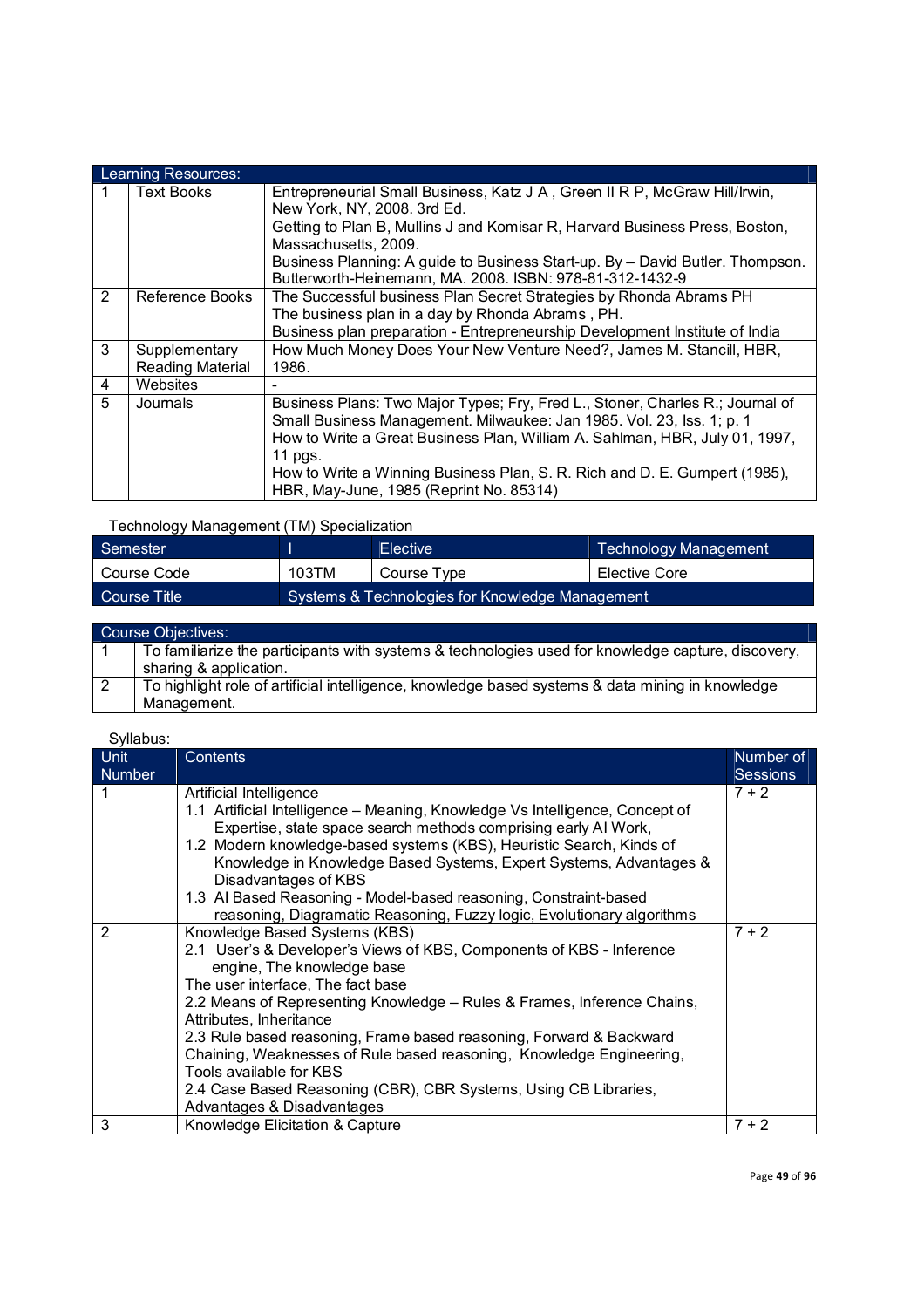|               | Learning Resources:                      |                                                                                                                                                                                                                                                                                                                                                                           |  |  |  |
|---------------|------------------------------------------|---------------------------------------------------------------------------------------------------------------------------------------------------------------------------------------------------------------------------------------------------------------------------------------------------------------------------------------------------------------------------|--|--|--|
|               | <b>Text Books</b>                        | Entrepreneurial Small Business, Katz J A, Green II R P, McGraw Hill/Irwin,<br>New York, NY, 2008. 3rd Ed.<br>Getting to Plan B, Mullins J and Komisar R, Harvard Business Press, Boston,<br>Massachusetts, 2009.<br>Business Planning: A guide to Business Start-up. By - David Butler. Thompson.<br>Butterworth-Heinemann, MA. 2008. ISBN: 978-81-312-1432-9             |  |  |  |
| $\mathcal{P}$ | Reference Books                          | The Successful business Plan Secret Strategies by Rhonda Abrams PH<br>The business plan in a day by Rhonda Abrams, PH.<br>Business plan preparation - Entrepreneurship Development Institute of India                                                                                                                                                                     |  |  |  |
| 3             | Supplementary<br><b>Reading Material</b> | How Much Money Does Your New Venture Need?, James M. Stancill, HBR,<br>1986.                                                                                                                                                                                                                                                                                              |  |  |  |
| 4             | Websites                                 |                                                                                                                                                                                                                                                                                                                                                                           |  |  |  |
| 5             | Journals                                 | Business Plans: Two Major Types; Fry, Fred L., Stoner, Charles R.; Journal of<br>Small Business Management. Milwaukee: Jan 1985. Vol. 23, lss. 1; p. 1<br>How to Write a Great Business Plan, William A. Sahlman, HBR, July 01, 1997,<br>11 pgs.<br>How to Write a Winning Business Plan, S. R. Rich and D. E. Gumpert (1985),<br>HBR, May-June, 1985 (Reprint No. 85314) |  |  |  |

### Technology Management (TM) Specialization

| Semester                                                        |       | <b>Elective</b> | Technology Management |
|-----------------------------------------------------------------|-------|-----------------|-----------------------|
| Course Code                                                     | 103TM | Course Type     | Elective Core         |
| Systems & Technologies for Knowledge Management<br>Course Title |       |                 |                       |

| <b>Course Objectives:</b>                                                                                                    |
|------------------------------------------------------------------------------------------------------------------------------|
| To familiarize the participants with systems & technologies used for knowledge capture, discovery,<br>sharing & application. |
| To highlight role of artificial intelligence, knowledge based systems & data mining in knowledge<br>Management.              |

| <b>Unit</b>   | Contents                                                                                                                                                                                                                                                                                                                                                                                                                                                                                                                                                   | Number of       |
|---------------|------------------------------------------------------------------------------------------------------------------------------------------------------------------------------------------------------------------------------------------------------------------------------------------------------------------------------------------------------------------------------------------------------------------------------------------------------------------------------------------------------------------------------------------------------------|-----------------|
| <b>Number</b> |                                                                                                                                                                                                                                                                                                                                                                                                                                                                                                                                                            | <b>Sessions</b> |
|               | Artificial Intelligence<br>1.1 Artificial Intelligence - Meaning, Knowledge Vs Intelligence, Concept of<br>Expertise, state space search methods comprising early AI Work,<br>1.2 Modern knowledge-based systems (KBS), Heuristic Search, Kinds of<br>Knowledge in Knowledge Based Systems, Expert Systems, Advantages &<br>Disadvantages of KBS<br>1.3 Al Based Reasoning - Model-based reasoning, Constraint-based                                                                                                                                       | $7 + 2$         |
|               | reasoning, Diagramatic Reasoning, Fuzzy logic, Evolutionary algorithms                                                                                                                                                                                                                                                                                                                                                                                                                                                                                     |                 |
| 2             | Knowledge Based Systems (KBS)<br>2.1 User's & Developer's Views of KBS, Components of KBS - Inference<br>engine, The knowledge base<br>The user interface, The fact base<br>2.2 Means of Representing Knowledge - Rules & Frames, Inference Chains,<br>Attributes, Inheritance<br>2.3 Rule based reasoning, Frame based reasoning, Forward & Backward<br>Chaining, Weaknesses of Rule based reasoning, Knowledge Engineering,<br>Tools available for KBS<br>2.4 Case Based Reasoning (CBR), CBR Systems, Using CB Libraries,<br>Advantages & Disadvantages | $7 + 2$         |
| 3             | Knowledge Elicitation & Capture                                                                                                                                                                                                                                                                                                                                                                                                                                                                                                                            | $7 + 2$         |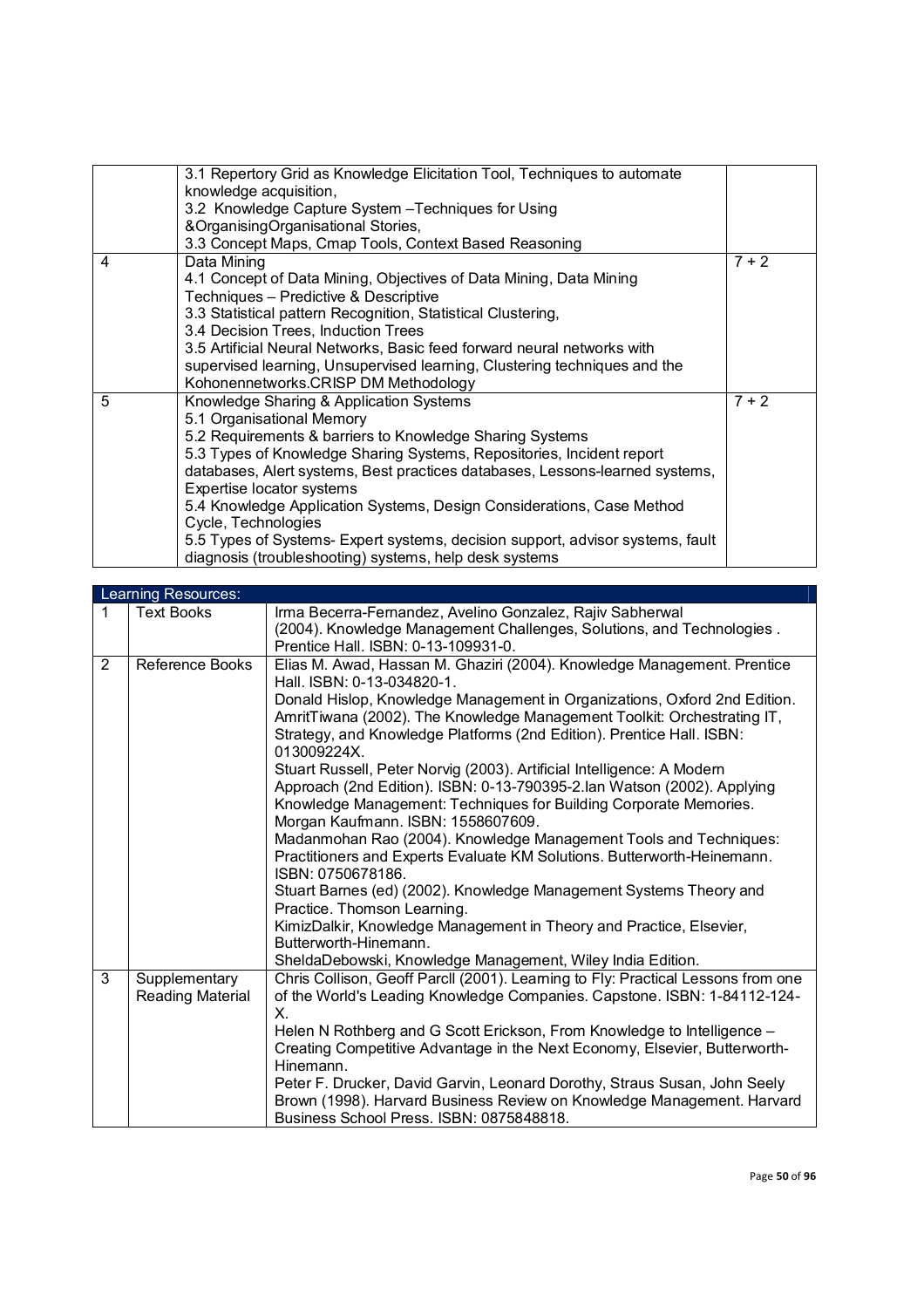|   | 3.1 Repertory Grid as Knowledge Elicitation Tool, Techniques to automate       |         |
|---|--------------------------------------------------------------------------------|---------|
|   | knowledge acquisition,                                                         |         |
|   | 3.2 Knowledge Capture System - Techniques for Using                            |         |
|   | &OrganisingOrganisational Stories,                                             |         |
|   | 3.3 Concept Maps, Cmap Tools, Context Based Reasoning                          |         |
| 4 | Data Mining                                                                    | $7 + 2$ |
|   | 4.1 Concept of Data Mining, Objectives of Data Mining, Data Mining             |         |
|   | Techniques - Predictive & Descriptive                                          |         |
|   | 3.3 Statistical pattern Recognition, Statistical Clustering,                   |         |
|   | 3.4 Decision Trees, Induction Trees                                            |         |
|   | 3.5 Artificial Neural Networks, Basic feed forward neural networks with        |         |
|   | supervised learning, Unsupervised learning, Clustering techniques and the      |         |
|   | Kohonennetworks.CRISP DM Methodology                                           |         |
| 5 | Knowledge Sharing & Application Systems                                        | $7 + 2$ |
|   | 5.1 Organisational Memory                                                      |         |
|   | 5.2 Requirements & barriers to Knowledge Sharing Systems                       |         |
|   | 5.3 Types of Knowledge Sharing Systems, Repositories, Incident report          |         |
|   | databases, Alert systems, Best practices databases, Lessons-learned systems,   |         |
|   | Expertise locator systems                                                      |         |
|   | 5.4 Knowledge Application Systems, Design Considerations, Case Method          |         |
|   | Cycle, Technologies                                                            |         |
|   | 5.5 Types of Systems- Expert systems, decision support, advisor systems, fault |         |
|   | diagnosis (troubleshooting) systems, help desk systems                         |         |
|   |                                                                                |         |

|   | Learning Resources: |                                                                                                                                              |  |  |  |  |
|---|---------------------|----------------------------------------------------------------------------------------------------------------------------------------------|--|--|--|--|
| 1 | <b>Text Books</b>   | Irma Becerra-Fernandez, Avelino Gonzalez, Rajiv Sabherwal                                                                                    |  |  |  |  |
|   |                     | (2004). Knowledge Management Challenges, Solutions, and Technologies.                                                                        |  |  |  |  |
|   |                     | Prentice Hall. ISBN: 0-13-109931-0.                                                                                                          |  |  |  |  |
| 2 | Reference Books     | Elias M. Awad, Hassan M. Ghaziri (2004). Knowledge Management. Prentice                                                                      |  |  |  |  |
|   |                     | Hall. ISBN: 0-13-034820-1.                                                                                                                   |  |  |  |  |
|   |                     | Donald Hislop, Knowledge Management in Organizations, Oxford 2nd Edition.                                                                    |  |  |  |  |
|   |                     | AmritTiwana (2002). The Knowledge Management Toolkit: Orchestrating IT,                                                                      |  |  |  |  |
|   |                     | Strategy, and Knowledge Platforms (2nd Edition). Prentice Hall. ISBN:                                                                        |  |  |  |  |
|   |                     | 013009224X.                                                                                                                                  |  |  |  |  |
|   |                     | Stuart Russell, Peter Norvig (2003). Artificial Intelligence: A Modern                                                                       |  |  |  |  |
|   |                     | Approach (2nd Edition). ISBN: 0-13-790395-2.lan Watson (2002). Applying                                                                      |  |  |  |  |
|   |                     | Knowledge Management: Techniques for Building Corporate Memories.                                                                            |  |  |  |  |
|   |                     | Morgan Kaufmann. ISBN: 1558607609.                                                                                                           |  |  |  |  |
|   |                     | Madanmohan Rao (2004). Knowledge Management Tools and Techniques:<br>Practitioners and Experts Evaluate KM Solutions. Butterworth-Heinemann. |  |  |  |  |
|   |                     | ISBN: 0750678186.                                                                                                                            |  |  |  |  |
|   |                     | Stuart Barnes (ed) (2002). Knowledge Management Systems Theory and                                                                           |  |  |  |  |
|   |                     | Practice. Thomson Learning.                                                                                                                  |  |  |  |  |
|   |                     | KimizDalkir, Knowledge Management in Theory and Practice, Elsevier,                                                                          |  |  |  |  |
|   |                     | Butterworth-Hinemann.                                                                                                                        |  |  |  |  |
|   |                     | SheldaDebowski, Knowledge Management, Wiley India Edition.                                                                                   |  |  |  |  |
| 3 | Supplementary       | Chris Collison, Geoff Parcll (2001). Learning to Fly: Practical Lessons from one                                                             |  |  |  |  |
|   | Reading Material    | of the World's Leading Knowledge Companies. Capstone. ISBN: 1-84112-124-                                                                     |  |  |  |  |
|   |                     | Х.                                                                                                                                           |  |  |  |  |
|   |                     | Helen N Rothberg and G Scott Erickson, From Knowledge to Intelligence -                                                                      |  |  |  |  |
|   |                     | Creating Competitive Advantage in the Next Economy, Elsevier, Butterworth-                                                                   |  |  |  |  |
|   |                     | Hinemann.                                                                                                                                    |  |  |  |  |
|   |                     | Peter F. Drucker, David Garvin, Leonard Dorothy, Straus Susan, John Seely                                                                    |  |  |  |  |
|   |                     | Brown (1998). Harvard Business Review on Knowledge Management. Harvard                                                                       |  |  |  |  |
|   |                     | Business School Press, ISBN: 0875848818.                                                                                                     |  |  |  |  |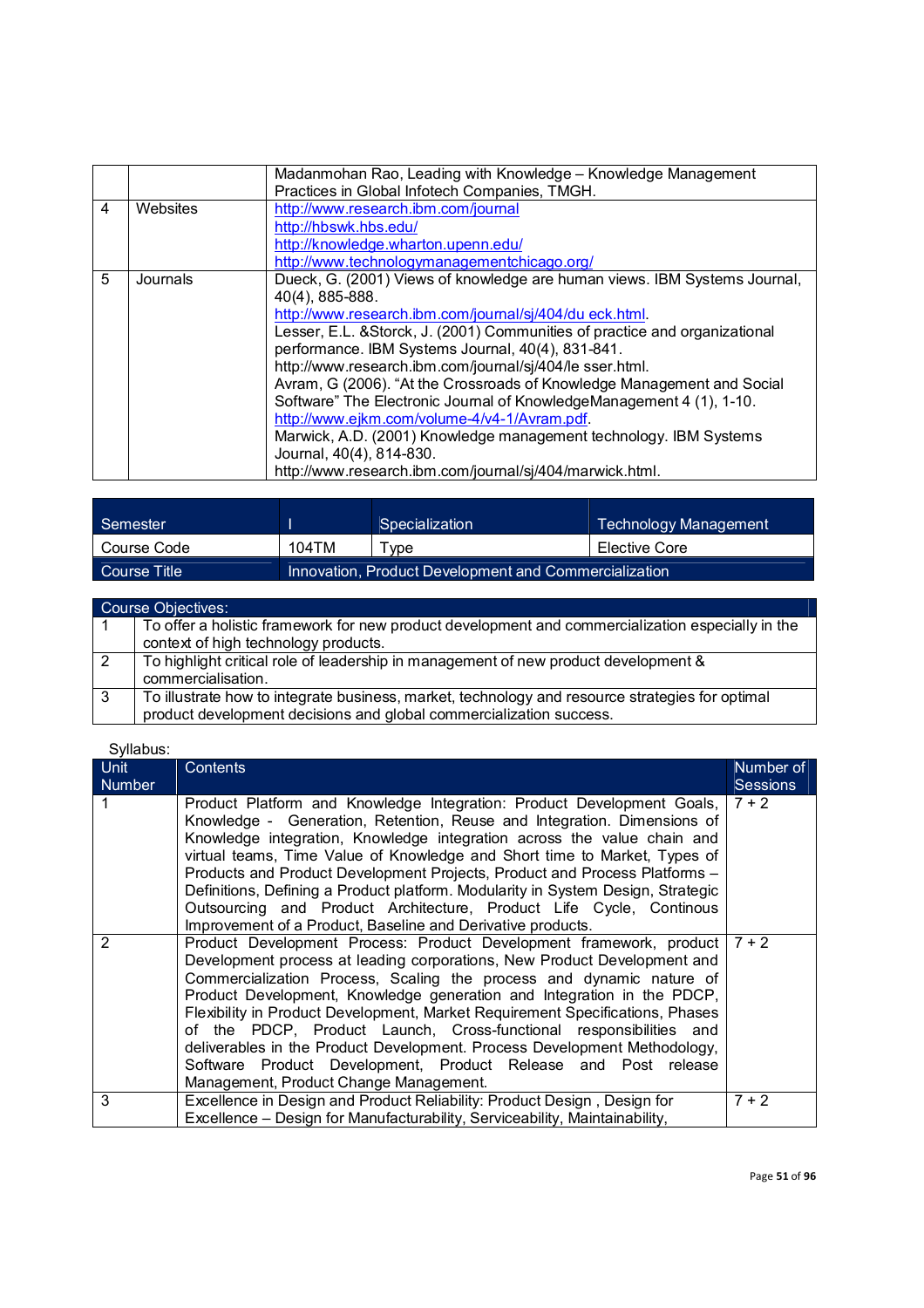|   |          | Madanmohan Rao, Leading with Knowledge - Knowledge Management               |
|---|----------|-----------------------------------------------------------------------------|
|   |          | Practices in Global Infotech Companies, TMGH.                               |
| 4 | Websites | http://www.research.ibm.com/journal                                         |
|   |          | http://hbswk.hbs.edu/                                                       |
|   |          | http://knowledge.wharton.upenn.edu/                                         |
|   |          | http://www.technologymanagementchicago.org/                                 |
| 5 | Journals | Dueck, G. (2001) Views of knowledge are human views. IBM Systems Journal,   |
|   |          | 40(4), 885-888.                                                             |
|   |          | http://www.research.ibm.com/journal/sj/404/du eck.html.                     |
|   |          | Lesser, E.L. & Storck, J. (2001) Communities of practice and organizational |
|   |          | performance. IBM Systems Journal, 40(4), 831-841.                           |
|   |          | http://www.research.ibm.com/journal/sj/404/le sser.html.                    |
|   |          | Avram, G (2006). "At the Crossroads of Knowledge Management and Social      |
|   |          | Software" The Electronic Journal of KnowledgeManagement 4 (1), 1-10.        |
|   |          | http://www.ejkm.com/volume-4/v4-1/Avram.pdf.                                |
|   |          | Marwick, A.D. (2001) Knowledge management technology. IBM Systems           |
|   |          | Journal, 40(4), 814-830.                                                    |
|   |          | http://www.research.ibm.com/journal/sj/404/marwick.html.                    |

| <b>Semester</b> |                                                       | <b>Specialization</b> | Technology Management |  |
|-----------------|-------------------------------------------------------|-----------------------|-----------------------|--|
| Course Code     | 104TM                                                 | <b>Type</b>           | Elective Core         |  |
| Course Title    | Innovation, Product Development and Commercialization |                       |                       |  |

|   | <b>Course Objectives:</b>                                                                         |
|---|---------------------------------------------------------------------------------------------------|
|   | To offer a holistic framework for new product development and commercialization especially in the |
|   | context of high technology products.                                                              |
|   | To highlight critical role of leadership in management of new product development &               |
|   | commercialisation.                                                                                |
| 3 | To illustrate how to integrate business, market, technology and resource strategies for optimal   |
|   | product development decisions and global commercialization success.                               |

| <b>Unit</b><br><b>Number</b> | <b>Contents</b>                                                                                                                                                                                                                                                                                                                                                                                                                                                                                                                                                                                                                                   | Number of<br><b>Sessions</b> |
|------------------------------|---------------------------------------------------------------------------------------------------------------------------------------------------------------------------------------------------------------------------------------------------------------------------------------------------------------------------------------------------------------------------------------------------------------------------------------------------------------------------------------------------------------------------------------------------------------------------------------------------------------------------------------------------|------------------------------|
|                              | Product Platform and Knowledge Integration: Product Development Goals,<br>Knowledge - Generation, Retention, Reuse and Integration. Dimensions of<br>Knowledge integration, Knowledge integration across the value chain and<br>virtual teams, Time Value of Knowledge and Short time to Market, Types of<br>Products and Product Development Projects, Product and Process Platforms -<br>Definitions, Defining a Product platform. Modularity in System Design, Strategic<br>Outsourcing and Product Architecture, Product Life Cycle, Continous<br>Improvement of a Product, Baseline and Derivative products.                                 | $7 + 2$                      |
| 2                            | Product Development Process: Product Development framework, product<br>Development process at leading corporations, New Product Development and<br>Commercialization Process, Scaling the process and dynamic nature of<br>Product Development, Knowledge generation and Integration in the PDCP,<br>Flexibility in Product Development, Market Requirement Specifications, Phases<br>of the PDCP, Product Launch, Cross-functional responsibilities and<br>deliverables in the Product Development. Process Development Methodology,<br>Software Product Development, Product Release and Post release<br>Management, Product Change Management. | $7 + 2$                      |
| 3                            | Excellence in Design and Product Reliability: Product Design, Design for                                                                                                                                                                                                                                                                                                                                                                                                                                                                                                                                                                          | $7 + 2$                      |
|                              | Excellence - Design for Manufacturability, Serviceability, Maintainability,                                                                                                                                                                                                                                                                                                                                                                                                                                                                                                                                                                       |                              |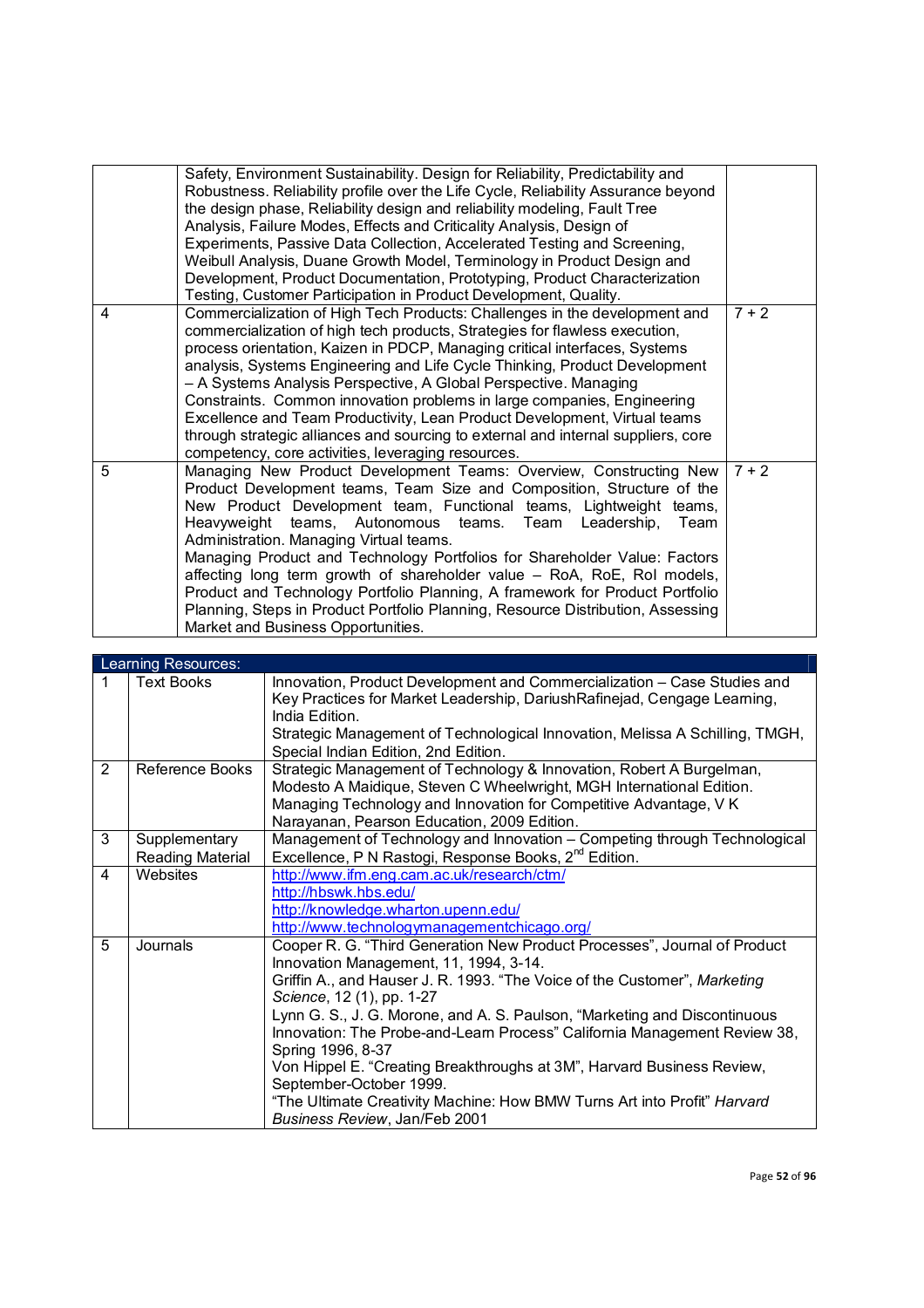|   | Safety, Environment Sustainability. Design for Reliability, Predictability and<br>Robustness. Reliability profile over the Life Cycle, Reliability Assurance beyond<br>the design phase, Reliability design and reliability modeling, Fault Tree<br>Analysis, Failure Modes, Effects and Criticality Analysis, Design of<br>Experiments, Passive Data Collection, Accelerated Testing and Screening,<br>Weibull Analysis, Duane Growth Model, Terminology in Product Design and<br>Development, Product Documentation, Prototyping, Product Characterization<br>Testing, Customer Participation in Product Development, Quality.                                                                |         |
|---|-------------------------------------------------------------------------------------------------------------------------------------------------------------------------------------------------------------------------------------------------------------------------------------------------------------------------------------------------------------------------------------------------------------------------------------------------------------------------------------------------------------------------------------------------------------------------------------------------------------------------------------------------------------------------------------------------|---------|
| 4 | Commercialization of High Tech Products: Challenges in the development and<br>commercialization of high tech products, Strategies for flawless execution,<br>process orientation, Kaizen in PDCP, Managing critical interfaces, Systems<br>analysis, Systems Engineering and Life Cycle Thinking, Product Development<br>- A Systems Analysis Perspective, A Global Perspective. Managing<br>Constraints. Common innovation problems in large companies, Engineering<br>Excellence and Team Productivity, Lean Product Development, Virtual teams<br>through strategic alliances and sourcing to external and internal suppliers, core<br>competency, core activities, leveraging resources.    | $7 + 2$ |
| 5 | Managing New Product Development Teams: Overview, Constructing New<br>Product Development teams, Team Size and Composition, Structure of the<br>New Product Development team, Functional teams, Lightweight teams,<br>Heavyweight teams, Autonomous teams. Team Leadership,<br>Team<br>Administration. Managing Virtual teams.<br>Managing Product and Technology Portfolios for Shareholder Value: Factors<br>affecting long term growth of shareholder value - RoA, RoE, RoI models,<br>Product and Technology Portfolio Planning, A framework for Product Portfolio<br>Planning, Steps in Product Portfolio Planning, Resource Distribution, Assessing<br>Market and Business Opportunities. | $7 + 2$ |

|   | Learning Resources:               |                                                                                                                                                                                                                                                                                                                                                                                                                                                                                                                                                                                                                                 |
|---|-----------------------------------|---------------------------------------------------------------------------------------------------------------------------------------------------------------------------------------------------------------------------------------------------------------------------------------------------------------------------------------------------------------------------------------------------------------------------------------------------------------------------------------------------------------------------------------------------------------------------------------------------------------------------------|
| 1 | <b>Text Books</b>                 | Innovation, Product Development and Commercialization - Case Studies and<br>Key Practices for Market Leadership, Dariush Rafinejad, Cengage Learning,<br>India Edition.<br>Strategic Management of Technological Innovation, Melissa A Schilling, TMGH,<br>Special Indian Edition, 2nd Edition.                                                                                                                                                                                                                                                                                                                                 |
| 2 | Reference Books                   | Strategic Management of Technology & Innovation, Robert A Burgelman,<br>Modesto A Maidique, Steven C Wheelwright, MGH International Edition.<br>Managing Technology and Innovation for Competitive Advantage, V K<br>Narayanan, Pearson Education, 2009 Edition.                                                                                                                                                                                                                                                                                                                                                                |
| 3 | Supplementary<br>Reading Material | Management of Technology and Innovation - Competing through Technological<br>Excellence, P N Rastogi, Response Books, 2 <sup>nd</sup> Edition.                                                                                                                                                                                                                                                                                                                                                                                                                                                                                  |
| 4 | Websites                          | http://www.jfm.eng.cam.ac.uk/research/ctm/<br>http://hbswk.hbs.edu/<br>http://knowledge.wharton.upenn.edu/<br>http://www.technologymanagementchicago.org/                                                                                                                                                                                                                                                                                                                                                                                                                                                                       |
| 5 | Journals                          | Cooper R. G. "Third Generation New Product Processes", Journal of Product<br>Innovation Management, 11, 1994, 3-14.<br>Griffin A., and Hauser J. R. 1993. "The Voice of the Customer", Marketing<br>Science, 12 (1), pp. 1-27<br>Lynn G. S., J. G. Morone, and A. S. Paulson, "Marketing and Discontinuous"<br>Innovation: The Probe-and-Learn Process" California Management Review 38,<br>Spring 1996, 8-37<br>Von Hippel E. "Creating Breakthroughs at 3M", Harvard Business Review,<br>September-October 1999.<br>"The Ultimate Creativity Machine: How BMW Turns Art into Profit" Harvard<br>Business Review, Jan/Feb 2001 |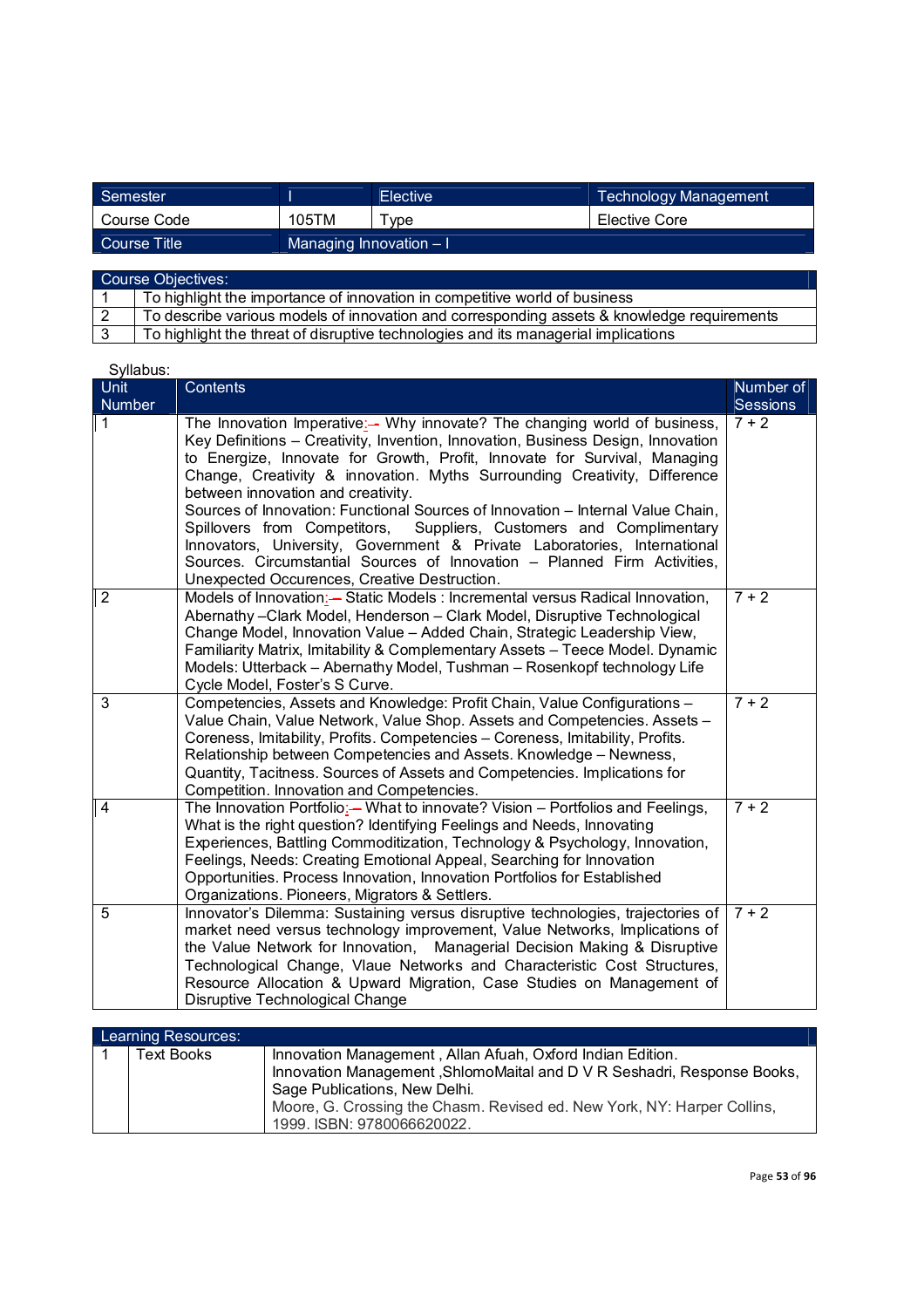| Semester     |                          | <b>Elective</b> | <b>Technology Management</b> |
|--------------|--------------------------|-----------------|------------------------------|
| Course Code  | 105TM                    | vpe             | Elective Core                |
| Course Title | Managing Innovation $-1$ |                 |                              |

| Course Objectives: |                                                                                            |  |
|--------------------|--------------------------------------------------------------------------------------------|--|
|                    | To highlight the importance of innovation in competitive world of business                 |  |
|                    | To describe various models of innovation and corresponding assets & knowledge requirements |  |
|                    | To highlight the threat of disruptive technologies and its managerial implications         |  |

| Syllabus:                    |                                                                                                                                                                                                                                                                                                                                                                                                                                                                                                                                                                                                                                                                                                                                 |                       |
|------------------------------|---------------------------------------------------------------------------------------------------------------------------------------------------------------------------------------------------------------------------------------------------------------------------------------------------------------------------------------------------------------------------------------------------------------------------------------------------------------------------------------------------------------------------------------------------------------------------------------------------------------------------------------------------------------------------------------------------------------------------------|-----------------------|
| <b>Unit</b><br><b>Number</b> | Contents                                                                                                                                                                                                                                                                                                                                                                                                                                                                                                                                                                                                                                                                                                                        | Number of<br>Sessions |
| $\mathbf{1}$                 | The Innovation Imperative:- Why innovate? The changing world of business,<br>Key Definitions - Creativity, Invention, Innovation, Business Design, Innovation<br>to Energize, Innovate for Growth, Profit, Innovate for Survival, Managing<br>Change, Creativity & innovation. Myths Surrounding Creativity, Difference<br>between innovation and creativity.<br>Sources of Innovation: Functional Sources of Innovation - Internal Value Chain,<br>Spillovers from Competitors, Suppliers, Customers and Complimentary<br>Innovators, University, Government & Private Laboratories, International<br>Sources. Circumstantial Sources of Innovation - Planned Firm Activities,<br>Unexpected Occurences, Creative Destruction. | $7 + 2$               |
| $\overline{2}$               | Models of Innovation:- Static Models : Incremental versus Radical Innovation,<br>Abernathy-Clark Model, Henderson - Clark Model, Disruptive Technological<br>Change Model, Innovation Value - Added Chain, Strategic Leadership View,<br>Familiarity Matrix, Imitability & Complementary Assets - Teece Model. Dynamic<br>Models: Utterback - Abernathy Model, Tushman - Rosenkopf technology Life<br>Cycle Model, Foster's S Curve.                                                                                                                                                                                                                                                                                            | $7 + 2$               |
| 3                            | Competencies, Assets and Knowledge: Profit Chain, Value Configurations -<br>Value Chain, Value Network, Value Shop. Assets and Competencies. Assets -<br>Coreness, Imitability, Profits. Competencies - Coreness, Imitability, Profits.<br>Relationship between Competencies and Assets. Knowledge - Newness,<br>Quantity, Tacitness. Sources of Assets and Competencies. Implications for<br>Competition. Innovation and Competencies.                                                                                                                                                                                                                                                                                         | $7 + 2$               |
| $\overline{4}$               | The Innovation Portfolio:- What to innovate? Vision - Portfolios and Feelings,<br>What is the right question? Identifying Feelings and Needs, Innovating<br>Experiences, Battling Commoditization, Technology & Psychology, Innovation,<br>Feelings, Needs: Creating Emotional Appeal, Searching for Innovation<br>Opportunities. Process Innovation, Innovation Portfolios for Established<br>Organizations. Pioneers, Migrators & Settlers.                                                                                                                                                                                                                                                                                   | $7 + 2$               |
| $\overline{5}$               | Innovator's Dilemma: Sustaining versus disruptive technologies, trajectories of<br>market need versus technology improvement, Value Networks, Implications of<br>the Value Network for Innovation, Managerial Decision Making & Disruptive<br>Technological Change, Vlaue Networks and Characteristic Cost Structures,<br>Resource Allocation & Upward Migration, Case Studies on Management of<br>Disruptive Technological Change                                                                                                                                                                                                                                                                                              | $7 + 2$               |

| Learning Resources: |                                                                         |  |  |
|---------------------|-------------------------------------------------------------------------|--|--|
| <b>Text Books</b>   | Innovation Management, Allan Afuah, Oxford Indian Edition.              |  |  |
|                     | Innovation Management, ShlomoMaital and D V R Seshadri, Response Books, |  |  |
|                     | Sage Publications, New Delhi.                                           |  |  |
|                     | Moore, G. Crossing the Chasm. Revised ed. New York, NY: Harper Collins, |  |  |
|                     | 1999. ISBN: 9780066620022.                                              |  |  |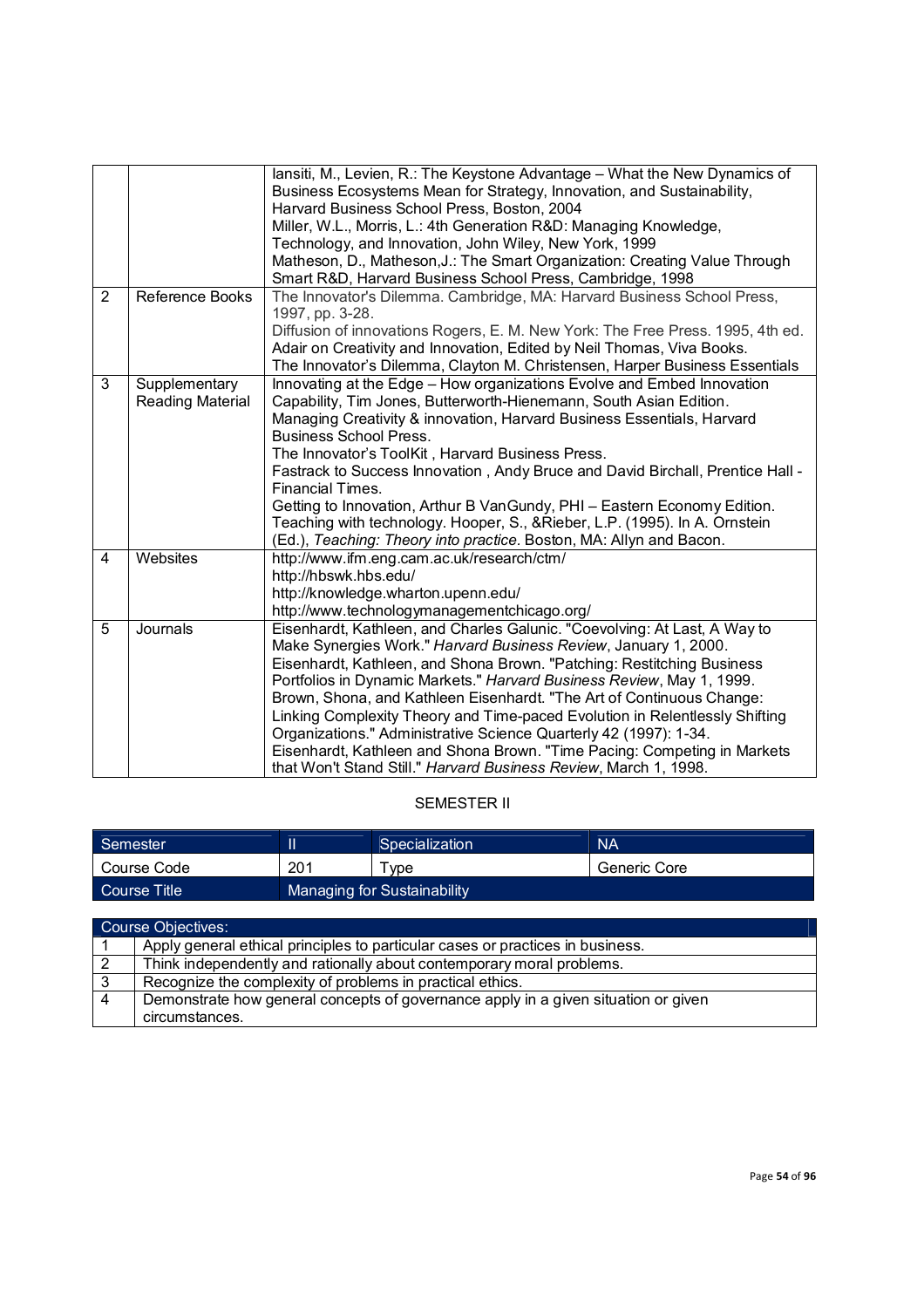|                |                         | lansiti, M., Levien, R.: The Keystone Advantage - What the New Dynamics of<br>Business Ecosystems Mean for Strategy, Innovation, and Sustainability,<br>Harvard Business School Press, Boston, 2004 |
|----------------|-------------------------|-----------------------------------------------------------------------------------------------------------------------------------------------------------------------------------------------------|
|                |                         | Miller, W.L., Morris, L.: 4th Generation R&D: Managing Knowledge,                                                                                                                                   |
|                |                         | Technology, and Innovation, John Wiley, New York, 1999                                                                                                                                              |
|                |                         | Matheson, D., Matheson, J.: The Smart Organization: Creating Value Through                                                                                                                          |
|                |                         | Smart R&D, Harvard Business School Press, Cambridge, 1998                                                                                                                                           |
| $\overline{2}$ | Reference Books         | The Innovator's Dilemma. Cambridge, MA: Harvard Business School Press,<br>1997, pp. 3-28.                                                                                                           |
|                |                         | Diffusion of innovations Rogers, E. M. New York: The Free Press. 1995, 4th ed.                                                                                                                      |
|                |                         | Adair on Creativity and Innovation, Edited by Neil Thomas, Viva Books.                                                                                                                              |
|                |                         |                                                                                                                                                                                                     |
|                |                         | The Innovator's Dilemma, Clayton M. Christensen, Harper Business Essentials                                                                                                                         |
| 3              | Supplementary           | Innovating at the Edge - How organizations Evolve and Embed Innovation                                                                                                                              |
|                | <b>Reading Material</b> | Capability, Tim Jones, Butterworth-Hienemann, South Asian Edition.                                                                                                                                  |
|                |                         | Managing Creativity & innovation, Harvard Business Essentials, Harvard                                                                                                                              |
|                |                         | <b>Business School Press.</b>                                                                                                                                                                       |
|                |                         | The Innovator's ToolKit, Harvard Business Press.                                                                                                                                                    |
|                |                         | Fastrack to Success Innovation, Andy Bruce and David Birchall, Prentice Hall -<br><b>Financial Times.</b>                                                                                           |
|                |                         | Getting to Innovation, Arthur B VanGundy, PHI - Eastern Economy Edition.                                                                                                                            |
|                |                         | Teaching with technology. Hooper, S., & Rieber, L.P. (1995). In A. Ornstein                                                                                                                         |
|                |                         | (Ed.), Teaching: Theory into practice. Boston, MA: Allyn and Bacon.                                                                                                                                 |
| 4              | Websites                | http://www.ifm.eng.cam.ac.uk/research/ctm/                                                                                                                                                          |
|                |                         | http://hbswk.hbs.edu/                                                                                                                                                                               |
|                |                         | http://knowledge.wharton.upenn.edu/                                                                                                                                                                 |
|                |                         | http://www.technologymanagementchicago.org/                                                                                                                                                         |
| 5              | Journals                | Eisenhardt, Kathleen, and Charles Galunic. "Coevolving: At Last, A Way to                                                                                                                           |
|                |                         | Make Synergies Work." Harvard Business Review, January 1, 2000.                                                                                                                                     |
|                |                         | Eisenhardt, Kathleen, and Shona Brown. "Patching: Restitching Business                                                                                                                              |
|                |                         | Portfolios in Dynamic Markets." Harvard Business Review, May 1, 1999.                                                                                                                               |
|                |                         | Brown, Shona, and Kathleen Eisenhardt. "The Art of Continuous Change:                                                                                                                               |
|                |                         | Linking Complexity Theory and Time-paced Evolution in Relentlessly Shifting                                                                                                                         |
|                |                         | Organizations." Administrative Science Quarterly 42 (1997): 1-34.                                                                                                                                   |
|                |                         | Eisenhardt, Kathleen and Shona Brown. "Time Pacing: Competing in Markets                                                                                                                            |
|                |                         | that Won't Stand Still." Harvard Business Review, March 1, 1998.                                                                                                                                    |

## SEMESTER II

| Semester           |     | Specialization              | <b>NA</b>    |
|--------------------|-----|-----------------------------|--------------|
| Course Code        | 201 | <b>vpe</b>                  | Generic Core |
| LCourse Title !    |     | Managing for Sustainability |              |
|                    |     |                             |              |
| Course Objectives: |     |                             |              |

|   | Course Objectives:                                                                 |
|---|------------------------------------------------------------------------------------|
|   | Apply general ethical principles to particular cases or practices in business.     |
|   | Think independently and rationally about contemporary moral problems.              |
| 3 | Recognize the complexity of problems in practical ethics.                          |
| 4 | Demonstrate how general concepts of governance apply in a given situation or given |
|   | circumstances.                                                                     |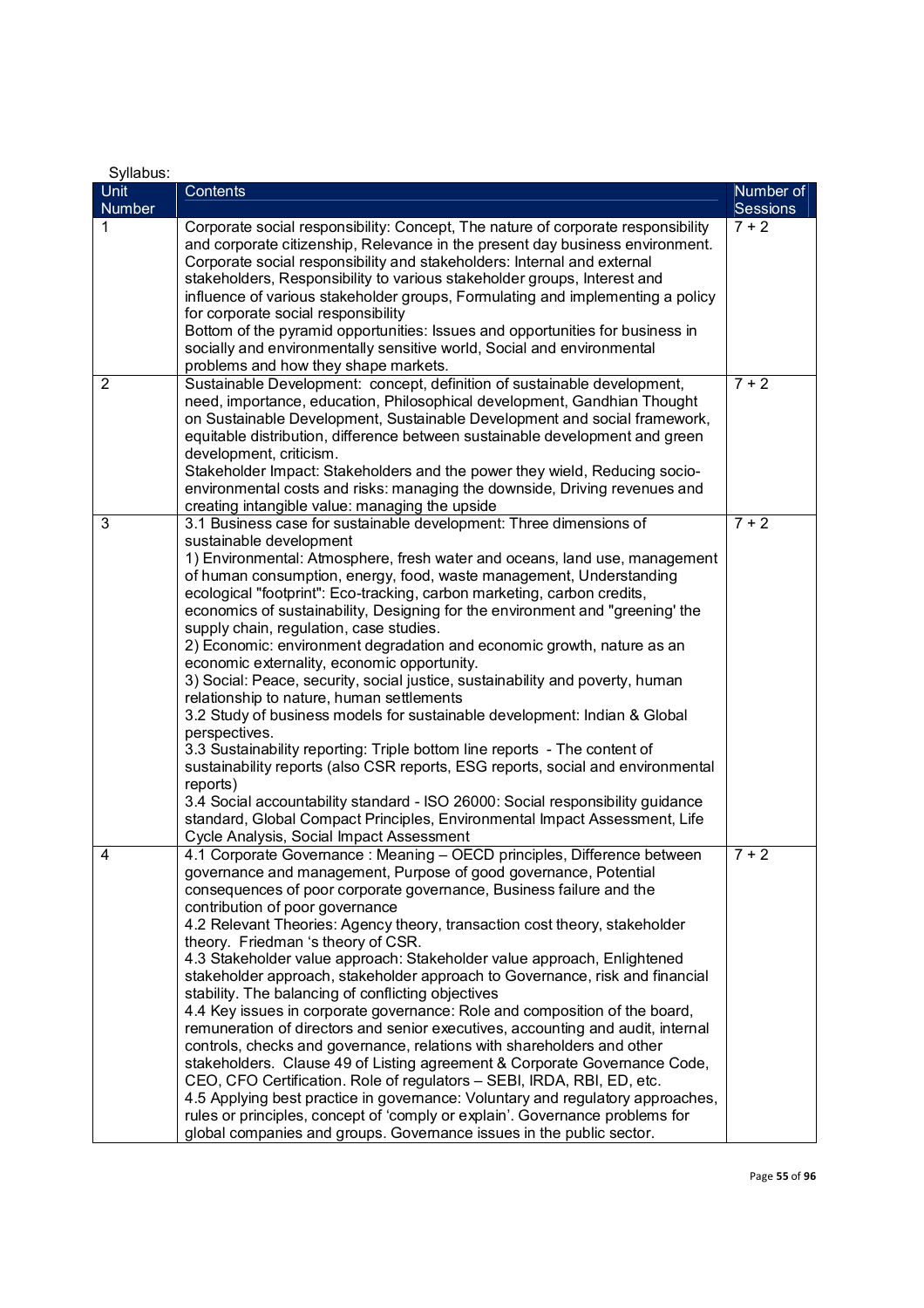| Syllabus:      |                                                                                                                                                                                                                                                                                                                                                                                                                                                                                                                                                                                                                                                                                                                                                                                                                                                                                                                                                                                                                                                                                                                                                                                                                                         |           |
|----------------|-----------------------------------------------------------------------------------------------------------------------------------------------------------------------------------------------------------------------------------------------------------------------------------------------------------------------------------------------------------------------------------------------------------------------------------------------------------------------------------------------------------------------------------------------------------------------------------------------------------------------------------------------------------------------------------------------------------------------------------------------------------------------------------------------------------------------------------------------------------------------------------------------------------------------------------------------------------------------------------------------------------------------------------------------------------------------------------------------------------------------------------------------------------------------------------------------------------------------------------------|-----------|
| <b>Unit</b>    | Contents                                                                                                                                                                                                                                                                                                                                                                                                                                                                                                                                                                                                                                                                                                                                                                                                                                                                                                                                                                                                                                                                                                                                                                                                                                | Number of |
| <b>Number</b>  |                                                                                                                                                                                                                                                                                                                                                                                                                                                                                                                                                                                                                                                                                                                                                                                                                                                                                                                                                                                                                                                                                                                                                                                                                                         | Sessions  |
| 1              | Corporate social responsibility: Concept, The nature of corporate responsibility<br>and corporate citizenship, Relevance in the present day business environment.<br>Corporate social responsibility and stakeholders: Internal and external<br>stakeholders, Responsibility to various stakeholder groups, Interest and<br>influence of various stakeholder groups, Formulating and implementing a policy<br>for corporate social responsibility<br>Bottom of the pyramid opportunities: Issues and opportunities for business in<br>socially and environmentally sensitive world, Social and environmental<br>problems and how they shape markets.                                                                                                                                                                                                                                                                                                                                                                                                                                                                                                                                                                                    | $7 + 2$   |
| $\overline{2}$ | Sustainable Development: concept, definition of sustainable development,<br>need, importance, education, Philosophical development, Gandhian Thought<br>on Sustainable Development, Sustainable Development and social framework,<br>equitable distribution, difference between sustainable development and green<br>development, criticism.<br>Stakeholder Impact: Stakeholders and the power they wield, Reducing socio-<br>environmental costs and risks: managing the downside, Driving revenues and<br>creating intangible value: managing the upside                                                                                                                                                                                                                                                                                                                                                                                                                                                                                                                                                                                                                                                                              | $7 + 2$   |
| 3              | 3.1 Business case for sustainable development: Three dimensions of<br>sustainable development<br>1) Environmental: Atmosphere, fresh water and oceans, land use, management<br>of human consumption, energy, food, waste management, Understanding<br>ecological "footprint": Eco-tracking, carbon marketing, carbon credits,<br>economics of sustainability, Designing for the environment and "greening' the<br>supply chain, regulation, case studies.<br>2) Economic: environment degradation and economic growth, nature as an<br>economic externality, economic opportunity.<br>3) Social: Peace, security, social justice, sustainability and poverty, human<br>relationship to nature, human settlements<br>3.2 Study of business models for sustainable development: Indian & Global<br>perspectives.<br>3.3 Sustainability reporting: Triple bottom line reports - The content of<br>sustainability reports (also CSR reports, ESG reports, social and environmental<br>reports)<br>3.4 Social accountability standard - ISO 26000: Social responsibility guidance<br>standard, Global Compact Principles, Environmental Impact Assessment, Life<br>Cycle Analysis, Social Impact Assessment                                  | $7 + 2$   |
| 4              | 4.1 Corporate Governance : Meaning - OECD principles, Difference between<br>governance and management, Purpose of good governance, Potential<br>consequences of poor corporate governance, Business failure and the<br>contribution of poor governance<br>4.2 Relevant Theories: Agency theory, transaction cost theory, stakeholder<br>theory. Friedman 's theory of CSR.<br>4.3 Stakeholder value approach: Stakeholder value approach, Enlightened<br>stakeholder approach, stakeholder approach to Governance, risk and financial<br>stability. The balancing of conflicting objectives<br>4.4 Key issues in corporate governance: Role and composition of the board,<br>remuneration of directors and senior executives, accounting and audit, internal<br>controls, checks and governance, relations with shareholders and other<br>stakeholders. Clause 49 of Listing agreement & Corporate Governance Code,<br>CEO, CFO Certification. Role of regulators - SEBI, IRDA, RBI, ED, etc.<br>4.5 Applying best practice in governance: Voluntary and regulatory approaches,<br>rules or principles, concept of 'comply or explain'. Governance problems for<br>global companies and groups. Governance issues in the public sector. | $7 + 2$   |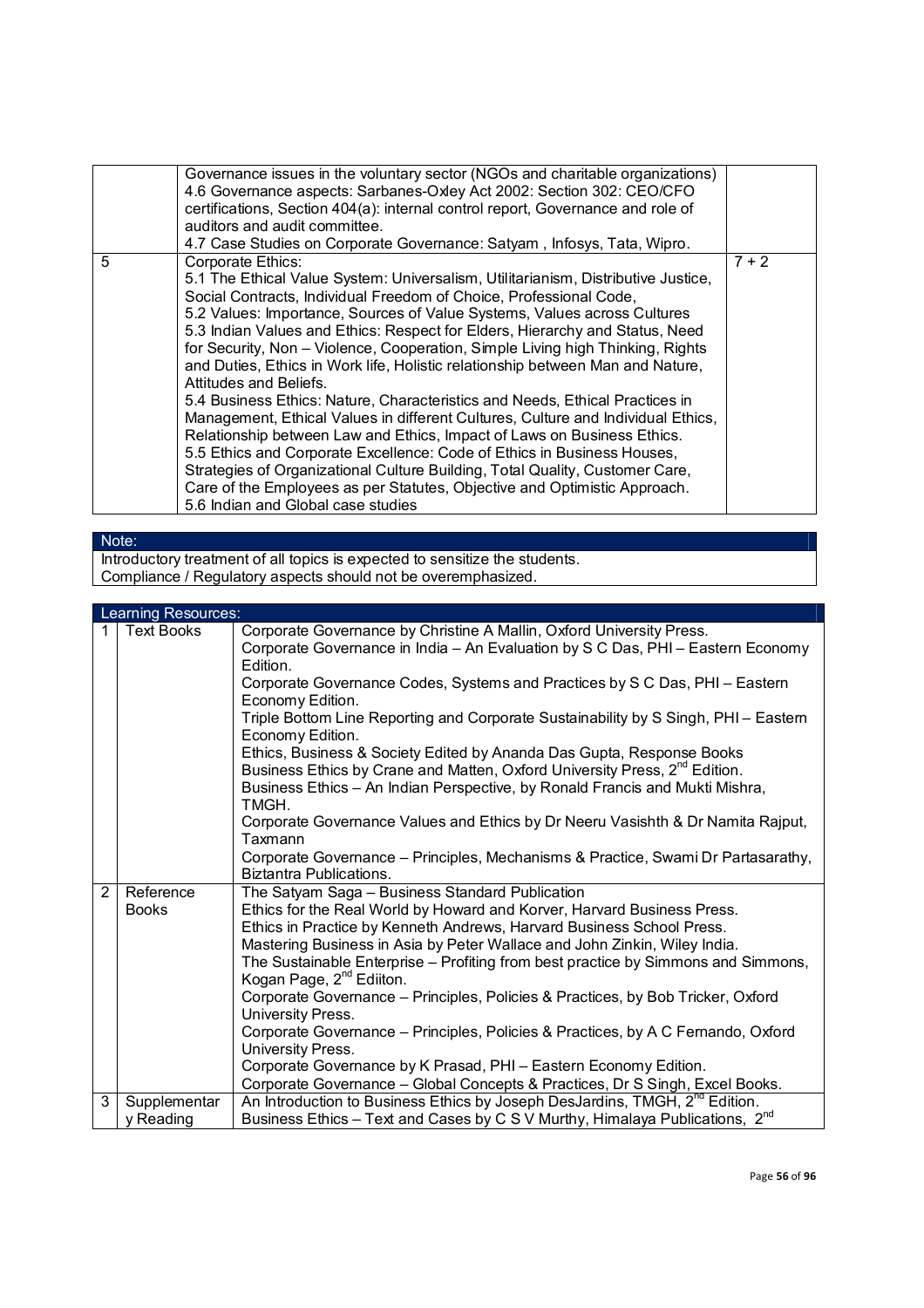|   | Governance issues in the voluntary sector (NGOs and charitable organizations)<br>4.6 Governance aspects: Sarbanes-Oxley Act 2002: Section 302: CEO/CFO<br>certifications, Section 404(a): internal control report, Governance and role of<br>auditors and audit committee.<br>4.7 Case Studies on Corporate Governance: Satyam, Infosys, Tata, Wipro.                                                                                                                                                                                                                                                                                                                                                                                                                                                                                                                                                                                                                                                                                                               |         |
|---|---------------------------------------------------------------------------------------------------------------------------------------------------------------------------------------------------------------------------------------------------------------------------------------------------------------------------------------------------------------------------------------------------------------------------------------------------------------------------------------------------------------------------------------------------------------------------------------------------------------------------------------------------------------------------------------------------------------------------------------------------------------------------------------------------------------------------------------------------------------------------------------------------------------------------------------------------------------------------------------------------------------------------------------------------------------------|---------|
| 5 | Corporate Ethics:<br>5.1 The Ethical Value System: Universalism, Utilitarianism, Distributive Justice,<br>Social Contracts, Individual Freedom of Choice, Professional Code,<br>5.2 Values: Importance, Sources of Value Systems, Values across Cultures<br>5.3 Indian Values and Ethics: Respect for Elders, Hierarchy and Status, Need<br>for Security, Non - Violence, Cooperation, Simple Living high Thinking, Rights<br>and Duties, Ethics in Work life, Holistic relationship between Man and Nature,<br>Attitudes and Beliefs.<br>5.4 Business Ethics: Nature, Characteristics and Needs, Ethical Practices in<br>Management, Ethical Values in different Cultures, Culture and Individual Ethics,<br>Relationship between Law and Ethics, Impact of Laws on Business Ethics.<br>5.5 Ethics and Corporate Excellence: Code of Ethics in Business Houses,<br>Strategies of Organizational Culture Building, Total Quality, Customer Care,<br>Care of the Employees as per Statutes, Objective and Optimistic Approach.<br>5.6 Indian and Global case studies | $7 + 2$ |

# Note:

Introductory treatment of all topics is expected to sensitize the students. Compliance / Regulatory aspects should not be overemphasized.

|   | Learning Resources: |                                                                                                                                                    |  |
|---|---------------------|----------------------------------------------------------------------------------------------------------------------------------------------------|--|
|   | <b>Text Books</b>   | Corporate Governance by Christine A Mallin, Oxford University Press.                                                                               |  |
|   |                     | Corporate Governance in India - An Evaluation by S C Das, PHI - Eastern Economy                                                                    |  |
|   |                     | Edition.                                                                                                                                           |  |
|   |                     | Corporate Governance Codes, Systems and Practices by S C Das, PHI - Eastern                                                                        |  |
|   |                     | Economy Edition.                                                                                                                                   |  |
|   |                     | Triple Bottom Line Reporting and Corporate Sustainability by S Singh, PHI - Eastern<br>Economy Edition.                                            |  |
|   |                     | Ethics, Business & Society Edited by Ananda Das Gupta, Response Books                                                                              |  |
|   |                     | Business Ethics by Crane and Matten, Oxford University Press, 2 <sup>nd</sup> Edition.                                                             |  |
|   |                     | Business Ethics - An Indian Perspective, by Ronald Francis and Mukti Mishra,                                                                       |  |
|   |                     | TMGH.                                                                                                                                              |  |
|   |                     | Corporate Governance Values and Ethics by Dr Neeru Vasishth & Dr Namita Rajput,                                                                    |  |
|   |                     | Taxmann                                                                                                                                            |  |
|   |                     | Corporate Governance - Principles, Mechanisms & Practice, Swami Dr Partasarathy,                                                                   |  |
|   |                     | Biztantra Publications.                                                                                                                            |  |
| 2 | Reference           | The Satyam Saga - Business Standard Publication                                                                                                    |  |
|   | <b>Books</b>        | Ethics for the Real World by Howard and Korver, Harvard Business Press.                                                                            |  |
|   |                     | Ethics in Practice by Kenneth Andrews, Harvard Business School Press.<br>Mastering Business in Asia by Peter Wallace and John Zinkin, Wiley India. |  |
|   |                     |                                                                                                                                                    |  |
|   |                     | The Sustainable Enterprise - Profiting from best practice by Simmons and Simmons,<br>Kogan Page, 2 <sup>nd</sup> Ediiton.                          |  |
|   |                     | Corporate Governance - Principles, Policies & Practices, by Bob Tricker, Oxford                                                                    |  |
|   |                     | University Press.                                                                                                                                  |  |
|   |                     | Corporate Governance – Principles, Policies & Practices, by A C Fernando, Oxford                                                                   |  |
|   |                     | University Press.                                                                                                                                  |  |
|   |                     | Corporate Governance by K Prasad, PHI - Eastern Economy Edition.                                                                                   |  |
|   |                     | Corporate Governance - Global Concepts & Practices, Dr S Singh, Excel Books.                                                                       |  |
| 3 | Supplementar        | An Introduction to Business Ethics by Joseph DesJardins, TMGH, 2 <sup>nd</sup> Edition.                                                            |  |
|   | y Reading           | Business Ethics - Text and Cases by C S V Murthy, Himalaya Publications, 2 <sup>nd</sup>                                                           |  |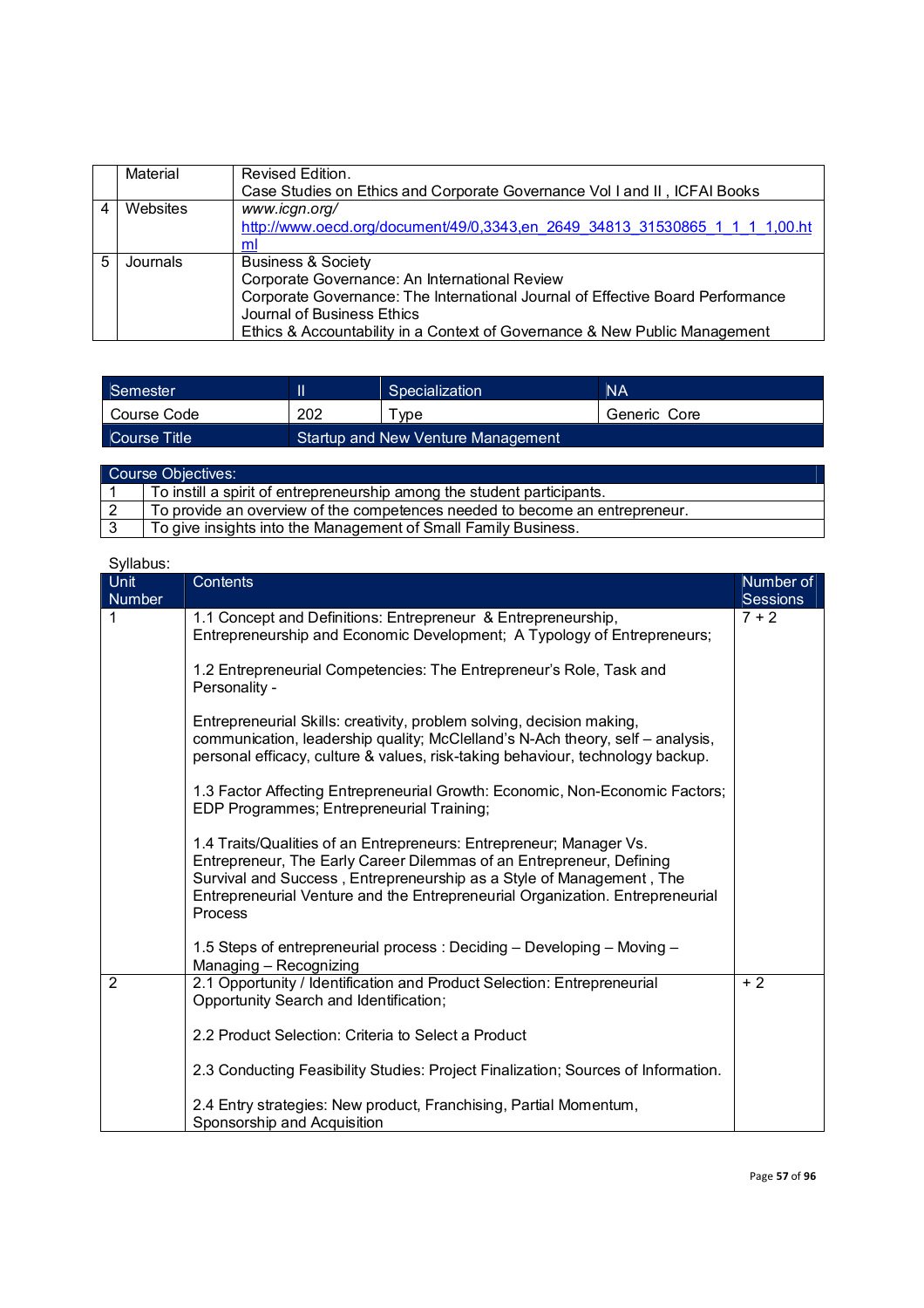|   | Material | Revised Edition.                                                               |
|---|----------|--------------------------------------------------------------------------------|
|   |          | Case Studies on Ethics and Corporate Governance Vol I and II, ICFAI Books      |
|   | Websites | www.icgn.org/                                                                  |
|   |          | http://www.oecd.org/document/49/0,3343,en 2649 34813 31530865 1 1 1 1,00.ht    |
|   |          | ml                                                                             |
| 5 | Journals | <b>Business &amp; Society</b>                                                  |
|   |          | Corporate Governance: An International Review                                  |
|   |          | Corporate Governance: The International Journal of Effective Board Performance |
|   |          | Journal of Business Ethics                                                     |
|   |          | Ethics & Accountability in a Context of Governance & New Public Management     |

| Semester        |                                    | Specialization      | <b>NA</b>    |
|-----------------|------------------------------------|---------------------|--------------|
| Course Code     | 202                                | $\tau_\mathsf{VDE}$ | Generic Core |
| LCourse Title ' | Startup and New Venture Management |                     |              |

| Course Objectives: |                                                                             |  |
|--------------------|-----------------------------------------------------------------------------|--|
|                    | To instill a spirit of entrepreneurship among the student participants.     |  |
|                    | To provide an overview of the competences needed to become an entrepreneur. |  |
|                    | To give insights into the Management of Small Family Business.              |  |

| Syllabus:             |                                                                                                                                                                                                                                                                                                                 |                            |
|-----------------------|-----------------------------------------------------------------------------------------------------------------------------------------------------------------------------------------------------------------------------------------------------------------------------------------------------------------|----------------------------|
| Unit<br><b>Number</b> | <b>Contents</b>                                                                                                                                                                                                                                                                                                 | Number of                  |
| 1                     | 1.1 Concept and Definitions: Entrepreneur & Entrepreneurship,<br>Entrepreneurship and Economic Development; A Typology of Entrepreneurs;                                                                                                                                                                        | <b>Sessions</b><br>$7 + 2$ |
|                       | 1.2 Entrepreneurial Competencies: The Entrepreneur's Role, Task and<br>Personality -                                                                                                                                                                                                                            |                            |
|                       | Entrepreneurial Skills: creativity, problem solving, decision making,<br>communication, leadership quality; McClelland's N-Ach theory, self - analysis,<br>personal efficacy, culture & values, risk-taking behaviour, technology backup.                                                                       |                            |
|                       | 1.3 Factor Affecting Entrepreneurial Growth: Economic, Non-Economic Factors;<br>EDP Programmes; Entrepreneurial Training;                                                                                                                                                                                       |                            |
|                       | 1.4 Traits/Qualities of an Entrepreneurs: Entrepreneur; Manager Vs.<br>Entrepreneur, The Early Career Dilemmas of an Entrepreneur, Defining<br>Survival and Success, Entrepreneurship as a Style of Management, The<br>Entrepreneurial Venture and the Entrepreneurial Organization. Entrepreneurial<br>Process |                            |
|                       | 1.5 Steps of entrepreneurial process: Deciding - Developing - Moving -<br>Managing - Recognizing                                                                                                                                                                                                                |                            |
| $\overline{2}$        | 2.1 Opportunity / Identification and Product Selection: Entrepreneurial<br>Opportunity Search and Identification;                                                                                                                                                                                               | $+2$                       |
|                       | 2.2 Product Selection: Criteria to Select a Product                                                                                                                                                                                                                                                             |                            |
|                       | 2.3 Conducting Feasibility Studies: Project Finalization; Sources of Information.                                                                                                                                                                                                                               |                            |
|                       | 2.4 Entry strategies: New product, Franchising, Partial Momentum,<br>Sponsorship and Acquisition                                                                                                                                                                                                                |                            |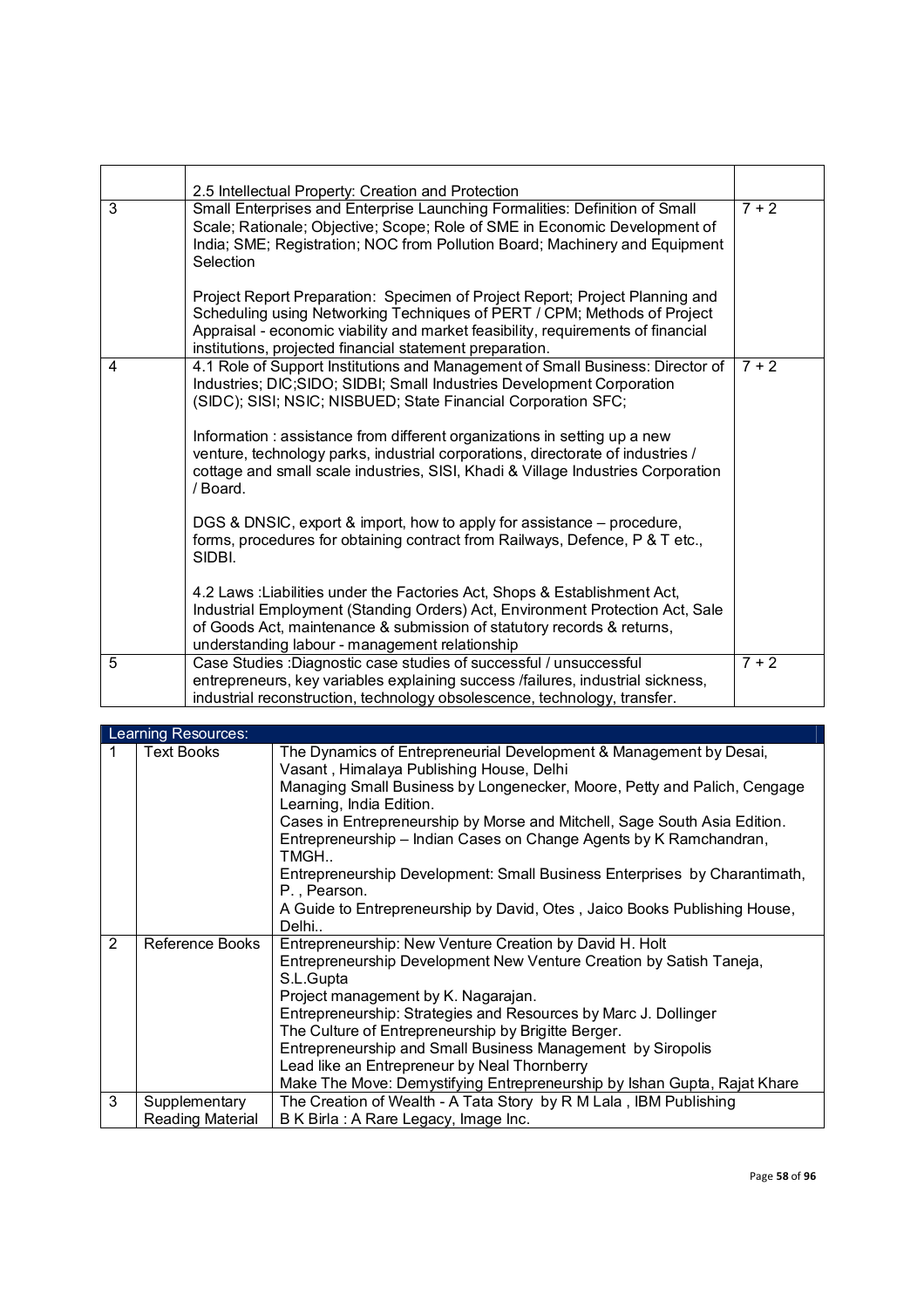|   | 2.5 Intellectual Property: Creation and Protection                                                                                                                                                                                                                                                       |         |
|---|----------------------------------------------------------------------------------------------------------------------------------------------------------------------------------------------------------------------------------------------------------------------------------------------------------|---------|
| 3 | Small Enterprises and Enterprise Launching Formalities: Definition of Small<br>Scale; Rationale; Objective; Scope; Role of SME in Economic Development of<br>India; SME; Registration; NOC from Pollution Board; Machinery and Equipment<br>Selection                                                    | $7 + 2$ |
|   | Project Report Preparation: Specimen of Project Report; Project Planning and<br>Scheduling using Networking Techniques of PERT / CPM; Methods of Project<br>Appraisal - economic viability and market feasibility, requirements of financial<br>institutions, projected financial statement preparation. |         |
| 4 | 4.1 Role of Support Institutions and Management of Small Business: Director of<br>Industries; DIC;SIDO; SIDBI; Small Industries Development Corporation<br>(SIDC); SISI; NSIC; NISBUED; State Financial Corporation SFC;                                                                                 | $7 + 2$ |
|   | Information : assistance from different organizations in setting up a new<br>venture, technology parks, industrial corporations, directorate of industries /<br>cottage and small scale industries, SISI, Khadi & Village Industries Corporation<br>/ Board.                                             |         |
|   | DGS & DNSIC, export & import, how to apply for assistance – procedure,<br>forms, procedures for obtaining contract from Railways, Defence, P & T etc.,<br>SIDBI.                                                                                                                                         |         |
|   | 4.2 Laws : Liabilities under the Factories Act, Shops & Establishment Act,<br>Industrial Employment (Standing Orders) Act, Environment Protection Act, Sale<br>of Goods Act, maintenance & submission of statutory records & returns,<br>understanding labour - management relationship                  |         |
| 5 | Case Studies : Diagnostic case studies of successful / unsuccessful<br>entrepreneurs, key variables explaining success /failures, industrial sickness,<br>industrial reconstruction, technology obsolescence, technology, transfer.                                                                      | $7 + 2$ |

|   | Learning Resources: |                                                                                                      |  |  |
|---|---------------------|------------------------------------------------------------------------------------------------------|--|--|
| 1 | <b>Text Books</b>   | The Dynamics of Entrepreneurial Development & Management by Desai,                                   |  |  |
|   |                     | Vasant, Himalaya Publishing House, Delhi                                                             |  |  |
|   |                     | Managing Small Business by Longenecker, Moore, Petty and Palich, Cengage<br>Learning, India Edition. |  |  |
|   |                     | Cases in Entrepreneurship by Morse and Mitchell, Sage South Asia Edition.                            |  |  |
|   |                     | Entrepreneurship - Indian Cases on Change Agents by K Ramchandran,<br>TMGH                           |  |  |
|   |                     | Entrepreneurship Development: Small Business Enterprises by Charantimath,<br>P., Pearson.            |  |  |
|   |                     | A Guide to Entrepreneurship by David, Otes, Jaico Books Publishing House,<br>Delhi                   |  |  |
| 2 | Reference Books     | Entrepreneurship: New Venture Creation by David H. Holt                                              |  |  |
|   |                     | Entrepreneurship Development New Venture Creation by Satish Taneja,                                  |  |  |
|   |                     | S.L.Gupta                                                                                            |  |  |
|   |                     | Project management by K. Nagarajan.                                                                  |  |  |
|   |                     | Entrepreneurship: Strategies and Resources by Marc J. Dollinger                                      |  |  |
|   |                     | The Culture of Entrepreneurship by Brigitte Berger.                                                  |  |  |
|   |                     | Entrepreneurship and Small Business Management by Siropolis                                          |  |  |
|   |                     | Lead like an Entrepreneur by Neal Thornberry                                                         |  |  |
|   |                     | Make The Move: Demystifying Entrepreneurship by Ishan Gupta, Rajat Khare                             |  |  |
| 3 | Supplementary       | The Creation of Wealth - A Tata Story by R M Lala, IBM Publishing                                    |  |  |
|   | Reading Material    | B K Birla : A Rare Legacy, Image Inc.                                                                |  |  |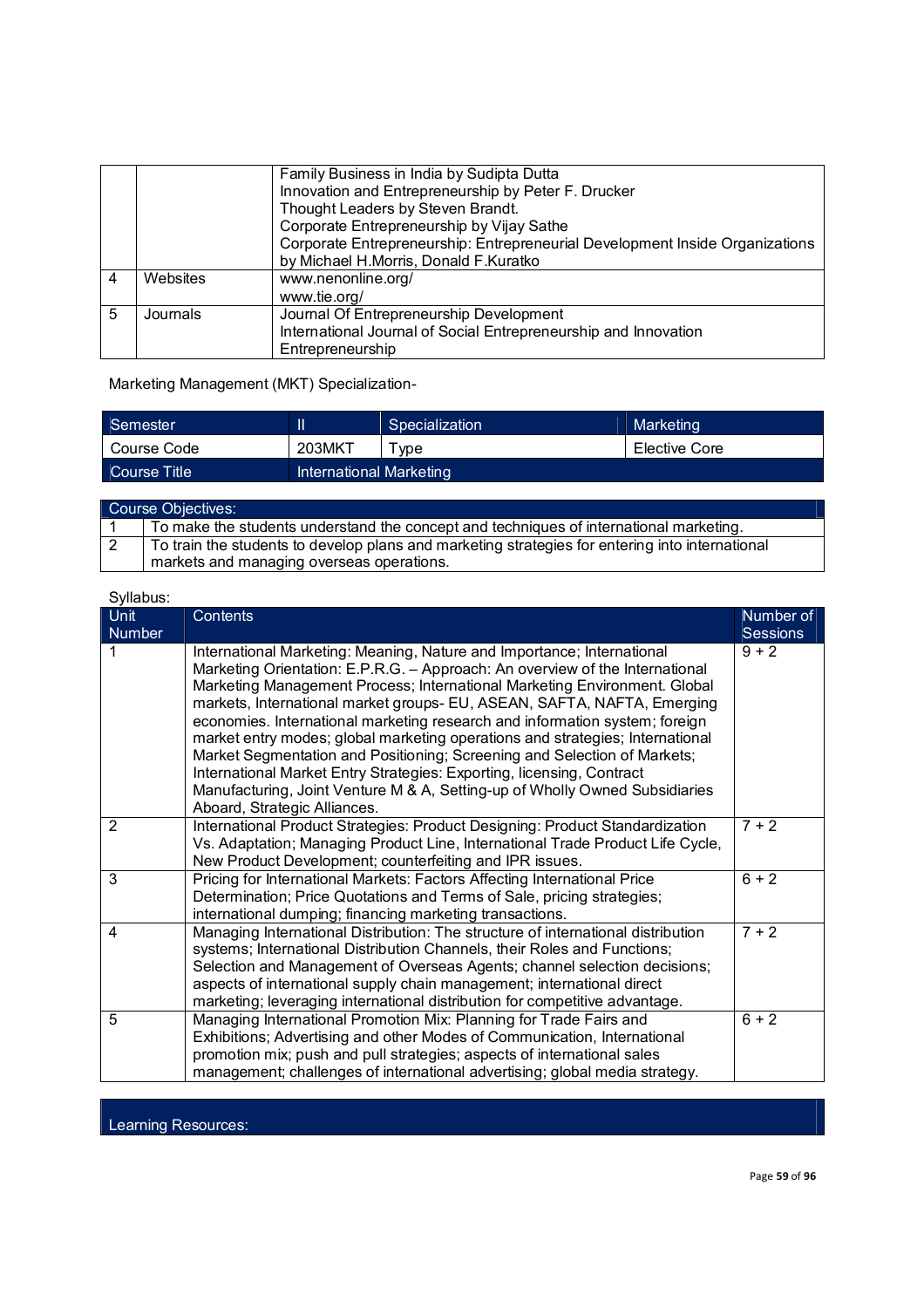|   |          | Family Business in India by Sudipta Dutta<br>Innovation and Entrepreneurship by Peter F. Drucker<br>Thought Leaders by Steven Brandt.<br>Corporate Entrepreneurship by Vijay Sathe<br>Corporate Entrepreneurship: Entrepreneurial Development Inside Organizations<br>by Michael H.Morris, Donald F.Kuratko |
|---|----------|-------------------------------------------------------------------------------------------------------------------------------------------------------------------------------------------------------------------------------------------------------------------------------------------------------------|
| 4 | Websites | www.nenonline.org/<br>www.tie.org/                                                                                                                                                                                                                                                                          |
| 5 | Journals | Journal Of Entrepreneurship Development<br>International Journal of Social Entrepreneurship and Innovation<br>Entrepreneurship                                                                                                                                                                              |

Marketing Management (MKT) Specialization-

| Semester     |                         | Specialization | Marketing     |
|--------------|-------------------------|----------------|---------------|
| Course Code  | 203MKT                  | vpe            | Elective Core |
| Course Title | International Marketing |                |               |

| Course Objectives:                                                                                                                           |
|----------------------------------------------------------------------------------------------------------------------------------------------|
| To make the students understand the concept and techniques of international marketing.                                                       |
| To train the students to develop plans and marketing strategies for entering into international<br>markets and managing overseas operations. |

| Syllabus:             |                                                                                                                                                                                                                                                                                                                                                                                                                                                                                                                                                                                                                                                                                                                                                    |                              |
|-----------------------|----------------------------------------------------------------------------------------------------------------------------------------------------------------------------------------------------------------------------------------------------------------------------------------------------------------------------------------------------------------------------------------------------------------------------------------------------------------------------------------------------------------------------------------------------------------------------------------------------------------------------------------------------------------------------------------------------------------------------------------------------|------------------------------|
| <b>Unit</b><br>Number | Contents                                                                                                                                                                                                                                                                                                                                                                                                                                                                                                                                                                                                                                                                                                                                           | Number of<br><b>Sessions</b> |
|                       | International Marketing: Meaning, Nature and Importance; International<br>Marketing Orientation: E.P.R.G. - Approach: An overview of the International<br>Marketing Management Process; International Marketing Environment. Global<br>markets, International market groups- EU, ASEAN, SAFTA, NAFTA, Emerging<br>economies. International marketing research and information system; foreign<br>market entry modes; global marketing operations and strategies; International<br>Market Segmentation and Positioning; Screening and Selection of Markets;<br>International Market Entry Strategies: Exporting, licensing, Contract<br>Manufacturing, Joint Venture M & A, Setting-up of Wholly Owned Subsidiaries<br>Aboard, Strategic Alliances. | $9 + 2$                      |
| $\overline{2}$        | International Product Strategies: Product Designing: Product Standardization<br>Vs. Adaptation; Managing Product Line, International Trade Product Life Cycle,<br>New Product Development; counterfeiting and IPR issues.                                                                                                                                                                                                                                                                                                                                                                                                                                                                                                                          | $7 + 2$                      |
| 3                     | Pricing for International Markets: Factors Affecting International Price<br>Determination; Price Quotations and Terms of Sale, pricing strategies;<br>international dumping; financing marketing transactions.                                                                                                                                                                                                                                                                                                                                                                                                                                                                                                                                     | $6 + 2$                      |
| 4                     | Managing International Distribution: The structure of international distribution<br>systems; International Distribution Channels, their Roles and Functions;<br>Selection and Management of Overseas Agents; channel selection decisions;<br>aspects of international supply chain management; international direct<br>marketing; leveraging international distribution for competitive advantage.                                                                                                                                                                                                                                                                                                                                                 | $7 + 2$                      |
| 5                     | Managing International Promotion Mix: Planning for Trade Fairs and<br>Exhibitions; Advertising and other Modes of Communication, International<br>promotion mix; push and pull strategies; aspects of international sales<br>management; challenges of international advertising; global media strategy.                                                                                                                                                                                                                                                                                                                                                                                                                                           | $6 + 2$                      |

Learning Resources: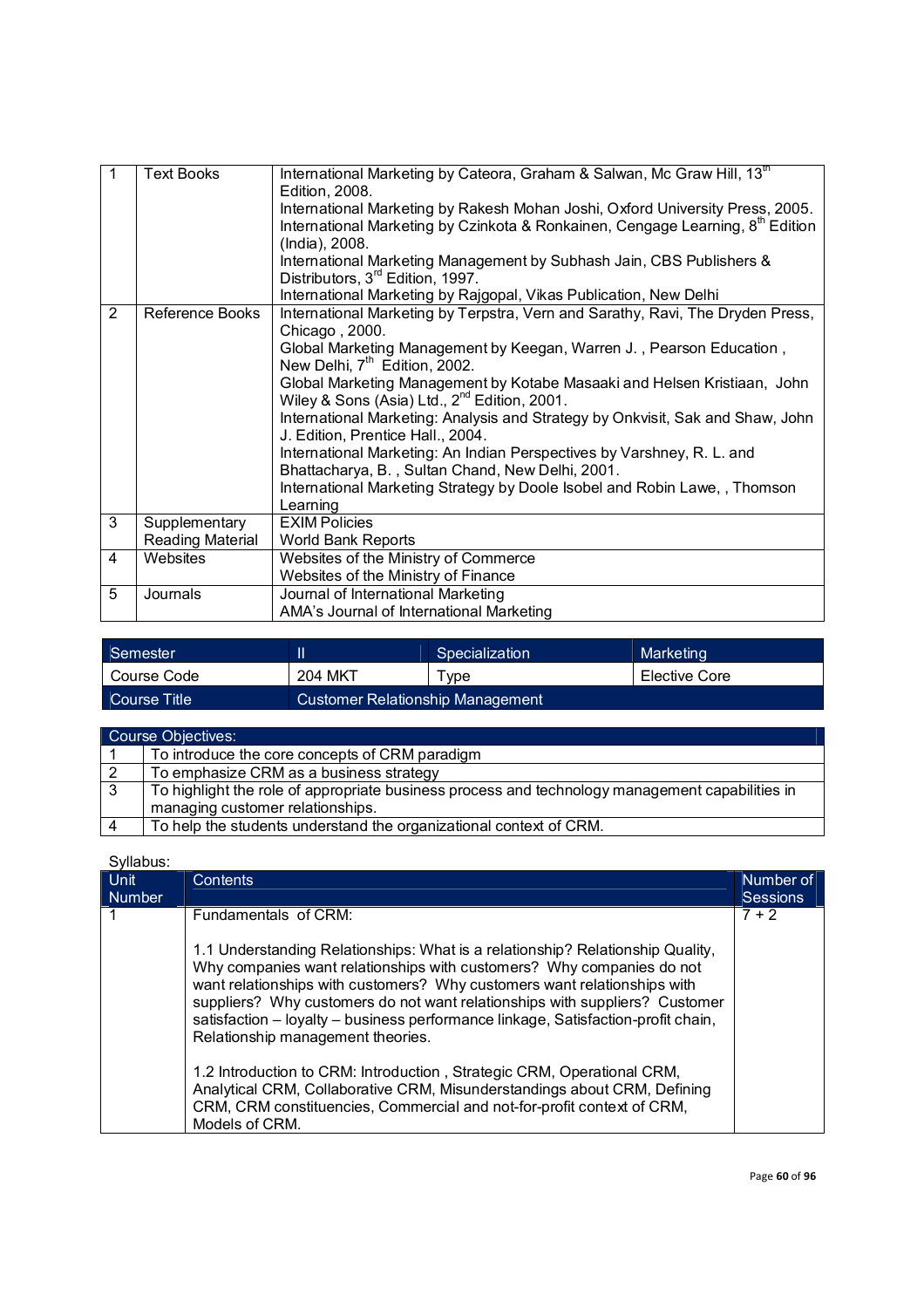| $\mathbf{1}$   | <b>Text Books</b>                 | International Marketing by Cateora, Graham & Salwan, Mc Graw Hill, 13 <sup>th</sup><br>Edition, 2008.<br>International Marketing by Rakesh Mohan Joshi, Oxford University Press, 2005.<br>International Marketing by Czinkota & Ronkainen, Cengage Learning, 8 <sup>th</sup> Edition<br>(India), 2008.<br>International Marketing Management by Subhash Jain, CBS Publishers &<br>Distributors, 3 <sup>rd</sup> Edition, 1997.                                                                                                                                                                                                                                                                                                                                             |  |
|----------------|-----------------------------------|----------------------------------------------------------------------------------------------------------------------------------------------------------------------------------------------------------------------------------------------------------------------------------------------------------------------------------------------------------------------------------------------------------------------------------------------------------------------------------------------------------------------------------------------------------------------------------------------------------------------------------------------------------------------------------------------------------------------------------------------------------------------------|--|
| $\overline{2}$ | <b>Reference Books</b>            | International Marketing by Rajgopal, Vikas Publication, New Delhi<br>International Marketing by Terpstra, Vern and Sarathy, Ravi, The Dryden Press,<br>Chicago, 2000.<br>Global Marketing Management by Keegan, Warren J., Pearson Education,<br>New Delhi, 7 <sup>th</sup> Edition, 2002.<br>Global Marketing Management by Kotabe Masaaki and Helsen Kristiaan, John<br>Wiley & Sons (Asia) Ltd., $2^{nd}$ Edition, 2001.<br>International Marketing: Analysis and Strategy by Onkvisit, Sak and Shaw, John<br>J. Edition, Prentice Hall., 2004.<br>International Marketing: An Indian Perspectives by Varshney, R. L. and<br>Bhattacharya, B., Sultan Chand, New Delhi, 2001.<br>International Marketing Strategy by Doole Isobel and Robin Lawe, , Thomson<br>Learning |  |
| 3              | Supplementary<br>Reading Material | <b>EXIM Policies</b><br>World Bank Reports                                                                                                                                                                                                                                                                                                                                                                                                                                                                                                                                                                                                                                                                                                                                 |  |
| $\overline{4}$ | Websites                          | Websites of the Ministry of Commerce<br>Websites of the Ministry of Finance                                                                                                                                                                                                                                                                                                                                                                                                                                                                                                                                                                                                                                                                                                |  |
| 5              | Journals                          | Journal of International Marketing<br>AMA's Journal of International Marketing                                                                                                                                                                                                                                                                                                                                                                                                                                                                                                                                                                                                                                                                                             |  |

| Semester     |                                  | Specialization | Marketing     |
|--------------|----------------------------------|----------------|---------------|
| Course Code  | <b>204 MKT</b>                   | Tvpe           | Elective Core |
| Course Title | Customer Relationship Management |                |               |

|   | Course Objectives:                                                                              |
|---|-------------------------------------------------------------------------------------------------|
|   | To introduce the core concepts of CRM paradigm                                                  |
|   | To emphasize CRM as a business strategy                                                         |
| 3 | To highlight the role of appropriate business process and technology management capabilities in |
|   | managing customer relationships.                                                                |
|   | To help the students understand the organizational context of CRM.                              |

| <b>Unit</b><br>Number | Contents                                                                                                                                                                                                                                                                                                                                                                                                                                                                                                                                                                                                                   | Number of<br><b>Sessions</b> |
|-----------------------|----------------------------------------------------------------------------------------------------------------------------------------------------------------------------------------------------------------------------------------------------------------------------------------------------------------------------------------------------------------------------------------------------------------------------------------------------------------------------------------------------------------------------------------------------------------------------------------------------------------------------|------------------------------|
|                       | Fundamentals of CRM:<br>1.1 Understanding Relationships: What is a relationship? Relationship Quality,<br>Why companies want relationships with customers? Why companies do not<br>want relationships with customers? Why customers want relationships with<br>suppliers? Why customers do not want relationships with suppliers? Customer<br>satisfaction - loyalty - business performance linkage, Satisfaction-profit chain,<br>Relationship management theories.<br>1.2 Introduction to CRM: Introduction, Strategic CRM, Operational CRM,<br>Analytical CRM, Collaborative CRM, Misunderstandings about CRM, Defining | $7 + 2$                      |
|                       | CRM, CRM constituencies, Commercial and not-for-profit context of CRM,<br>Models of CRM.                                                                                                                                                                                                                                                                                                                                                                                                                                                                                                                                   |                              |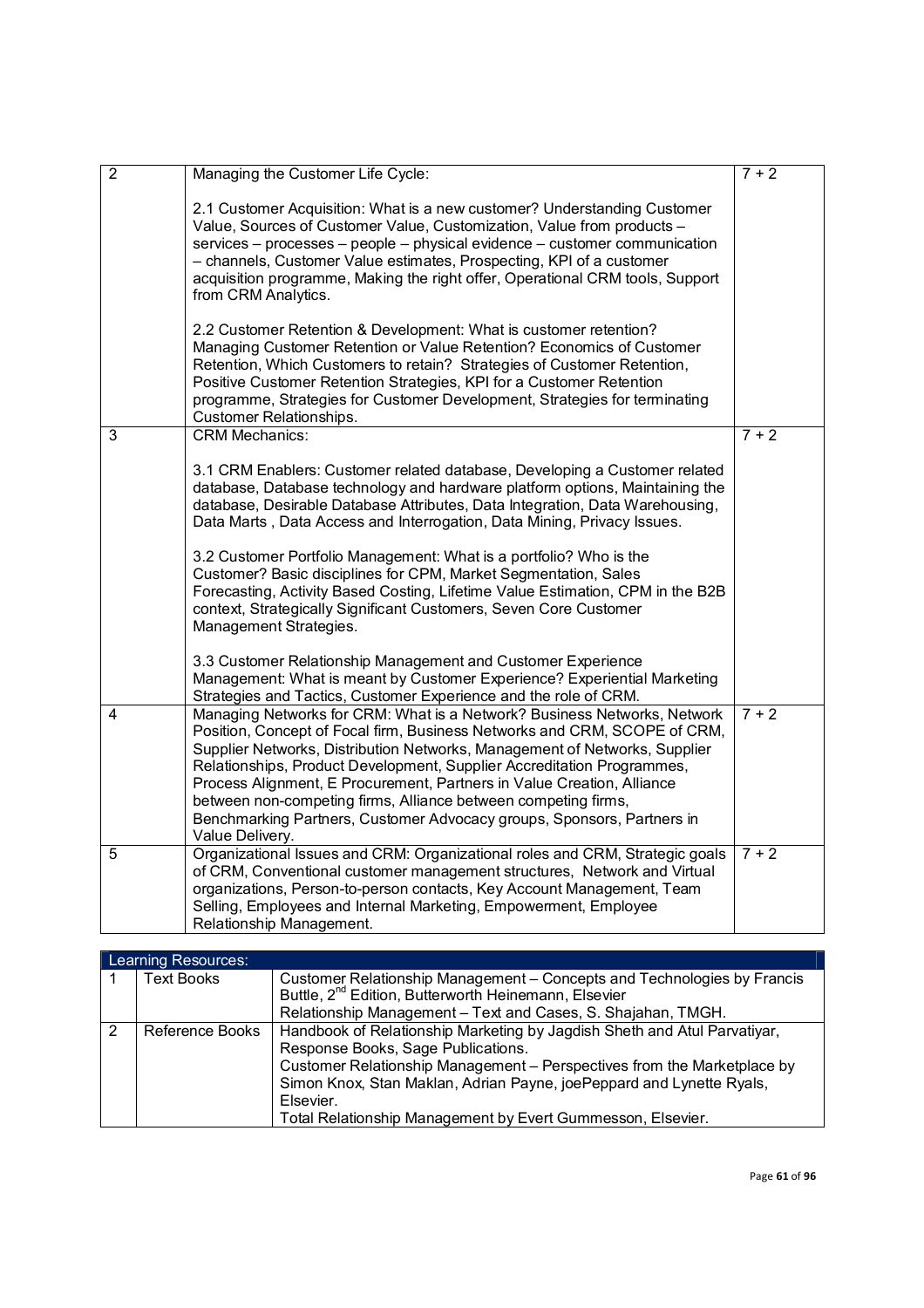| $\overline{2}$ | Managing the Customer Life Cycle:                                                                                                                                                                                                                                                                                                                                                                                                                                                                                                                                                                                     | $7 + 2$ |
|----------------|-----------------------------------------------------------------------------------------------------------------------------------------------------------------------------------------------------------------------------------------------------------------------------------------------------------------------------------------------------------------------------------------------------------------------------------------------------------------------------------------------------------------------------------------------------------------------------------------------------------------------|---------|
|                | 2.1 Customer Acquisition: What is a new customer? Understanding Customer<br>Value, Sources of Customer Value, Customization, Value from products -<br>services – processes – people – physical evidence – customer communication<br>- channels, Customer Value estimates, Prospecting, KPI of a customer<br>acquisition programme, Making the right offer, Operational CRM tools, Support<br>from CRM Analytics.<br>2.2 Customer Retention & Development: What is customer retention?<br>Managing Customer Retention or Value Retention? Economics of Customer                                                        |         |
|                | Retention, Which Customers to retain? Strategies of Customer Retention,<br>Positive Customer Retention Strategies, KPI for a Customer Retention<br>programme, Strategies for Customer Development, Strategies for terminating<br><b>Customer Relationships.</b>                                                                                                                                                                                                                                                                                                                                                       |         |
| 3              | <b>CRM Mechanics:</b>                                                                                                                                                                                                                                                                                                                                                                                                                                                                                                                                                                                                 | $7 + 2$ |
|                | 3.1 CRM Enablers: Customer related database, Developing a Customer related<br>database, Database technology and hardware platform options, Maintaining the<br>database, Desirable Database Attributes, Data Integration, Data Warehousing,<br>Data Marts, Data Access and Interrogation, Data Mining, Privacy Issues.<br>3.2 Customer Portfolio Management: What is a portfolio? Who is the<br>Customer? Basic disciplines for CPM, Market Segmentation, Sales<br>Forecasting, Activity Based Costing, Lifetime Value Estimation, CPM in the B2B<br>context, Strategically Significant Customers, Seven Core Customer |         |
|                | Management Strategies.                                                                                                                                                                                                                                                                                                                                                                                                                                                                                                                                                                                                |         |
|                | 3.3 Customer Relationship Management and Customer Experience<br>Management: What is meant by Customer Experience? Experiential Marketing<br>Strategies and Tactics, Customer Experience and the role of CRM.                                                                                                                                                                                                                                                                                                                                                                                                          |         |
| 4              | Managing Networks for CRM: What is a Network? Business Networks, Network<br>Position, Concept of Focal firm, Business Networks and CRM, SCOPE of CRM,<br>Supplier Networks, Distribution Networks, Management of Networks, Supplier<br>Relationships, Product Development, Supplier Accreditation Programmes,<br>Process Alignment, E Procurement, Partners in Value Creation, Alliance<br>between non-competing firms, Alliance between competing firms,<br>Benchmarking Partners, Customer Advocacy groups, Sponsors, Partners in<br>Value Delivery.                                                                | $7 + 2$ |
| 5              | Organizational Issues and CRM: Organizational roles and CRM, Strategic goals<br>of CRM, Conventional customer management structures, Network and Virtual<br>organizations, Person-to-person contacts, Key Account Management, Team<br>Selling, Employees and Internal Marketing, Empowerment, Employee<br>Relationship Management.                                                                                                                                                                                                                                                                                    | $7 + 2$ |

|   | Learning Resources: |                                                                          |  |  |  |  |
|---|---------------------|--------------------------------------------------------------------------|--|--|--|--|
|   | <b>Text Books</b>   | Customer Relationship Management - Concepts and Technologies by Francis  |  |  |  |  |
|   |                     | Buttle, 2 <sup>nd</sup> Edition, Butterworth Heinemann, Elsevier         |  |  |  |  |
|   |                     | Relationship Management - Text and Cases, S. Shajahan, TMGH.             |  |  |  |  |
| 2 | Reference Books     | Handbook of Relationship Marketing by Jagdish Sheth and Atul Parvatiyar, |  |  |  |  |
|   |                     | Response Books, Sage Publications.                                       |  |  |  |  |
|   |                     | Customer Relationship Management - Perspectives from the Marketplace by  |  |  |  |  |
|   |                     | Simon Knox, Stan Maklan, Adrian Payne, joePeppard and Lynette Ryals,     |  |  |  |  |
|   |                     | Elsevier.                                                                |  |  |  |  |
|   |                     | Total Relationship Management by Evert Gummesson, Elsevier.              |  |  |  |  |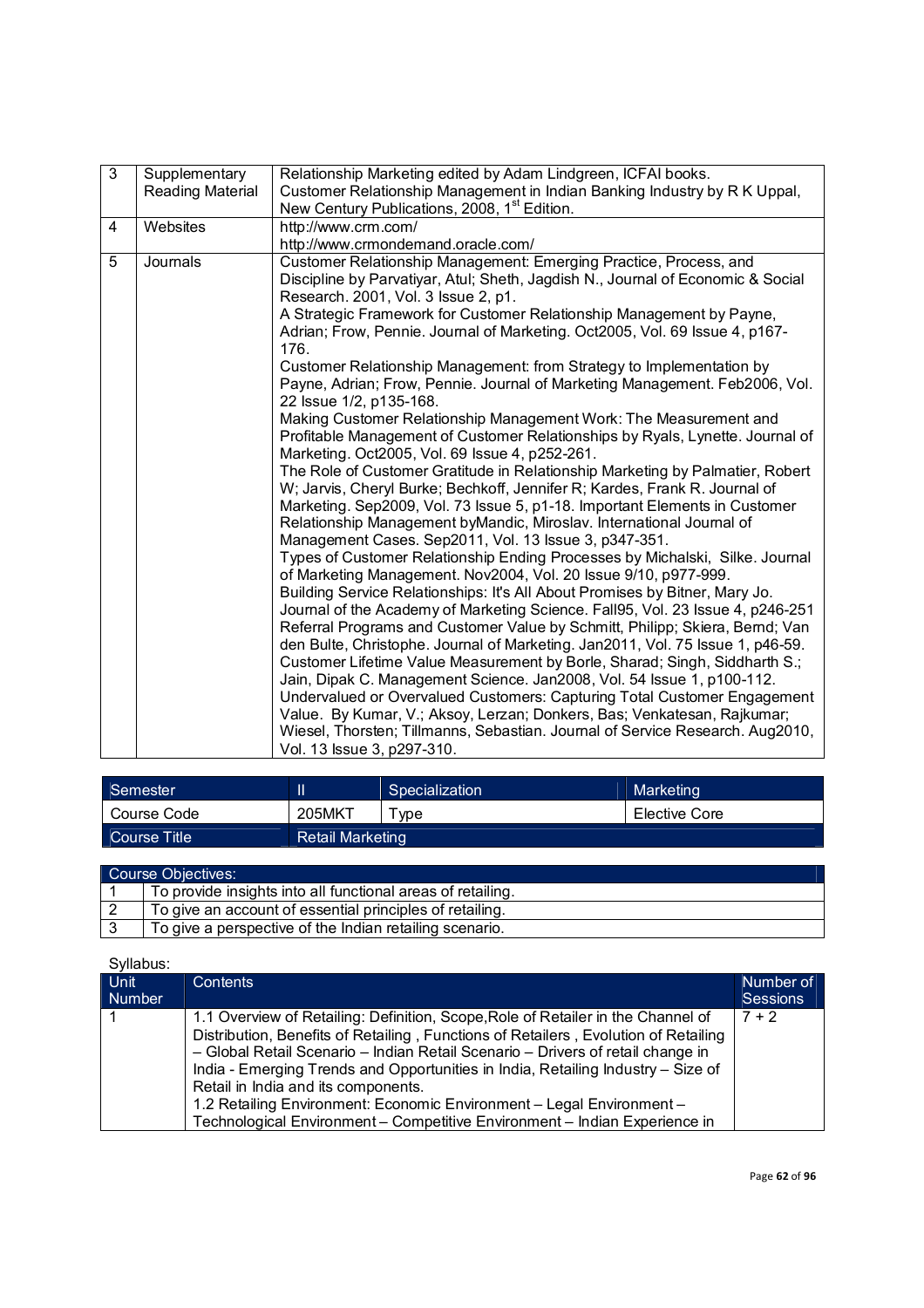| $\overline{3}$                                                              | Supplementary<br>Reading Material                                                                                                                                              | Relationship Marketing edited by Adam Lindgreen, ICFAI books.<br>Customer Relationship Management in Indian Banking Industry by R K Uppal,<br>New Century Publications, 2008, 1 <sup>st</sup> Edition.                                                                                                                                                                     |  |  |
|-----------------------------------------------------------------------------|--------------------------------------------------------------------------------------------------------------------------------------------------------------------------------|----------------------------------------------------------------------------------------------------------------------------------------------------------------------------------------------------------------------------------------------------------------------------------------------------------------------------------------------------------------------------|--|--|
| 4                                                                           | Websites                                                                                                                                                                       | http://www.crm.com/<br>http://www.crmondemand.oracle.com/                                                                                                                                                                                                                                                                                                                  |  |  |
|                                                                             |                                                                                                                                                                                |                                                                                                                                                                                                                                                                                                                                                                            |  |  |
| 5                                                                           | Journals                                                                                                                                                                       | Customer Relationship Management: Emerging Practice, Process, and<br>Discipline by Parvatiyar, Atul; Sheth, Jagdish N., Journal of Economic & Social<br>Research. 2001, Vol. 3 Issue 2, p1.<br>A Strategic Framework for Customer Relationship Management by Payne,                                                                                                        |  |  |
|                                                                             |                                                                                                                                                                                | Adrian; Frow, Pennie. Journal of Marketing. Oct2005, Vol. 69 Issue 4, p167-<br>176.                                                                                                                                                                                                                                                                                        |  |  |
|                                                                             | Customer Relationship Management: from Strategy to Implementation by<br>Payne, Adrian; Frow, Pennie. Journal of Marketing Management. Feb2006, Vol.<br>22 Issue 1/2, p135-168. |                                                                                                                                                                                                                                                                                                                                                                            |  |  |
|                                                                             |                                                                                                                                                                                | Making Customer Relationship Management Work: The Measurement and<br>Profitable Management of Customer Relationships by Ryals, Lynette. Journal of<br>Marketing. Oct2005, Vol. 69 Issue 4, p252-261.                                                                                                                                                                       |  |  |
|                                                                             |                                                                                                                                                                                | The Role of Customer Gratitude in Relationship Marketing by Palmatier, Robert<br>W; Jarvis, Cheryl Burke; Bechkoff, Jennifer R; Kardes, Frank R. Journal of<br>Marketing. Sep2009, Vol. 73 Issue 5, p1-18. Important Elements in Customer<br>Relationship Management byMandic, Miroslav. International Journal of<br>Management Cases. Sep2011, Vol. 13 Issue 3, p347-351. |  |  |
|                                                                             |                                                                                                                                                                                | Types of Customer Relationship Ending Processes by Michalski, Silke. Journal<br>of Marketing Management. Nov2004, Vol. 20 Issue 9/10, p977-999.                                                                                                                                                                                                                            |  |  |
| Building Service Relationships: It's All About Promises by Bitner, Mary Jo. |                                                                                                                                                                                |                                                                                                                                                                                                                                                                                                                                                                            |  |  |
|                                                                             |                                                                                                                                                                                | Journal of the Academy of Marketing Science. Fall95, Vol. 23 Issue 4, p246-251<br>Referral Programs and Customer Value by Schmitt, Philipp; Skiera, Bernd; Van                                                                                                                                                                                                             |  |  |
|                                                                             |                                                                                                                                                                                | den Bulte, Christophe. Journal of Marketing. Jan2011, Vol. 75 Issue 1, p46-59.<br>Customer Lifetime Value Measurement by Borle, Sharad; Singh, Siddharth S.;                                                                                                                                                                                                               |  |  |
|                                                                             |                                                                                                                                                                                | Jain, Dipak C. Management Science. Jan2008, Vol. 54 Issue 1, p100-112.<br>Undervalued or Overvalued Customers: Capturing Total Customer Engagement                                                                                                                                                                                                                         |  |  |
|                                                                             |                                                                                                                                                                                | Value. By Kumar, V.; Aksoy, Lerzan; Donkers, Bas; Venkatesan, Rajkumar;<br>Wiesel, Thorsten; Tillmanns, Sebastian. Journal of Service Research. Aug2010,                                                                                                                                                                                                                   |  |  |
|                                                                             |                                                                                                                                                                                | Vol. 13 Issue 3, p297-310.                                                                                                                                                                                                                                                                                                                                                 |  |  |

| Semester     |                         | Specialization | Marketing     |
|--------------|-------------------------|----------------|---------------|
| Course Code  | 205MKT                  | vpe            | Elective Core |
| Course Title | <b>Retail Marketing</b> |                |               |

| Course Objectives:                                          |
|-------------------------------------------------------------|
| To provide insights into all functional areas of retailing. |
| To give an account of essential principles of retailing.    |
| To give a perspective of the Indian retailing scenario.     |

| Syllabus: |
|-----------|
|           |

| Unit   | <b>Contents</b>                                                                     | Number of       |
|--------|-------------------------------------------------------------------------------------|-----------------|
| Number |                                                                                     | <b>Sessions</b> |
|        | 1.1 Overview of Retailing: Definition, Scope, Role of Retailer in the Channel of    | $7 + 2$         |
|        | Distribution, Benefits of Retailing, Functions of Retailers, Evolution of Retailing |                 |
|        | - Global Retail Scenario - Indian Retail Scenario - Drivers of retail change in     |                 |
|        | India - Emerging Trends and Opportunities in India, Retailing Industry - Size of    |                 |
|        | Retail in India and its components.                                                 |                 |
|        | 1.2 Retailing Environment: Economic Environment - Legal Environment -               |                 |
|        | Technological Environment - Competitive Environment - Indian Experience in          |                 |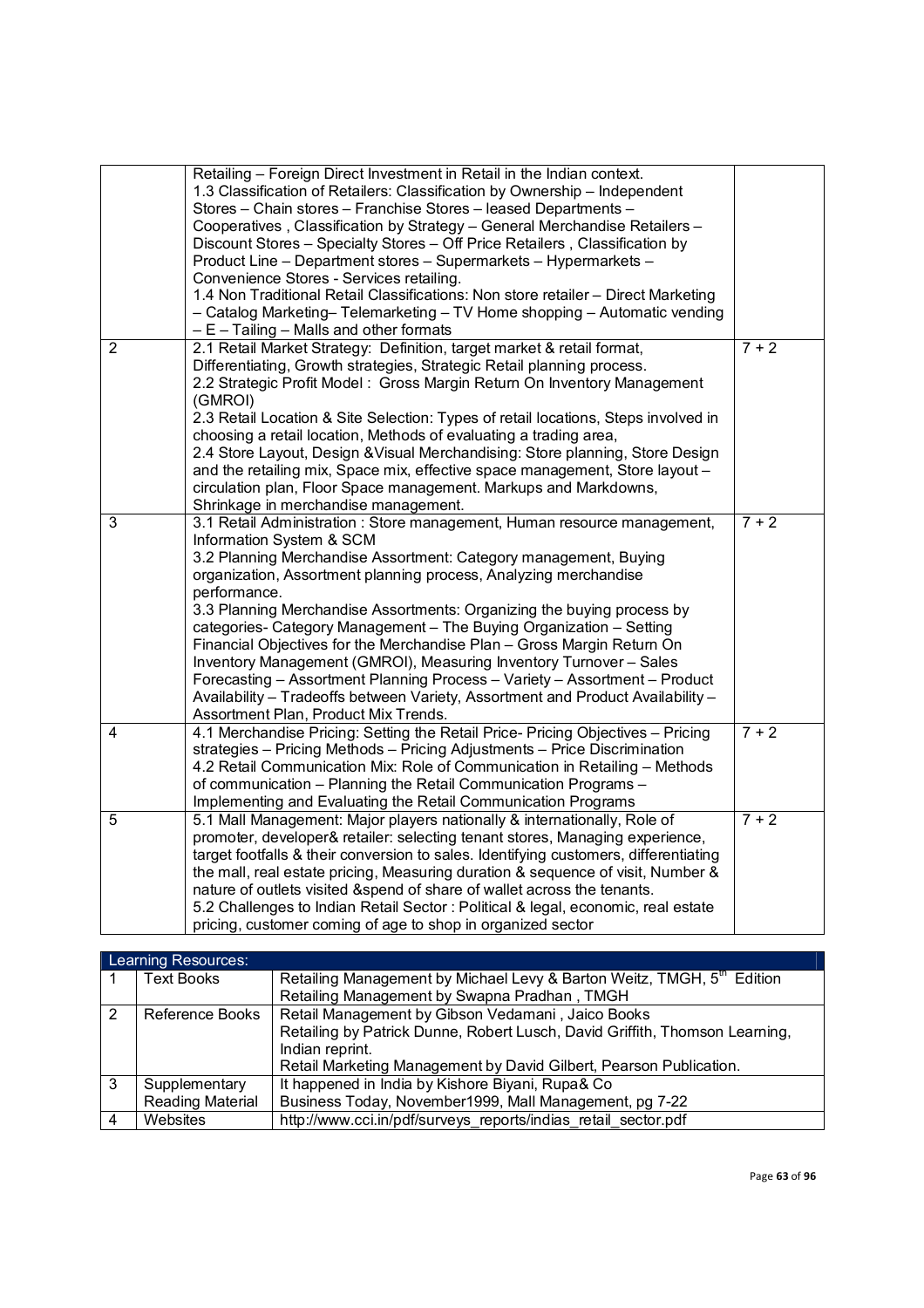|                | Retailing - Foreign Direct Investment in Retail in the Indian context.<br>1.3 Classification of Retailers: Classification by Ownership - Independent<br>Stores - Chain stores - Franchise Stores - leased Departments -<br>Cooperatives, Classification by Strategy - General Merchandise Retailers -<br>Discount Stores - Specialty Stores - Off Price Retailers, Classification by<br>Product Line - Department stores - Supermarkets - Hypermarkets -<br>Convenience Stores - Services retailing.<br>1.4 Non Traditional Retail Classifications: Non store retailer - Direct Marketing<br>- Catalog Marketing-Telemarketing - TV Home shopping - Automatic vending<br>$-E$ – Tailing – Malls and other formats                                                     |         |
|----------------|-----------------------------------------------------------------------------------------------------------------------------------------------------------------------------------------------------------------------------------------------------------------------------------------------------------------------------------------------------------------------------------------------------------------------------------------------------------------------------------------------------------------------------------------------------------------------------------------------------------------------------------------------------------------------------------------------------------------------------------------------------------------------|---------|
| $\overline{2}$ | 2.1 Retail Market Strategy: Definition, target market & retail format,<br>Differentiating, Growth strategies, Strategic Retail planning process.<br>2.2 Strategic Profit Model: Gross Margin Return On Inventory Management<br>(GMROI)<br>2.3 Retail Location & Site Selection: Types of retail locations, Steps involved in<br>choosing a retail location, Methods of evaluating a trading area,<br>2.4 Store Layout, Design & Visual Merchandising: Store planning, Store Design<br>and the retailing mix, Space mix, effective space management, Store layout -<br>circulation plan, Floor Space management. Markups and Markdowns,<br>Shrinkage in merchandise management.                                                                                        | $7 + 2$ |
| 3              | 3.1 Retail Administration: Store management, Human resource management,<br>Information System & SCM<br>3.2 Planning Merchandise Assortment: Category management, Buying<br>organization, Assortment planning process, Analyzing merchandise<br>performance.<br>3.3 Planning Merchandise Assortments: Organizing the buying process by<br>categories- Category Management - The Buying Organization - Setting<br>Financial Objectives for the Merchandise Plan - Gross Margin Return On<br>Inventory Management (GMROI), Measuring Inventory Turnover - Sales<br>Forecasting - Assortment Planning Process - Variety - Assortment - Product<br>Availability - Tradeoffs between Variety, Assortment and Product Availability -<br>Assortment Plan, Product Mix Trends. | $7 + 2$ |
| 4              | 4.1 Merchandise Pricing: Setting the Retail Price- Pricing Objectives - Pricing<br>strategies - Pricing Methods - Pricing Adjustments - Price Discrimination<br>4.2 Retail Communication Mix: Role of Communication in Retailing - Methods<br>of communication - Planning the Retail Communication Programs -<br>Implementing and Evaluating the Retail Communication Programs                                                                                                                                                                                                                                                                                                                                                                                        | $7 + 2$ |
| 5              | 5.1 Mall Management: Major players nationally & internationally, Role of<br>promoter, developer& retailer: selecting tenant stores, Managing experience,<br>target footfalls & their conversion to sales. Identifying customers, differentiating<br>the mall, real estate pricing, Measuring duration & sequence of visit, Number &<br>nature of outlets visited &spend of share of wallet across the tenants.<br>5.2 Challenges to Indian Retail Sector : Political & legal, economic, real estate<br>pricing, customer coming of age to shop in organized sector                                                                                                                                                                                                    | $7 + 2$ |

|   | Learning Resources:     |                                                                                    |  |  |  |  |
|---|-------------------------|------------------------------------------------------------------------------------|--|--|--|--|
|   | <b>Text Books</b>       | Retailing Management by Michael Levy & Barton Weitz, TMGH, 5 <sup>th</sup> Edition |  |  |  |  |
|   |                         | Retailing Management by Swapna Pradhan, TMGH                                       |  |  |  |  |
| 2 | Reference Books         | Retail Management by Gibson Vedamani, Jaico Books                                  |  |  |  |  |
|   |                         | Retailing by Patrick Dunne, Robert Lusch, David Griffith, Thomson Learning,        |  |  |  |  |
|   |                         | Indian reprint.                                                                    |  |  |  |  |
|   |                         | Retail Marketing Management by David Gilbert, Pearson Publication.                 |  |  |  |  |
| 3 | Supplementary           | It happened in India by Kishore Biyani, Rupa& Co                                   |  |  |  |  |
|   | <b>Reading Material</b> | Business Today, November1999, Mall Management, pg 7-22                             |  |  |  |  |
| 4 | Websites                | http://www.cci.in/pdf/surveys reports/indias retail sector.pdf                     |  |  |  |  |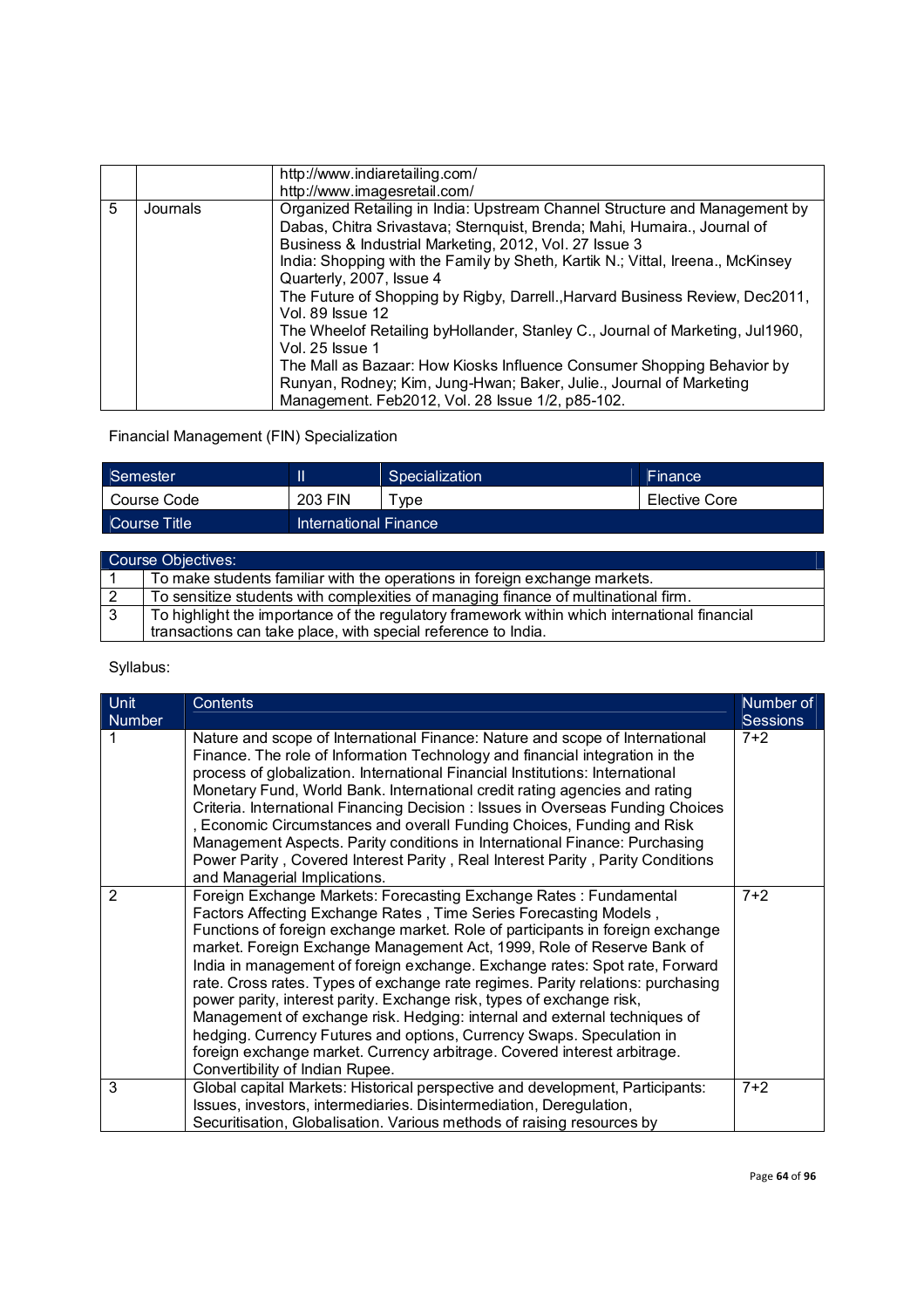|   |          | http://www.indiaretailing.com/                                                                                                                                                                                                                                                                                                                                                                                                                                                                                                                                                                                                                                                                                                                       |
|---|----------|------------------------------------------------------------------------------------------------------------------------------------------------------------------------------------------------------------------------------------------------------------------------------------------------------------------------------------------------------------------------------------------------------------------------------------------------------------------------------------------------------------------------------------------------------------------------------------------------------------------------------------------------------------------------------------------------------------------------------------------------------|
|   |          | http://www.imagesretail.com/                                                                                                                                                                                                                                                                                                                                                                                                                                                                                                                                                                                                                                                                                                                         |
| 5 | Journals | Organized Retailing in India: Upstream Channel Structure and Management by<br>Dabas, Chitra Srivastava; Sternquist, Brenda; Mahi, Humaira., Journal of<br>Business & Industrial Marketing, 2012, Vol. 27 Issue 3<br>India: Shopping with the Family by Sheth, Kartik N.; Vittal, Ireena., McKinsey<br>Quarterly, 2007, Issue 4<br>The Future of Shopping by Rigby, Darrell., Harvard Business Review, Dec2011,<br><b>Vol. 89 Issue 12</b><br>The Wheelof Retailing by Hollander, Stanley C., Journal of Marketing, Jul 1960,<br>Vol. 25 Issue 1<br>The Mall as Bazaar: How Kiosks Influence Consumer Shopping Behavior by<br>Runyan, Rodney; Kim, Jung-Hwan; Baker, Julie., Journal of Marketing<br>Management. Feb2012, Vol. 28 Issue 1/2, p85-102. |

Financial Management (FIN) Specialization

| Semester     |                       | Specialization | <b>Finance</b> |
|--------------|-----------------------|----------------|----------------|
| Course Code  | 203 FIN               | vpe            | Elective Core  |
| Course Title | International Finance |                |                |

|     | Course Objectives:                                                                           |  |  |  |
|-----|----------------------------------------------------------------------------------------------|--|--|--|
|     | To make students familiar with the operations in foreign exchange markets.                   |  |  |  |
| l 2 | To sensitize students with complexities of managing finance of multinational firm.           |  |  |  |
| l 3 | To highlight the importance of the regulatory framework within which international financial |  |  |  |
|     | transactions can take place, with special reference to India.                                |  |  |  |

| <b>Unit</b><br><b>Number</b> | <b>Contents</b>                                                                                                                                                                                                                                                                                                                                                                                                                                                                                                                                                                                                                                                                                                                                                                                                    | Number of<br><b>Sessions</b> |
|------------------------------|--------------------------------------------------------------------------------------------------------------------------------------------------------------------------------------------------------------------------------------------------------------------------------------------------------------------------------------------------------------------------------------------------------------------------------------------------------------------------------------------------------------------------------------------------------------------------------------------------------------------------------------------------------------------------------------------------------------------------------------------------------------------------------------------------------------------|------------------------------|
|                              | Nature and scope of International Finance: Nature and scope of International<br>Finance. The role of Information Technology and financial integration in the<br>process of globalization. International Financial Institutions: International<br>Monetary Fund, World Bank. International credit rating agencies and rating<br>Criteria. International Financing Decision : Issues in Overseas Funding Choices<br>, Economic Circumstances and overall Funding Choices, Funding and Risk<br>Management Aspects. Parity conditions in International Finance: Purchasing<br>Power Parity, Covered Interest Parity, Real Interest Parity, Parity Conditions<br>and Managerial Implications.                                                                                                                           | $7+2$                        |
| $\mathcal{P}$                | Foreign Exchange Markets: Forecasting Exchange Rates: Fundamental<br>Factors Affecting Exchange Rates, Time Series Forecasting Models,<br>Functions of foreign exchange market. Role of participants in foreign exchange<br>market. Foreign Exchange Management Act, 1999, Role of Reserve Bank of<br>India in management of foreign exchange. Exchange rates: Spot rate, Forward<br>rate. Cross rates. Types of exchange rate regimes. Parity relations: purchasing<br>power parity, interest parity. Exchange risk, types of exchange risk,<br>Management of exchange risk. Hedging: internal and external techniques of<br>hedging. Currency Futures and options, Currency Swaps. Speculation in<br>foreign exchange market. Currency arbitrage. Covered interest arbitrage.<br>Convertibility of Indian Rupee. | $7+2$                        |
| 3                            | Global capital Markets: Historical perspective and development, Participants:                                                                                                                                                                                                                                                                                                                                                                                                                                                                                                                                                                                                                                                                                                                                      | $7+2$                        |
|                              | Issues, investors, intermediaries. Disintermediation, Deregulation,<br>Securitisation, Globalisation. Various methods of raising resources by                                                                                                                                                                                                                                                                                                                                                                                                                                                                                                                                                                                                                                                                      |                              |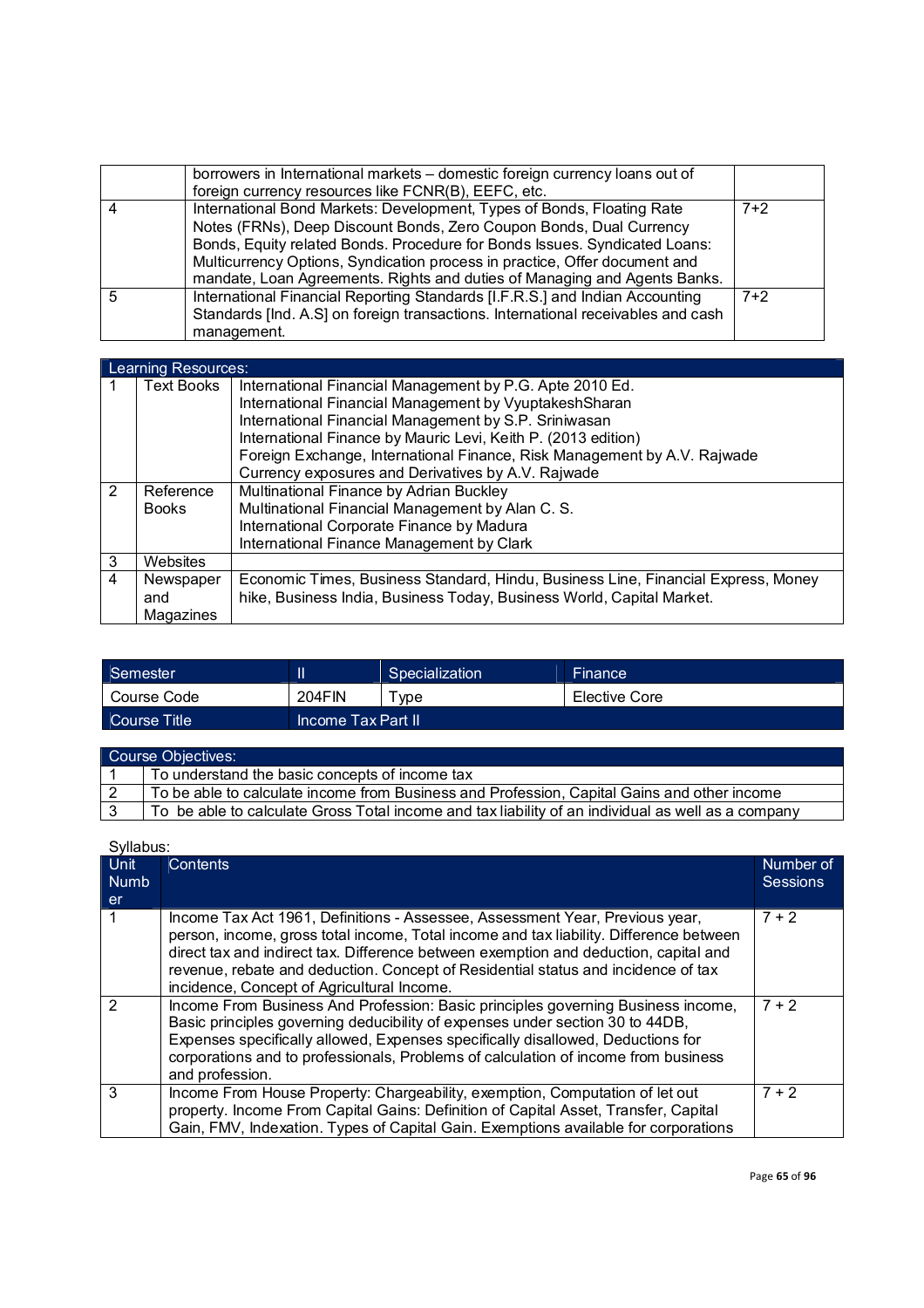|   | borrowers in International markets – domestic foreign currency loans out of<br>foreign currency resources like FCNR(B), EEFC, etc.                                                                                                                                                                                                                                                     |       |
|---|----------------------------------------------------------------------------------------------------------------------------------------------------------------------------------------------------------------------------------------------------------------------------------------------------------------------------------------------------------------------------------------|-------|
|   | International Bond Markets: Development, Types of Bonds, Floating Rate<br>Notes (FRNs), Deep Discount Bonds, Zero Coupon Bonds, Dual Currency<br>Bonds, Equity related Bonds. Procedure for Bonds Issues. Syndicated Loans:<br>Multicurrency Options, Syndication process in practice, Offer document and<br>mandate, Loan Agreements. Rights and duties of Managing and Agents Banks. | $7+2$ |
| 5 | International Financial Reporting Standards [I.F.R.S.] and Indian Accounting<br>Standards [Ind. A.S] on foreign transactions. International receivables and cash<br>management.                                                                                                                                                                                                        | $7+2$ |

|               | Learning Resources: |                                                                                   |  |  |  |
|---------------|---------------------|-----------------------------------------------------------------------------------|--|--|--|
|               | <b>Text Books</b>   | International Financial Management by P.G. Apte 2010 Ed.                          |  |  |  |
|               |                     | International Financial Management by VyuptakeshSharan                            |  |  |  |
|               |                     | International Financial Management by S.P. Sriniwasan                             |  |  |  |
|               |                     | International Finance by Mauric Levi, Keith P. (2013 edition)                     |  |  |  |
|               |                     | Foreign Exchange, International Finance, Risk Management by A.V. Rajwade          |  |  |  |
|               |                     | Currency exposures and Derivatives by A.V. Rajwade                                |  |  |  |
| $\mathcal{P}$ | Reference           | Multinational Finance by Adrian Buckley                                           |  |  |  |
|               | <b>Books</b>        | Multinational Financial Management by Alan C. S.                                  |  |  |  |
|               |                     | International Corporate Finance by Madura                                         |  |  |  |
|               |                     | International Finance Management by Clark                                         |  |  |  |
| 3             | Websites            |                                                                                   |  |  |  |
| 4             | Newspaper           | Economic Times, Business Standard, Hindu, Business Line, Financial Express, Money |  |  |  |
|               | and                 | hike, Business India, Business Today, Business World, Capital Market.             |  |  |  |
|               | Magazines           |                                                                                   |  |  |  |

| Semester     |                       | Specialization | Finance       |
|--------------|-----------------------|----------------|---------------|
| Course Code  | 204FIN                | vpe            | Elective Core |
| Course Title | ⊔Income Tax Part II i |                |               |

| Course Objectives: |                                                                                                    |  |  |  |
|--------------------|----------------------------------------------------------------------------------------------------|--|--|--|
|                    | To understand the basic concepts of income tax                                                     |  |  |  |
| l 2                | To be able to calculate income from Business and Profession, Capital Gains and other income        |  |  |  |
|                    | To be able to calculate Gross Total income and tax liability of an individual as well as a company |  |  |  |

|                     | Syllabus:                                                                                                                                                                                                                                                                                                                                                                                         |                              |  |  |  |
|---------------------|---------------------------------------------------------------------------------------------------------------------------------------------------------------------------------------------------------------------------------------------------------------------------------------------------------------------------------------------------------------------------------------------------|------------------------------|--|--|--|
| Unit<br><b>Numb</b> | <b>Contents</b>                                                                                                                                                                                                                                                                                                                                                                                   | Number of<br><b>Sessions</b> |  |  |  |
| er                  |                                                                                                                                                                                                                                                                                                                                                                                                   |                              |  |  |  |
|                     | Income Tax Act 1961, Definitions - Assessee, Assessment Year, Previous year,<br>person, income, gross total income, Total income and tax liability. Difference between<br>direct tax and indirect tax. Difference between exemption and deduction, capital and<br>revenue, rebate and deduction. Concept of Residential status and incidence of tax<br>incidence, Concept of Agricultural Income. | $7 + 2$                      |  |  |  |
| 2                   | Income From Business And Profession: Basic principles governing Business income,<br>Basic principles governing deducibility of expenses under section 30 to 44DB,<br>Expenses specifically allowed, Expenses specifically disallowed, Deductions for<br>corporations and to professionals, Problems of calculation of income from business<br>and profession.                                     | $7 + 2$                      |  |  |  |
| 3                   | Income From House Property: Chargeability, exemption, Computation of let out<br>property. Income From Capital Gains: Definition of Capital Asset, Transfer, Capital<br>Gain, FMV, Indexation. Types of Capital Gain. Exemptions available for corporations                                                                                                                                        | $7 + 2$                      |  |  |  |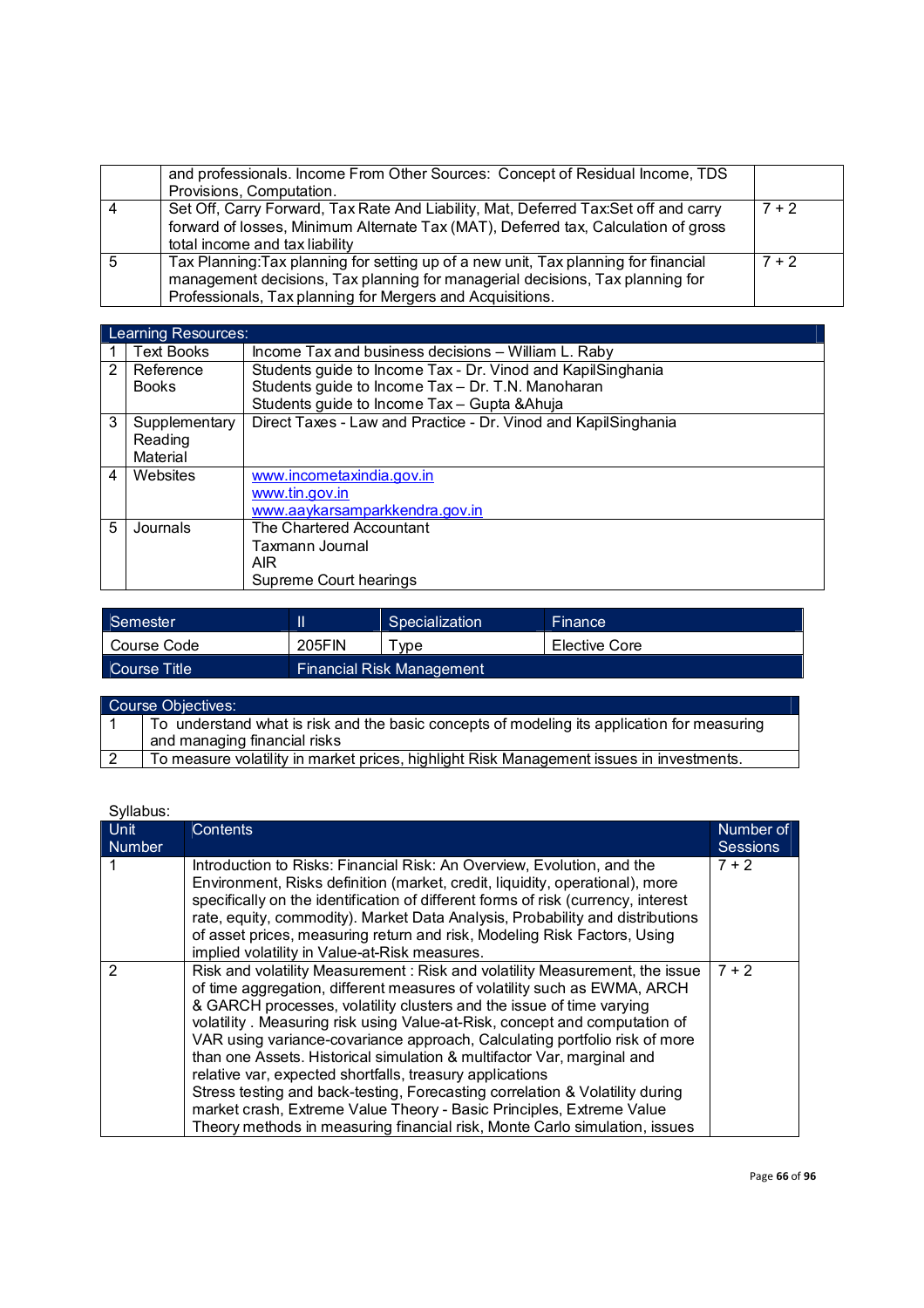|   | and professionals. Income From Other Sources: Concept of Residual Income, TDS<br>Provisions, Computation.                                                                                                                         |         |
|---|-----------------------------------------------------------------------------------------------------------------------------------------------------------------------------------------------------------------------------------|---------|
|   | Set Off, Carry Forward, Tax Rate And Liability, Mat, Deferred Tax:Set off and carry<br>forward of losses, Minimum Alternate Tax (MAT), Deferred tax, Calculation of gross<br>total income and tax liability                       | $7 + 2$ |
| 5 | Tax Planning: Tax planning for setting up of a new unit, Tax planning for financial<br>management decisions, Tax planning for managerial decisions, Tax planning for<br>Professionals, Tax planning for Mergers and Acquisitions. | $7 + 2$ |

|   | Learning Resources: |                                                                |
|---|---------------------|----------------------------------------------------------------|
|   | <b>Text Books</b>   | Income Tax and business decisions – William L. Raby            |
| 2 | Reference           | Students guide to Income Tax - Dr. Vinod and KapilSinghania    |
|   | <b>Books</b>        | Students guide to Income Tax - Dr. T.N. Manoharan              |
|   |                     | Students guide to Income Tax - Gupta & Ahuja                   |
| 3 | Supplementary       | Direct Taxes - Law and Practice - Dr. Vinod and KapilSinghania |
|   | Reading             |                                                                |
|   | Material            |                                                                |
| 4 | Websites            | www.incometaxindia.gov.in                                      |
|   |                     | www.tin.gov.in                                                 |
|   |                     | www.aaykarsamparkkendra.gov.in                                 |
| 5 | Journals            | The Chartered Accountant                                       |
|   |                     | Taxmann Journal                                                |
|   |                     | AIR                                                            |
|   |                     | Supreme Court hearings                                         |

| Semester            |        | Specialization            | <b>Finance</b> |
|---------------------|--------|---------------------------|----------------|
| Course Code         | 205FIN | vpe                       | Elective Core  |
| <b>Course Title</b> |        | Financial Risk Management |                |

| <b>Course Objectives:</b>                                                                                                   |
|-----------------------------------------------------------------------------------------------------------------------------|
| To understand what is risk and the basic concepts of modeling its application for measuring<br>and managing financial risks |
|                                                                                                                             |
| To measure volatility in market prices, highlight Risk Management issues in investments.                                    |

| <b>Unit</b>   | <b>Contents</b>                                                                                                                                                                                                                                                                                                                                                                                                                                                                                                                                                                                                                                                                                                                                                         | Number of       |
|---------------|-------------------------------------------------------------------------------------------------------------------------------------------------------------------------------------------------------------------------------------------------------------------------------------------------------------------------------------------------------------------------------------------------------------------------------------------------------------------------------------------------------------------------------------------------------------------------------------------------------------------------------------------------------------------------------------------------------------------------------------------------------------------------|-----------------|
| <b>Number</b> |                                                                                                                                                                                                                                                                                                                                                                                                                                                                                                                                                                                                                                                                                                                                                                         | <b>Sessions</b> |
|               | Introduction to Risks: Financial Risk: An Overview, Evolution, and the<br>Environment, Risks definition (market, credit, liquidity, operational), more<br>specifically on the identification of different forms of risk (currency, interest<br>rate, equity, commodity). Market Data Analysis, Probability and distributions<br>of asset prices, measuring return and risk, Modeling Risk Factors, Using<br>implied volatility in Value-at-Risk measures.                                                                                                                                                                                                                                                                                                               | $7 + 2$         |
| 2             | Risk and volatility Measurement: Risk and volatility Measurement, the issue<br>of time aggregation, different measures of volatility such as EWMA, ARCH<br>& GARCH processes, volatility clusters and the issue of time varying<br>volatility. Measuring risk using Value-at-Risk, concept and computation of<br>VAR using variance-covariance approach, Calculating portfolio risk of more<br>than one Assets. Historical simulation & multifactor Var, marginal and<br>relative var, expected shortfalls, treasury applications<br>Stress testing and back-testing, Forecasting correlation & Volatility during<br>market crash, Extreme Value Theory - Basic Principles, Extreme Value<br>Theory methods in measuring financial risk, Monte Carlo simulation, issues | $7 + 2$         |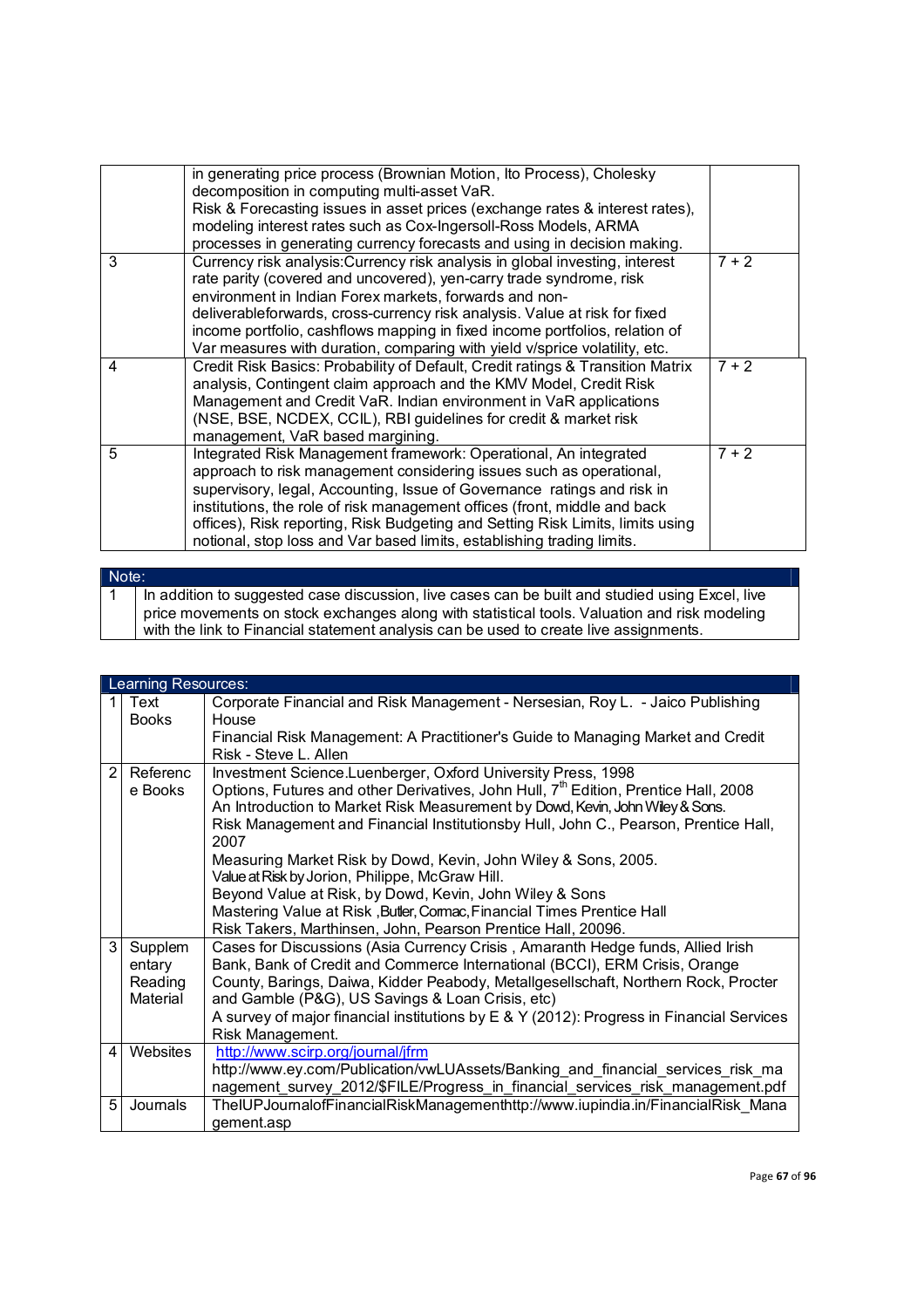|   | in generating price process (Brownian Motion, Ito Process), Cholesky<br>decomposition in computing multi-asset VaR. |         |
|---|---------------------------------------------------------------------------------------------------------------------|---------|
|   | Risk & Forecasting issues in asset prices (exchange rates & interest rates),                                        |         |
|   | modeling interest rates such as Cox-Ingersoll-Ross Models, ARMA                                                     |         |
|   | processes in generating currency forecasts and using in decision making.                                            |         |
| 3 | Currency risk analysis: Currency risk analysis in global investing, interest                                        | $7 + 2$ |
|   | rate parity (covered and uncovered), yen-carry trade syndrome, risk                                                 |         |
|   | environment in Indian Forex markets, forwards and non-                                                              |         |
|   | deliverableforwards, cross-currency risk analysis. Value at risk for fixed                                          |         |
|   | income portfolio, cashflows mapping in fixed income portfolios, relation of                                         |         |
|   | Var measures with duration, comparing with yield v/sprice volatility, etc.                                          |         |
| 4 | Credit Risk Basics: Probability of Default, Credit ratings & Transition Matrix                                      | $7 + 2$ |
|   | analysis, Contingent claim approach and the KMV Model, Credit Risk                                                  |         |
|   | Management and Credit VaR. Indian environment in VaR applications                                                   |         |
|   | (NSE, BSE, NCDEX, CCIL), RBI guidelines for credit & market risk                                                    |         |
|   | management, VaR based margining.                                                                                    |         |
| 5 | Integrated Risk Management framework: Operational, An integrated                                                    | $7 + 2$ |
|   | approach to risk management considering issues such as operational,                                                 |         |
|   | supervisory, legal, Accounting, Issue of Governance ratings and risk in                                             |         |
|   | institutions, the role of risk management offices (front, middle and back                                           |         |
|   | offices), Risk reporting, Risk Budgeting and Setting Risk Limits, limits using                                      |         |
|   | notional, stop loss and Var based limits, establishing trading limits.                                              |         |
|   |                                                                                                                     |         |

#### Note: 1 | In addition to suggested case discussion, live cases can be built and studied using Excel, live price movements on stock exchanges along with statistical tools. Valuation and risk modeling with the link to Financial statement analysis can be used to create live assignments.

|   | Learning Resources: |                                                                                                 |
|---|---------------------|-------------------------------------------------------------------------------------------------|
| 1 | Text                | Corporate Financial and Risk Management - Nersesian, Roy L. - Jaico Publishing                  |
|   | <b>Books</b>        | House                                                                                           |
|   |                     | Financial Risk Management: A Practitioner's Guide to Managing Market and Credit                 |
|   |                     | Risk - Steve L. Allen                                                                           |
| 2 | Referenc            | Investment Science.Luenberger, Oxford University Press, 1998                                    |
|   | e Books             | Options, Futures and other Derivatives, John Hull, 7 <sup>th</sup> Edition, Prentice Hall, 2008 |
|   |                     | An Introduction to Market Risk Measurement by Dowd, Kevin, John Wiey & Sons.                    |
|   |                     | Risk Management and Financial Institutionsby Hull, John C., Pearson, Prentice Hall,             |
|   |                     | 2007                                                                                            |
|   |                     | Measuring Market Risk by Dowd, Kevin, John Wiley & Sons, 2005.                                  |
|   |                     | Value at Risk by Jorion, Philippe, McGraw Hill.                                                 |
|   |                     | Beyond Value at Risk, by Dowd, Kevin, John Wiley & Sons                                         |
|   |                     | Mastering Value at Risk, Butler, Comac, Financial Times Prentice Hall                           |
|   |                     | Risk Takers, Marthinsen, John, Pearson Prentice Hall, 20096.                                    |
| 3 | Supplem             | Cases for Discussions (Asia Currency Crisis, Amaranth Hedge funds, Allied Irish                 |
|   | entary              | Bank, Bank of Credit and Commerce International (BCCI), ERM Crisis, Orange                      |
|   | Reading             | County, Barings, Daiwa, Kidder Peabody, Metallgesellschaft, Northern Rock, Procter              |
|   | Material            | and Gamble (P&G), US Savings & Loan Crisis, etc)                                                |
|   |                     | A survey of major financial institutions by E & Y (2012): Progress in Financial Services        |
|   |                     | Risk Management.                                                                                |
| 4 | Websites            | http://www.scirp.org/journal/jfrm                                                               |
|   |                     | http://www.ey.com/Publication/vwLUAssets/Banking and financial services risk ma                 |
|   |                     | nagement_survey_2012/\$FILE/Progress_in_financial_services_risk_management.pdf                  |
| 5 | Journals            | TheIUPJournalofFinancialRiskManagementhttp://www.iupindia.in/FinancialRisk Mana                 |
|   |                     | gement.asp                                                                                      |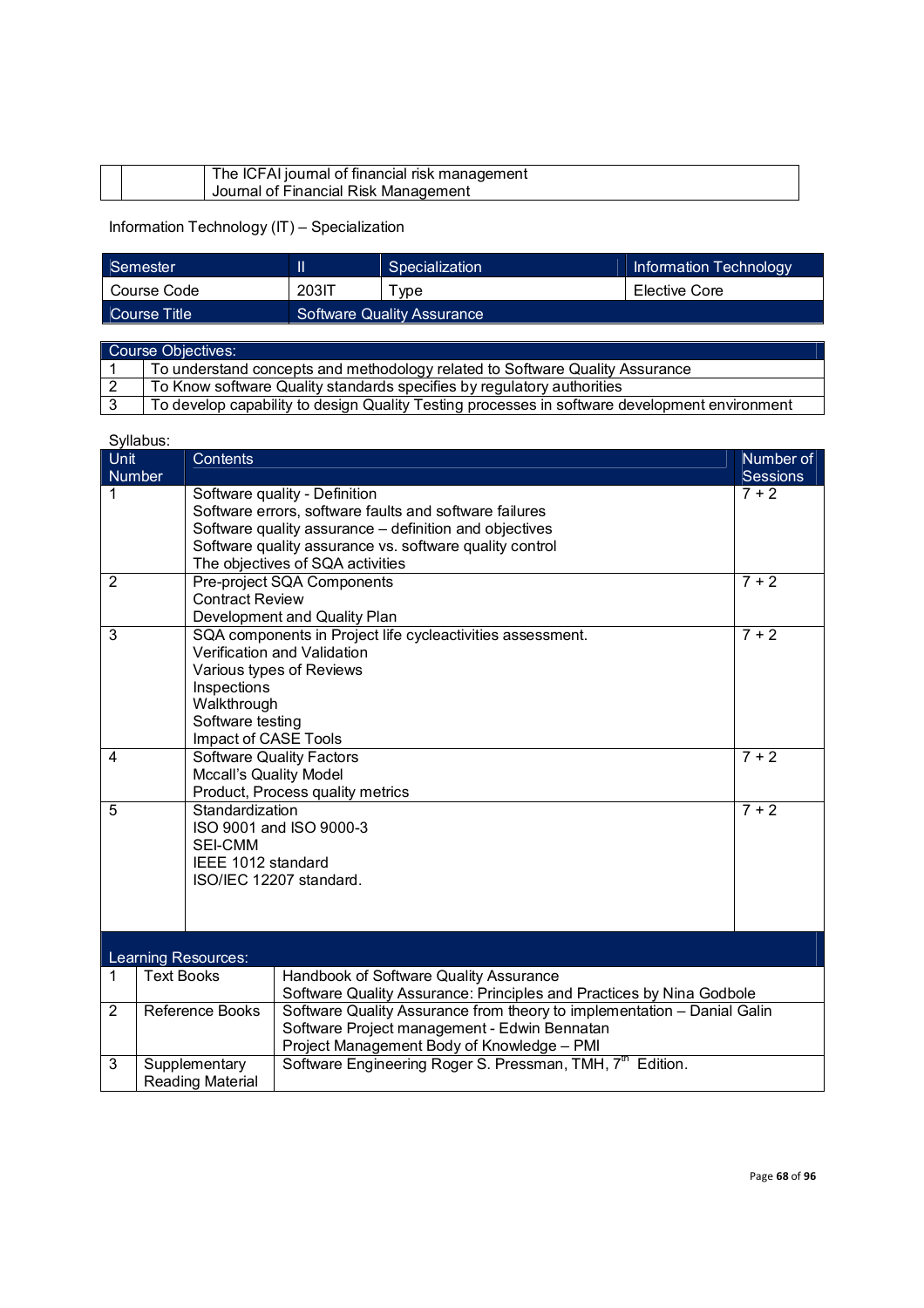| The ICFAI journal of financial risk management |  |
|------------------------------------------------|--|
| Journal of Financial Risk Management           |  |

Information Technology (IT) – Specialization

| <b>Semester</b> |                            | Specialization | Information Technology |
|-----------------|----------------------------|----------------|------------------------|
| Course Code     | <b>203IT</b>               | vpe            | Elective Core          |
| Course Title    | Software Quality Assurance |                |                        |

| Course Objectives: |                                                                                               |  |  |
|--------------------|-----------------------------------------------------------------------------------------------|--|--|
|                    | To understand concepts and methodology related to Software Quality Assurance                  |  |  |
|                    | To Know software Quality standards specifies by regulatory authorities                        |  |  |
|                    | To develop capability to design Quality Testing processes in software development environment |  |  |

|                                                                                                                                                                                                            | Syllabus:                                                                                                                                                                                                                                                  |                        |                                                                                                                                               |                            |  |
|------------------------------------------------------------------------------------------------------------------------------------------------------------------------------------------------------------|------------------------------------------------------------------------------------------------------------------------------------------------------------------------------------------------------------------------------------------------------------|------------------------|-----------------------------------------------------------------------------------------------------------------------------------------------|----------------------------|--|
| Unit                                                                                                                                                                                                       |                                                                                                                                                                                                                                                            | <b>Contents</b>        |                                                                                                                                               | Number of                  |  |
| 1                                                                                                                                                                                                          | Number<br>Software quality - Definition<br>Software errors, software faults and software failures<br>Software quality assurance - definition and objectives<br>Software quality assurance vs. software quality control<br>The objectives of SQA activities |                        |                                                                                                                                               | <b>Sessions</b><br>$7 + 2$ |  |
| 2                                                                                                                                                                                                          |                                                                                                                                                                                                                                                            | <b>Contract Review</b> | Pre-project SQA Components<br>Development and Quality Plan                                                                                    | $7 + 2$                    |  |
| 3<br>Inspections<br>Walkthrough<br>Software testing                                                                                                                                                        |                                                                                                                                                                                                                                                            |                        | SQA components in Project life cycleactivities assessment.<br>Verification and Validation<br>Various types of Reviews<br>Impact of CASE Tools | $7 + 2$                    |  |
| <b>Software Quality Factors</b><br>4<br><b>Mccall's Quality Model</b><br>Product, Process quality metrics                                                                                                  |                                                                                                                                                                                                                                                            |                        | $7 + 2$                                                                                                                                       |                            |  |
| Standardization<br>5<br>ISO 9001 and ISO 9000-3<br><b>SEI-CMM</b><br>IEEE 1012 standard<br>ISO/IEC 12207 standard.                                                                                         |                                                                                                                                                                                                                                                            |                        |                                                                                                                                               | $7 + 2$                    |  |
|                                                                                                                                                                                                            |                                                                                                                                                                                                                                                            | Learning Resources:    |                                                                                                                                               |                            |  |
| <b>Text Books</b><br>$\mathbf{1}$                                                                                                                                                                          |                                                                                                                                                                                                                                                            |                        | Handbook of Software Quality Assurance<br>Software Quality Assurance: Principles and Practices by Nina Godbole                                |                            |  |
| Software Quality Assurance from theory to implementation - Danial Galin<br>$\overline{2}$<br>Reference Books<br>Software Project management - Edwin Bennatan<br>Project Management Body of Knowledge - PMI |                                                                                                                                                                                                                                                            |                        |                                                                                                                                               |                            |  |
| 3<br>Supplementary<br><b>Reading Material</b>                                                                                                                                                              |                                                                                                                                                                                                                                                            |                        | Software Engineering Roger S. Pressman, TMH, 7 <sup>th</sup> Edition.                                                                         |                            |  |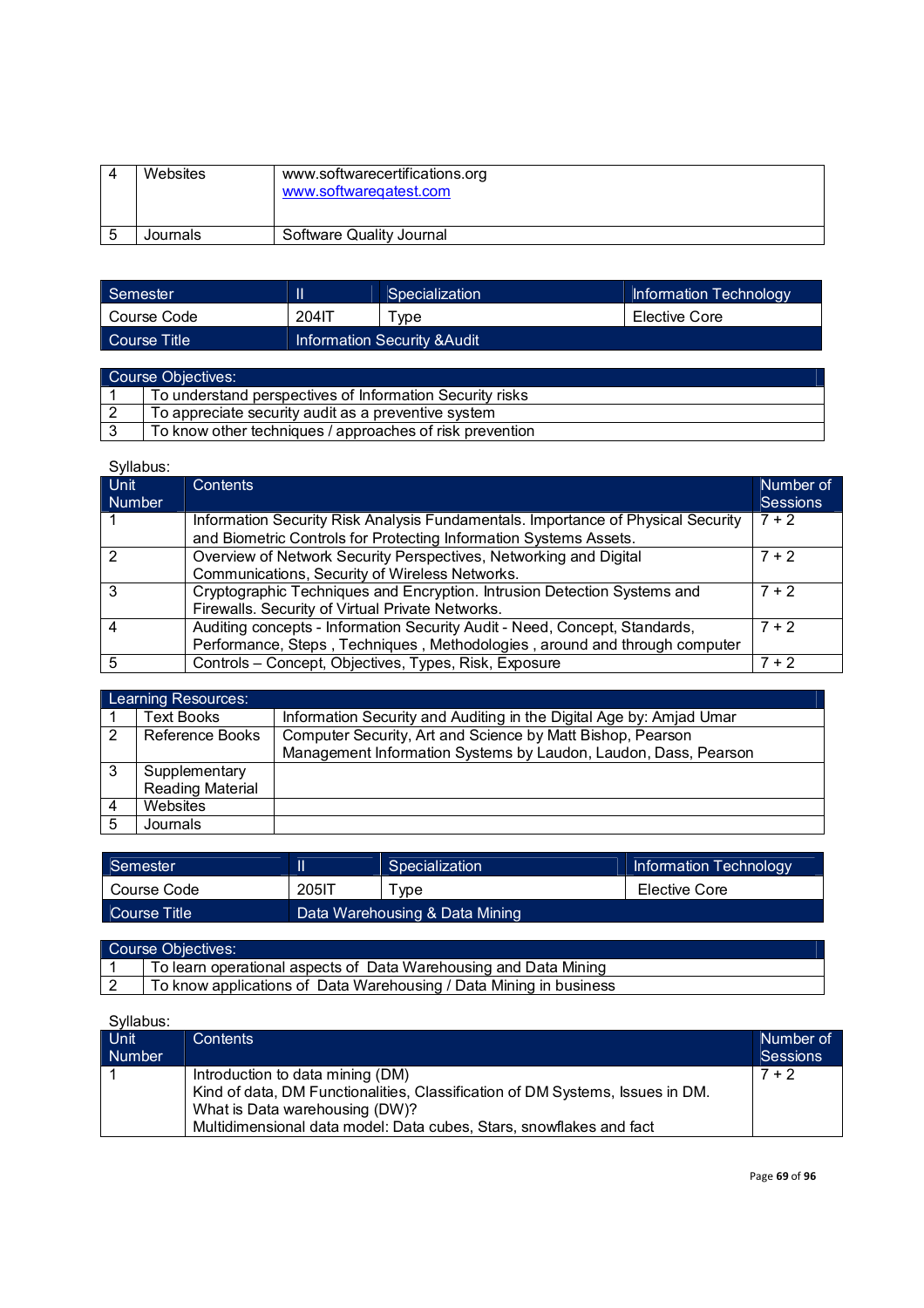| Websites | www.softwarecertifications.org<br>www.softwaregatest.com |
|----------|----------------------------------------------------------|
| Journals | Software Quality Journal                                 |

| Semester     |       | Specialization                          | Information Technology |
|--------------|-------|-----------------------------------------|------------------------|
| Course Code  | 204IT | vpe                                     | Elective Core          |
| Course Title |       | <b>Information Security &amp; Audit</b> |                        |

| Course Objectives: |                                                          |  |  |
|--------------------|----------------------------------------------------------|--|--|
|                    | To understand perspectives of Information Security risks |  |  |
|                    | To appreciate security audit as a preventive system      |  |  |
|                    | To know other techniques / approaches of risk prevention |  |  |

| --------      |                                                                                  |                 |
|---------------|----------------------------------------------------------------------------------|-----------------|
| Unit          | <b>Contents</b>                                                                  | Number of       |
| <b>Number</b> |                                                                                  | <b>Sessions</b> |
|               | Information Security Risk Analysis Fundamentals. Importance of Physical Security | $7 + 2$         |
|               | and Biometric Controls for Protecting Information Systems Assets.                |                 |
| າ             | Overview of Network Security Perspectives, Networking and Digital                | $7 + 2$         |
|               | Communications, Security of Wireless Networks.                                   |                 |
| 3             | Cryptographic Techniques and Encryption. Intrusion Detection Systems and         | $7 + 2$         |
|               | Firewalls. Security of Virtual Private Networks.                                 |                 |
|               | Auditing concepts - Information Security Audit - Need, Concept, Standards,       | $7 + 2$         |
|               | Performance, Steps, Techniques, Methodologies, around and through computer       |                 |
| 5             | Controls - Concept, Objectives, Types, Risk, Exposure                            | $7 + 2$         |

|   | Learning Resources:                                                           |                                                                     |  |  |  |
|---|-------------------------------------------------------------------------------|---------------------------------------------------------------------|--|--|--|
|   | Text Books                                                                    | Information Security and Auditing in the Digital Age by: Amjad Umar |  |  |  |
| 2 | Computer Security, Art and Science by Matt Bishop, Pearson<br>Reference Books |                                                                     |  |  |  |
|   |                                                                               | Management Information Systems by Laudon, Laudon, Dass, Pearson     |  |  |  |
|   | Supplementary                                                                 |                                                                     |  |  |  |
|   | <b>Reading Material</b>                                                       |                                                                     |  |  |  |
|   | Websites                                                                      |                                                                     |  |  |  |
|   | Journals                                                                      |                                                                     |  |  |  |

| Semester        |       | Specialization                 | Information Technology |
|-----------------|-------|--------------------------------|------------------------|
| l Course Code   | 205IT | ™vpe                           | Elective Core          |
| ∟Course Title ' |       | Data Warehousing & Data Mining |                        |

Course Objectives: 1 To learn operational aspects of Data Warehousing and Data Mining 2  $\parallel$  To know applications of Data Warehousing / Data Mining in business

| <b>Unit</b><br>Number | <b>Contents</b>                                                                                                                                                                                                            | Number of<br>Sessions |
|-----------------------|----------------------------------------------------------------------------------------------------------------------------------------------------------------------------------------------------------------------------|-----------------------|
|                       | Introduction to data mining (DM)<br>Kind of data, DM Functionalities, Classification of DM Systems, Issues in DM.<br>What is Data warehousing (DW)?<br>Multidimensional data model: Data cubes, Stars, snowflakes and fact | $7 + 2$               |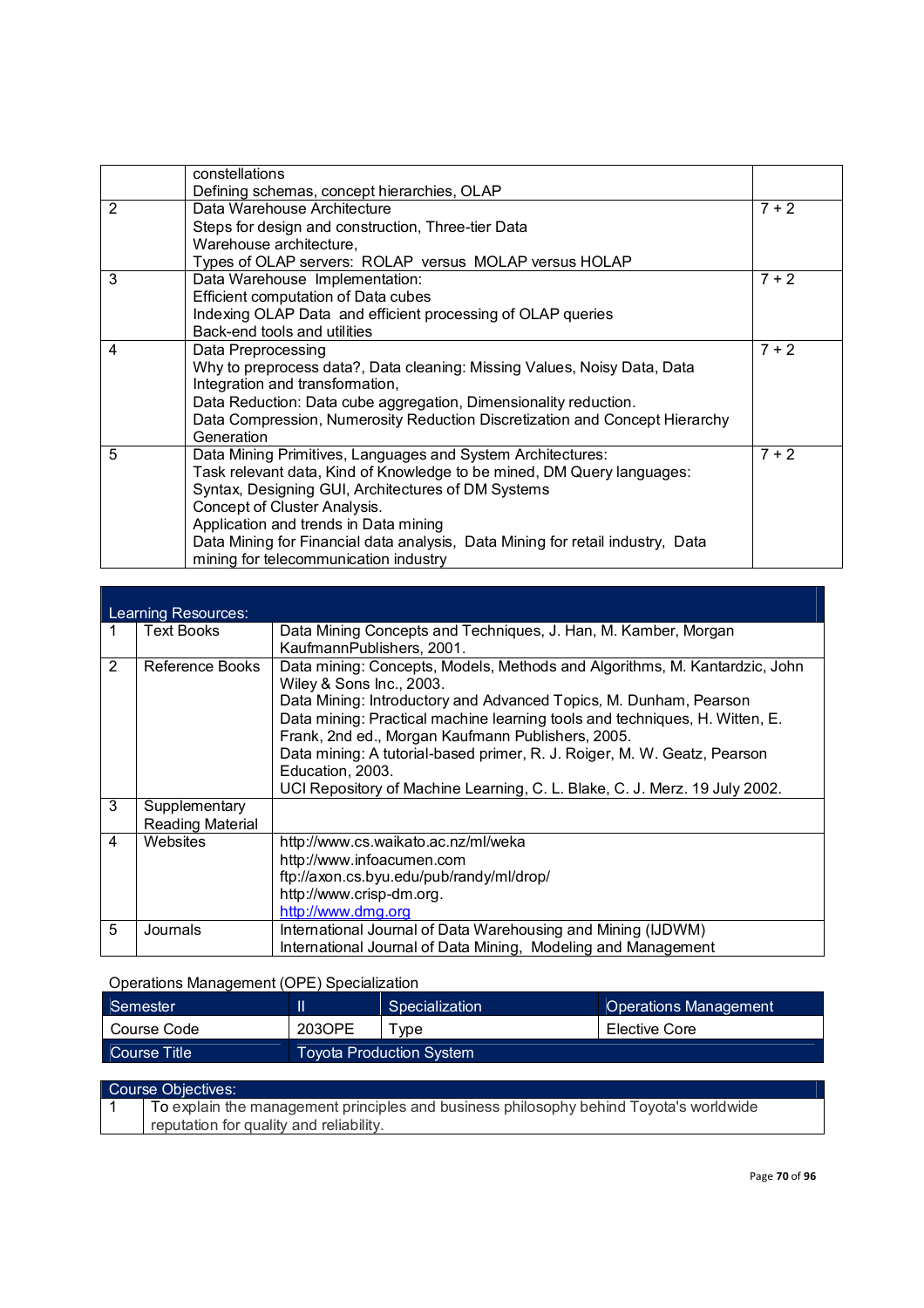|   | constellations                                                                 |         |
|---|--------------------------------------------------------------------------------|---------|
|   | Defining schemas, concept hierarchies, OLAP                                    |         |
| 2 | Data Warehouse Architecture                                                    | $7 + 2$ |
|   | Steps for design and construction, Three-tier Data                             |         |
|   | Warehouse architecture,                                                        |         |
|   | Types of OLAP servers: ROLAP versus MOLAP versus HOLAP                         |         |
| 3 | Data Warehouse Implementation:                                                 | $7 + 2$ |
|   | Efficient computation of Data cubes                                            |         |
|   | Indexing OLAP Data and efficient processing of OLAP queries                    |         |
|   | Back-end tools and utilities                                                   |         |
| 4 | Data Preprocessing                                                             | $7 + 2$ |
|   | Why to preprocess data?, Data cleaning: Missing Values, Noisy Data, Data       |         |
|   | Integration and transformation,                                                |         |
|   | Data Reduction: Data cube aggregation, Dimensionality reduction.               |         |
|   | Data Compression, Numerosity Reduction Discretization and Concept Hierarchy    |         |
|   | Generation                                                                     |         |
| 5 | Data Mining Primitives, Languages and System Architectures:                    | $7 + 2$ |
|   | Task relevant data, Kind of Knowledge to be mined, DM Query languages:         |         |
|   | Syntax, Designing GUI, Architectures of DM Systems                             |         |
|   | Concept of Cluster Analysis.                                                   |         |
|   | Application and trends in Data mining                                          |         |
|   | Data Mining for Financial data analysis, Data Mining for retail industry, Data |         |
|   | mining for telecommunication industry                                          |         |

|        | Learning Resources:              |                                                                                                                                                                                                                                                                                                                                                                                                                                                                                               |  |  |  |
|--------|----------------------------------|-----------------------------------------------------------------------------------------------------------------------------------------------------------------------------------------------------------------------------------------------------------------------------------------------------------------------------------------------------------------------------------------------------------------------------------------------------------------------------------------------|--|--|--|
|        | <b>Text Books</b>                | Data Mining Concepts and Techniques, J. Han, M. Kamber, Morgan<br>KaufmannPublishers, 2001.                                                                                                                                                                                                                                                                                                                                                                                                   |  |  |  |
| 2<br>3 | Reference Books<br>Supplementary | Data mining: Concepts, Models, Methods and Algorithms, M. Kantardzic, John<br>Wiley & Sons Inc., 2003.<br>Data Mining: Introductory and Advanced Topics, M. Dunham, Pearson<br>Data mining: Practical machine learning tools and techniques, H. Witten, E.<br>Frank, 2nd ed., Morgan Kaufmann Publishers, 2005.<br>Data mining: A tutorial-based primer, R. J. Roiger, M. W. Geatz, Pearson<br>Education, 2003.<br>UCI Repository of Machine Learning, C. L. Blake, C. J. Merz. 19 July 2002. |  |  |  |
|        | <b>Reading Material</b>          |                                                                                                                                                                                                                                                                                                                                                                                                                                                                                               |  |  |  |
| 4      | Websites                         | http://www.cs.waikato.ac.nz/ml/weka<br>http://www.infoacumen.com<br>ftp://axon.cs.byu.edu/pub/randy/ml/drop/<br>http://www.crisp-dm.org.<br>http://www.dmg.org                                                                                                                                                                                                                                                                                                                                |  |  |  |
| 5      | Journals                         | International Journal of Data Warehousing and Mining (IJDWM)<br>International Journal of Data Mining, Modeling and Management                                                                                                                                                                                                                                                                                                                                                                 |  |  |  |

## Operations Management (OPE) Specialization

| <b>Semester</b> |        | Specialization                  | <b>Operations Management</b> |  |
|-----------------|--------|---------------------------------|------------------------------|--|
| Course Code     | 2030PE | vpe                             | Elective Core                |  |
| Course Title    |        | <b>Toyota Production System</b> |                              |  |
|                 |        |                                 |                              |  |

#### Course Objectives: 1 To explain the management principles and business philosophy behind Toyota's worldwide reputation for quality and reliability.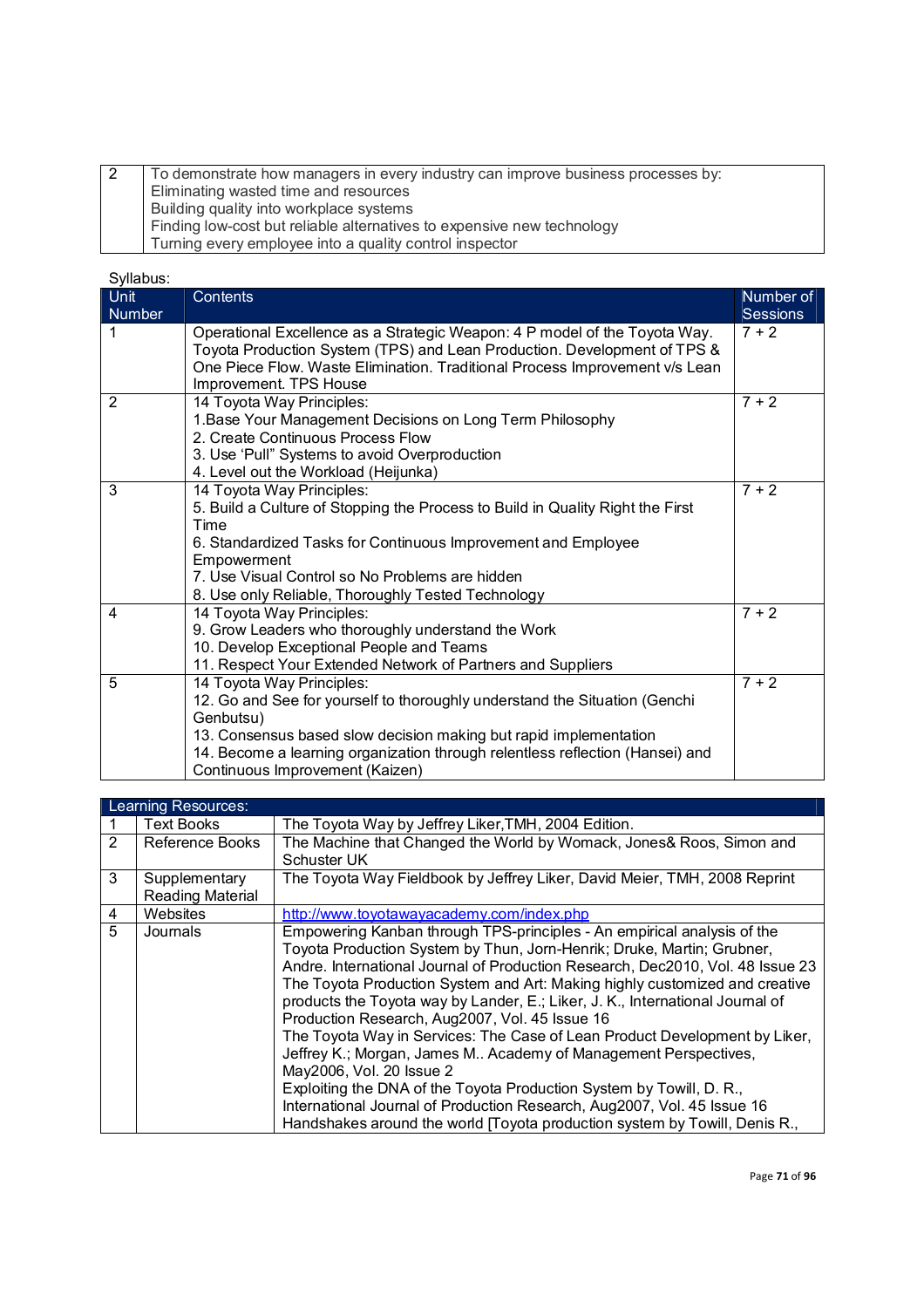| To demonstrate how managers in every industry can improve business processes by:<br>Eliminating wasted time and resources<br>Building quality into workplace systems<br>Finding low-cost but reliable alternatives to expensive new technology<br>Turning every employee into a quality control inspector |
|-----------------------------------------------------------------------------------------------------------------------------------------------------------------------------------------------------------------------------------------------------------------------------------------------------------|
|-----------------------------------------------------------------------------------------------------------------------------------------------------------------------------------------------------------------------------------------------------------------------------------------------------------|

| o viiduus.<br>Unit | Contents                                                                                                                                                                                                                                                                                                      | Number of       |
|--------------------|---------------------------------------------------------------------------------------------------------------------------------------------------------------------------------------------------------------------------------------------------------------------------------------------------------------|-----------------|
| Number             |                                                                                                                                                                                                                                                                                                               | <b>Sessions</b> |
| 1                  | Operational Excellence as a Strategic Weapon: 4 P model of the Toyota Way.<br>Toyota Production System (TPS) and Lean Production. Development of TPS &<br>One Piece Flow. Waste Elimination. Traditional Process Improvement v/s Lean<br>Improvement. TPS House                                               | $7 + 2$         |
| $\overline{2}$     | 14 Toyota Way Principles:<br>1. Base Your Management Decisions on Long Term Philosophy<br>2. Create Continuous Process Flow<br>3. Use 'Pull" Systems to avoid Overproduction<br>4. Level out the Workload (Heijunka)                                                                                          | $7 + 2$         |
| 3                  | 14 Toyota Way Principles:<br>5. Build a Culture of Stopping the Process to Build in Quality Right the First<br>Time<br>6. Standardized Tasks for Continuous Improvement and Employee<br>Empowerment<br>7. Use Visual Control so No Problems are hidden<br>8. Use only Reliable, Thoroughly Tested Technology  | $7 + 2$         |
| 4                  | 14 Toyota Way Principles:<br>9. Grow Leaders who thoroughly understand the Work<br>10. Develop Exceptional People and Teams<br>11. Respect Your Extended Network of Partners and Suppliers                                                                                                                    | $7 + 2$         |
| 5                  | 14 Toyota Way Principles:<br>12. Go and See for yourself to thoroughly understand the Situation (Genchi<br>Genbutsu)<br>13. Consensus based slow decision making but rapid implementation<br>14. Become a learning organization through relentless reflection (Hansei) and<br>Continuous Improvement (Kaizen) | $7 + 2$         |

|   | Learning Resources: |                                                                                |  |  |  |
|---|---------------------|--------------------------------------------------------------------------------|--|--|--|
|   | <b>Text Books</b>   | The Toyota Way by Jeffrey Liker, TMH, 2004 Edition.                            |  |  |  |
| 2 | Reference Books     | The Machine that Changed the World by Womack, Jones& Roos, Simon and           |  |  |  |
|   |                     | Schuster UK                                                                    |  |  |  |
| 3 | Supplementary       | The Toyota Way Fieldbook by Jeffrey Liker, David Meier, TMH, 2008 Reprint      |  |  |  |
|   | Reading Material    |                                                                                |  |  |  |
| 4 | Websites            | http://www.toyotawayacademy.com/index.php                                      |  |  |  |
| 5 | Journals            | Empowering Kanban through TPS-principles - An empirical analysis of the        |  |  |  |
|   |                     | Toyota Production System by Thun, Jorn-Henrik; Druke, Martin; Grubner,         |  |  |  |
|   |                     | Andre. International Journal of Production Research, Dec2010, Vol. 48 Issue 23 |  |  |  |
|   |                     | The Toyota Production System and Art: Making highly customized and creative    |  |  |  |
|   |                     | products the Toyota way by Lander, E.; Liker, J. K., International Journal of  |  |  |  |
|   |                     | Production Research, Aug2007, Vol. 45 Issue 16                                 |  |  |  |
|   |                     | The Toyota Way in Services: The Case of Lean Product Development by Liker,     |  |  |  |
|   |                     | Jeffrey K.; Morgan, James M Academy of Management Perspectives,                |  |  |  |
|   |                     | May2006, Vol. 20 Issue 2                                                       |  |  |  |
|   |                     | Exploiting the DNA of the Toyota Production System by Towill, D. R.,           |  |  |  |
|   |                     | International Journal of Production Research, Aug2007, Vol. 45 Issue 16        |  |  |  |
|   |                     | Handshakes around the world [Toyota production system by Towill, Denis R.,     |  |  |  |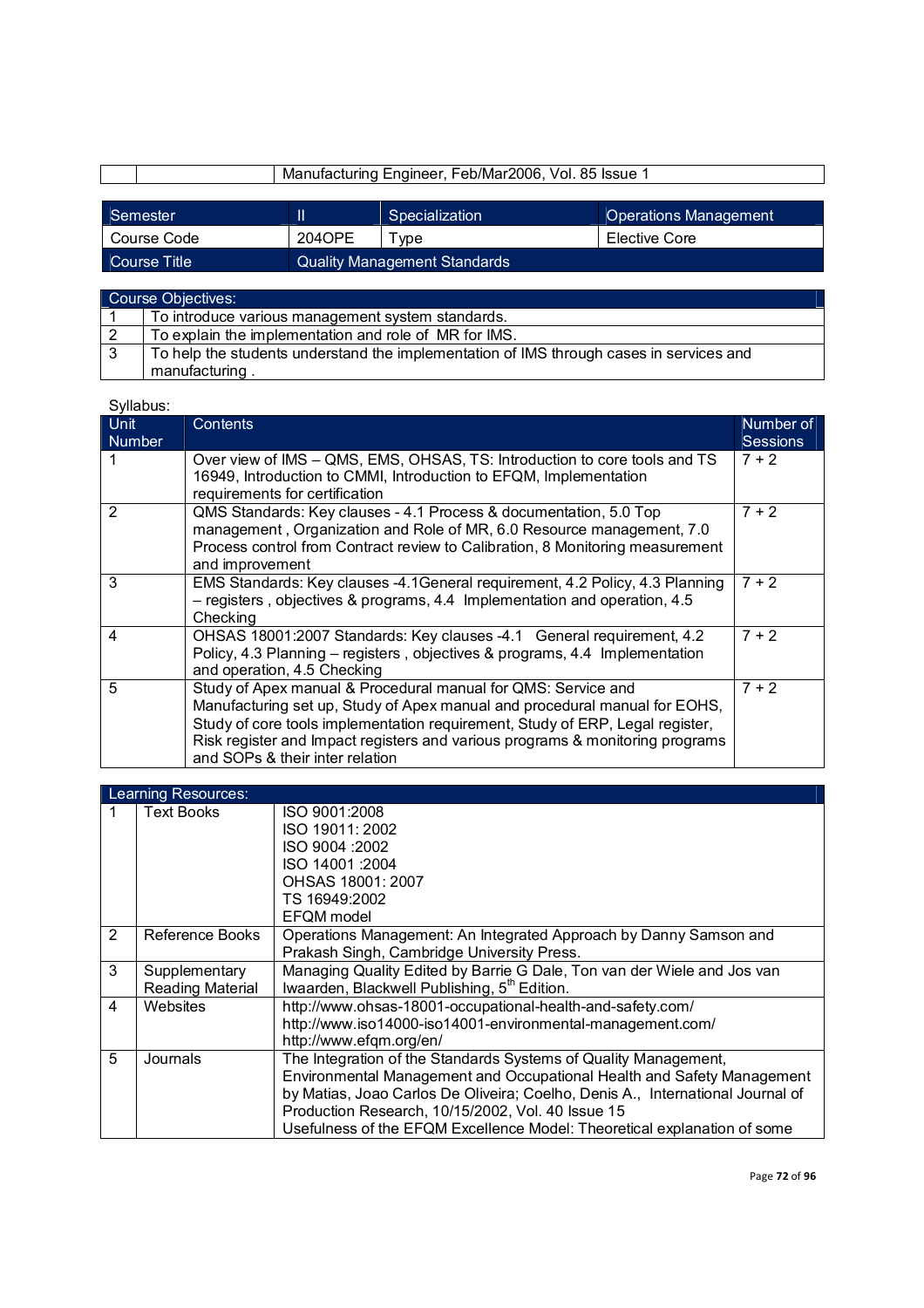|              |                                     | Manufacturing Engineer, Feb/Mar2006, Vol. 85 Issue 1 |                              |
|--------------|-------------------------------------|------------------------------------------------------|------------------------------|
|              |                                     |                                                      |                              |
| Semester     |                                     | Specialization                                       | <b>Operations Management</b> |
| Course Code  | 2040PE                              | vpe                                                  | Elective Core                |
| Course Title | <b>Quality Management Standards</b> |                                                      |                              |

|   | Course Objectives:                                                                      |
|---|-----------------------------------------------------------------------------------------|
|   | To introduce various management system standards.                                       |
| 2 | To explain the implementation and role of MR for IMS.                                   |
|   | To help the students understand the implementation of IMS through cases in services and |
|   | manufacturing.                                                                          |

| o y naoao. |                                                                                                                                                                                                                                                                                                                                                  |                 |
|------------|--------------------------------------------------------------------------------------------------------------------------------------------------------------------------------------------------------------------------------------------------------------------------------------------------------------------------------------------------|-----------------|
| Unit       | <b>Contents</b>                                                                                                                                                                                                                                                                                                                                  | Number of       |
| Number     |                                                                                                                                                                                                                                                                                                                                                  | <b>Sessions</b> |
|            | Over view of IMS – QMS, EMS, OHSAS, TS: Introduction to core tools and TS<br>16949, Introduction to CMMI, Introduction to EFQM, Implementation<br>requirements for certification                                                                                                                                                                 | $7 + 2$         |
| 2          | QMS Standards: Key clauses - 4.1 Process & documentation, 5.0 Top<br>management, Organization and Role of MR, 6.0 Resource management, 7.0<br>Process control from Contract review to Calibration, 8 Monitoring measurement<br>and improvement                                                                                                   | $7 + 2$         |
| 3          | EMS Standards: Key clauses -4.1 General requirement, 4.2 Policy, 4.3 Planning<br>- registers, objectives & programs, 4.4 Implementation and operation, 4.5<br>Checking                                                                                                                                                                           | $7 + 2$         |
| 4          | OHSAS 18001:2007 Standards: Key clauses -4.1 General requirement, 4.2<br>Policy, 4.3 Planning – registers, objectives & programs, 4.4 Implementation<br>and operation, 4.5 Checking                                                                                                                                                              | $7 + 2$         |
| 5          | Study of Apex manual & Procedural manual for QMS: Service and<br>Manufacturing set up, Study of Apex manual and procedural manual for EOHS,<br>Study of core tools implementation requirement, Study of ERP, Legal register,<br>Risk register and Impact registers and various programs & monitoring programs<br>and SOPs & their inter relation | $7 + 2$         |

|   | Learning Resources: |                                                                                |
|---|---------------------|--------------------------------------------------------------------------------|
|   | <b>Text Books</b>   | ISO 9001:2008                                                                  |
|   |                     | ISO 19011: 2002                                                                |
|   |                     | ISO 9004 : 2002                                                                |
|   |                     | ISO 14001:2004                                                                 |
|   |                     | OHSAS 18001: 2007                                                              |
|   |                     | TS 16949:2002                                                                  |
|   |                     | EFOM model                                                                     |
| 2 | Reference Books     | Operations Management: An Integrated Approach by Danny Samson and              |
|   |                     | Prakash Singh, Cambridge University Press.                                     |
| 3 | Supplementary       | Managing Quality Edited by Barrie G Dale, Ton van der Wiele and Jos van        |
|   | Reading Material    | Iwaarden, Blackwell Publishing, 5 <sup>th</sup> Edition.                       |
| 4 | Websites            | http://www.ohsas-18001-occupational-health-and-safety.com/                     |
|   |                     | http://www.iso14000-iso14001-environmental-management.com/                     |
|   |                     | http://www.efgm.org/en/                                                        |
| 5 | Journals            | The Integration of the Standards Systems of Quality Management,                |
|   |                     | Environmental Management and Occupational Health and Safety Management         |
|   |                     | by Matias, Joao Carlos De Oliveira; Coelho, Denis A., International Journal of |
|   |                     | Production Research, 10/15/2002, Vol. 40 Issue 15                              |
|   |                     | Usefulness of the EFQM Excellence Model: Theoretical explanation of some       |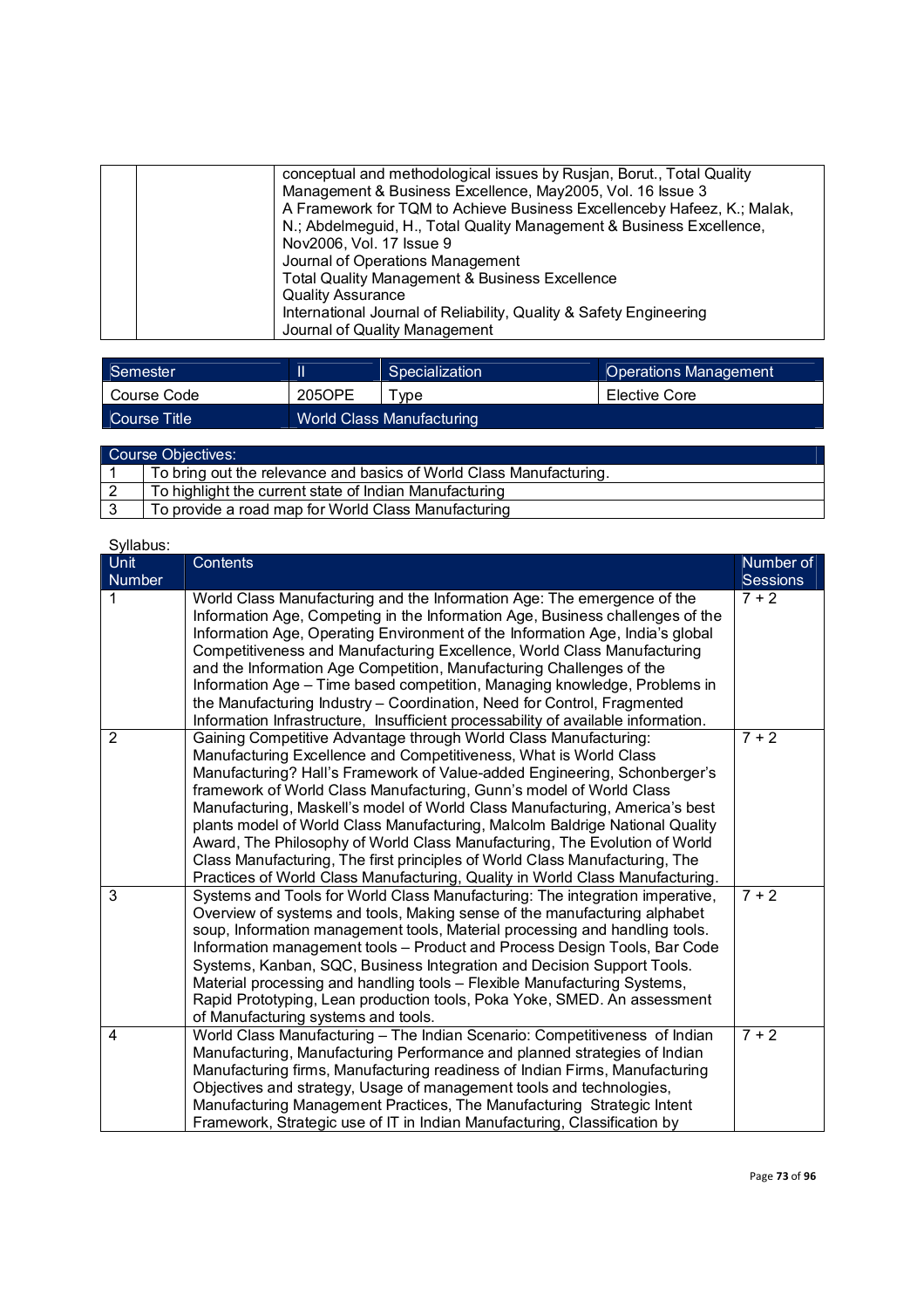| conceptual and methodological issues by Rusjan, Borut., Total Quality<br>Management & Business Excellence, May2005, Vol. 16 Issue 3<br>A Framework for TQM to Achieve Business Excellenceby Hafeez, K.; Malak, |
|----------------------------------------------------------------------------------------------------------------------------------------------------------------------------------------------------------------|
| N.; Abdelmeguid, H., Total Quality Management & Business Excellence,                                                                                                                                           |
| Nov2006, Vol. 17 Issue 9                                                                                                                                                                                       |
| Journal of Operations Management                                                                                                                                                                               |
| <b>Total Quality Management &amp; Business Excellence</b>                                                                                                                                                      |
| <b>Quality Assurance</b>                                                                                                                                                                                       |
| International Journal of Reliability, Quality & Safety Engineering                                                                                                                                             |
| Journal of Quality Management                                                                                                                                                                                  |

| <sup><i>Semesteri</i></sup> |                           | Specialization | <b>Operations Management</b> |
|-----------------------------|---------------------------|----------------|------------------------------|
| Course Code                 | 205OPE                    | vpe            | Elective Core                |
| Course Title                | World Class Manufacturing |                |                              |

| Course Objectives: |                                                                     |  |
|--------------------|---------------------------------------------------------------------|--|
|                    | To bring out the relevance and basics of World Class Manufacturing. |  |
|                    | To highlight the current state of Indian Manufacturing              |  |
|                    | To provide a road map for World Class Manufacturing                 |  |

| Syllabus:          |                                                                                                                                                                                                                                                                                                                                                                                                                                                                                                                                                                                                                                                                                                                                                                                             |                            |
|--------------------|---------------------------------------------------------------------------------------------------------------------------------------------------------------------------------------------------------------------------------------------------------------------------------------------------------------------------------------------------------------------------------------------------------------------------------------------------------------------------------------------------------------------------------------------------------------------------------------------------------------------------------------------------------------------------------------------------------------------------------------------------------------------------------------------|----------------------------|
| Unit               | <b>Contents</b>                                                                                                                                                                                                                                                                                                                                                                                                                                                                                                                                                                                                                                                                                                                                                                             | Number of                  |
| <b>Number</b><br>1 | World Class Manufacturing and the Information Age: The emergence of the<br>Information Age, Competing in the Information Age, Business challenges of the<br>Information Age, Operating Environment of the Information Age, India's global<br>Competitiveness and Manufacturing Excellence, World Class Manufacturing<br>and the Information Age Competition, Manufacturing Challenges of the<br>Information Age – Time based competition, Managing knowledge, Problems in<br>the Manufacturing Industry - Coordination, Need for Control, Fragmented                                                                                                                                                                                                                                        | <b>Sessions</b><br>$7 + 2$ |
| 2                  | Information Infrastructure, Insufficient processability of available information.<br>Gaining Competitive Advantage through World Class Manufacturing:<br>Manufacturing Excellence and Competitiveness, What is World Class<br>Manufacturing? Hall's Framework of Value-added Engineering, Schonberger's<br>framework of World Class Manufacturing, Gunn's model of World Class<br>Manufacturing, Maskell's model of World Class Manufacturing, America's best<br>plants model of World Class Manufacturing, Malcolm Baldrige National Quality<br>Award, The Philosophy of World Class Manufacturing, The Evolution of World<br>Class Manufacturing, The first principles of World Class Manufacturing, The<br>Practices of World Class Manufacturing, Quality in World Class Manufacturing. | $7 + 2$                    |
| 3                  | Systems and Tools for World Class Manufacturing: The integration imperative,<br>Overview of systems and tools, Making sense of the manufacturing alphabet<br>soup, Information management tools, Material processing and handling tools.<br>Information management tools - Product and Process Design Tools, Bar Code<br>Systems, Kanban, SQC, Business Integration and Decision Support Tools.<br>Material processing and handling tools - Flexible Manufacturing Systems,<br>Rapid Prototyping, Lean production tools, Poka Yoke, SMED. An assessment<br>of Manufacturing systems and tools.                                                                                                                                                                                              | $7 + 2$                    |
| 4                  | World Class Manufacturing - The Indian Scenario: Competitiveness of Indian<br>Manufacturing, Manufacturing Performance and planned strategies of Indian<br>Manufacturing firms, Manufacturing readiness of Indian Firms, Manufacturing<br>Objectives and strategy, Usage of management tools and technologies,<br>Manufacturing Management Practices, The Manufacturing Strategic Intent<br>Framework, Strategic use of IT in Indian Manufacturing, Classification by                                                                                                                                                                                                                                                                                                                       | $7 + 2$                    |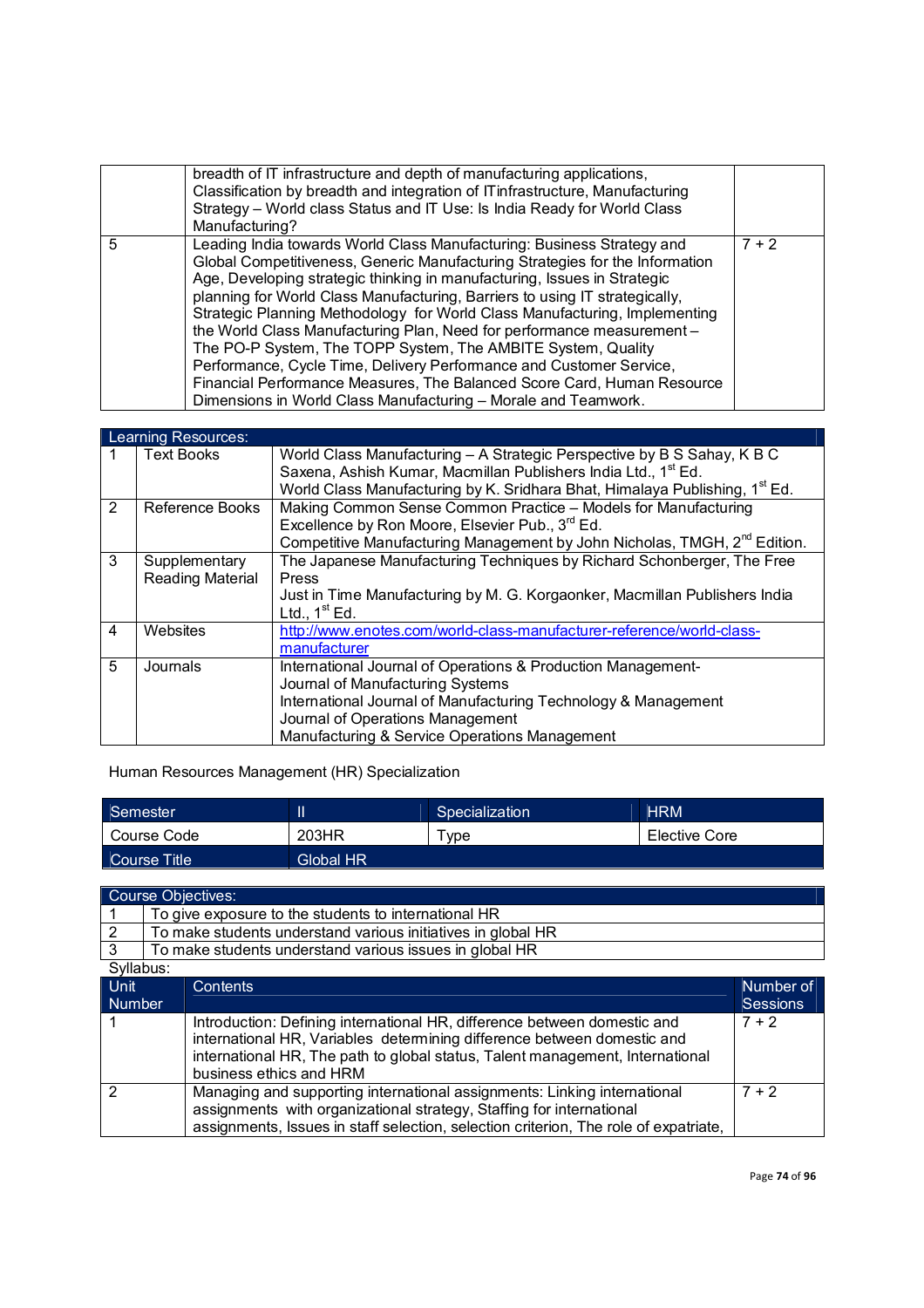|   | breadth of IT infrastructure and depth of manufacturing applications,<br>Classification by breadth and integration of IT infrastructure, Manufacturing<br>Strategy - World class Status and IT Use: Is India Ready for World Class<br>Manufacturing?                                                                                                                                                                                                                                                                                                                                                                                                                                                                                                          |         |
|---|---------------------------------------------------------------------------------------------------------------------------------------------------------------------------------------------------------------------------------------------------------------------------------------------------------------------------------------------------------------------------------------------------------------------------------------------------------------------------------------------------------------------------------------------------------------------------------------------------------------------------------------------------------------------------------------------------------------------------------------------------------------|---------|
| 5 | Leading India towards World Class Manufacturing: Business Strategy and<br>Global Competitiveness, Generic Manufacturing Strategies for the Information<br>Age, Developing strategic thinking in manufacturing, Issues in Strategic<br>planning for World Class Manufacturing, Barriers to using IT strategically,<br>Strategic Planning Methodology for World Class Manufacturing, Implementing<br>the World Class Manufacturing Plan, Need for performance measurement -<br>The PO-P System, The TOPP System, The AMBITE System, Quality<br>Performance, Cycle Time, Delivery Performance and Customer Service,<br>Financial Performance Measures, The Balanced Score Card, Human Resource<br>Dimensions in World Class Manufacturing - Morale and Teamwork. | $7 + 2$ |

# Learning Resources:

|   | <b>Text Books</b> | World Class Manufacturing - A Strategic Perspective by B S Sahay, K B C                 |
|---|-------------------|-----------------------------------------------------------------------------------------|
|   |                   | Saxena, Ashish Kumar, Macmillan Publishers India Ltd., 1 <sup>st</sup> Ed.              |
|   |                   | World Class Manufacturing by K. Sridhara Bhat, Himalaya Publishing, 1 <sup>st</sup> Ed. |
| 2 | Reference Books   | Making Common Sense Common Practice - Models for Manufacturing                          |
|   |                   | Excellence by Ron Moore, Elsevier Pub., 3rd Ed.                                         |
|   |                   | Competitive Manufacturing Management by John Nicholas, TMGH, 2 <sup>nd</sup> Edition.   |
| 3 | Supplementary     | The Japanese Manufacturing Techniques by Richard Schonberger, The Free                  |
|   | Reading Material  | Press                                                                                   |
|   |                   | Just in Time Manufacturing by M. G. Korgaonker, Macmillan Publishers India              |
|   |                   | Ltd., $1st Ed$ .                                                                        |
| 4 | Websites          | http://www.enotes.com/world-class-manufacturer-reference/world-class-                   |
|   |                   | manufacturer                                                                            |
| 5 | Journals          | International Journal of Operations & Production Management-                            |
|   |                   | Journal of Manufacturing Systems                                                        |
|   |                   | International Journal of Manufacturing Technology & Management                          |
|   |                   | Journal of Operations Management                                                        |
|   |                   | Manufacturing & Service Operations Management                                           |

Human Resources Management (HR) Specialization

| Semester                  |       | Specialization | <b>HRM</b>    |
|---------------------------|-------|----------------|---------------|
| Course Code               | 203HR | vpe            | Elective Core |
| Global HR<br>Course Title |       |                |               |

Course Objectives: 1 To give exposure to the students to international HR 2 | To make students understand various initiatives in global HR 3 To make students understand various issues in global HR Syllabus:

| <b>Unit</b> | Contents                                                                                                                                                                                                                                                        | Number of       |
|-------------|-----------------------------------------------------------------------------------------------------------------------------------------------------------------------------------------------------------------------------------------------------------------|-----------------|
| Number      |                                                                                                                                                                                                                                                                 | <b>Sessions</b> |
|             | Introduction: Defining international HR, difference between domestic and<br>international HR, Variables determining difference between domestic and<br>international HR, The path to global status, Talent management, International<br>business ethics and HRM | $7 + 2$         |
| 2           | Managing and supporting international assignments: Linking international<br>assignments with organizational strategy, Staffing for international<br>assignments, Issues in staff selection, selection criterion, The role of expatriate,                        | $7 + 2$         |

 $\sim$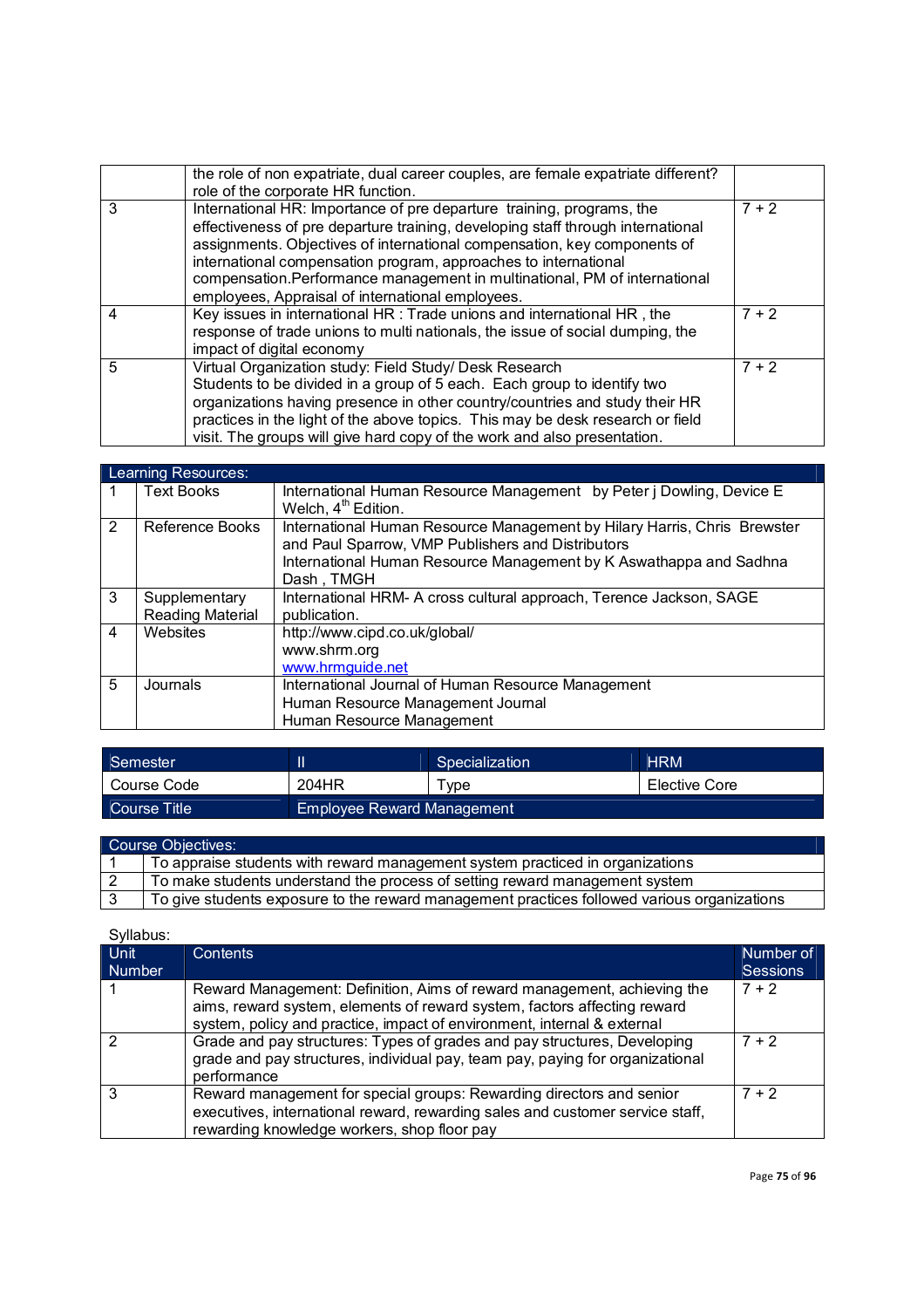|   | the role of non expatriate, dual career couples, are female expatriate different?<br>role of the corporate HR function.                                                                                                                                                                                                                                                                                                                   |         |
|---|-------------------------------------------------------------------------------------------------------------------------------------------------------------------------------------------------------------------------------------------------------------------------------------------------------------------------------------------------------------------------------------------------------------------------------------------|---------|
| 3 | International HR: Importance of pre departure training, programs, the<br>effectiveness of pre departure training, developing staff through international<br>assignments. Objectives of international compensation, key components of<br>international compensation program, approaches to international<br>compensation. Performance management in multinational, PM of international<br>employees, Appraisal of international employees. | $7 + 2$ |
| 4 | Key issues in international HR : Trade unions and international HR, the<br>response of trade unions to multi nationals, the issue of social dumping, the<br>impact of digital economy                                                                                                                                                                                                                                                     | $7 + 2$ |
| 5 | Virtual Organization study: Field Study/ Desk Research<br>Students to be divided in a group of 5 each. Each group to identify two<br>organizations having presence in other country/countries and study their HR<br>practices in the light of the above topics. This may be desk research or field<br>visit. The groups will give hard copy of the work and also presentation.                                                            | $7 + 2$ |

|   | Learning Resources:                      |                                                                                                                                                                                                                   |  |
|---|------------------------------------------|-------------------------------------------------------------------------------------------------------------------------------------------------------------------------------------------------------------------|--|
|   | <b>Text Books</b>                        | International Human Resource Management by Peter j Dowling, Device E<br>Welch, 4 <sup>th</sup> Edition.                                                                                                           |  |
| 2 | Reference Books                          | International Human Resource Management by Hilary Harris, Chris Brewster<br>and Paul Sparrow, VMP Publishers and Distributors<br>International Human Resource Management by K Aswathappa and Sadhna<br>Dash, TMGH |  |
| 3 | Supplementary<br><b>Reading Material</b> | International HRM- A cross cultural approach, Terence Jackson, SAGE<br>publication.                                                                                                                               |  |
| 4 | Websites                                 | http://www.cipd.co.uk/global/<br>www.shrm.org<br>www.hrmguide.net                                                                                                                                                 |  |
| 5 | Journals                                 | International Journal of Human Resource Management<br>Human Resource Management Journal<br>Human Resource Management                                                                                              |  |

| Semester        |                            | Specialization | <b>HRM</b>    |
|-----------------|----------------------------|----------------|---------------|
| Course Code     | 204HR                      | $\tau$ vpe     | Elective Core |
| LCourse Title ' | Employee Reward Management |                |               |

| Course Objectives: |                                                                                             |  |
|--------------------|---------------------------------------------------------------------------------------------|--|
|                    | To appraise students with reward management system practiced in organizations               |  |
|                    | To make students understand the process of setting reward management system                 |  |
|                    | To give students exposure to the reward management practices followed various organizations |  |

| Syllabus: |
|-----------|
|           |

| Unit<br><b>Number</b> | <b>Contents</b>                                                                                                                                                                                                                | Number of<br><b>Sessions</b> |
|-----------------------|--------------------------------------------------------------------------------------------------------------------------------------------------------------------------------------------------------------------------------|------------------------------|
|                       | Reward Management: Definition, Aims of reward management, achieving the<br>aims, reward system, elements of reward system, factors affecting reward<br>system, policy and practice, impact of environment, internal & external | $7 + 2$                      |
| 2                     | Grade and pay structures: Types of grades and pay structures, Developing<br>grade and pay structures, individual pay, team pay, paying for organizational<br>performance                                                       | $7 + 2$                      |
| 3                     | Reward management for special groups: Rewarding directors and senior<br>executives, international reward, rewarding sales and customer service staff,<br>rewarding knowledge workers, shop floor pay                           | $7 + 2$                      |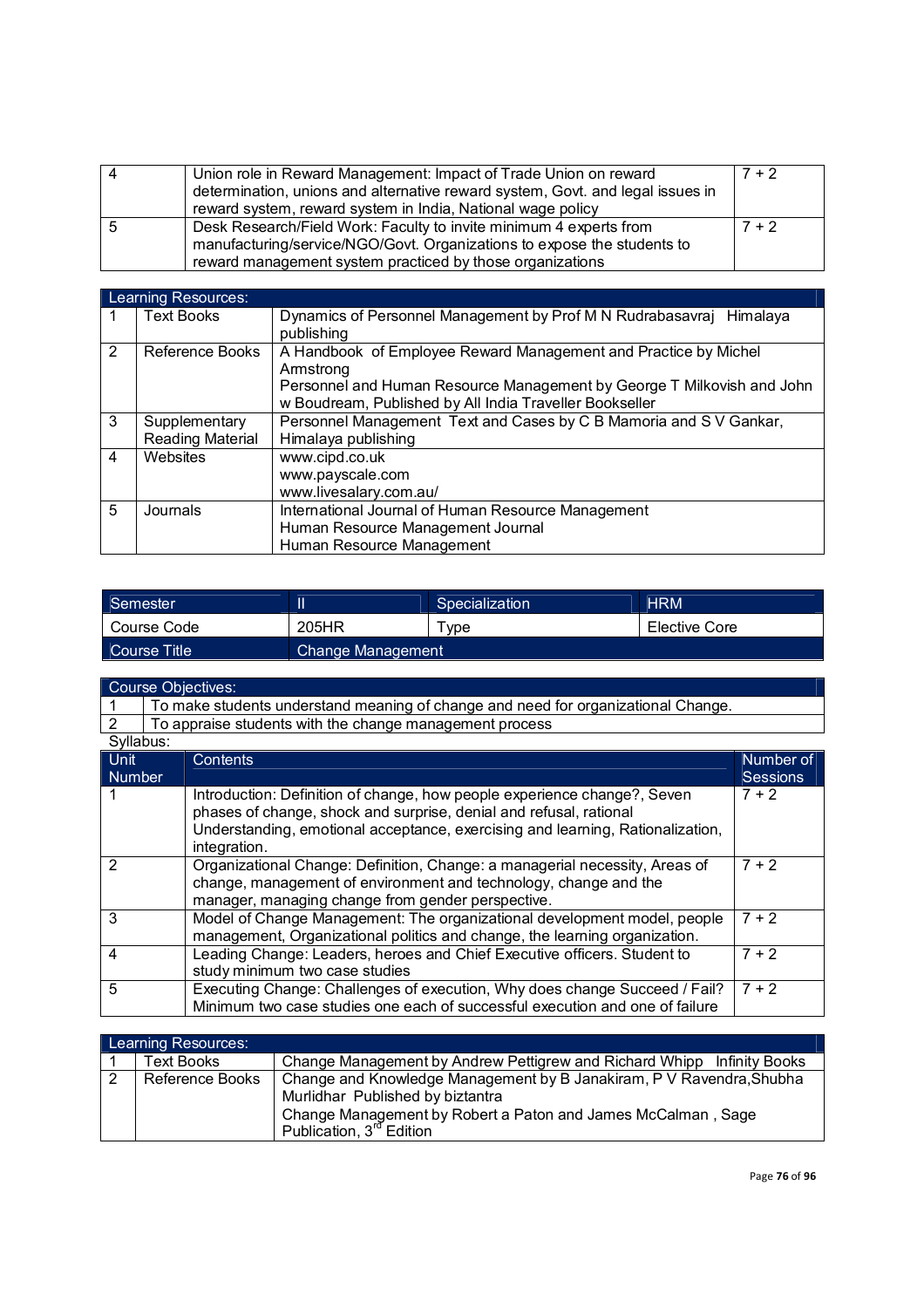| Δ | Union role in Reward Management: Impact of Trade Union on reward<br>determination, unions and alternative reward system, Govt. and legal issues in<br>reward system, reward system in India, National wage policy | $7 + 2$ |
|---|-------------------------------------------------------------------------------------------------------------------------------------------------------------------------------------------------------------------|---------|
|   | Desk Research/Field Work: Faculty to invite minimum 4 experts from<br>manufacturing/service/NGO/Govt. Organizations to expose the students to<br>reward management system practiced by those organizations        | $7 + 2$ |

|                | Learning Resources:     |                                                                        |  |  |
|----------------|-------------------------|------------------------------------------------------------------------|--|--|
| 1              | <b>Text Books</b>       | Dynamics of Personnel Management by Prof M N Rudrabasavraj Himalaya    |  |  |
|                |                         | publishing                                                             |  |  |
| 2              | Reference Books         | A Handbook of Employee Reward Management and Practice by Michel        |  |  |
|                |                         | Armstrong                                                              |  |  |
|                |                         | Personnel and Human Resource Management by George T Milkovish and John |  |  |
|                |                         | w Boudream, Published by All India Traveller Bookseller                |  |  |
| 3              | Supplementary           | Personnel Management Text and Cases by C B Mamoria and S V Gankar,     |  |  |
|                | <b>Reading Material</b> | Himalaya publishing                                                    |  |  |
| $\overline{4}$ | Websites                | www.cipd.co.uk                                                         |  |  |
|                |                         | www.payscale.com                                                       |  |  |
|                |                         | www.livesalary.com.au/                                                 |  |  |
| 5              | Journals                | International Journal of Human Resource Management                     |  |  |
|                |                         | Human Resource Management Journal                                      |  |  |
|                |                         | Human Resource Management                                              |  |  |

| Semester     |                   | Specialization | <b>HRM</b>    |
|--------------|-------------------|----------------|---------------|
| Course Code  | 205HR             | ™vpe           | Elective Core |
| Course Title | Change Management |                |               |

|               |                                                                                   | Course Objectives:                                                                                                                                                                                   |                 |
|---------------|-----------------------------------------------------------------------------------|------------------------------------------------------------------------------------------------------------------------------------------------------------------------------------------------------|-----------------|
|               | To make students understand meaning of change and need for organizational Change. |                                                                                                                                                                                                      |                 |
| 2             |                                                                                   | To appraise students with the change management process                                                                                                                                              |                 |
| Syllabus:     |                                                                                   |                                                                                                                                                                                                      |                 |
| <b>Unit</b>   |                                                                                   | Contents                                                                                                                                                                                             | Number of       |
| <b>Number</b> |                                                                                   |                                                                                                                                                                                                      | <b>Sessions</b> |
|               |                                                                                   | Introduction: Definition of change, how people experience change?, Seven<br>phases of change, shock and surprise, denial and refusal, rational                                                       | $7 + 2$         |
|               |                                                                                   | Understanding, emotional acceptance, exercising and learning, Rationalization,<br>integration.                                                                                                       |                 |
|               |                                                                                   | Organizational Change: Definition, Change: a managerial necessity, Areas of<br>change, management of environment and technology, change and the<br>manager, managing change from gender perspective. | $7 + 2$         |
| 3             |                                                                                   | Model of Change Management: The organizational development model, people<br>management, Organizational politics and change, the learning organization.                                               | $7 + 2$         |
| 4             |                                                                                   | Leading Change: Leaders, heroes and Chief Executive officers. Student to<br>study minimum two case studies                                                                                           | $7 + 2$         |
| 5             |                                                                                   | Executing Change: Challenges of execution, Why does change Succeed / Fail?<br>Minimum two case studies one each of successful execution and one of failure                                           | $7 + 2$         |

|                | Learning Resources: |                                                                                                                                                                                                                  |
|----------------|---------------------|------------------------------------------------------------------------------------------------------------------------------------------------------------------------------------------------------------------|
|                | Fext Books          | Change Management by Andrew Pettigrew and Richard Whipp Infinity Books                                                                                                                                           |
| $\overline{2}$ | Reference Books     | Change and Knowledge Management by B Janakiram, P V Ravendra, Shubha<br>Murlidhar Published by biztantra<br>Change Management by Robert a Paton and James McCalman, Sage<br>Publication, 3 <sup>rd</sup> Edition |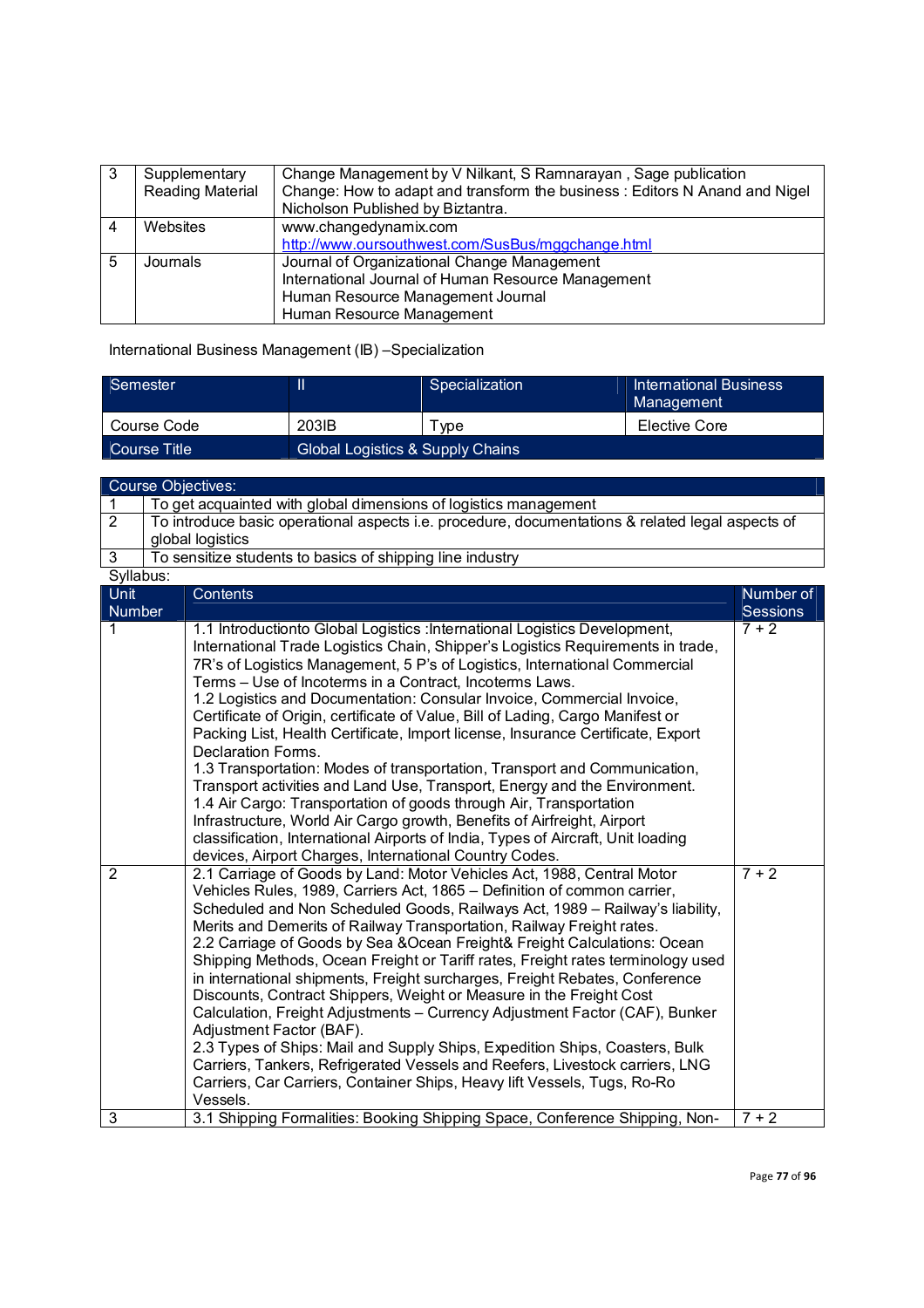| 3 | Supplementary           | Change Management by V Nilkant, S Ramnarayan, Sage publication             |
|---|-------------------------|----------------------------------------------------------------------------|
|   | <b>Reading Material</b> | Change: How to adapt and transform the business: Editors N Anand and Nigel |
|   |                         | Nicholson Published by Biztantra.                                          |
|   | Websites                | www.changedynamix.com                                                      |
|   |                         | http://www.oursouthwest.com/SusBus/mggchange.html                          |
| 5 | Journals                | Journal of Organizational Change Management                                |
|   |                         | International Journal of Human Resource Management                         |
|   |                         | Human Resource Management Journal                                          |
|   |                         | Human Resource Management                                                  |

International Business Management (IB) –Specialization

| Semester     |                                  | Specialization | International Business<br>Management |
|--------------|----------------------------------|----------------|--------------------------------------|
| Course Code  | 203IB                            | vpe            | Elective Core                        |
| Course Title | Global Logistics & Supply Chains |                |                                      |

Course Objectives:

|                       | To get acquainted with global dimensions of logistics management                                 |
|-----------------------|--------------------------------------------------------------------------------------------------|
|                       | To introduce basic operational aspects i.e. procedure, documentations & related legal aspects of |
|                       | global logistics                                                                                 |
|                       | To sensitize students to basics of shipping line industry                                        |
| Syllahue <sup>.</sup> |                                                                                                  |

| oyilabus.<br>Unit | <b>Contents</b>                                                                                                                                                                                                                                                                                                                                                                                                                                                                                                                                                                                                                                                                                                                                                                                                                                                                                                                                                                                                                      | Number of       |
|-------------------|--------------------------------------------------------------------------------------------------------------------------------------------------------------------------------------------------------------------------------------------------------------------------------------------------------------------------------------------------------------------------------------------------------------------------------------------------------------------------------------------------------------------------------------------------------------------------------------------------------------------------------------------------------------------------------------------------------------------------------------------------------------------------------------------------------------------------------------------------------------------------------------------------------------------------------------------------------------------------------------------------------------------------------------|-----------------|
| <b>Number</b>     |                                                                                                                                                                                                                                                                                                                                                                                                                                                                                                                                                                                                                                                                                                                                                                                                                                                                                                                                                                                                                                      | <b>Sessions</b> |
| 1                 | 1.1 Introductionto Global Logistics : International Logistics Development,<br>International Trade Logistics Chain, Shipper's Logistics Requirements in trade,<br>7R's of Logistics Management, 5 P's of Logistics, International Commercial<br>Terms - Use of Incoterms in a Contract, Incoterms Laws.<br>1.2 Logistics and Documentation: Consular Invoice, Commercial Invoice,<br>Certificate of Origin, certificate of Value, Bill of Lading, Cargo Manifest or<br>Packing List, Health Certificate, Import license, Insurance Certificate, Export<br>Declaration Forms.<br>1.3 Transportation: Modes of transportation, Transport and Communication,<br>Transport activities and Land Use, Transport, Energy and the Environment.<br>1.4 Air Cargo: Transportation of goods through Air, Transportation<br>Infrastructure, World Air Cargo growth, Benefits of Airfreight, Airport<br>classification, International Airports of India, Types of Aircraft, Unit loading<br>devices, Airport Charges, International Country Codes. | $7 + 2$         |
| 2                 | 2.1 Carriage of Goods by Land: Motor Vehicles Act, 1988, Central Motor<br>Vehicles Rules, 1989, Carriers Act, 1865 - Definition of common carrier,<br>Scheduled and Non Scheduled Goods, Railways Act, 1989 - Railway's liability,<br>Merits and Demerits of Railway Transportation, Railway Freight rates.<br>2.2 Carriage of Goods by Sea & Ocean Freight& Freight Calculations: Ocean<br>Shipping Methods, Ocean Freight or Tariff rates, Freight rates terminology used<br>in international shipments, Freight surcharges, Freight Rebates, Conference<br>Discounts, Contract Shippers, Weight or Measure in the Freight Cost<br>Calculation, Freight Adjustments - Currency Adjustment Factor (CAF), Bunker<br>Adjustment Factor (BAF).<br>2.3 Types of Ships: Mail and Supply Ships, Expedition Ships, Coasters, Bulk<br>Carriers, Tankers, Refrigerated Vessels and Reefers, Livestock carriers, LNG<br>Carriers, Car Carriers, Container Ships, Heavy lift Vessels, Tugs, Ro-Ro<br>Vessels.                                  | $7 + 2$         |
| 3                 | 3.1 Shipping Formalities: Booking Shipping Space, Conference Shipping, Non-                                                                                                                                                                                                                                                                                                                                                                                                                                                                                                                                                                                                                                                                                                                                                                                                                                                                                                                                                          | $7 + 2$         |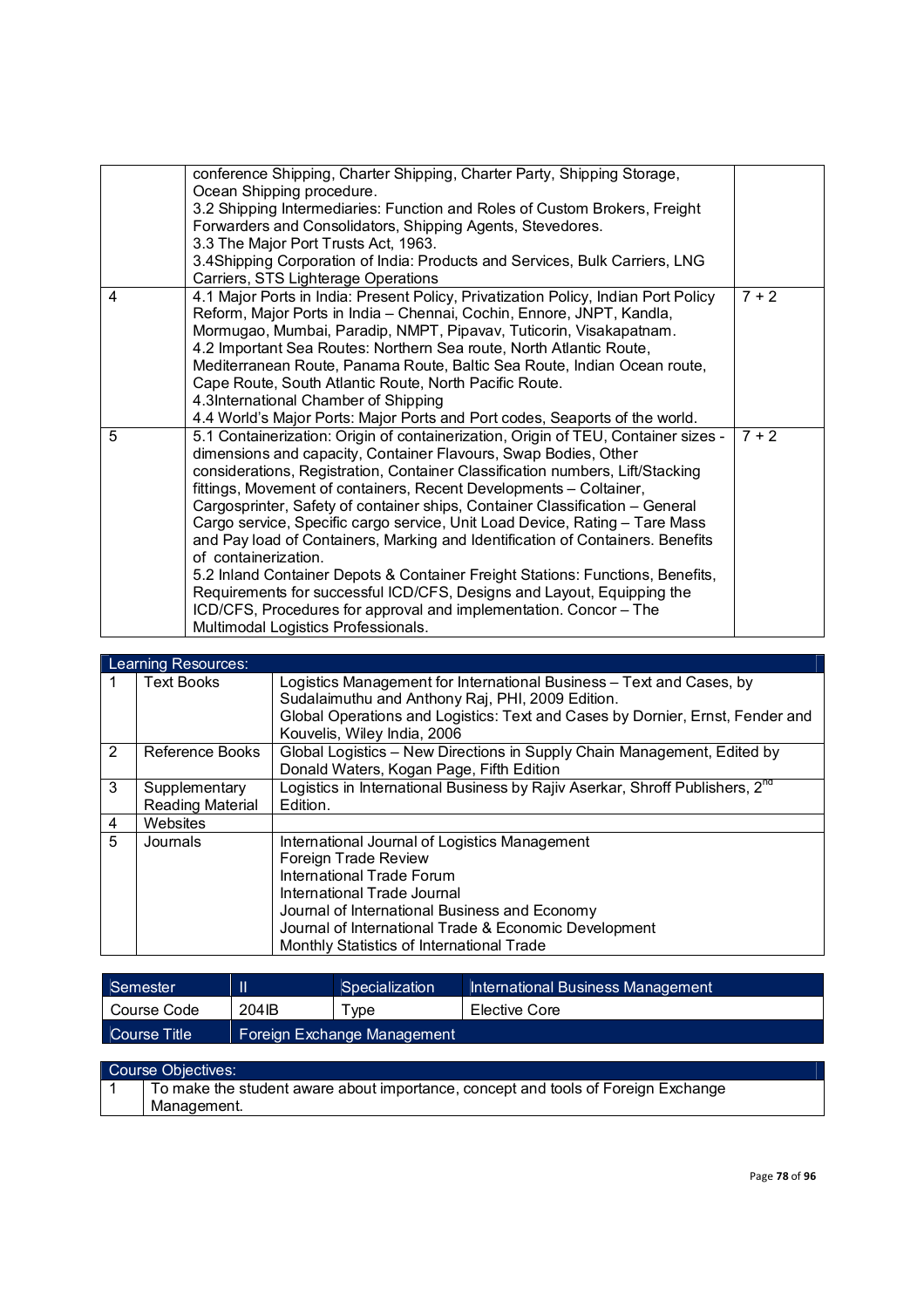|   | conference Shipping, Charter Shipping, Charter Party, Shipping Storage,<br>Ocean Shipping procedure.<br>3.2 Shipping Intermediaries: Function and Roles of Custom Brokers, Freight<br>Forwarders and Consolidators, Shipping Agents, Stevedores.<br>3.3 The Major Port Trusts Act, 1963.<br>3.4Shipping Corporation of India: Products and Services, Bulk Carriers, LNG<br>Carriers, STS Lighterage Operations                                                                                                                                                                                                                                                                                                                                                                                                                                                |         |
|---|---------------------------------------------------------------------------------------------------------------------------------------------------------------------------------------------------------------------------------------------------------------------------------------------------------------------------------------------------------------------------------------------------------------------------------------------------------------------------------------------------------------------------------------------------------------------------------------------------------------------------------------------------------------------------------------------------------------------------------------------------------------------------------------------------------------------------------------------------------------|---------|
| 4 | 4.1 Major Ports in India: Present Policy, Privatization Policy, Indian Port Policy<br>Reform, Major Ports in India - Chennai, Cochin, Ennore, JNPT, Kandla,<br>Mormugao, Mumbai, Paradip, NMPT, Pipavav, Tuticorin, Visakapatnam.<br>4.2 Important Sea Routes: Northern Sea route, North Atlantic Route,<br>Mediterranean Route, Panama Route, Baltic Sea Route, Indian Ocean route,<br>Cape Route, South Atlantic Route, North Pacific Route.<br>4.3International Chamber of Shipping<br>4.4 World's Major Ports: Major Ports and Port codes, Seaports of the world.                                                                                                                                                                                                                                                                                         | $7 + 2$ |
| 5 | 5.1 Containerization: Origin of containerization, Origin of TEU, Container sizes -<br>dimensions and capacity, Container Flavours, Swap Bodies, Other<br>considerations, Registration, Container Classification numbers, Lift/Stacking<br>fittings, Movement of containers, Recent Developments - Coltainer,<br>Cargosprinter, Safety of container ships, Container Classification - General<br>Cargo service, Specific cargo service, Unit Load Device, Rating – Tare Mass<br>and Pay load of Containers, Marking and Identification of Containers. Benefits<br>of containerization.<br>5.2 Inland Container Depots & Container Freight Stations: Functions, Benefits,<br>Requirements for successful ICD/CFS, Designs and Layout, Equipping the<br>ICD/CFS, Procedures for approval and implementation. Concor - The<br>Multimodal Logistics Professionals. | $7 + 2$ |

#### Learning Resources:

|   | Learning Resources:     |                                                                                                                                                                                                                                          |
|---|-------------------------|------------------------------------------------------------------------------------------------------------------------------------------------------------------------------------------------------------------------------------------|
|   | <b>Text Books</b>       | Logistics Management for International Business – Text and Cases, by<br>Sudalaimuthu and Anthony Raj, PHI, 2009 Edition.<br>Global Operations and Logistics: Text and Cases by Dornier, Ernst, Fender and<br>Kouvelis, Wiley India, 2006 |
| 2 | Reference Books         | Global Logistics - New Directions in Supply Chain Management, Edited by                                                                                                                                                                  |
|   |                         | Donald Waters, Kogan Page, Fifth Edition                                                                                                                                                                                                 |
| 3 | Supplementary           | Logistics in International Business by Rajiv Aserkar, Shroff Publishers, 2 <sup>nd</sup>                                                                                                                                                 |
|   | <b>Reading Material</b> | Edition.                                                                                                                                                                                                                                 |
| 4 | Websites                |                                                                                                                                                                                                                                          |
| 5 | Journals                | International Journal of Logistics Management                                                                                                                                                                                            |
|   |                         | Foreign Trade Review                                                                                                                                                                                                                     |
|   |                         | International Trade Forum                                                                                                                                                                                                                |
|   |                         | International Trade Journal                                                                                                                                                                                                              |
|   |                         | Journal of International Business and Economy                                                                                                                                                                                            |
|   |                         | Journal of International Trade & Economic Development                                                                                                                                                                                    |
|   |                         | Monthly Statistics of International Trade                                                                                                                                                                                                |

| Semester     | Ш                           | Specialization | International Business Management |
|--------------|-----------------------------|----------------|-----------------------------------|
| Course Code  | 204 <sub>IB</sub>           | $\tau$ vpe     | Elective Core                     |
| Course Title | Foreign Exchange Management |                |                                   |

| Course Objectives: |                                                                                                  |  |
|--------------------|--------------------------------------------------------------------------------------------------|--|
|                    | To make the student aware about importance, concept and tools of Foreign Exchange<br>Management. |  |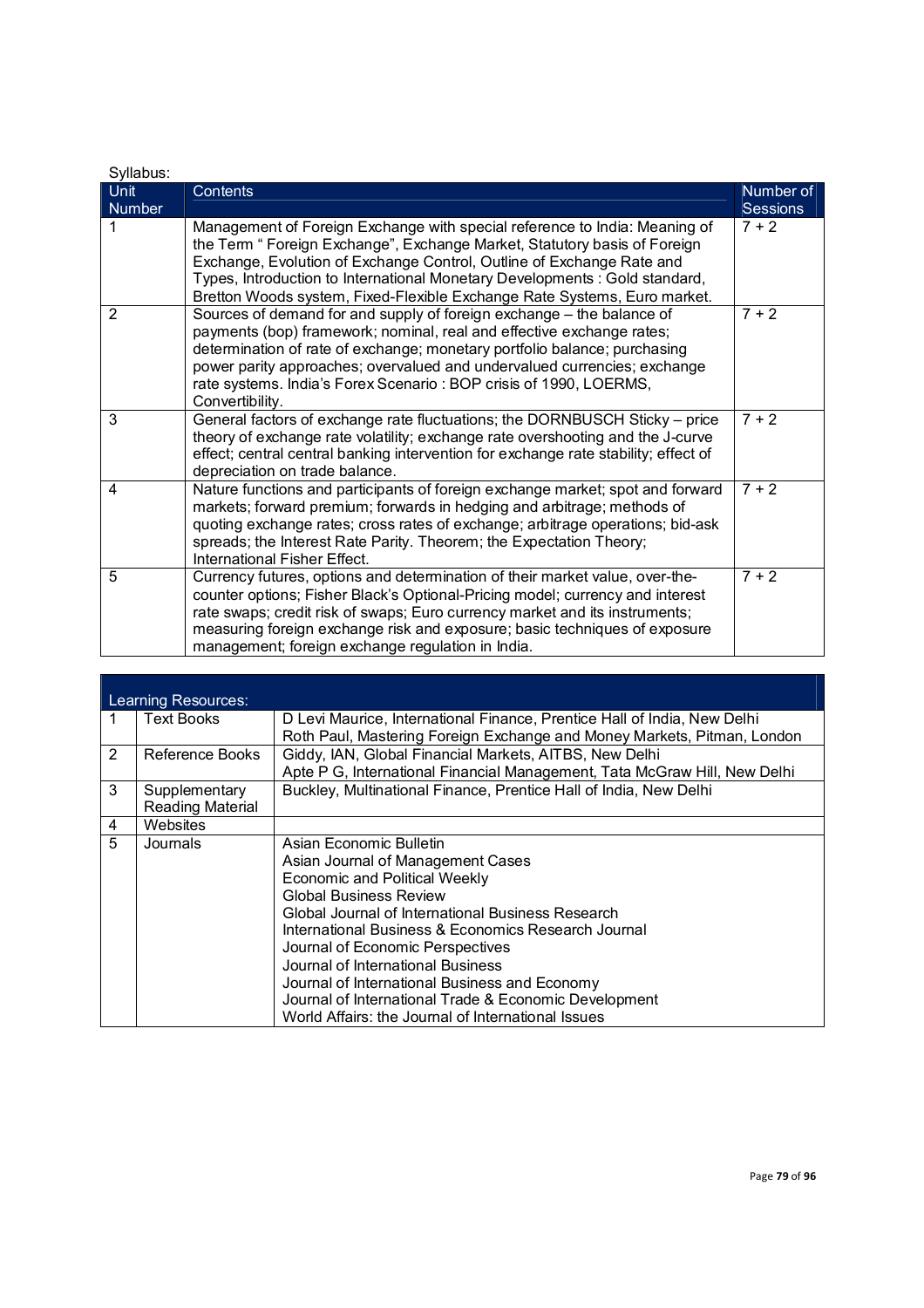| Syllabus:             |                                                                                                                                                                                                                                                                                                                                                                                                 |                              |
|-----------------------|-------------------------------------------------------------------------------------------------------------------------------------------------------------------------------------------------------------------------------------------------------------------------------------------------------------------------------------------------------------------------------------------------|------------------------------|
| Unit<br><b>Number</b> | <b>Contents</b>                                                                                                                                                                                                                                                                                                                                                                                 | Number of<br><b>Sessions</b> |
| 1                     | Management of Foreign Exchange with special reference to India: Meaning of<br>the Term " Foreign Exchange", Exchange Market, Statutory basis of Foreign<br>Exchange, Evolution of Exchange Control, Outline of Exchange Rate and<br>Types, Introduction to International Monetary Developments : Gold standard,<br>Bretton Woods system, Fixed-Flexible Exchange Rate Systems, Euro market.     | $7 + 2$                      |
| 2                     | Sources of demand for and supply of foreign exchange - the balance of<br>payments (bop) framework; nominal, real and effective exchange rates;<br>determination of rate of exchange; monetary portfolio balance; purchasing<br>power parity approaches; overvalued and undervalued currencies; exchange<br>rate systems. India's Forex Scenario: BOP crisis of 1990, LOERMS,<br>Convertibility. | $7 + 2$                      |
| 3                     | General factors of exchange rate fluctuations; the DORNBUSCH Sticky - price<br>theory of exchange rate volatility; exchange rate overshooting and the J-curve<br>effect; central central banking intervention for exchange rate stability; effect of<br>depreciation on trade balance.                                                                                                          | $7 + 2$                      |
| 4                     | Nature functions and participants of foreign exchange market; spot and forward<br>markets; forward premium; forwards in hedging and arbitrage; methods of<br>quoting exchange rates; cross rates of exchange; arbitrage operations; bid-ask<br>spreads; the Interest Rate Parity. Theorem; the Expectation Theory;<br>International Fisher Effect.                                              | $7 + 2$                      |
| $\overline{5}$        | Currency futures, options and determination of their market value, over-the-<br>counter options; Fisher Black's Optional-Pricing model; currency and interest<br>rate swaps; credit risk of swaps; Euro currency market and its instruments;<br>measuring foreign exchange risk and exposure; basic techniques of exposure<br>management; foreign exchange regulation in India.                 | $7 + 2$                      |

|   | Learning Resources: |                                                                           |  |  |
|---|---------------------|---------------------------------------------------------------------------|--|--|
|   | <b>Text Books</b>   |                                                                           |  |  |
|   |                     | D Levi Maurice, International Finance, Prentice Hall of India, New Delhi  |  |  |
|   |                     | Roth Paul, Mastering Foreign Exchange and Money Markets, Pitman, London   |  |  |
| 2 | Reference Books     | Giddy, IAN, Global Financial Markets, AITBS, New Delhi                    |  |  |
|   |                     | Apte P G, International Financial Management, Tata McGraw Hill, New Delhi |  |  |
| 3 | Supplementary       | Buckley, Multinational Finance, Prentice Hall of India, New Delhi         |  |  |
|   | Reading Material    |                                                                           |  |  |
| 4 | Websites            |                                                                           |  |  |
| 5 | Journals            | Asian Economic Bulletin                                                   |  |  |
|   |                     | Asian Journal of Management Cases                                         |  |  |
|   |                     | <b>Economic and Political Weekly</b>                                      |  |  |
|   |                     | <b>Global Business Review</b>                                             |  |  |
|   |                     | Global Journal of International Business Research                         |  |  |
|   |                     | International Business & Economics Research Journal                       |  |  |
|   |                     | Journal of Economic Perspectives                                          |  |  |
|   |                     | Journal of International Business                                         |  |  |
|   |                     | Journal of International Business and Economy                             |  |  |
|   |                     | Journal of International Trade & Economic Development                     |  |  |
|   |                     | World Affairs: the Journal of International Issues                        |  |  |

÷,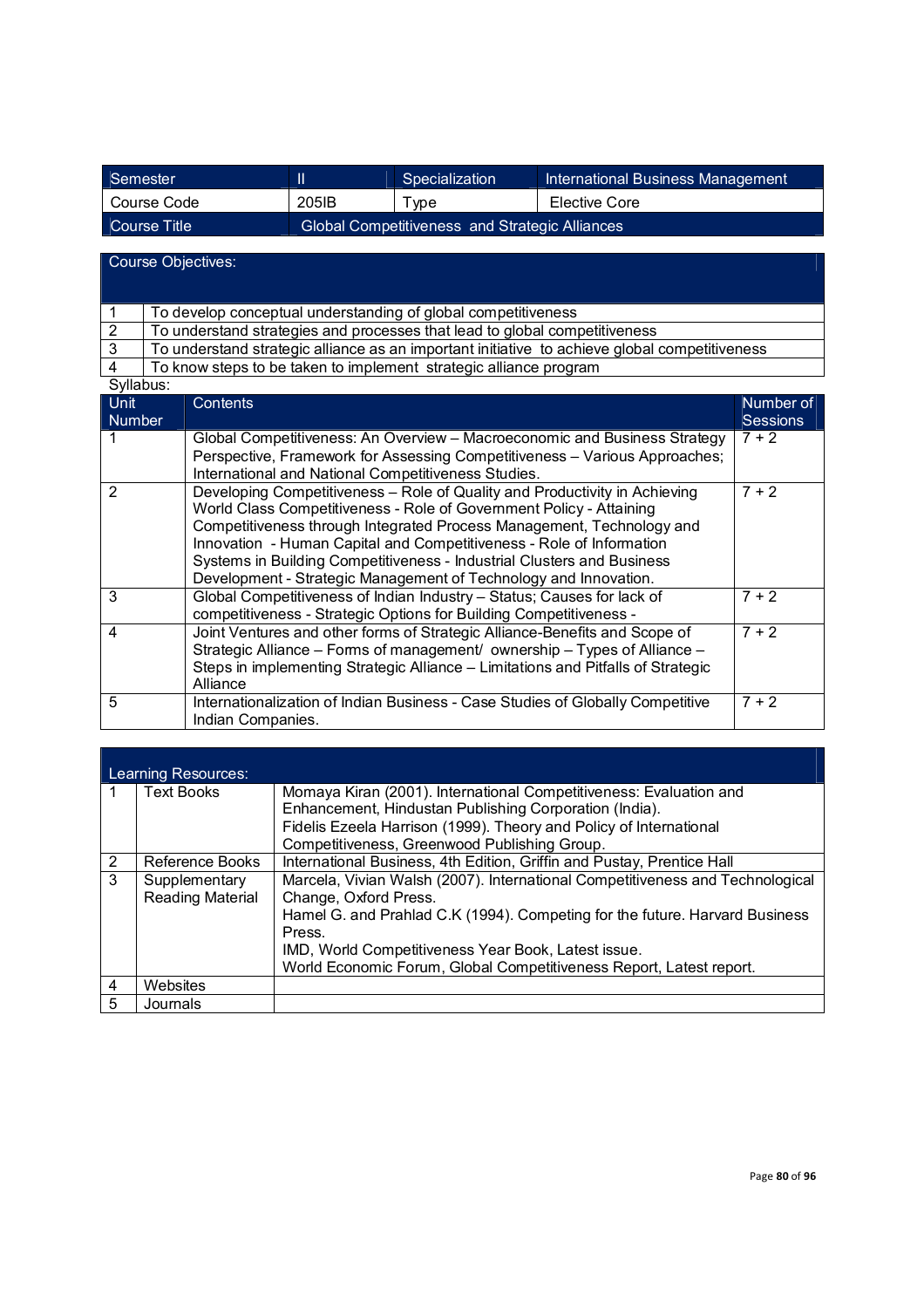| Semester     |                                                | Specialization | International Business Management |
|--------------|------------------------------------------------|----------------|-----------------------------------|
| Course Code  | 205 <sub>IB</sub>                              | $\tau$ vpe     | Elective Core                     |
| Course Title | Global Competitiveness and Strategic Alliances |                |                                   |

Course Objectives:

| To develop conceptual understanding of global competitiveness                                 |
|-----------------------------------------------------------------------------------------------|
| To understand strategies and processes that lead to global competitiveness                    |
| To understand strategic alliance as an important initiative to achieve global competitiveness |

4 To know steps to be taken to implement strategic alliance program

| Syllabus: |  |
|-----------|--|

| Unit<br>Number | Contents                                                                                                                                                                                                                                                                                                                                                                                                                                         | Number of<br><b>Sessions</b> |
|----------------|--------------------------------------------------------------------------------------------------------------------------------------------------------------------------------------------------------------------------------------------------------------------------------------------------------------------------------------------------------------------------------------------------------------------------------------------------|------------------------------|
|                | Global Competitiveness: An Overview - Macroeconomic and Business Strategy<br>Perspective, Framework for Assessing Competitiveness - Various Approaches;<br>International and National Competitiveness Studies.                                                                                                                                                                                                                                   | $7 + 2$                      |
| $\overline{2}$ | Developing Competitiveness - Role of Quality and Productivity in Achieving<br>World Class Competitiveness - Role of Government Policy - Attaining<br>Competitiveness through Integrated Process Management, Technology and<br>Innovation - Human Capital and Competitiveness - Role of Information<br>Systems in Building Competitiveness - Industrial Clusters and Business<br>Development - Strategic Management of Technology and Innovation. | $7 + 2$                      |
| 3              | Global Competitiveness of Indian Industry - Status; Causes for lack of<br>competitiveness - Strategic Options for Building Competitiveness -                                                                                                                                                                                                                                                                                                     | $7+2$                        |
| $\overline{4}$ | Joint Ventures and other forms of Strategic Alliance-Benefits and Scope of<br>Strategic Alliance - Forms of management/ ownership - Types of Alliance -<br>Steps in implementing Strategic Alliance – Limitations and Pitfalls of Strategic<br>Alliance                                                                                                                                                                                          | $7 + 2$                      |
| 5              | Internationalization of Indian Business - Case Studies of Globally Competitive<br>Indian Companies.                                                                                                                                                                                                                                                                                                                                              | $7 + 2$                      |

|   | Learning Resources:                      |                                                                                                                              |
|---|------------------------------------------|------------------------------------------------------------------------------------------------------------------------------|
|   | <b>Text Books</b>                        | Momaya Kiran (2001). International Competitiveness: Evaluation and<br>Enhancement, Hindustan Publishing Corporation (India). |
|   |                                          | Fidelis Ezeela Harrison (1999). Theory and Policy of International                                                           |
|   |                                          | Competitiveness, Greenwood Publishing Group.                                                                                 |
| 2 | Reference Books                          | International Business, 4th Edition, Griffin and Pustay, Prentice Hall                                                       |
| 3 | Supplementary<br><b>Reading Material</b> | Marcela, Vivian Walsh (2007). International Competitiveness and Technological<br>Change, Oxford Press.                       |
|   |                                          | Hamel G. and Prahlad C.K (1994). Competing for the future. Harvard Business<br>Press.                                        |
|   |                                          | IMD, World Competitiveness Year Book, Latest issue.                                                                          |
|   |                                          | World Economic Forum, Global Competitiveness Report, Latest report.                                                          |
| 4 | Websites                                 |                                                                                                                              |
| 5 | Journals                                 |                                                                                                                              |

÷.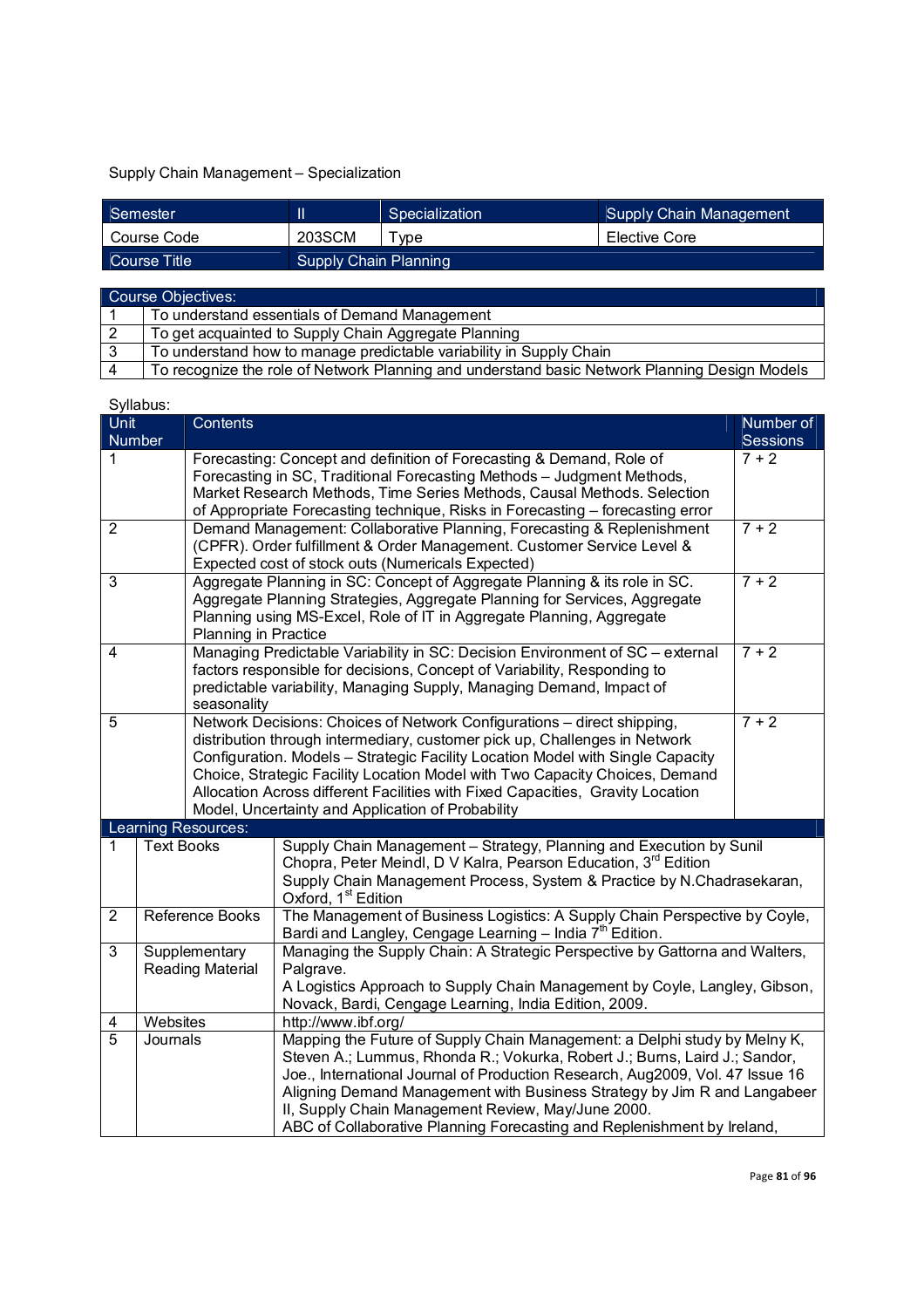## Supply Chain Management – Specialization

| Semester     |                       | Specialization | Supply Chain Management |
|--------------|-----------------------|----------------|-------------------------|
| Course Code  | 203SCM                | vpe            | Elective Core           |
| Course Title | Supply Chain Planning |                |                         |

|                | Course Objectives:                                                                            |
|----------------|-----------------------------------------------------------------------------------------------|
|                | To understand essentials of Demand Management                                                 |
| l 2            | To get acquainted to Supply Chain Aggregate Planning                                          |
| $\sqrt{3}$     | To understand how to manage predictable variability in Supply Chain                           |
| $\overline{A}$ | To recognize the role of Network Planning and understand basic Network Planning Design Models |

| <b>Unit</b><br>Number         | oynabao.                          | Contents             |                                                                                                                                                                                                                                                                                                                                                                                                                                                               | Number of<br><b>Sessions</b> |  |  |  |  |
|-------------------------------|-----------------------------------|----------------------|---------------------------------------------------------------------------------------------------------------------------------------------------------------------------------------------------------------------------------------------------------------------------------------------------------------------------------------------------------------------------------------------------------------------------------------------------------------|------------------------------|--|--|--|--|
| 1                             |                                   |                      | Forecasting: Concept and definition of Forecasting & Demand, Role of<br>Forecasting in SC, Traditional Forecasting Methods - Judgment Methods,<br>Market Research Methods, Time Series Methods, Causal Methods. Selection<br>of Appropriate Forecasting technique, Risks in Forecasting - forecasting error                                                                                                                                                   | $7 + 2$                      |  |  |  |  |
| $\overline{2}$                |                                   |                      | Demand Management: Collaborative Planning, Forecasting & Replenishment<br>(CPFR). Order fulfillment & Order Management. Customer Service Level &<br>Expected cost of stock outs (Numericals Expected)                                                                                                                                                                                                                                                         | $7 + 2$                      |  |  |  |  |
| 3                             |                                   | Planning in Practice | Aggregate Planning in SC: Concept of Aggregate Planning & its role in SC.<br>Aggregate Planning Strategies, Aggregate Planning for Services, Aggregate<br>Planning using MS-Excel, Role of IT in Aggregate Planning, Aggregate                                                                                                                                                                                                                                | $7 + 2$                      |  |  |  |  |
| $\overline{4}$<br>seasonality |                                   |                      | Managing Predictable Variability in SC: Decision Environment of SC - external<br>factors responsible for decisions, Concept of Variability, Responding to<br>predictable variability, Managing Supply, Managing Demand, Impact of                                                                                                                                                                                                                             | $7 + 2$                      |  |  |  |  |
| 5                             |                                   |                      | Network Decisions: Choices of Network Configurations - direct shipping,<br>distribution through intermediary, customer pick up, Challenges in Network<br>Configuration. Models - Strategic Facility Location Model with Single Capacity<br>Choice, Strategic Facility Location Model with Two Capacity Choices, Demand<br>Allocation Across different Facilities with Fixed Capacities, Gravity Location<br>Model, Uncertainty and Application of Probability | $7 + 2$                      |  |  |  |  |
|                               |                                   | Learning Resources:  |                                                                                                                                                                                                                                                                                                                                                                                                                                                               |                              |  |  |  |  |
| 1                             | <b>Text Books</b>                 |                      | Supply Chain Management - Strategy, Planning and Execution by Sunil<br>Chopra, Peter Meindl, D V Kalra, Pearson Education, 3rd Edition<br>Supply Chain Management Process, System & Practice by N.Chadrasekaran,<br>Oxford, 1 <sup>st</sup> Edition                                                                                                                                                                                                           |                              |  |  |  |  |
| $\overline{2}$                | Reference Books                   |                      | The Management of Business Logistics: A Supply Chain Perspective by Coyle,<br>Bardi and Langley, Cengage Learning - India 7 <sup>th</sup> Edition.                                                                                                                                                                                                                                                                                                            |                              |  |  |  |  |
| 3                             | Supplementary<br>Reading Material |                      | Managing the Supply Chain: A Strategic Perspective by Gattorna and Walters,<br>Palgrave.<br>A Logistics Approach to Supply Chain Management by Coyle, Langley, Gibson,<br>Novack, Bardi, Cengage Learning, India Edition, 2009.                                                                                                                                                                                                                               |                              |  |  |  |  |
| 4                             | Websites                          |                      | http://www.ibf.org/                                                                                                                                                                                                                                                                                                                                                                                                                                           |                              |  |  |  |  |
| 5                             | Journals                          |                      | Mapping the Future of Supply Chain Management: a Delphi study by Melny K,<br>Steven A.; Lummus, Rhonda R.; Vokurka, Robert J.; Burns, Laird J.; Sandor,<br>Joe., International Journal of Production Research, Aug2009, Vol. 47 Issue 16<br>Aligning Demand Management with Business Strategy by Jim R and Langabeer<br>II, Supply Chain Management Review, May/June 2000.<br>ABC of Collaborative Planning Forecasting and Replenishment by Ireland,         |                              |  |  |  |  |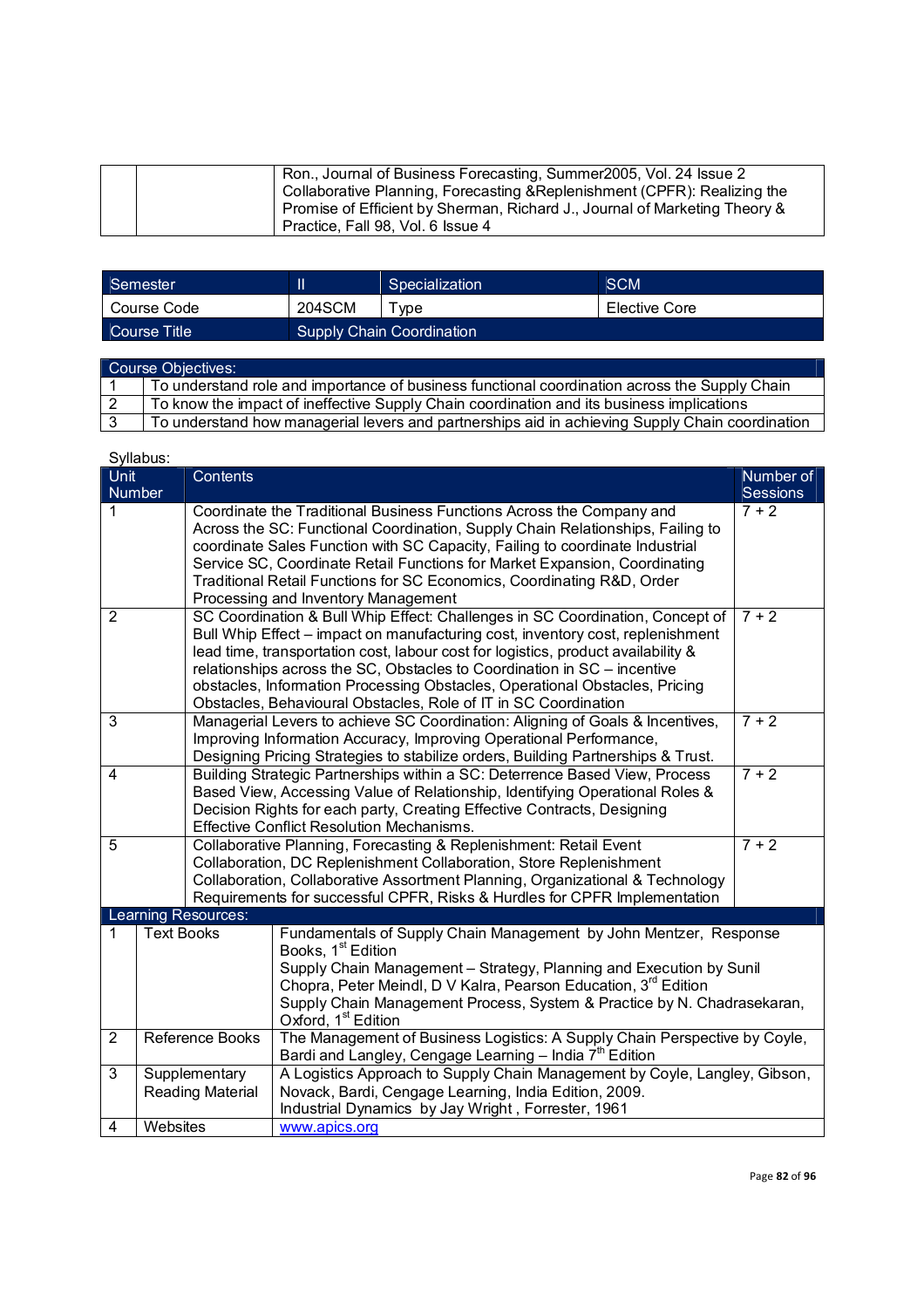|  | Ron., Journal of Business Forecasting, Summer2005, Vol. 24 Issue 2<br>Collaborative Planning, Forecasting & Replenishment (CPFR): Realizing the<br>Promise of Efficient by Sherman, Richard J., Journal of Marketing Theory & |
|--|-------------------------------------------------------------------------------------------------------------------------------------------------------------------------------------------------------------------------------|
|  | Practice, Fall 98, Vol. 6 Issue 4                                                                                                                                                                                             |

| Semester     |                           | Specialization | <b>SCM</b>    |
|--------------|---------------------------|----------------|---------------|
| Course Code  | 204SCM                    | vpe            | Elective Core |
| Course Title | Supply Chain Coordination |                |               |

| Course Objectives: |                                                                                                 |  |  |
|--------------------|-------------------------------------------------------------------------------------------------|--|--|
|                    | To understand role and importance of business functional coordination across the Supply Chain   |  |  |
| l 2                | To know the impact of ineffective Supply Chain coordination and its business implications       |  |  |
|                    | To understand how managerial levers and partnerships aid in achieving Supply Chain coordination |  |  |

|                                          | Syllabus:         |                                                                                                                                                                                                                                                                                                       |                                                                                                                                                                                                                                                                                                                                                                                                                                                                                               |                            |  |  |  |
|------------------------------------------|-------------------|-------------------------------------------------------------------------------------------------------------------------------------------------------------------------------------------------------------------------------------------------------------------------------------------------------|-----------------------------------------------------------------------------------------------------------------------------------------------------------------------------------------------------------------------------------------------------------------------------------------------------------------------------------------------------------------------------------------------------------------------------------------------------------------------------------------------|----------------------------|--|--|--|
| Unit                                     |                   | Contents                                                                                                                                                                                                                                                                                              |                                                                                                                                                                                                                                                                                                                                                                                                                                                                                               | Number of                  |  |  |  |
| Number<br>1                              |                   |                                                                                                                                                                                                                                                                                                       | Coordinate the Traditional Business Functions Across the Company and<br>Across the SC: Functional Coordination, Supply Chain Relationships, Failing to<br>coordinate Sales Function with SC Capacity, Failing to coordinate Industrial<br>Service SC, Coordinate Retail Functions for Market Expansion, Coordinating<br>Traditional Retail Functions for SC Economics, Coordinating R&D, Order<br>Processing and Inventory Management                                                         | <b>Sessions</b><br>$7 + 2$ |  |  |  |
| 2                                        |                   |                                                                                                                                                                                                                                                                                                       | SC Coordination & Bull Whip Effect: Challenges in SC Coordination, Concept of<br>$7 + 2$<br>Bull Whip Effect - impact on manufacturing cost, inventory cost, replenishment<br>lead time, transportation cost, labour cost for logistics, product availability &<br>relationships across the SC, Obstacles to Coordination in SC - incentive<br>obstacles, Information Processing Obstacles, Operational Obstacles, Pricing<br>Obstacles, Behavioural Obstacles, Role of IT in SC Coordination |                            |  |  |  |
| 3                                        |                   |                                                                                                                                                                                                                                                                                                       | $7 + 2$<br>Managerial Levers to achieve SC Coordination: Aligning of Goals & Incentives,<br>Improving Information Accuracy, Improving Operational Performance,<br>Designing Pricing Strategies to stabilize orders, Building Partnerships & Trust.                                                                                                                                                                                                                                            |                            |  |  |  |
| $\overline{4}$                           |                   | Building Strategic Partnerships within a SC: Deterrence Based View, Process<br>$7 + 2$<br>Based View, Accessing Value of Relationship, Identifying Operational Roles &<br>Decision Rights for each party, Creating Effective Contracts, Designing<br><b>Effective Conflict Resolution Mechanisms.</b> |                                                                                                                                                                                                                                                                                                                                                                                                                                                                                               |                            |  |  |  |
| 5                                        |                   |                                                                                                                                                                                                                                                                                                       | $7 + 2$<br>Collaborative Planning, Forecasting & Replenishment: Retail Event<br>Collaboration, DC Replenishment Collaboration, Store Replenishment<br>Collaboration, Collaborative Assortment Planning, Organizational & Technology<br>Requirements for successful CPFR, Risks & Hurdles for CPFR Implementation                                                                                                                                                                              |                            |  |  |  |
|                                          |                   | Learning Resources:                                                                                                                                                                                                                                                                                   |                                                                                                                                                                                                                                                                                                                                                                                                                                                                                               |                            |  |  |  |
| 1                                        | <b>Text Books</b> |                                                                                                                                                                                                                                                                                                       | Fundamentals of Supply Chain Management by John Mentzer, Response<br>Books, 1 <sup>st</sup> Edition<br>Supply Chain Management - Strategy, Planning and Execution by Sunil<br>Chopra, Peter Meindl, D V Kalra, Pearson Education, 3rd Edition<br>Supply Chain Management Process, System & Practice by N. Chadrasekaran,<br>Oxford, 1 <sup>st</sup> Edition                                                                                                                                   |                            |  |  |  |
| $\overline{2}$<br><b>Reference Books</b> |                   |                                                                                                                                                                                                                                                                                                       | The Management of Business Logistics: A Supply Chain Perspective by Coyle,<br>Bardi and Langley, Cengage Learning - India 7 <sup>th</sup> Edition                                                                                                                                                                                                                                                                                                                                             |                            |  |  |  |
| 3                                        |                   | Supplementary<br>Reading Material                                                                                                                                                                                                                                                                     | A Logistics Approach to Supply Chain Management by Coyle, Langley, Gibson,<br>Novack, Bardi, Cengage Learning, India Edition, 2009.<br>Industrial Dynamics by Jay Wright, Forrester, 1961                                                                                                                                                                                                                                                                                                     |                            |  |  |  |
| 4                                        | Websites          |                                                                                                                                                                                                                                                                                                       | www.apics.org                                                                                                                                                                                                                                                                                                                                                                                                                                                                                 |                            |  |  |  |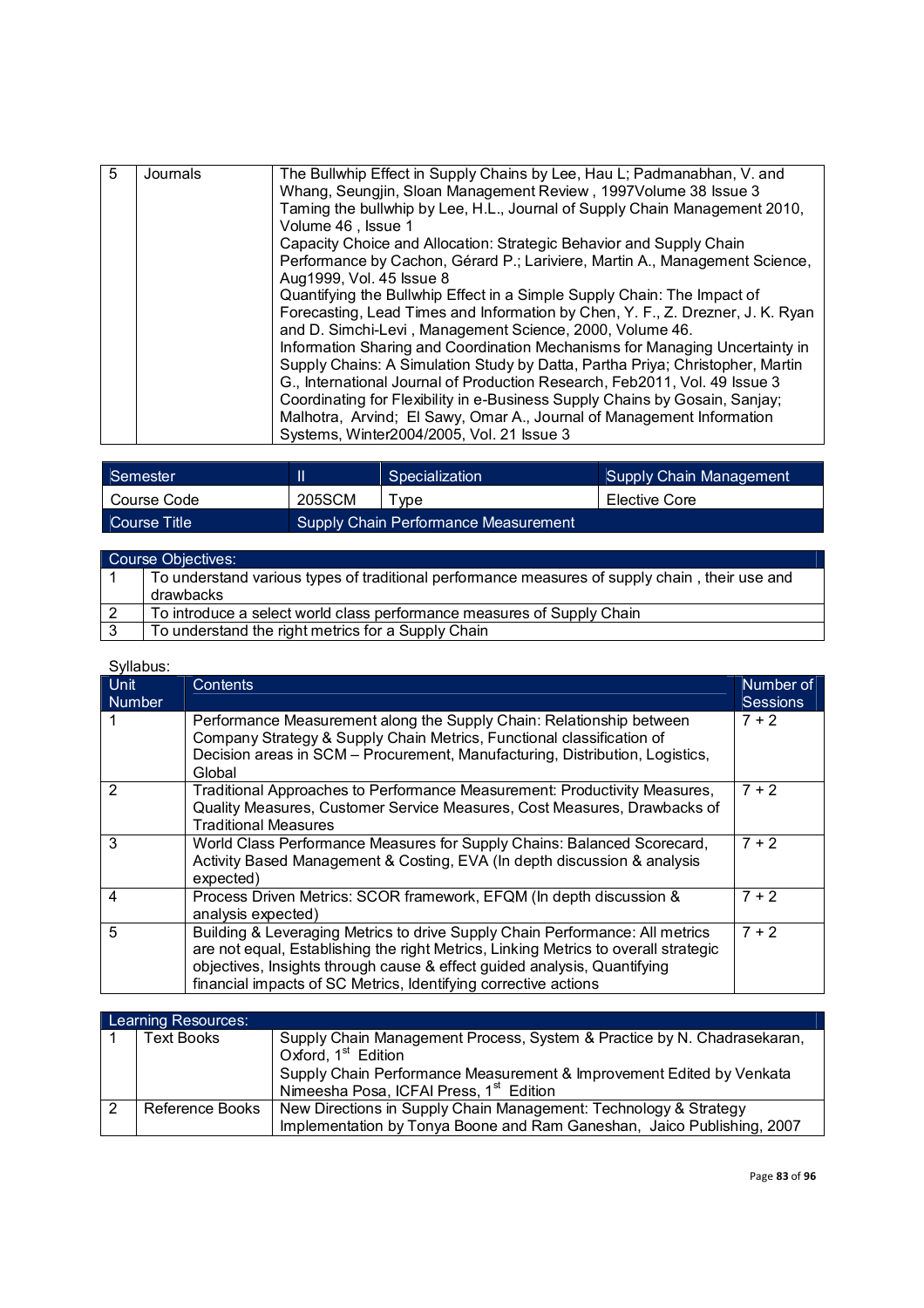| $\overline{5}$           | Journals | The Bullwhip Effect in Supply Chains by Lee, Hau L; Padmanabhan, V. and<br>Whang, Seungjin, Sloan Management Review, 1997 Volume 38 Issue 3<br>Taming the bullwhip by Lee, H.L., Journal of Supply Chain Management 2010,<br>Volume 46, Issue 1 |
|--------------------------|----------|-------------------------------------------------------------------------------------------------------------------------------------------------------------------------------------------------------------------------------------------------|
|                          |          |                                                                                                                                                                                                                                                 |
|                          |          | Capacity Choice and Allocation: Strategic Behavior and Supply Chain                                                                                                                                                                             |
| Aug1999, Vol. 45 Issue 8 |          | Performance by Cachon, Gérard P.; Lariviere, Martin A., Management Science,                                                                                                                                                                     |
|                          |          | Quantifying the Bullwhip Effect in a Simple Supply Chain: The Impact of                                                                                                                                                                         |
|                          |          | Forecasting, Lead Times and Information by Chen, Y. F., Z. Drezner, J. K. Ryan                                                                                                                                                                  |
|                          |          | and D. Simchi-Levi, Management Science, 2000, Volume 46.                                                                                                                                                                                        |
|                          |          | Information Sharing and Coordination Mechanisms for Managing Uncertainty in                                                                                                                                                                     |
|                          |          | Supply Chains: A Simulation Study by Datta, Partha Priya; Christopher, Martin                                                                                                                                                                   |
|                          |          | G., International Journal of Production Research, Feb2011, Vol. 49 Issue 3                                                                                                                                                                      |
|                          |          | Coordinating for Flexibility in e-Business Supply Chains by Gosain, Sanjay;                                                                                                                                                                     |
|                          |          | Malhotra, Arvind; El Sawy, Omar A., Journal of Management Information                                                                                                                                                                           |
|                          |          | Systems, Winter2004/2005, Vol. 21 Issue 3                                                                                                                                                                                                       |

| Semester     |                                      | Specialization | Supply Chain Management |
|--------------|--------------------------------------|----------------|-------------------------|
| Course Code  | 205SCM                               | <b>vpe</b>     | Elective Core           |
| Course Title | Supply Chain Performance Measurement |                |                         |

|     | Course Objectives:                                                                                          |
|-----|-------------------------------------------------------------------------------------------------------------|
|     | To understand various types of traditional performance measures of supply chain, their use and<br>drawbacks |
| l 2 | To introduce a select world class performance measures of Supply Chain                                      |
| l 3 | To understand the right metrics for a Supply Chain                                                          |

| o , nawao.<br>Unit | <b>Contents</b>                                                                     | Number of       |
|--------------------|-------------------------------------------------------------------------------------|-----------------|
| <b>Number</b>      |                                                                                     | <b>Sessions</b> |
|                    | Performance Measurement along the Supply Chain: Relationship between                | $7 + 2$         |
|                    | Company Strategy & Supply Chain Metrics, Functional classification of               |                 |
|                    | Decision areas in SCM - Procurement, Manufacturing, Distribution, Logistics,        |                 |
|                    | Global                                                                              |                 |
|                    | Traditional Approaches to Performance Measurement: Productivity Measures,           | $7 + 2$         |
|                    | Quality Measures, Customer Service Measures, Cost Measures, Drawbacks of            |                 |
|                    | <b>Traditional Measures</b>                                                         |                 |
| 3                  | World Class Performance Measures for Supply Chains: Balanced Scorecard,             | $7 + 2$         |
|                    | Activity Based Management & Costing, EVA (In depth discussion & analysis            |                 |
|                    | expected)                                                                           |                 |
| 4                  | Process Driven Metrics: SCOR framework, EFQM (In depth discussion &                 | $7 + 2$         |
|                    | analysis expected)                                                                  |                 |
| 5                  | Building & Leveraging Metrics to drive Supply Chain Performance: All metrics        | $7 + 2$         |
|                    | are not equal, Establishing the right Metrics, Linking Metrics to overall strategic |                 |
|                    | objectives, Insights through cause & effect guided analysis, Quantifying            |                 |
|                    | financial impacts of SC Metrics, Identifying corrective actions                     |                 |

| Learning Resources: |                                                                         |  |  |  |  |
|---------------------|-------------------------------------------------------------------------|--|--|--|--|
| <b>Text Books</b>   | Supply Chain Management Process, System & Practice by N. Chadrasekaran, |  |  |  |  |
|                     | Oxford, 1 <sup>st</sup> Edition                                         |  |  |  |  |
|                     | Supply Chain Performance Measurement & Improvement Edited by Venkata    |  |  |  |  |
|                     | Nimeesha Posa, ICFAI Press, 1 <sup>st</sup> Edition                     |  |  |  |  |
| Reference Books     | New Directions in Supply Chain Management: Technology & Strategy        |  |  |  |  |
|                     | Implementation by Tonya Boone and Ram Ganeshan, Jaico Publishing, 2007  |  |  |  |  |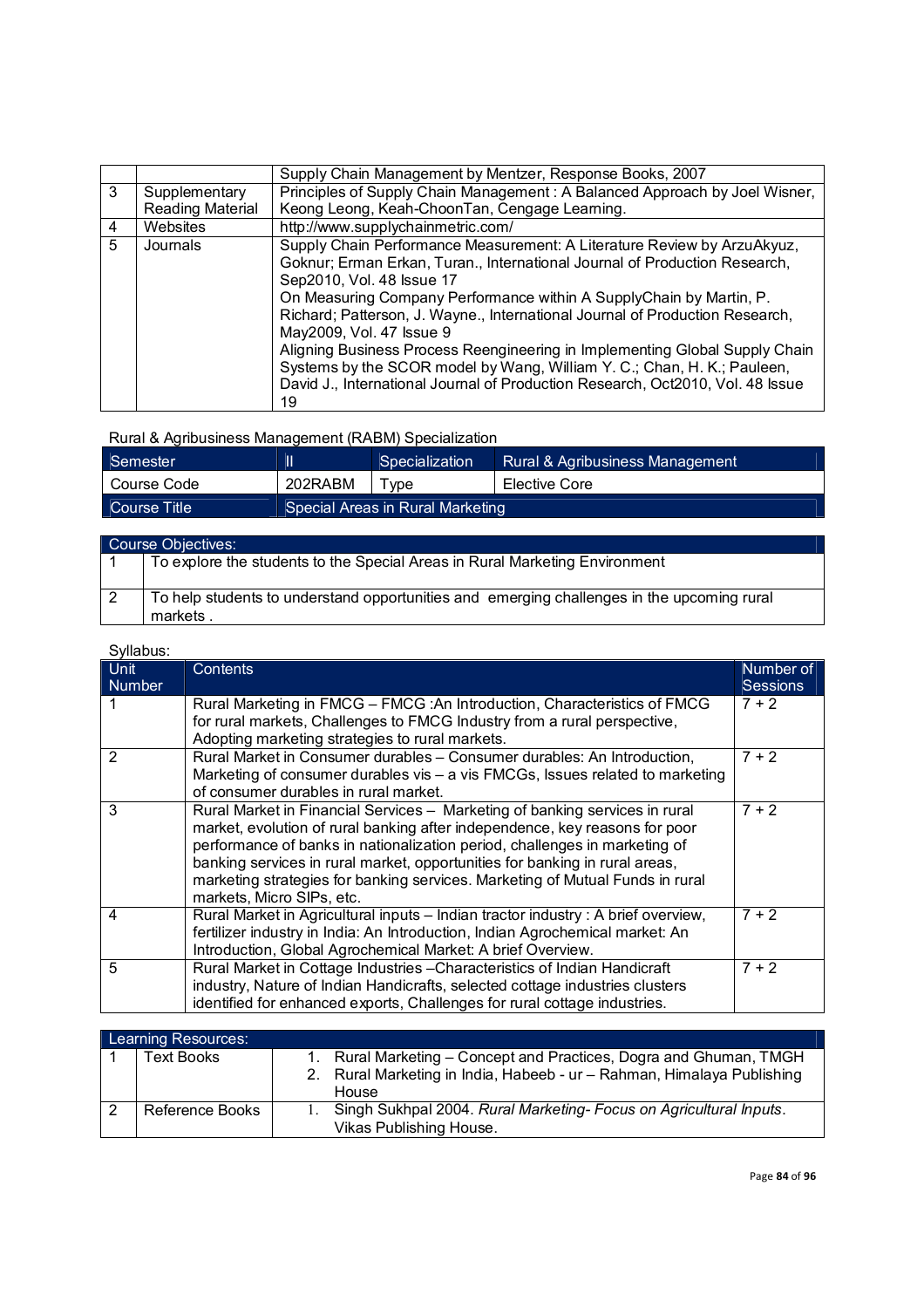|                          |                                                                             | Supply Chain Management by Mentzer, Response Books, 2007                       |  |  |
|--------------------------|-----------------------------------------------------------------------------|--------------------------------------------------------------------------------|--|--|
| 3                        | Supplementary                                                               | Principles of Supply Chain Management: A Balanced Approach by Joel Wisner,     |  |  |
|                          | Reading Material                                                            | Keong Leong, Keah-ChoonTan, Cengage Learning.                                  |  |  |
| 4                        | Websites                                                                    | http://www.supplychainmetric.com/                                              |  |  |
| 5                        | Journals                                                                    | Supply Chain Performance Measurement: A Literature Review by ArzuAkyuz,        |  |  |
|                          |                                                                             | Goknur; Erman Erkan, Turan., International Journal of Production Research,     |  |  |
|                          |                                                                             | Sep2010, Vol. 48 Issue 17                                                      |  |  |
|                          |                                                                             | On Measuring Company Performance within A SupplyChain by Martin, P.            |  |  |
|                          |                                                                             | Richard; Patterson, J. Wayne., International Journal of Production Research,   |  |  |
| May2009, Vol. 47 Issue 9 |                                                                             |                                                                                |  |  |
|                          | Aligning Business Process Reengineering in Implementing Global Supply Chain |                                                                                |  |  |
|                          |                                                                             | Systems by the SCOR model by Wang, William Y. C.; Chan, H. K.; Pauleen,        |  |  |
|                          |                                                                             | David J., International Journal of Production Research, Oct2010, Vol. 48 Issue |  |  |
|                          |                                                                             | 19                                                                             |  |  |

# Rural & Agribusiness Management (RABM) Specialization

| Semester     |                                  | Rural & Agribusiness Management<br>Specialization |               |
|--------------|----------------------------------|---------------------------------------------------|---------------|
| Course Code  | 202RABM                          | ' vpe                                             | Elective Core |
| Course Title | Special Areas in Rural Marketing |                                                   |               |

|    | Course Objectives:                                                                                     |  |  |  |  |
|----|--------------------------------------------------------------------------------------------------------|--|--|--|--|
|    | To explore the students to the Special Areas in Rural Marketing Environment                            |  |  |  |  |
| -2 | To help students to understand opportunities and emerging challenges in the upcoming rural<br>markets. |  |  |  |  |

| <b>Unit</b><br><b>Number</b> | <b>Contents</b>                                                                                                             | Number of<br><b>Sessions</b> |
|------------------------------|-----------------------------------------------------------------------------------------------------------------------------|------------------------------|
|                              | Rural Marketing in FMCG - FMCG : An Introduction, Characteristics of FMCG                                                   | $7 + 2$                      |
|                              | for rural markets, Challenges to FMCG Industry from a rural perspective,<br>Adopting marketing strategies to rural markets. |                              |
| 2                            | Rural Market in Consumer durables - Consumer durables: An Introduction,                                                     | $7 + 2$                      |
|                              | Marketing of consumer durables vis $-$ a vis FMCGs, Issues related to marketing                                             |                              |
|                              | of consumer durables in rural market.                                                                                       |                              |
| 3                            | Rural Market in Financial Services - Marketing of banking services in rural                                                 | $7 + 2$                      |
|                              | market, evolution of rural banking after independence, key reasons for poor                                                 |                              |
|                              | performance of banks in nationalization period, challenges in marketing of                                                  |                              |
|                              | banking services in rural market, opportunities for banking in rural areas,                                                 |                              |
|                              | marketing strategies for banking services. Marketing of Mutual Funds in rural<br>markets, Micro SIPs, etc.                  |                              |
| 4                            | Rural Market in Agricultural inputs - Indian tractor industry : A brief overview,                                           | $7 + 2$                      |
|                              | fertilizer industry in India: An Introduction, Indian Agrochemical market: An                                               |                              |
|                              | Introduction, Global Agrochemical Market: A brief Overview.                                                                 |                              |
| 5                            | Rural Market in Cottage Industries - Characteristics of Indian Handicraft                                                   | $7 + 2$                      |
|                              | industry, Nature of Indian Handicrafts, selected cottage industries clusters                                                |                              |
|                              | identified for enhanced exports, Challenges for rural cottage industries.                                                   |                              |

| Learning Resources:    |                                                                                                                                                          |  |  |
|------------------------|----------------------------------------------------------------------------------------------------------------------------------------------------------|--|--|
| Text Books             | Rural Marketing – Concept and Practices, Dogra and Ghuman, TMGH<br>1.<br>2. Rural Marketing in India, Habeeb - ur - Rahman, Himalaya Publishing<br>House |  |  |
| <b>Reference Books</b> | Singh Sukhpal 2004. Rural Marketing- Focus on Agricultural Inputs.<br>Vikas Publishing House.                                                            |  |  |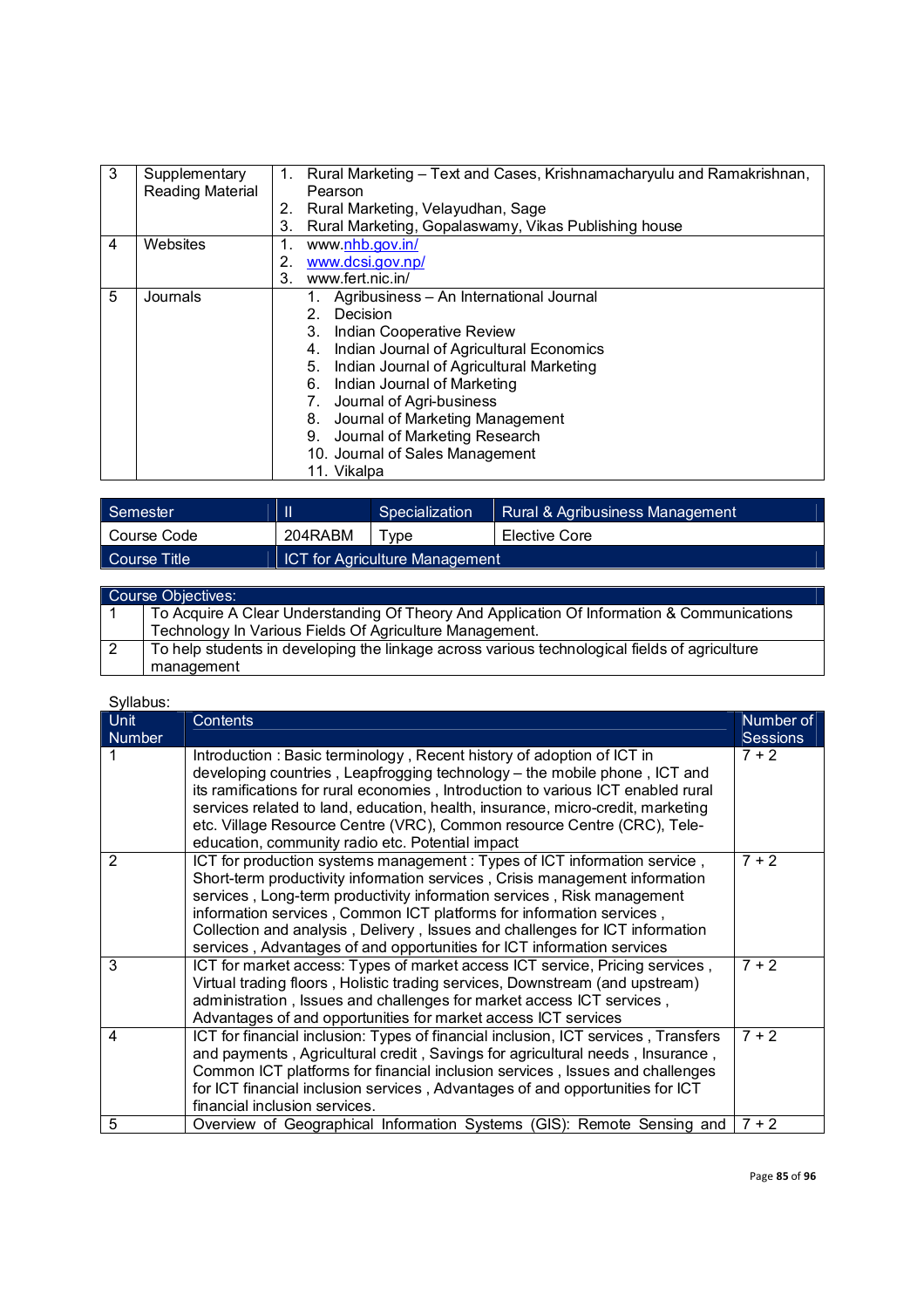| 3 | Supplementary    | 1. | Rural Marketing – Text and Cases, Krishnamacharyulu and Ramakrishnan, |  |  |  |
|---|------------------|----|-----------------------------------------------------------------------|--|--|--|
|   | Reading Material |    | Pearson                                                               |  |  |  |
|   |                  | 2. | Rural Marketing, Velayudhan, Sage                                     |  |  |  |
|   |                  | 3. | Rural Marketing, Gopalaswamy, Vikas Publishing house                  |  |  |  |
| 4 | Websites         | 1. | www.nhb.gov.in/                                                       |  |  |  |
|   |                  | 2. | www.dcsi.gov.np/                                                      |  |  |  |
|   |                  | 3. | www.fert.nic.in/                                                      |  |  |  |
| 5 | Journals         |    | Agribusiness - An International Journal                               |  |  |  |
|   |                  |    | Decision<br>2.                                                        |  |  |  |
|   |                  |    | <b>Indian Cooperative Review</b><br>3.                                |  |  |  |
|   |                  |    | Indian Journal of Agricultural Economics<br>4.                        |  |  |  |
|   |                  |    | Indian Journal of Agricultural Marketing<br>5.                        |  |  |  |
|   |                  |    | Indian Journal of Marketing<br>6.                                     |  |  |  |
|   |                  |    | Journal of Agri-business<br>7.                                        |  |  |  |
|   |                  |    | Journal of Marketing Management<br>8.                                 |  |  |  |
|   |                  |    | Journal of Marketing Research<br>9.                                   |  |  |  |
|   |                  |    | 10. Journal of Sales Management                                       |  |  |  |
|   |                  |    | 11. Vikalpa                                                           |  |  |  |

| Semester     | Ш       | Specialization                        | <b>Rural &amp; Agribusiness Management</b> |
|--------------|---------|---------------------------------------|--------------------------------------------|
| Course Code  | 204RABM | $T$ vpe                               | Elective Core                              |
| Course Title |         | <b>ICT for Agriculture Management</b> |                                            |

|     | Course Objectives:                                                                            |  |  |  |  |
|-----|-----------------------------------------------------------------------------------------------|--|--|--|--|
|     | To Acquire A Clear Understanding Of Theory And Application Of Information & Communications    |  |  |  |  |
|     | Technology In Various Fields Of Agriculture Management.                                       |  |  |  |  |
| ∣ 2 | To help students in developing the linkage across various technological fields of agriculture |  |  |  |  |
|     | management                                                                                    |  |  |  |  |

| <b>Unit</b>   | <b>Contents</b>                                                                                                                                                     | Number of       |
|---------------|---------------------------------------------------------------------------------------------------------------------------------------------------------------------|-----------------|
| <b>Number</b> |                                                                                                                                                                     | <b>Sessions</b> |
|               | Introduction: Basic terminology, Recent history of adoption of ICT in<br>developing countries, Leapfrogging technology – the mobile phone, ICT and                  | $7 + 2$         |
|               | its ramifications for rural economies, Introduction to various ICT enabled rural<br>services related to land, education, health, insurance, micro-credit, marketing |                 |
|               | etc. Village Resource Centre (VRC), Common resource Centre (CRC), Tele-                                                                                             |                 |
|               | education, community radio etc. Potential impact                                                                                                                    |                 |
| 2             | ICT for production systems management: Types of ICT information service,<br>Short-term productivity information services, Crisis management information             | $7 + 2$         |
|               | services, Long-term productivity information services, Risk management                                                                                              |                 |
|               | information services, Common ICT platforms for information services,                                                                                                |                 |
|               | Collection and analysis, Delivery, Issues and challenges for ICT information<br>services, Advantages of and opportunities for ICT information services              |                 |
| 3             | ICT for market access: Types of market access ICT service, Pricing services,                                                                                        | $7 + 2$         |
|               | Virtual trading floors, Holistic trading services, Downstream (and upstream)                                                                                        |                 |
|               | administration, Issues and challenges for market access ICT services,                                                                                               |                 |
|               | Advantages of and opportunities for market access ICT services                                                                                                      |                 |
| 4             | ICT for financial inclusion: Types of financial inclusion, ICT services, Transfers                                                                                  | $7 + 2$         |
|               | and payments, Agricultural credit, Savings for agricultural needs, Insurance,                                                                                       |                 |
|               | Common ICT platforms for financial inclusion services, Issues and challenges                                                                                        |                 |
|               | for ICT financial inclusion services, Advantages of and opportunities for ICT                                                                                       |                 |
|               | financial inclusion services.                                                                                                                                       |                 |
| 5             | Overview of Geographical Information Systems (GIS): Remote Sensing and                                                                                              | $7 + 2$         |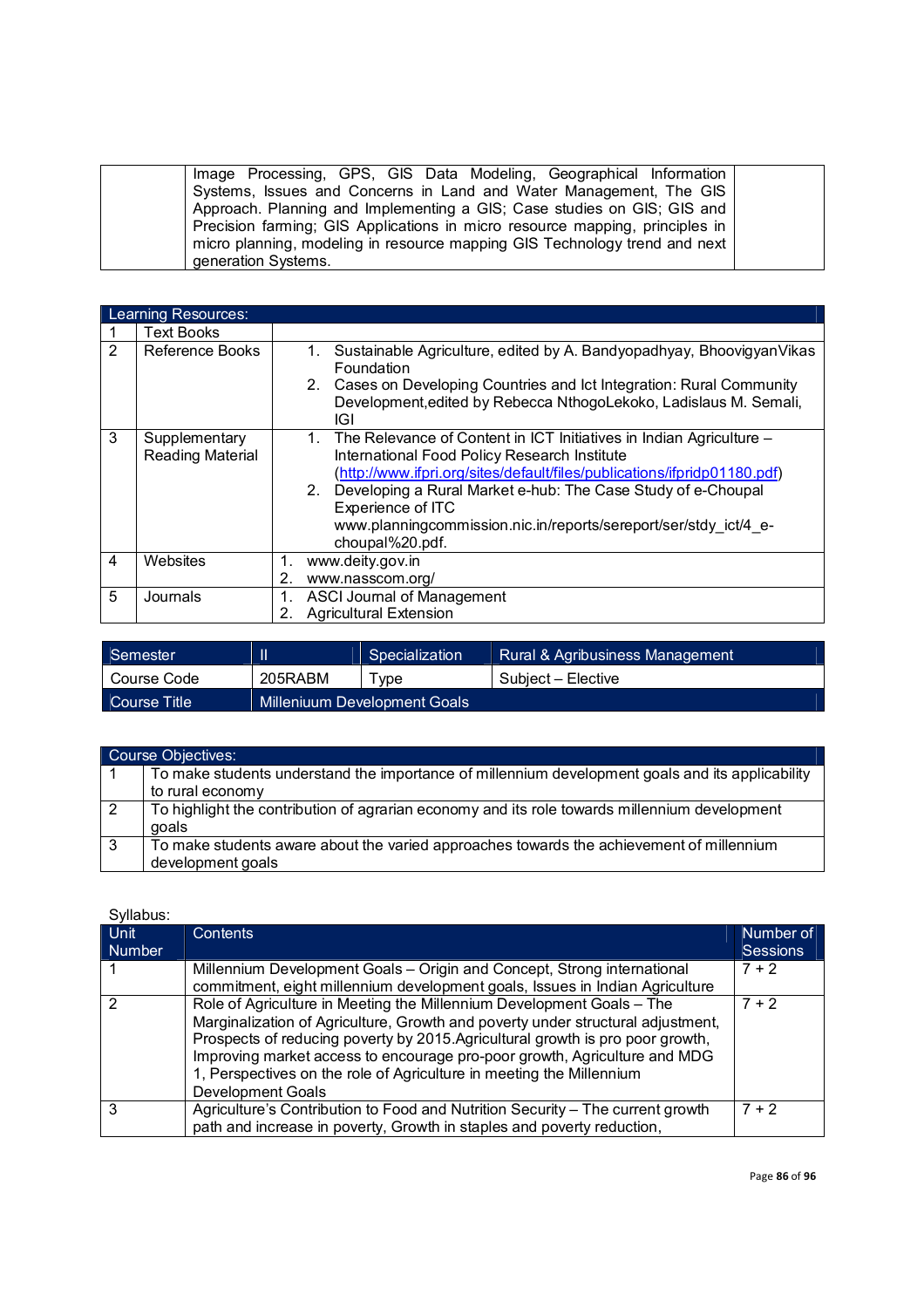| Image Processing, GPS, GIS Data Modeling, Geographical Information           |  |
|------------------------------------------------------------------------------|--|
| Systems, Issues and Concerns in Land and Water Management, The GIS           |  |
| Approach. Planning and Implementing a GIS; Case studies on GIS; GIS and      |  |
| Precision farming; GIS Applications in micro resource mapping, principles in |  |
| micro planning, modeling in resource mapping GIS Technology trend and next   |  |
| generation Systems.                                                          |  |

|   | Learning Resources:                      |                                                                                                                                                                                                                                                                                                                                                                                   |  |  |  |
|---|------------------------------------------|-----------------------------------------------------------------------------------------------------------------------------------------------------------------------------------------------------------------------------------------------------------------------------------------------------------------------------------------------------------------------------------|--|--|--|
|   | <b>Text Books</b>                        |                                                                                                                                                                                                                                                                                                                                                                                   |  |  |  |
| 2 | Reference Books                          | Sustainable Agriculture, edited by A. Bandyopadhyay, Bhoovigyan Vikas<br>1.<br><b>Foundation</b><br>2. Cases on Developing Countries and Ict Integration: Rural Community<br>Development, edited by Rebecca NthogoLekoko, Ladislaus M. Semali,<br>IGI                                                                                                                             |  |  |  |
| 3 | Supplementary<br><b>Reading Material</b> | 1. The Relevance of Content in ICT Initiatives in Indian Agriculture –<br>International Food Policy Research Institute<br>(http://www.ifpri.org/sites/default/files/publications/ifpridp01180.pdf)<br>2. Developing a Rural Market e-hub: The Case Study of e-Choupal<br>Experience of ITC<br>www.planningcommission.nic.in/reports/sereport/ser/stdy ict/4 e-<br>choupal%20.pdf. |  |  |  |
| 4 | Websites                                 | www.deity.gov.in<br>1.<br>www.nasscom.org/<br>2.                                                                                                                                                                                                                                                                                                                                  |  |  |  |
| 5 | Journals                                 | <b>ASCI Journal of Management</b><br><b>Agricultural Extension</b><br>2.                                                                                                                                                                                                                                                                                                          |  |  |  |

| Semester     |         | Specialization                      | Rural & Agribusiness Management |
|--------------|---------|-------------------------------------|---------------------------------|
| Course Code  | 205RABM | vpe                                 | Subject - Elective              |
| Course Title |         | <b>Milleniuum Development Goals</b> |                                 |

|                | Course Objectives:                                                                                            |
|----------------|---------------------------------------------------------------------------------------------------------------|
|                | To make students understand the importance of millennium development goals and its applicability              |
|                | to rural economy                                                                                              |
| $\overline{2}$ | To highlight the contribution of agrarian economy and its role towards millennium development                 |
|                | qoals                                                                                                         |
| -3             | To make students aware about the varied approaches towards the achievement of millennium<br>development goals |

| Syllabus:             |                                                                                                                                                                                                                                                                                                                                                                                                                             |                              |  |  |
|-----------------------|-----------------------------------------------------------------------------------------------------------------------------------------------------------------------------------------------------------------------------------------------------------------------------------------------------------------------------------------------------------------------------------------------------------------------------|------------------------------|--|--|
| <b>Unit</b><br>Number | <b>Contents</b>                                                                                                                                                                                                                                                                                                                                                                                                             | Number of<br><b>Sessions</b> |  |  |
|                       | Millennium Development Goals - Origin and Concept, Strong international<br>commitment, eight millennium development goals, Issues in Indian Agriculture                                                                                                                                                                                                                                                                     | $7 + 2$                      |  |  |
| 2                     | Role of Agriculture in Meeting the Millennium Development Goals - The<br>Marginalization of Agriculture, Growth and poverty under structural adjustment,<br>Prospects of reducing poverty by 2015. Agricultural growth is pro poor growth,<br>Improving market access to encourage pro-poor growth, Agriculture and MDG<br>1, Perspectives on the role of Agriculture in meeting the Millennium<br><b>Development Goals</b> | $7 + 2$                      |  |  |
| 3                     | Agriculture's Contribution to Food and Nutrition Security - The current growth<br>path and increase in poverty, Growth in staples and poverty reduction,                                                                                                                                                                                                                                                                    | $7 + 2$                      |  |  |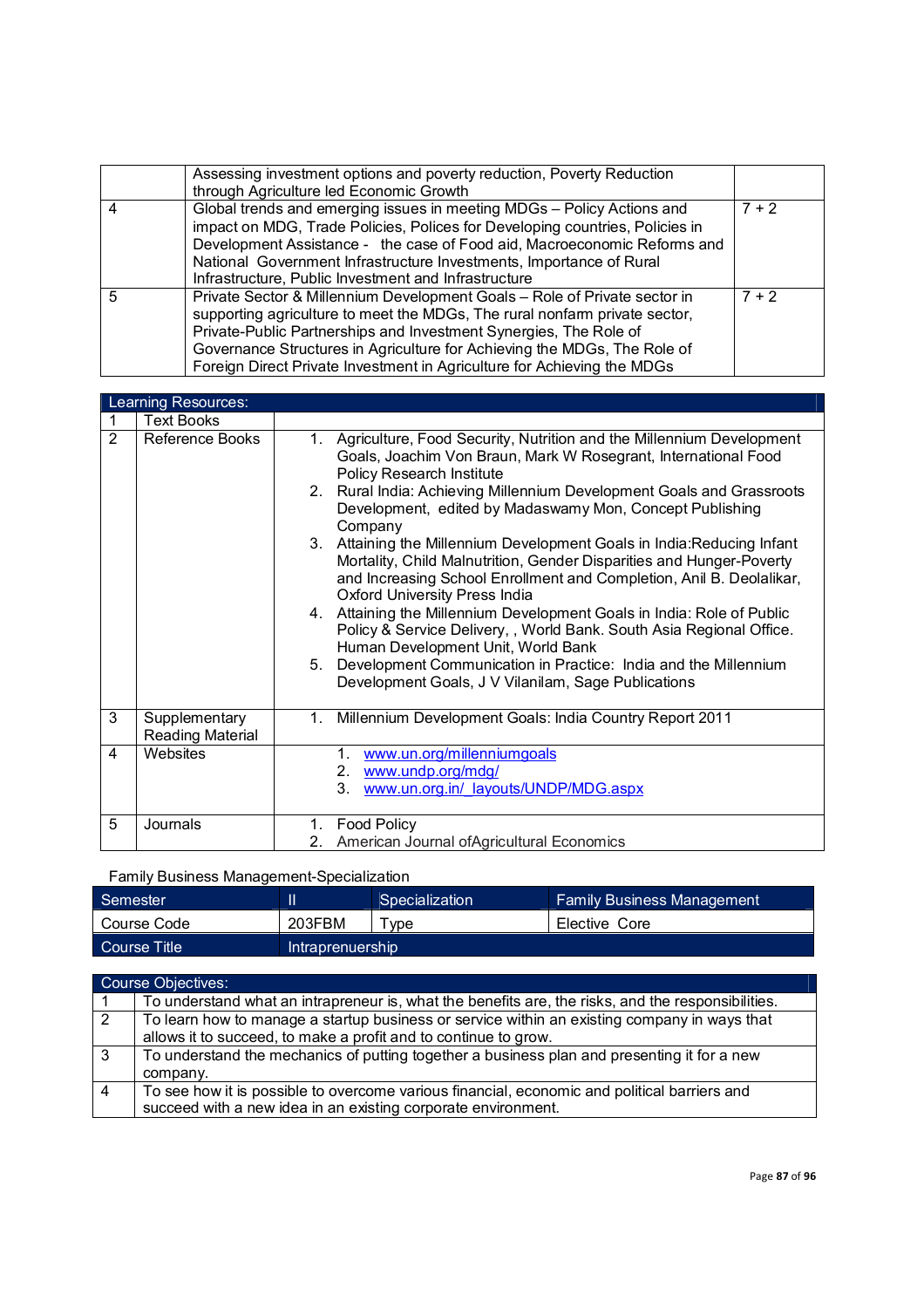|   | Assessing investment options and poverty reduction, Poverty Reduction<br>through Agriculture led Economic Growth                                                                                                                                                                                                                                                                    |         |
|---|-------------------------------------------------------------------------------------------------------------------------------------------------------------------------------------------------------------------------------------------------------------------------------------------------------------------------------------------------------------------------------------|---------|
| 4 | Global trends and emerging issues in meeting MDGs - Policy Actions and<br>impact on MDG, Trade Policies, Polices for Developing countries, Policies in<br>Development Assistance - the case of Food aid, Macroeconomic Reforms and<br>National Government Infrastructure Investments, Importance of Rural<br>Infrastructure, Public Investment and Infrastructure                   | $7 + 2$ |
| 5 | Private Sector & Millennium Development Goals - Role of Private sector in<br>supporting agriculture to meet the MDGs, The rural nonfarm private sector,<br>Private-Public Partnerships and Investment Synergies, The Role of<br>Governance Structures in Agriculture for Achieving the MDGs, The Role of<br>Foreign Direct Private Investment in Agriculture for Achieving the MDGs | $7 + 2$ |

|   | Learning Resources:               |                                                                                                                                                                                                                                                                    |
|---|-----------------------------------|--------------------------------------------------------------------------------------------------------------------------------------------------------------------------------------------------------------------------------------------------------------------|
|   | <b>Text Books</b>                 |                                                                                                                                                                                                                                                                    |
| 2 | Reference Books                   | Agriculture, Food Security, Nutrition and the Millennium Development<br>1.<br>Goals, Joachim Von Braun, Mark W Rosegrant, International Food<br><b>Policy Research Institute</b><br>2 <sub>1</sub>                                                                 |
|   |                                   | Rural India: Achieving Millennium Development Goals and Grassroots<br>Development, edited by Madaswamy Mon, Concept Publishing<br>Company                                                                                                                          |
|   |                                   | Attaining the Millennium Development Goals in India: Reducing Infant<br>3.<br>Mortality, Child Malnutrition, Gender Disparities and Hunger-Poverty<br>and Increasing School Enrollment and Completion, Anil B. Deolalikar,<br><b>Oxford University Press India</b> |
|   |                                   | 4. Attaining the Millennium Development Goals in India: Role of Public<br>Policy & Service Delivery,, World Bank. South Asia Regional Office.<br>Human Development Unit, World Bank                                                                                |
|   |                                   | Development Communication in Practice: India and the Millennium<br>5.<br>Development Goals, J V Vilanilam, Sage Publications                                                                                                                                       |
| 3 | Supplementary<br>Reading Material | Millennium Development Goals: India Country Report 2011<br>1.                                                                                                                                                                                                      |
| 4 | Websites                          | www.un.org/millenniumgoals<br>1.<br>www.undp.org/mdg/<br>2.<br>3.<br>www.un.org.in/ layouts/UNDP/MDG.aspx                                                                                                                                                          |
| 5 | Journals                          | <b>Food Policy</b><br>1.<br>American Journal of Agricultural Economics<br>2.                                                                                                                                                                                       |

### Family Business Management-Specialization

| Semester     |                  | Specialization | <b>Family Business Management</b> |
|--------------|------------------|----------------|-----------------------------------|
| Course Code  | 203FBM           | ype            | Elective Core                     |
| Course Title | Intraprenuership |                |                                   |

|                | <b>Course Objectives:</b>                                                                          |
|----------------|----------------------------------------------------------------------------------------------------|
|                | To understand what an intrapreneur is, what the benefits are, the risks, and the responsibilities. |
| $\overline{2}$ | To learn how to manage a startup business or service within an existing company in ways that       |
|                | allows it to succeed, to make a profit and to continue to grow.                                    |
| -3             | To understand the mechanics of putting together a business plan and presenting it for a new        |
|                | company.                                                                                           |
|                | To see how it is possible to overcome various financial, economic and political barriers and       |
|                | succeed with a new idea in an existing corporate environment.                                      |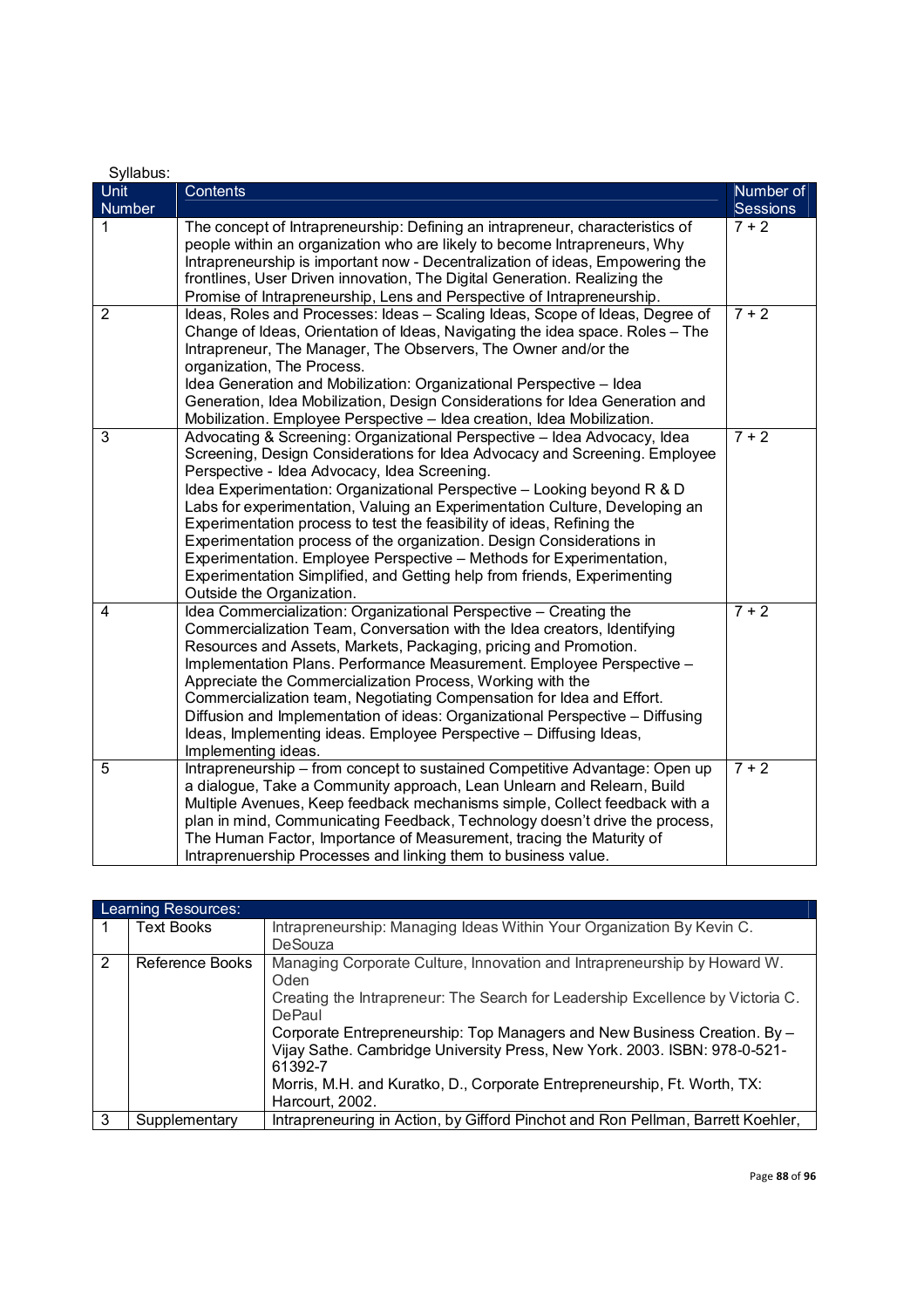| Syllabus:             |                                                                                                                                                                                                                                                                                                                                                                                                                                                                                                                                                                                                                                                                                                      |                       |
|-----------------------|------------------------------------------------------------------------------------------------------------------------------------------------------------------------------------------------------------------------------------------------------------------------------------------------------------------------------------------------------------------------------------------------------------------------------------------------------------------------------------------------------------------------------------------------------------------------------------------------------------------------------------------------------------------------------------------------------|-----------------------|
| Unit<br><b>Number</b> | Contents                                                                                                                                                                                                                                                                                                                                                                                                                                                                                                                                                                                                                                                                                             | Number of<br>Sessions |
| 1                     | The concept of Intrapreneurship: Defining an intrapreneur, characteristics of<br>people within an organization who are likely to become Intrapreneurs, Why<br>Intrapreneurship is important now - Decentralization of ideas, Empowering the<br>frontlines, User Driven innovation, The Digital Generation. Realizing the<br>Promise of Intrapreneurship, Lens and Perspective of Intrapreneurship.                                                                                                                                                                                                                                                                                                   | $7 + 2$               |
| 2                     | Ideas, Roles and Processes: Ideas - Scaling Ideas, Scope of Ideas, Degree of<br>Change of Ideas, Orientation of Ideas, Navigating the idea space. Roles - The<br>Intrapreneur, The Manager, The Observers, The Owner and/or the<br>organization, The Process.<br>Idea Generation and Mobilization: Organizational Perspective - Idea<br>Generation, Idea Mobilization, Design Considerations for Idea Generation and<br>Mobilization. Employee Perspective - Idea creation, Idea Mobilization.                                                                                                                                                                                                       | $7 + 2$               |
| 3                     | Advocating & Screening: Organizational Perspective - Idea Advocacy, Idea<br>Screening, Design Considerations for Idea Advocacy and Screening. Employee<br>Perspective - Idea Advocacy, Idea Screening.<br>Idea Experimentation: Organizational Perspective - Looking beyond R & D<br>Labs for experimentation, Valuing an Experimentation Culture, Developing an<br>Experimentation process to test the feasibility of ideas, Refining the<br>Experimentation process of the organization. Design Considerations in<br>Experimentation. Employee Perspective - Methods for Experimentation,<br>Experimentation Simplified, and Getting help from friends, Experimenting<br>Outside the Organization. | $7 + 2$               |
| 4                     | Idea Commercialization: Organizational Perspective - Creating the<br>Commercialization Team, Conversation with the Idea creators, Identifying<br>Resources and Assets, Markets, Packaging, pricing and Promotion.<br>Implementation Plans. Performance Measurement. Employee Perspective -<br>Appreciate the Commercialization Process, Working with the<br>Commercialization team, Negotiating Compensation for Idea and Effort.<br>Diffusion and Implementation of ideas: Organizational Perspective - Diffusing<br>Ideas, Implementing ideas. Employee Perspective - Diffusing Ideas,<br>Implementing ideas.                                                                                      | $7 + 2$               |
| 5                     | Intrapreneurship - from concept to sustained Competitive Advantage: Open up<br>a dialogue, Take a Community approach, Lean Unlearn and Relearn, Build<br>Multiple Avenues, Keep feedback mechanisms simple, Collect feedback with a<br>plan in mind, Communicating Feedback, Technology doesn't drive the process,<br>The Human Factor, Importance of Measurement, tracing the Maturity of<br>Intraprenuership Processes and linking them to business value.                                                                                                                                                                                                                                         | $7 + 2$               |

|   | Learning Resources: |                                                                                                                                                                  |
|---|---------------------|------------------------------------------------------------------------------------------------------------------------------------------------------------------|
|   | <b>Text Books</b>   | Intrapreneurship: Managing Ideas Within Your Organization By Kevin C.<br>DeSouza                                                                                 |
|   |                     |                                                                                                                                                                  |
| 2 | Reference Books     | Managing Corporate Culture, Innovation and Intrapreneurship by Howard W.<br>Oden                                                                                 |
|   |                     | Creating the Intrapreneur: The Search for Leadership Excellence by Victoria C.<br>DePaul                                                                         |
|   |                     | Corporate Entrepreneurship: Top Managers and New Business Creation. By -<br>Vijay Sathe. Cambridge University Press, New York. 2003. ISBN: 978-0-521-<br>61392-7 |
|   |                     | Morris, M.H. and Kuratko, D., Corporate Entrepreneurship, Ft. Worth, TX:                                                                                         |
|   |                     | Harcourt, 2002.                                                                                                                                                  |
| 3 | Supplementary       | Intrapreneuring in Action, by Gifford Pinchot and Ron Pellman, Barrett Koehler,                                                                                  |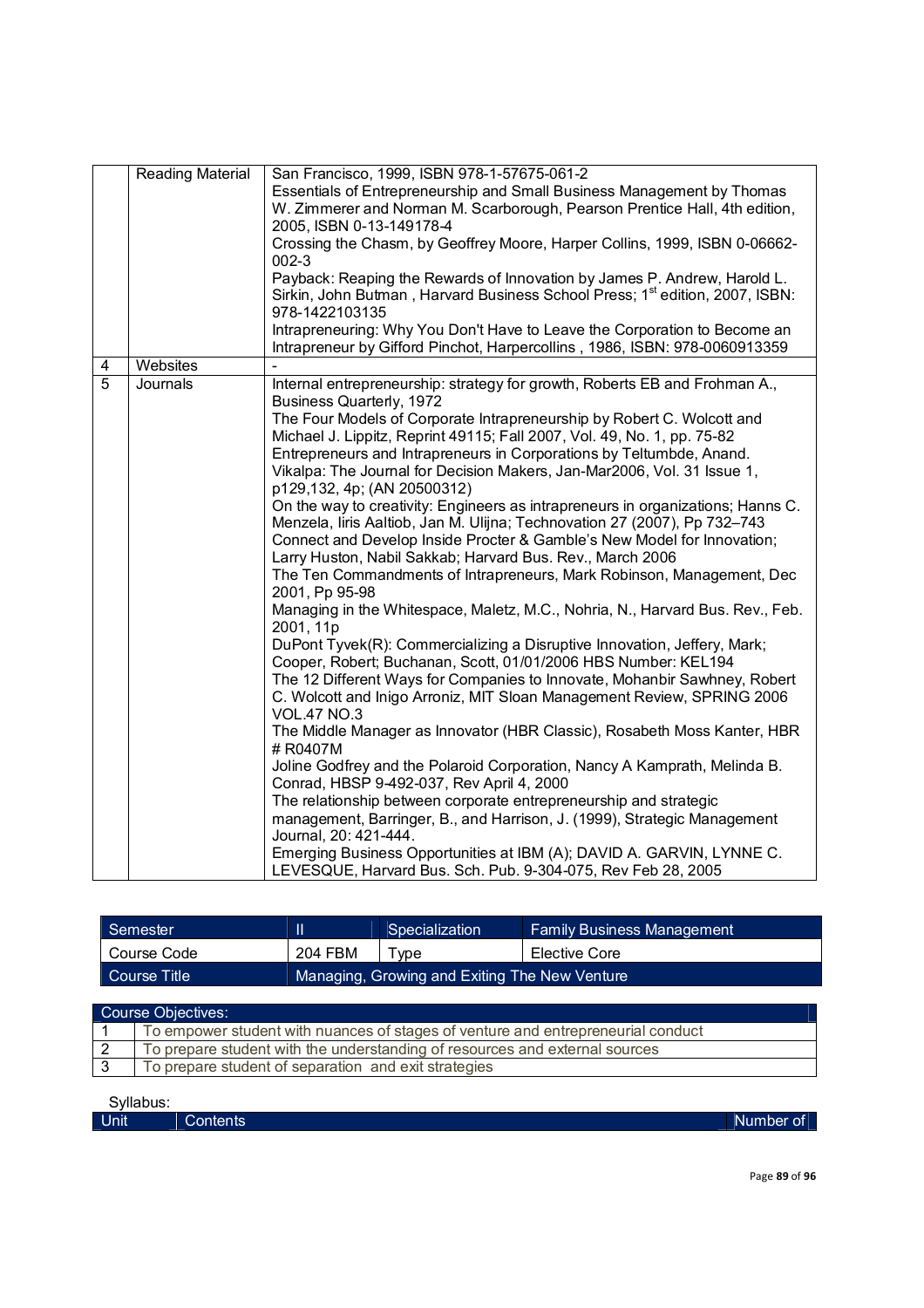|                | <b>Reading Material</b> | San Francisco, 1999, ISBN 978-1-57675-061-2<br>Essentials of Entrepreneurship and Small Business Management by Thomas<br>W. Zimmerer and Norman M. Scarborough, Pearson Prentice Hall, 4th edition,<br>2005, ISBN 0-13-149178-4<br>Crossing the Chasm, by Geoffrey Moore, Harper Collins, 1999, ISBN 0-06662-<br>$002-3$<br>Payback: Reaping the Rewards of Innovation by James P. Andrew, Harold L.<br>Sirkin, John Butman, Harvard Business School Press; 1 <sup>st</sup> edition, 2007, ISBN:                                                                                                                                                                                                                                                                                                                                                                                                                                                                                                                                                                                                                                                                                                                                                                                                                                                                                                                                                                                                                                                                                                                                                                                                                                                                                                                      |
|----------------|-------------------------|-----------------------------------------------------------------------------------------------------------------------------------------------------------------------------------------------------------------------------------------------------------------------------------------------------------------------------------------------------------------------------------------------------------------------------------------------------------------------------------------------------------------------------------------------------------------------------------------------------------------------------------------------------------------------------------------------------------------------------------------------------------------------------------------------------------------------------------------------------------------------------------------------------------------------------------------------------------------------------------------------------------------------------------------------------------------------------------------------------------------------------------------------------------------------------------------------------------------------------------------------------------------------------------------------------------------------------------------------------------------------------------------------------------------------------------------------------------------------------------------------------------------------------------------------------------------------------------------------------------------------------------------------------------------------------------------------------------------------------------------------------------------------------------------------------------------------|
|                |                         | 978-1422103135<br>Intrapreneuring: Why You Don't Have to Leave the Corporation to Become an                                                                                                                                                                                                                                                                                                                                                                                                                                                                                                                                                                                                                                                                                                                                                                                                                                                                                                                                                                                                                                                                                                                                                                                                                                                                                                                                                                                                                                                                                                                                                                                                                                                                                                                           |
|                |                         | Intrapreneur by Gifford Pinchot, Harpercollins, 1986, ISBN: 978-0060913359                                                                                                                                                                                                                                                                                                                                                                                                                                                                                                                                                                                                                                                                                                                                                                                                                                                                                                                                                                                                                                                                                                                                                                                                                                                                                                                                                                                                                                                                                                                                                                                                                                                                                                                                            |
| 4              | Websites                |                                                                                                                                                                                                                                                                                                                                                                                                                                                                                                                                                                                                                                                                                                                                                                                                                                                                                                                                                                                                                                                                                                                                                                                                                                                                                                                                                                                                                                                                                                                                                                                                                                                                                                                                                                                                                       |
| $\overline{5}$ | Journals                | Internal entrepreneurship: strategy for growth, Roberts EB and Frohman A.,<br><b>Business Quarterly, 1972</b><br>The Four Models of Corporate Intrapreneurship by Robert C. Wolcott and<br>Michael J. Lippitz, Reprint 49115; Fall 2007, Vol. 49, No. 1, pp. 75-82<br>Entrepreneurs and Intrapreneurs in Corporations by Teltumbde, Anand.<br>Vikalpa: The Journal for Decision Makers, Jan-Mar2006, Vol. 31 Issue 1,<br>p129,132, 4p; (AN 20500312)<br>On the way to creativity: Engineers as intrapreneurs in organizations; Hanns C.<br>Menzela, Iiris Aaltiob, Jan M. Ulijna; Technovation 27 (2007), Pp 732-743<br>Connect and Develop Inside Procter & Gamble's New Model for Innovation;<br>Larry Huston, Nabil Sakkab; Harvard Bus. Rev., March 2006<br>The Ten Commandments of Intrapreneurs, Mark Robinson, Management, Dec<br>2001, Pp 95-98<br>Managing in the Whitespace, Maletz, M.C., Nohria, N., Harvard Bus. Rev., Feb.<br>2001, 11p<br>DuPont Tyvek(R): Commercializing a Disruptive Innovation, Jeffery, Mark;<br>Cooper, Robert; Buchanan, Scott, 01/01/2006 HBS Number: KEL194<br>The 12 Different Ways for Companies to Innovate, Mohanbir Sawhney, Robert<br>C. Wolcott and Inigo Arroniz, MIT Sloan Management Review, SPRING 2006<br><b>VOL.47 NO.3</b><br>The Middle Manager as Innovator (HBR Classic), Rosabeth Moss Kanter, HBR<br># R0407M<br>Joline Godfrey and the Polaroid Corporation, Nancy A Kamprath, Melinda B.<br>Conrad, HBSP 9-492-037, Rev April 4, 2000<br>The relationship between corporate entrepreneurship and strategic<br>management, Barringer, B., and Harrison, J. (1999), Strategic Management<br>Journal, 20: 421-444.<br>Emerging Business Opportunities at IBM (A); DAVID A. GARVIN, LYNNE C.<br>LEVESQUE, Harvard Bus. Sch. Pub. 9-304-075, Rev Feb 28, 2005 |

| Semester        |                                               | Specialization | <b>Family Business Management</b> |
|-----------------|-----------------------------------------------|----------------|-----------------------------------|
| Course Code     | 204 FBM                                       | Type           | Elective Core                     |
| LCourse Title ! | Managing, Growing and Exiting The New Venture |                |                                   |

| <b>Course Objectives:</b> |                                                                                  |  |
|---------------------------|----------------------------------------------------------------------------------|--|
|                           | To empower student with nuances of stages of venture and entrepreneurial conduct |  |
|                           | To prepare student with the understanding of resources and external sources      |  |
|                           | To prepare student of separation and exit strategies                             |  |
|                           |                                                                                  |  |

| Unit | ~<br>Contents | Number of |
|------|---------------|-----------|
|      |               |           |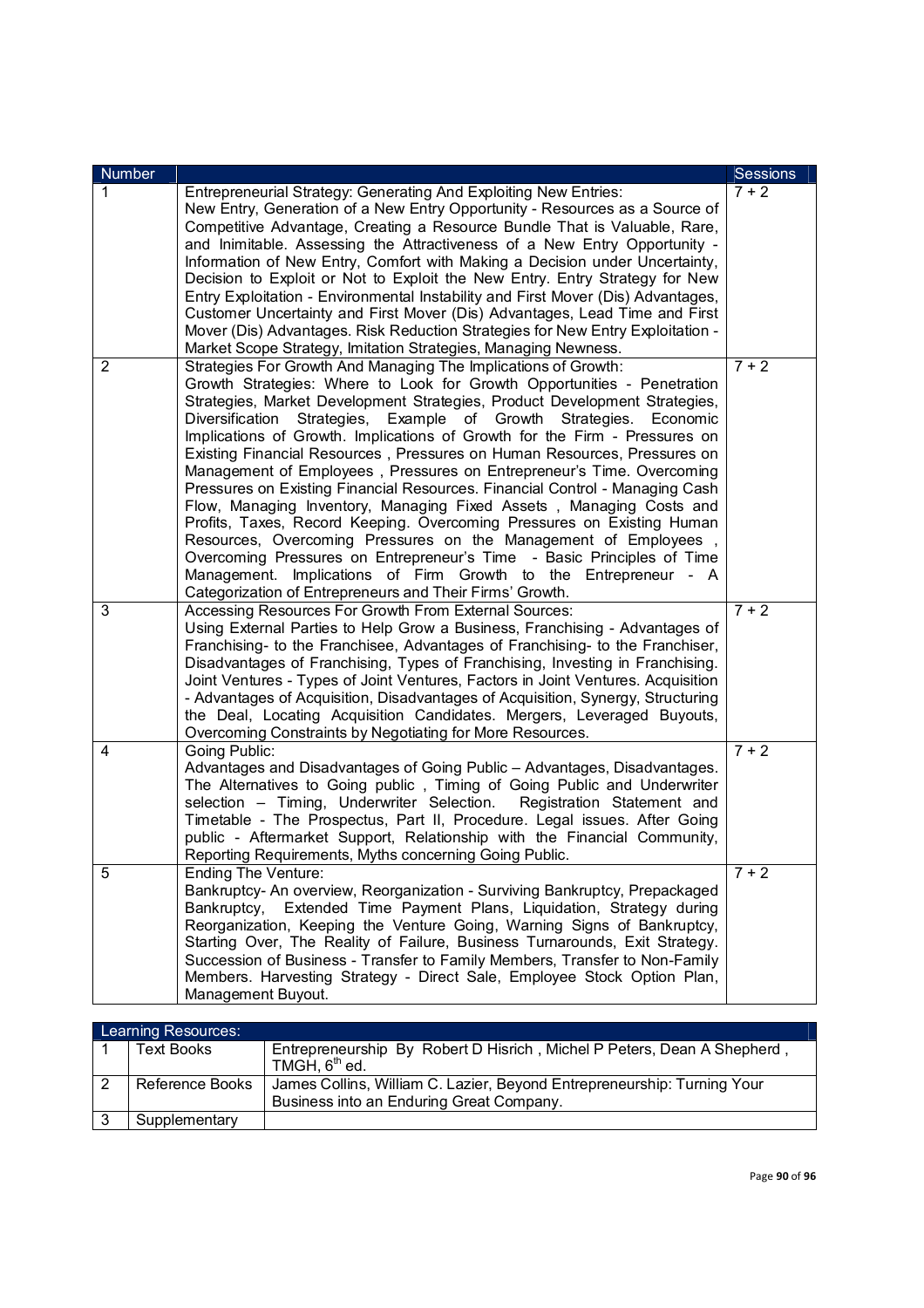| <b>Number</b> |                                                                                                                                                                                                                                                                                                                                                                                                                                                                                                                                                                                                                                                                                                                                                                                                                                                                                                                                                                                                                                                     | Sessions |
|---------------|-----------------------------------------------------------------------------------------------------------------------------------------------------------------------------------------------------------------------------------------------------------------------------------------------------------------------------------------------------------------------------------------------------------------------------------------------------------------------------------------------------------------------------------------------------------------------------------------------------------------------------------------------------------------------------------------------------------------------------------------------------------------------------------------------------------------------------------------------------------------------------------------------------------------------------------------------------------------------------------------------------------------------------------------------------|----------|
| 1             | Entrepreneurial Strategy: Generating And Exploiting New Entries:<br>New Entry, Generation of a New Entry Opportunity - Resources as a Source of<br>Competitive Advantage, Creating a Resource Bundle That is Valuable, Rare,<br>and Inimitable. Assessing the Attractiveness of a New Entry Opportunity -<br>Information of New Entry, Comfort with Making a Decision under Uncertainty,<br>Decision to Exploit or Not to Exploit the New Entry. Entry Strategy for New<br>Entry Exploitation - Environmental Instability and First Mover (Dis) Advantages,<br>Customer Uncertainty and First Mover (Dis) Advantages, Lead Time and First<br>Mover (Dis) Advantages. Risk Reduction Strategies for New Entry Exploitation -<br>Market Scope Strategy, Imitation Strategies, Managing Newness.                                                                                                                                                                                                                                                       | $7 + 2$  |
| 2             | Strategies For Growth And Managing The Implications of Growth:<br>Growth Strategies: Where to Look for Growth Opportunities - Penetration<br>Strategies, Market Development Strategies, Product Development Strategies,<br>Strategies, Example of Growth Strategies.<br>Diversification<br>Economic<br>Implications of Growth. Implications of Growth for the Firm - Pressures on<br>Existing Financial Resources, Pressures on Human Resources, Pressures on<br>Management of Employees, Pressures on Entrepreneur's Time. Overcoming<br>Pressures on Existing Financial Resources. Financial Control - Managing Cash<br>Flow, Managing Inventory, Managing Fixed Assets, Managing Costs and<br>Profits, Taxes, Record Keeping. Overcoming Pressures on Existing Human<br>Resources, Overcoming Pressures on the Management of Employees,<br>Overcoming Pressures on Entrepreneur's Time - Basic Principles of Time<br>Management. Implications of Firm Growth to the Entrepreneur - A<br>Categorization of Entrepreneurs and Their Firms' Growth. | $7 + 2$  |
| 3             | Accessing Resources For Growth From External Sources:<br>Using External Parties to Help Grow a Business, Franchising - Advantages of<br>Franchising- to the Franchisee, Advantages of Franchising- to the Franchiser,<br>Disadvantages of Franchising, Types of Franchising, Investing in Franchising.<br>Joint Ventures - Types of Joint Ventures, Factors in Joint Ventures. Acquisition<br>- Advantages of Acquisition, Disadvantages of Acquisition, Synergy, Structuring<br>the Deal, Locating Acquisition Candidates. Mergers, Leveraged Buyouts,<br>Overcoming Constraints by Negotiating for More Resources.                                                                                                                                                                                                                                                                                                                                                                                                                                | $7 + 2$  |
| 4             | Going Public:<br>Advantages and Disadvantages of Going Public - Advantages, Disadvantages.<br>The Alternatives to Going public, Timing of Going Public and Underwriter<br>selection - Timing, Underwriter Selection.<br>Registration Statement and<br>Timetable - The Prospectus, Part II, Procedure. Legal issues. After Going<br>public - Aftermarket Support, Relationship with the Financial Community,<br>Reporting Requirements, Myths concerning Going Public.                                                                                                                                                                                                                                                                                                                                                                                                                                                                                                                                                                               | $7 + 2$  |
| 5             | <b>Ending The Venture:</b><br>Bankruptcy- An overview, Reorganization - Surviving Bankruptcy, Prepackaged<br>Bankruptcy,<br>Extended Time Payment Plans, Liquidation, Strategy during<br>Reorganization, Keeping the Venture Going, Warning Signs of Bankruptcy,<br>Starting Over, The Reality of Failure, Business Turnarounds, Exit Strategy.<br>Succession of Business - Transfer to Family Members, Transfer to Non-Family<br>Members. Harvesting Strategy - Direct Sale, Employee Stock Option Plan,<br>Management Buyout.                                                                                                                                                                                                                                                                                                                                                                                                                                                                                                                     | $7 + 2$  |

|    | Learning Resources: |                                                                         |  |
|----|---------------------|-------------------------------------------------------------------------|--|
|    | <b>Text Books</b>   | Entrepreneurship By Robert D Hisrich, Michel P Peters, Dean A Shepherd, |  |
|    |                     | TMGH, $6th$ ed.                                                         |  |
|    | Reference Books     | James Collins, William C. Lazier, Beyond Entrepreneurship: Turning Your |  |
|    |                     | Business into an Enduring Great Company.                                |  |
| -3 | Supplementary       |                                                                         |  |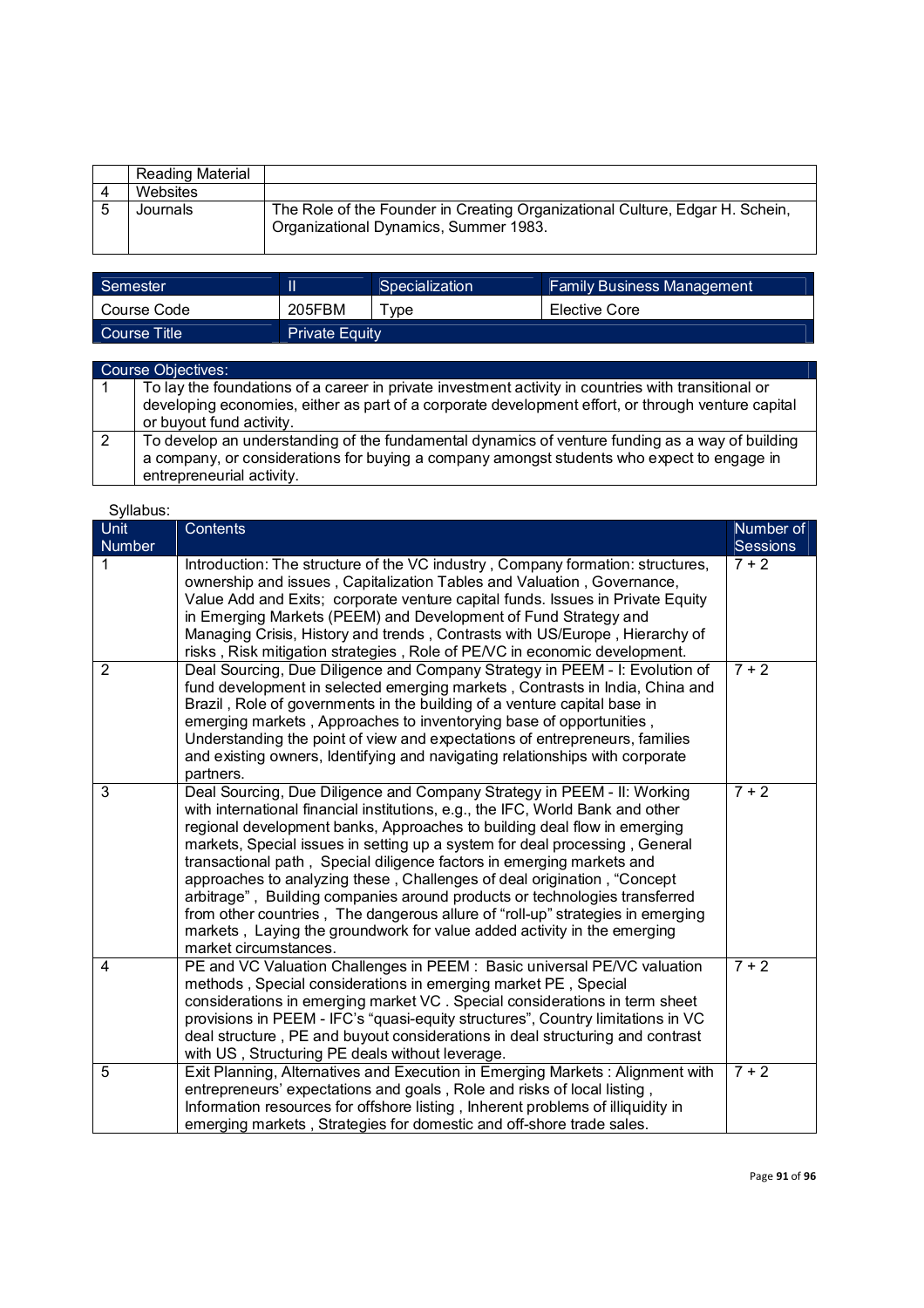| Reading Material |                                                                                                                       |
|------------------|-----------------------------------------------------------------------------------------------------------------------|
| Websites         |                                                                                                                       |
| Journals         | The Role of the Founder in Creating Organizational Culture, Edgar H. Schein,<br>Organizational Dynamics, Summer 1983. |

| Semester     | II                    | Specialization | <b>Family Business Management</b> |
|--------------|-----------------------|----------------|-----------------------------------|
| Course Code  | 205FBM                | Type           | Elective Core                     |
| Course Title | <b>Private Equity</b> |                |                                   |

| <b>Course Objectives:</b>                                                                                               |  |  |  |
|-------------------------------------------------------------------------------------------------------------------------|--|--|--|
| To lay the foundations of a career in private investment activity in countries with transitional or                     |  |  |  |
| developing economies, either as part of a corporate development effort, or through venture capital                      |  |  |  |
| or buyout fund activity.                                                                                                |  |  |  |
| To develop an understanding of the fundamental dynamics of venture funding as a way of building                         |  |  |  |
| a company, or considerations for buying a company amongst students who expect to engage in<br>entrepreneurial activity. |  |  |  |

| <b>Unit</b>    | Contents                                                                                                                                                                                                                                                                                                                                                                                                                                                                                                                                                                                                                                                                                                                                     | Number of |
|----------------|----------------------------------------------------------------------------------------------------------------------------------------------------------------------------------------------------------------------------------------------------------------------------------------------------------------------------------------------------------------------------------------------------------------------------------------------------------------------------------------------------------------------------------------------------------------------------------------------------------------------------------------------------------------------------------------------------------------------------------------------|-----------|
| Number         |                                                                                                                                                                                                                                                                                                                                                                                                                                                                                                                                                                                                                                                                                                                                              | Sessions  |
| 1              | Introduction: The structure of the VC industry, Company formation: structures,<br>ownership and issues, Capitalization Tables and Valuation, Governance,<br>Value Add and Exits; corporate venture capital funds. Issues in Private Equity<br>in Emerging Markets (PEEM) and Development of Fund Strategy and<br>Managing Crisis, History and trends, Contrasts with US/Europe, Hierarchy of<br>risks, Risk mitigation strategies, Role of PE/VC in economic development.                                                                                                                                                                                                                                                                    | $7 + 2$   |
| $\overline{2}$ | Deal Sourcing, Due Diligence and Company Strategy in PEEM - I: Evolution of<br>fund development in selected emerging markets, Contrasts in India, China and<br>Brazil, Role of governments in the building of a venture capital base in<br>emerging markets, Approaches to inventorying base of opportunities,<br>Understanding the point of view and expectations of entrepreneurs, families<br>and existing owners, Identifying and navigating relationships with corporate<br>partners.                                                                                                                                                                                                                                                   | $7 + 2$   |
| 3              | Deal Sourcing, Due Diligence and Company Strategy in PEEM - II: Working<br>with international financial institutions, e.g., the IFC, World Bank and other<br>regional development banks, Approaches to building deal flow in emerging<br>markets, Special issues in setting up a system for deal processing, General<br>transactional path, Special diligence factors in emerging markets and<br>approaches to analyzing these, Challenges of deal origination, "Concept<br>arbitrage", Building companies around products or technologies transferred<br>from other countries, The dangerous allure of "roll-up" strategies in emerging<br>markets, Laying the groundwork for value added activity in the emerging<br>market circumstances. | $7 + 2$   |
| 4              | PE and VC Valuation Challenges in PEEM : Basic universal PE/VC valuation<br>methods, Special considerations in emerging market PE, Special<br>considerations in emerging market VC. Special considerations in term sheet<br>provisions in PEEM - IFC's "quasi-equity structures", Country limitations in VC<br>deal structure, PE and buyout considerations in deal structuring and contrast<br>with US, Structuring PE deals without leverage.                                                                                                                                                                                                                                                                                              | $7 + 2$   |
| 5              | Exit Planning, Alternatives and Execution in Emerging Markets: Alignment with<br>entrepreneurs' expectations and goals, Role and risks of local listing,<br>Information resources for offshore listing, Inherent problems of illiquidity in<br>emerging markets, Strategies for domestic and off-shore trade sales.                                                                                                                                                                                                                                                                                                                                                                                                                          | $7 + 2$   |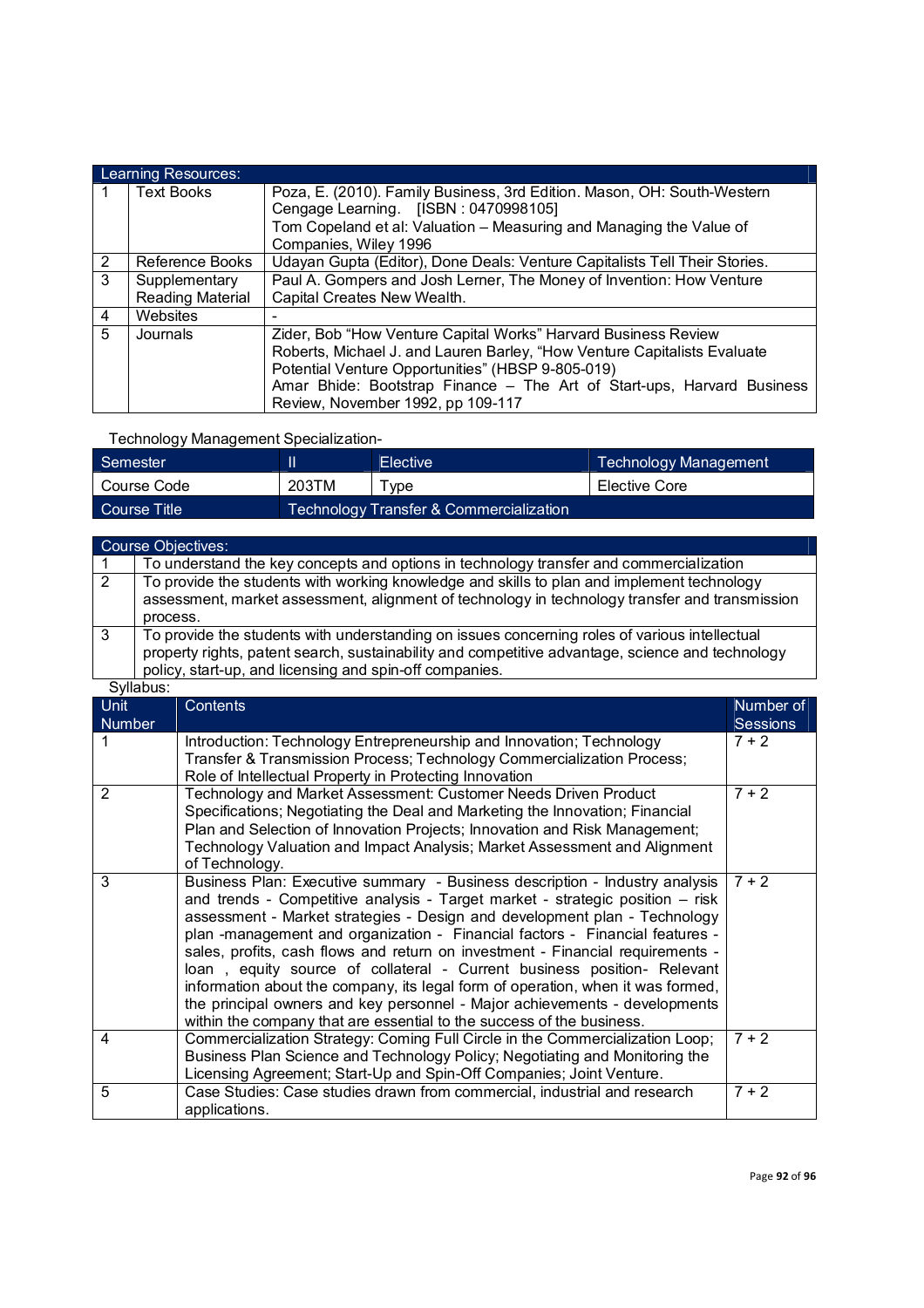|   | Learning Resources:     |                                                                            |  |  |  |
|---|-------------------------|----------------------------------------------------------------------------|--|--|--|
|   | <b>Text Books</b>       | Poza, E. (2010). Family Business, 3rd Edition. Mason, OH: South-Western    |  |  |  |
|   |                         | Cengage Learning. [ISBN: 0470998105]                                       |  |  |  |
|   |                         | Tom Copeland et al: Valuation - Measuring and Managing the Value of        |  |  |  |
|   |                         | Companies, Wiley 1996                                                      |  |  |  |
| 2 | Reference Books         | Udayan Gupta (Editor), Done Deals: Venture Capitalists Tell Their Stories. |  |  |  |
| 3 | Supplementary           | Paul A. Gompers and Josh Lerner, The Money of Invention: How Venture       |  |  |  |
|   | <b>Reading Material</b> | Capital Creates New Wealth.                                                |  |  |  |
| 4 | Websites                |                                                                            |  |  |  |
| 5 | Journals                | Zider, Bob "How Venture Capital Works" Harvard Business Review             |  |  |  |
|   |                         | Roberts, Michael J. and Lauren Barley, "How Venture Capitalists Evaluate   |  |  |  |
|   |                         | Potential Venture Opportunities" (HBSP 9-805-019)                          |  |  |  |
|   |                         | Amar Bhide: Bootstrap Finance – The Art of Start-ups, Harvard Business     |  |  |  |
|   |                         | Review, November 1992, pp 109-117                                          |  |  |  |

|  | Technology Management Specialization- |
|--|---------------------------------------|
|  |                                       |

| Semester     |       | <b>Elective</b>                         | Technology Management |
|--------------|-------|-----------------------------------------|-----------------------|
| Course Code  | 203TM | vpe                                     | Elective Core         |
| Course Title |       | Technology Transfer & Commercialization |                       |

|                              |                                                                                                                                                                                                          | <b>Course Objectives:</b>                                                                                                                                                                                                                                                                                                                                                                                                                                                                                                                                                                                                                                                                                                        |                       |  |
|------------------------------|----------------------------------------------------------------------------------------------------------------------------------------------------------------------------------------------------------|----------------------------------------------------------------------------------------------------------------------------------------------------------------------------------------------------------------------------------------------------------------------------------------------------------------------------------------------------------------------------------------------------------------------------------------------------------------------------------------------------------------------------------------------------------------------------------------------------------------------------------------------------------------------------------------------------------------------------------|-----------------------|--|
| 1                            | To understand the key concepts and options in technology transfer and commercialization                                                                                                                  |                                                                                                                                                                                                                                                                                                                                                                                                                                                                                                                                                                                                                                                                                                                                  |                       |  |
| 2                            | To provide the students with working knowledge and skills to plan and implement technology<br>assessment, market assessment, alignment of technology in technology transfer and transmission<br>process. |                                                                                                                                                                                                                                                                                                                                                                                                                                                                                                                                                                                                                                                                                                                                  |                       |  |
| 3                            |                                                                                                                                                                                                          | To provide the students with understanding on issues concerning roles of various intellectual<br>property rights, patent search, sustainability and competitive advantage, science and technology<br>policy, start-up, and licensing and spin-off companies.                                                                                                                                                                                                                                                                                                                                                                                                                                                                     |                       |  |
|                              | Syllabus:                                                                                                                                                                                                |                                                                                                                                                                                                                                                                                                                                                                                                                                                                                                                                                                                                                                                                                                                                  |                       |  |
| <b>Unit</b><br><b>Number</b> |                                                                                                                                                                                                          | Contents                                                                                                                                                                                                                                                                                                                                                                                                                                                                                                                                                                                                                                                                                                                         | Number of<br>Sessions |  |
| 1                            |                                                                                                                                                                                                          | Introduction: Technology Entrepreneurship and Innovation; Technology<br>Transfer & Transmission Process; Technology Commercialization Process;<br>Role of Intellectual Property in Protecting Innovation                                                                                                                                                                                                                                                                                                                                                                                                                                                                                                                         | $7 + 2$               |  |
| 2                            |                                                                                                                                                                                                          | Technology and Market Assessment: Customer Needs Driven Product<br>Specifications; Negotiating the Deal and Marketing the Innovation; Financial<br>Plan and Selection of Innovation Projects; Innovation and Risk Management;<br>Technology Valuation and Impact Analysis; Market Assessment and Alignment<br>of Technology.                                                                                                                                                                                                                                                                                                                                                                                                     | $7 + 2$               |  |
| 3                            |                                                                                                                                                                                                          | Business Plan: Executive summary - Business description - Industry analysis<br>and trends - Competitive analysis - Target market - strategic position - risk<br>assessment - Market strategies - Design and development plan - Technology<br>plan -management and organization - Financial factors - Financial features -<br>sales, profits, cash flows and return on investment - Financial requirements -<br>loan, equity source of collateral - Current business position- Relevant<br>information about the company, its legal form of operation, when it was formed,<br>the principal owners and key personnel - Major achievements - developments<br>within the company that are essential to the success of the business. | $7 + 2$               |  |
| 4                            |                                                                                                                                                                                                          | Commercialization Strategy: Coming Full Circle in the Commercialization Loop;<br>Business Plan Science and Technology Policy; Negotiating and Monitoring the<br>Licensing Agreement; Start-Up and Spin-Off Companies; Joint Venture.                                                                                                                                                                                                                                                                                                                                                                                                                                                                                             | $7 + 2$               |  |
| 5                            |                                                                                                                                                                                                          | Case Studies: Case studies drawn from commercial, industrial and research<br>applications.                                                                                                                                                                                                                                                                                                                                                                                                                                                                                                                                                                                                                                       | $7 + 2$               |  |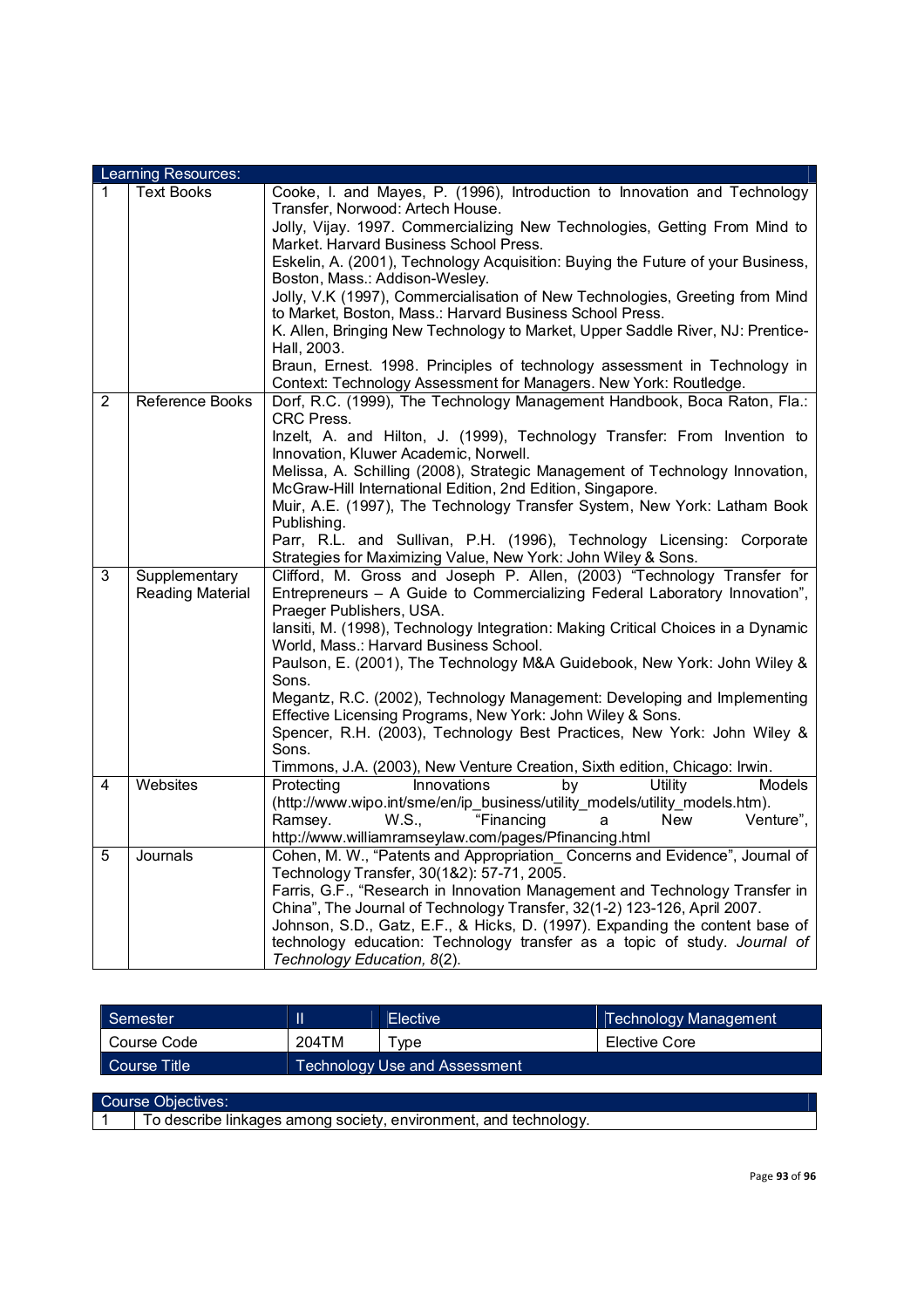|   | Learning Resources:     |                                                                                          |
|---|-------------------------|------------------------------------------------------------------------------------------|
| 1 | <b>Text Books</b>       | Cooke, I. and Mayes, P. (1996), Introduction to Innovation and Technology                |
|   |                         | Transfer, Norwood: Artech House.                                                         |
|   |                         | Jolly, Vijay. 1997. Commercializing New Technologies, Getting From Mind to               |
|   |                         | Market. Harvard Business School Press.                                                   |
|   |                         | Eskelin, A. (2001), Technology Acquisition: Buying the Future of your Business,          |
|   |                         | Boston, Mass.: Addison-Wesley.                                                           |
|   |                         | Jolly, V.K (1997), Commercialisation of New Technologies, Greeting from Mind             |
|   |                         | to Market, Boston, Mass.: Harvard Business School Press.                                 |
|   |                         | K. Allen, Bringing New Technology to Market, Upper Saddle River, NJ: Prentice-           |
|   |                         | Hall, 2003.<br>Braun, Ernest. 1998. Principles of technology assessment in Technology in |
|   |                         | Context: Technology Assessment for Managers. New York: Routledge.                        |
| 2 | Reference Books         | Dorf, R.C. (1999), The Technology Management Handbook, Boca Raton, Fla.:                 |
|   |                         | <b>CRC Press.</b>                                                                        |
|   |                         | Inzelt, A. and Hilton, J. (1999), Technology Transfer: From Invention to                 |
|   |                         | Innovation, Kluwer Academic, Norwell.                                                    |
|   |                         | Melissa, A. Schilling (2008), Strategic Management of Technology Innovation,             |
|   |                         | McGraw-Hill International Edition, 2nd Edition, Singapore.                               |
|   |                         | Muir, A.E. (1997), The Technology Transfer System, New York: Latham Book                 |
|   |                         | Publishing.                                                                              |
|   |                         | Parr, R.L. and Sullivan, P.H. (1996), Technology Licensing: Corporate                    |
|   |                         | Strategies for Maximizing Value, New York: John Wiley & Sons.                            |
| 3 | Supplementary           | Clifford, M. Gross and Joseph P. Allen, (2003) "Technology Transfer for                  |
|   | <b>Reading Material</b> | Entrepreneurs - A Guide to Commercializing Federal Laboratory Innovation",               |
|   |                         | Praeger Publishers, USA.                                                                 |
|   |                         | Iansiti, M. (1998), Technology Integration: Making Critical Choices in a Dynamic         |
|   |                         | World, Mass.: Harvard Business School.                                                   |
|   |                         | Paulson, E. (2001), The Technology M&A Guidebook, New York: John Wiley &<br>Sons.        |
|   |                         | Megantz, R.C. (2002), Technology Management: Developing and Implementing                 |
|   |                         | Effective Licensing Programs, New York: John Wiley & Sons.                               |
|   |                         | Spencer, R.H. (2003), Technology Best Practices, New York: John Wiley &                  |
|   |                         | Sons.                                                                                    |
|   |                         | Timmons, J.A. (2003), New Venture Creation, Sixth edition, Chicago: Irwin.               |
| 4 | Websites                | Innovations<br>Utility<br>Protecting<br>by<br>Models                                     |
|   |                         | (http://www.wipo.int/sme/en/ip_business/utility_models/utility_models.htm).              |
|   |                         | "Financing<br>Ramsey.<br>W.S.,<br><b>New</b><br>Venture",<br>a                           |
|   |                         | http://www.williamramseylaw.com/pages/Pfinancing.html                                    |
| 5 | Journals                | Cohen, M. W., "Patents and Appropriation Concerns and Evidence", Journal of              |
|   |                         | Technology Transfer, 30(1&2): 57-71, 2005.                                               |
|   |                         | Farris, G.F., "Research in Innovation Management and Technology Transfer in              |
|   |                         | China", The Journal of Technology Transfer, 32(1-2) 123-126, April 2007.                 |
|   |                         | Johnson, S.D., Gatz, E.F., & Hicks, D. (1997). Expanding the content base of             |
|   |                         | technology education: Technology transfer as a topic of study. Journal of                |
|   |                         | Technology Education, 8(2).                                                              |

| Semester     |       | Elective                             | <b>Technology Management</b> |
|--------------|-------|--------------------------------------|------------------------------|
| Course Code  | 204TM | vpe                                  | Elective Core                |
| Course Title |       | <b>Technology Use and Assessment</b> |                              |
|              |       |                                      |                              |

Course Objectives:

1 To describe linkages among society, environment, and technology.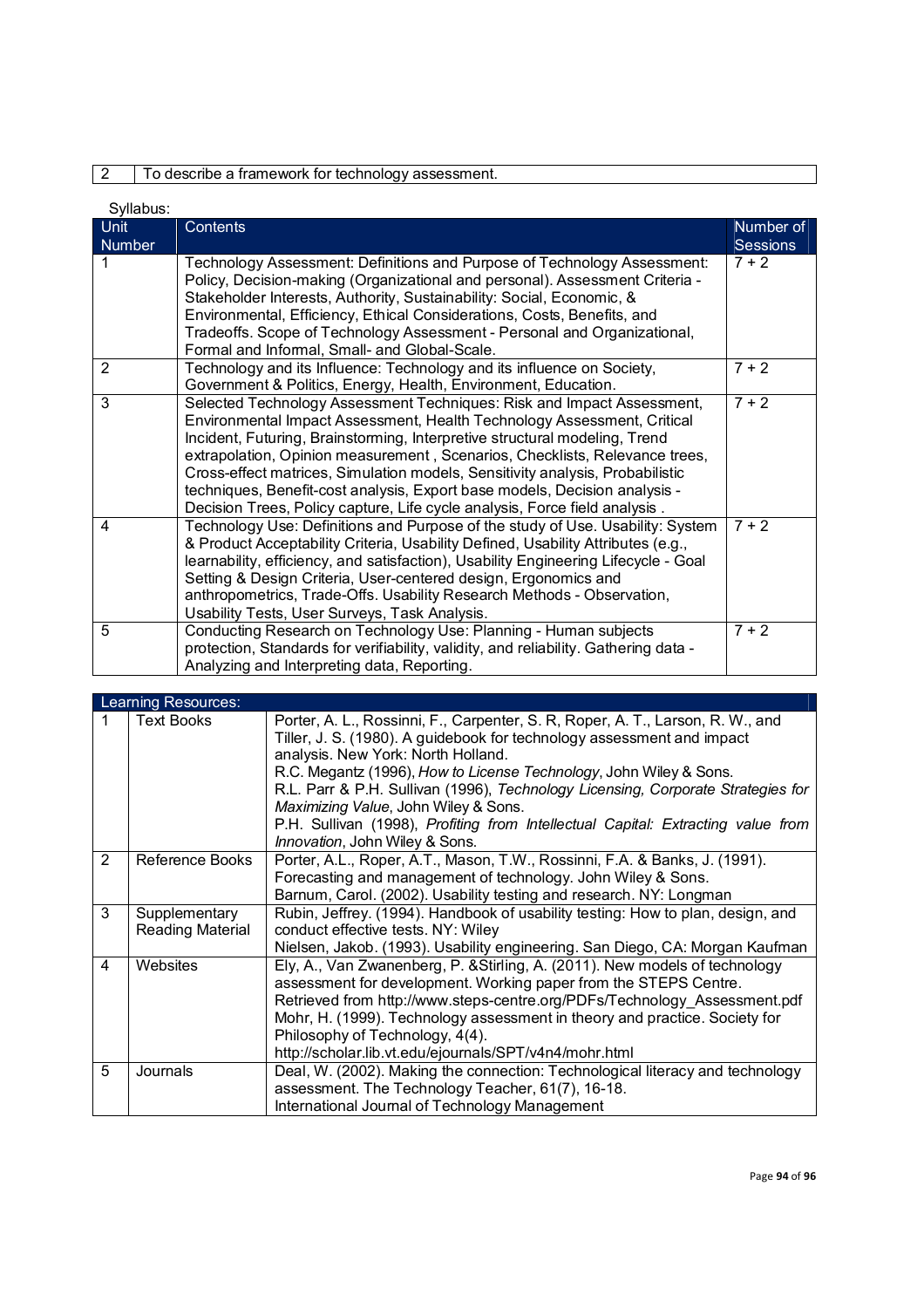## 2 To describe a framework for technology assessment.

| Syllabus:      |                                                                                                                                                                                                                                                                                                                                                                                                                                                                                                                                                             |                   |
|----------------|-------------------------------------------------------------------------------------------------------------------------------------------------------------------------------------------------------------------------------------------------------------------------------------------------------------------------------------------------------------------------------------------------------------------------------------------------------------------------------------------------------------------------------------------------------------|-------------------|
| <b>Unit</b>    | <b>Contents</b>                                                                                                                                                                                                                                                                                                                                                                                                                                                                                                                                             | Number of         |
| <b>Number</b>  |                                                                                                                                                                                                                                                                                                                                                                                                                                                                                                                                                             | <b>Sessions</b>   |
|                | Technology Assessment: Definitions and Purpose of Technology Assessment:<br>Policy, Decision-making (Organizational and personal). Assessment Criteria -<br>Stakeholder Interests, Authority, Sustainability: Social, Economic, &<br>Environmental, Efficiency, Ethical Considerations, Costs, Benefits, and<br>Tradeoffs. Scope of Technology Assessment - Personal and Organizational,<br>Formal and Informal, Small- and Global-Scale.                                                                                                                   | $7 + 2$           |
| $\overline{2}$ | Technology and its Influence: Technology and its influence on Society,<br>Government & Politics, Energy, Health, Environment, Education.                                                                                                                                                                                                                                                                                                                                                                                                                    | $7 + 2$           |
| 3              | Selected Technology Assessment Techniques: Risk and Impact Assessment,<br>Environmental Impact Assessment, Health Technology Assessment, Critical<br>Incident, Futuring, Brainstorming, Interpretive structural modeling, Trend<br>extrapolation, Opinion measurement, Scenarios, Checklists, Relevance trees,<br>Cross-effect matrices, Simulation models, Sensitivity analysis, Probabilistic<br>techniques, Benefit-cost analysis, Export base models, Decision analysis -<br>Decision Trees, Policy capture, Life cycle analysis, Force field analysis. | $\frac{1}{7}$ + 2 |
| 4              | Technology Use: Definitions and Purpose of the study of Use. Usability: System<br>& Product Acceptability Criteria, Usability Defined, Usability Attributes (e.g.,<br>learnability, efficiency, and satisfaction), Usability Engineering Lifecycle - Goal<br>Setting & Design Criteria, User-centered design, Ergonomics and<br>anthropometrics, Trade-Offs. Usability Research Methods - Observation,<br>Usability Tests, User Surveys, Task Analysis.                                                                                                     | $\frac{1}{7} + 2$ |
| 5              | Conducting Research on Technology Use: Planning - Human subjects<br>protection, Standards for verifiability, validity, and reliability. Gathering data -<br>Analyzing and Interpreting data, Reporting.                                                                                                                                                                                                                                                                                                                                                     | $7 + 2$           |

|   | Learning Resources:               |                                                                                                                                                                                                                                                                                                                                                                                                                                                                                                                        |  |  |  |
|---|-----------------------------------|------------------------------------------------------------------------------------------------------------------------------------------------------------------------------------------------------------------------------------------------------------------------------------------------------------------------------------------------------------------------------------------------------------------------------------------------------------------------------------------------------------------------|--|--|--|
| 1 | <b>Text Books</b>                 | Porter, A. L., Rossinni, F., Carpenter, S. R, Roper, A. T., Larson, R. W., and<br>Tiller, J. S. (1980). A guidebook for technology assessment and impact<br>analysis. New York: North Holland.<br>R.C. Megantz (1996), How to License Technology, John Wiley & Sons.<br>R.L. Parr & P.H. Sullivan (1996), Technology Licensing, Corporate Strategies for<br>Maximizing Value, John Wiley & Sons.<br>P.H. Sullivan (1998), Profiting from Intellectual Capital: Extracting value from<br>Innovation, John Wiley & Sons. |  |  |  |
| 2 | Reference Books                   | Porter, A.L., Roper, A.T., Mason, T.W., Rossinni, F.A. & Banks, J. (1991).<br>Forecasting and management of technology. John Wiley & Sons.<br>Barnum, Carol. (2002). Usability testing and research. NY: Longman                                                                                                                                                                                                                                                                                                       |  |  |  |
| 3 | Supplementary<br>Reading Material | Rubin, Jeffrey. (1994). Handbook of usability testing: How to plan, design, and<br>conduct effective tests. NY: Wiley<br>Nielsen, Jakob. (1993). Usability engineering. San Diego, CA: Morgan Kaufman                                                                                                                                                                                                                                                                                                                  |  |  |  |
| 4 | Websites                          | Ely, A., Van Zwanenberg, P. & Stirling, A. (2011). New models of technology<br>assessment for development. Working paper from the STEPS Centre.<br>Retrieved from http://www.steps-centre.org/PDFs/Technology Assessment.pdf<br>Mohr, H. (1999). Technology assessment in theory and practice. Society for<br>Philosophy of Technology, 4(4).<br>http://scholar.lib.vt.edu/ejournals/SPT/v4n4/mohr.html                                                                                                                |  |  |  |
| 5 | Journals                          | Deal, W. (2002). Making the connection: Technological literacy and technology<br>assessment. The Technology Teacher, 61(7), 16-18.<br>International Journal of Technology Management                                                                                                                                                                                                                                                                                                                                   |  |  |  |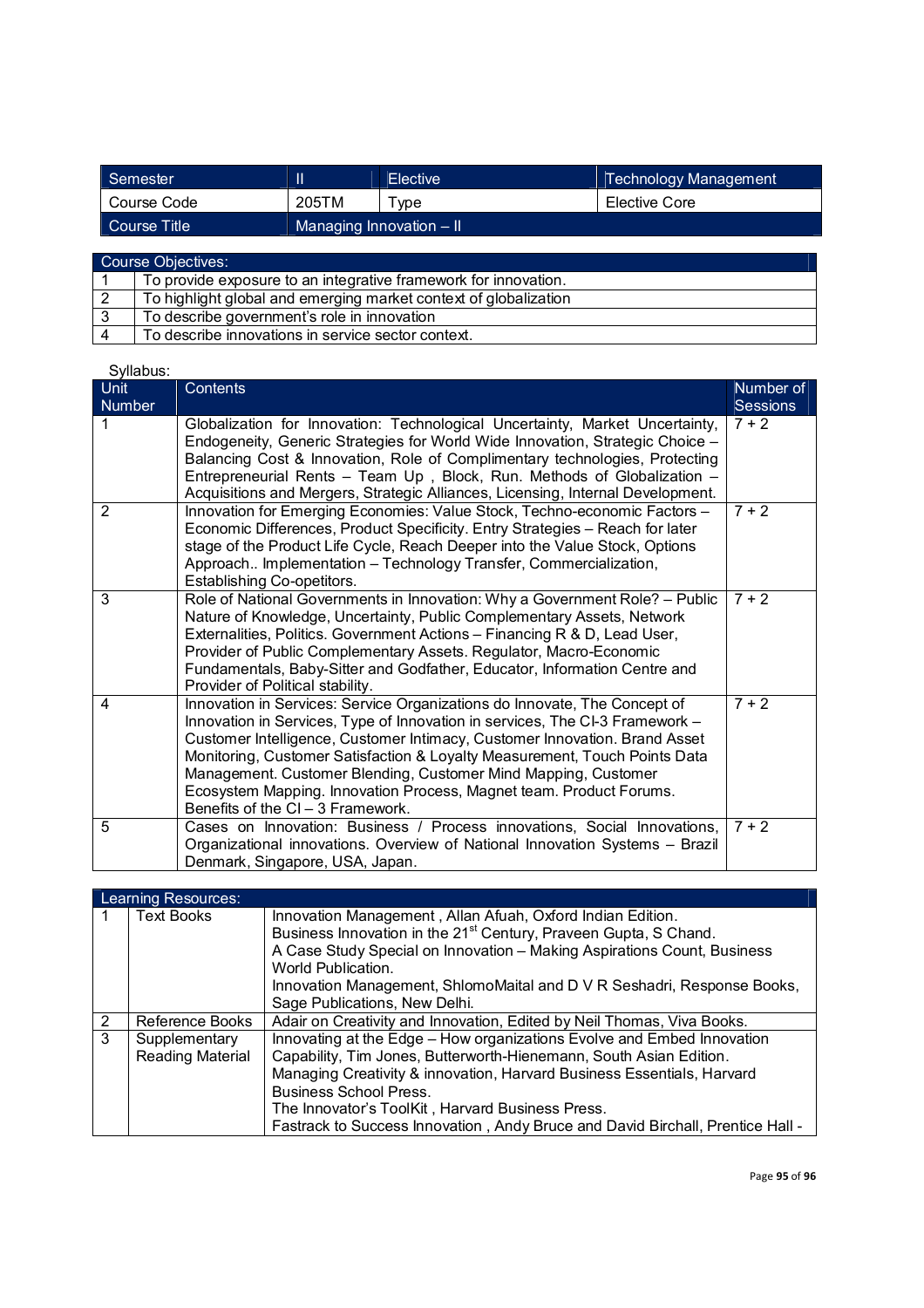| Semester     |                            | <b>Elective</b> | Technology Management |
|--------------|----------------------------|-----------------|-----------------------|
| Course Code  | 205TM                      | vpe             | Elective Core         |
| Course Title | Managing Innovation $-$ II |                 |                       |
|              |                            |                 |                       |

| Course Objectives: |                                                                  |  |
|--------------------|------------------------------------------------------------------|--|
|                    | To provide exposure to an integrative framework for innovation.  |  |
|                    | To highlight global and emerging market context of globalization |  |
|                    | To describe government's role in innovation                      |  |
|                    | To describe innovations in service sector context.               |  |

| oviiavuo.     |                                                                                                                                                                                                                                                                                                                                                                                                                                                                                                     |                 |
|---------------|-----------------------------------------------------------------------------------------------------------------------------------------------------------------------------------------------------------------------------------------------------------------------------------------------------------------------------------------------------------------------------------------------------------------------------------------------------------------------------------------------------|-----------------|
| Unit          | Contents                                                                                                                                                                                                                                                                                                                                                                                                                                                                                            | Number of       |
| <b>Number</b> |                                                                                                                                                                                                                                                                                                                                                                                                                                                                                                     | <b>Sessions</b> |
| 1             | Globalization for Innovation: Technological Uncertainty, Market Uncertainty,<br>Endogeneity, Generic Strategies for World Wide Innovation, Strategic Choice -<br>Balancing Cost & Innovation, Role of Complimentary technologies, Protecting<br>Entrepreneurial Rents - Team Up, Block, Run. Methods of Globalization -<br>Acquisitions and Mergers, Strategic Alliances, Licensing, Internal Development.                                                                                          | $7 + 2$         |
| 2             | Innovation for Emerging Economies: Value Stock, Techno-economic Factors -<br>Economic Differences, Product Specificity. Entry Strategies - Reach for later<br>stage of the Product Life Cycle, Reach Deeper into the Value Stock, Options<br>Approach Implementation - Technology Transfer, Commercialization,<br>Establishing Co-opetitors.                                                                                                                                                        | $7 + 2$         |
| 3             | Role of National Governments in Innovation: Why a Government Role? - Public<br>Nature of Knowledge, Uncertainty, Public Complementary Assets, Network<br>Externalities, Politics. Government Actions - Financing R & D, Lead User,<br>Provider of Public Complementary Assets. Regulator, Macro-Economic<br>Fundamentals, Baby-Sitter and Godfather, Educator, Information Centre and<br>Provider of Political stability.                                                                           | $7 + 2$         |
| 4             | Innovation in Services: Service Organizations do Innovate, The Concept of<br>Innovation in Services, Type of Innovation in services, The CI-3 Framework -<br>Customer Intelligence, Customer Intimacy, Customer Innovation. Brand Asset<br>Monitoring, Customer Satisfaction & Loyalty Measurement, Touch Points Data<br>Management. Customer Blending, Customer Mind Mapping, Customer<br>Ecosystem Mapping. Innovation Process, Magnet team. Product Forums.<br>Benefits of the CI - 3 Framework. | $7 + 2$         |
| 5             | Cases on Innovation: Business / Process innovations, Social Innovations,<br>Organizational innovations. Overview of National Innovation Systems - Brazil<br>Denmark, Singapore, USA, Japan.                                                                                                                                                                                                                                                                                                         | $7 + 2$         |

| Learning Resources: |                                          |                                                                                                                                                                                                                                                                                                                                                                                               |  |
|---------------------|------------------------------------------|-----------------------------------------------------------------------------------------------------------------------------------------------------------------------------------------------------------------------------------------------------------------------------------------------------------------------------------------------------------------------------------------------|--|
|                     | <b>Text Books</b>                        | Innovation Management, Allan Afuah, Oxford Indian Edition.<br>Business Innovation in the 21 <sup>st</sup> Century, Praveen Gupta, S Chand.<br>A Case Study Special on Innovation - Making Aspirations Count, Business<br>World Publication.<br>Innovation Management, ShlomoMaital and D V R Seshadri, Response Books,<br>Sage Publications, New Delhi.                                       |  |
| 2                   | Reference Books                          | Adair on Creativity and Innovation, Edited by Neil Thomas, Viva Books.                                                                                                                                                                                                                                                                                                                        |  |
| 3                   | Supplementary<br><b>Reading Material</b> | Innovating at the Edge - How organizations Evolve and Embed Innovation<br>Capability, Tim Jones, Butterworth-Hienemann, South Asian Edition.<br>Managing Creativity & innovation, Harvard Business Essentials, Harvard<br><b>Business School Press.</b><br>The Innovator's ToolKit, Harvard Business Press.<br>Fastrack to Success Innovation, Andy Bruce and David Birchall, Prentice Hall - |  |